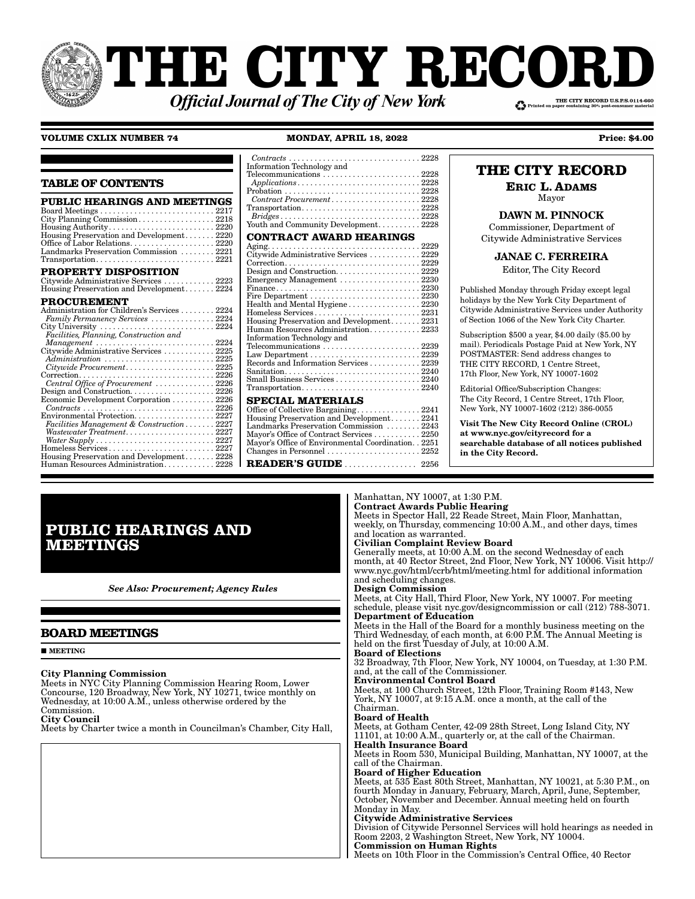# **THE CITY RECORI** THE CITY RECORD U.S.P.S.0114-660 **Official Journal of The City of New York**

#### **VOLUME CXLIX NUMBER 74 MONDAY, APRIL 18, 2022 Price: \$4.00**

| <b>TABLE OF CONTENTS</b>                                                                                                                                                                                                                 |
|------------------------------------------------------------------------------------------------------------------------------------------------------------------------------------------------------------------------------------------|
| PUBLIC HEARINGS AND MEETINGS<br>Landmarks Preservation Commission  2221<br>$Transportation \ldots \ldots \ldots \ldots \ldots \ldots \ldots \ldots \ldots 2221$<br><b>PROPERTY DISPOSITION</b><br>Citywide Administrative Services  2223 |
| Housing Preservation and Development 2224<br><b>PROCUREMENT</b><br>Administration for Children's Services 2224                                                                                                                           |
| Family Permanency Services 2224                                                                                                                                                                                                          |
| Management 2224<br>Citywide Administrative Services 2225<br>Citywide Procurement2225                                                                                                                                                     |
| Central Office of Procurement 2226<br>Design and Construction2226                                                                                                                                                                        |
| Economic Development Corporation 2226<br>$Contracts \ldots \ldots \ldots \ldots \ldots \ldots \ldots \ldots \ldots 2226$                                                                                                                 |
| Environmental Protection2227<br>Facilities Management & Construction2227<br>Wastewater Treatment2227                                                                                                                                     |
| Homeless Services2227<br>Housing Preservation and Development2228<br>Human Resources Administration 2228                                                                                                                                 |

### *Contracts* . . . . . . . . . . . . . . . . . . . . . . . . . . . . . . . 2228 Information Technology and Telecommunications . . . . . . . . . . . . . . . . . . . . . . . 2228 *Applications* . . . . . . . . . . . . . . . . . . . . . . . . . . . . . 2228 Probation . . . . . . . . . . . . . . . . . . . . . . . . . . . . . . . . 2228 *Contract Procurement* . . . . . . . . . . . . . . . . . . . . . 2228 Transportation . . . . . . . . . . . . . . . . . . . . . . . . . . . . 2228 *Bridges* . . . . . . . . . . . . . . . . . . . . . . . . . . . . . . . . . 2228 Youth and Community Development . . . . . . . . . . 2228 **CONTRACT AWARD HEARINGS** Aging . . . . . . . . . . . . . . . . . . . . . . . . . . . . . . . . . . . . 2229 Citywide Administrative Services . . . . . . . . . . . . 2229 Correction . . . . . . . . . . . . . . . . . . . . . . . . . . . . . . . . 2229 Design and Construction. . . . . . . . . . . . . . . . . . . . 2229 Emergency Management . . . . . . . . . . . . . . . . . . . 2230 Finance . . . . . . . . . . . . . . . . . . . . . . . . . . . . . . . . . . 2230 Fire Department . . . . . . . . . . . . . . . . . . . . . . . . . . 2230 Health and Mental Hygiene . . . . . . . . . . . . . . . . . 2230 Homeless Services . . . . . . . . . . . . . . . . . . . . . . . . . 2231 Housing Preservation and Development . . . . . . . 2231 Human Resources Administration . . . . . . . . . . . . 2233 Information Technology and Telecommunications . . . . . . . . . . . . . . . . . . . . . . . 2239 Law Department . . . . . . . . . . . . . . . . . . . . . . . . . . 2239 Records and Information Services . . . . . . . . . . . . 2239 Sanitation . . . . . . . . . . . . . . . . . . . . . . . . . . . . . . . . 2240 Small Business Services . . . . . . . . . . . . . . . . . . . . 2240 Transportation . . . . . . . . . . . . . . . . . . . . . . . . . . . . 2240 **SPECIAL MATERIALS** Office of Collective Bargaining . . . . . . . . . . . . . . . 2241 Housing Preservation and Development . . . . . . . 2241 Landmarks Preservation Commission . . . . . . . . 2243 Mayor's Office of Contract Services . . . . . . . . . . . 2250 Mayor's Office of Environmental Coordination . . 2251

Changes in Personnel . . . . . . . . . . . . . . . . . . . . . . 2252 **READER'S GUIDE** ..................... 2256

# **THE CITY RECORD**

**ERIC L. ADAMS**

Mayor

DAWN M. PINNOCK Commissioner, Department of Citywide Administrative Services

JANAE C. FERREIRA

Editor, The City Record

Published Monday through Friday except legal holidays by the New York City Department of Citywide Administrative Services under Authority of Section 1066 of the New York City Charter.

Subscription \$500 a year, \$4.00 daily (\$5.00 by mail). Periodicals Postage Paid at New York, NY POSTMASTER: Send address changes to THE CITY RECORD, 1 Centre Street, 17th Floor, New York, NY 10007-1602

Editorial Office/Subscription Changes: The City Record, 1 Centre Street, 17th Floor, New York, NY 10007-1602 (212) 386-0055

Visit The New City Record Online (CROL) at www.nyc.gov/cityrecord for a searchable database of all notices published in the City Record.

## **PUBLIC HEARINGS AND MEETINGS**

*See Also: Procurement; Agency Rules*

### **BOARD MEETINGS**

**MEETING** 

#### City Planning Commission

Meets in NYC City Planning Commission Hearing Room, Lower Concourse, 120 Broadway, New York, NY 10271, twice monthly on Wednesday, at 10:00 A.M., unless otherwise ordered by the Commission.

City Council

Meets by Charter twice a month in Councilman's Chamber, City Hall,

#### Manhattan, NY 10007, at 1:30 P.M. Contract Awards Public Hearing

Meets in Spector Hall, 22 Reade Street, Main Floor, Manhattan, weekly, on Thursday, commencing 10:00 A.M., and other days, times and location as warranted.

Civilian Complaint Review Board

Generally meets, at 10:00 A.M. on the second Wednesday of each month, at 40 Rector Street, 2nd Floor, New York, NY 10006. Visit http:// www.nyc.gov/html/ccrb/html/meeting.html for additional information and scheduling changes.

Design Commission

Meets, at City Hall, Third Floor, New York, NY 10007. For meeting schedule, please visit nyc.gov/designcommission or call (212) 788-3071. Department of Education

Meets in the Hall of the Board for a monthly business meeting on the Third Wednesday, of each month, at 6:00 P.M. The Annual Meeting is held on the first Tuesday of July, at 10:00 A.M.

### Board of Elections

32 Broadway, 7th Floor, New York, NY 10004, on Tuesday, at 1:30 P.M. and, at the call of the Commissioner.

Environmental Control Board

Meets, at 100 Church Street, 12th Floor, Training Room #143, New York, NY 10007, at 9:15 A.M. once a month, at the call of the Chairman.

#### Board of Health

Meets, at Gotham Center, 42-09 28th Street, Long Island City, NY 11101, at 10:00 A.M., quarterly or, at the call of the Chairman. Health Insurance Board

Meets in Room 530, Municipal Building, Manhattan, NY 10007, at the call of the Chairman.

#### Board of Higher Education

Meets, at 535 East 80th Street, Manhattan, NY 10021, at 5:30 P.M., on fourth Monday in January, February, March, April, June, September, October, November and December. Annual meeting held on fourth Monday in May.

#### Citywide Administrative Services

Division of Citywide Personnel Services will hold hearings as needed in Room 2203, 2 Washington Street, New York, NY 10004. Commission on Human Rights

Meets on 10th Floor in the Commission's Central Office, 40 Rector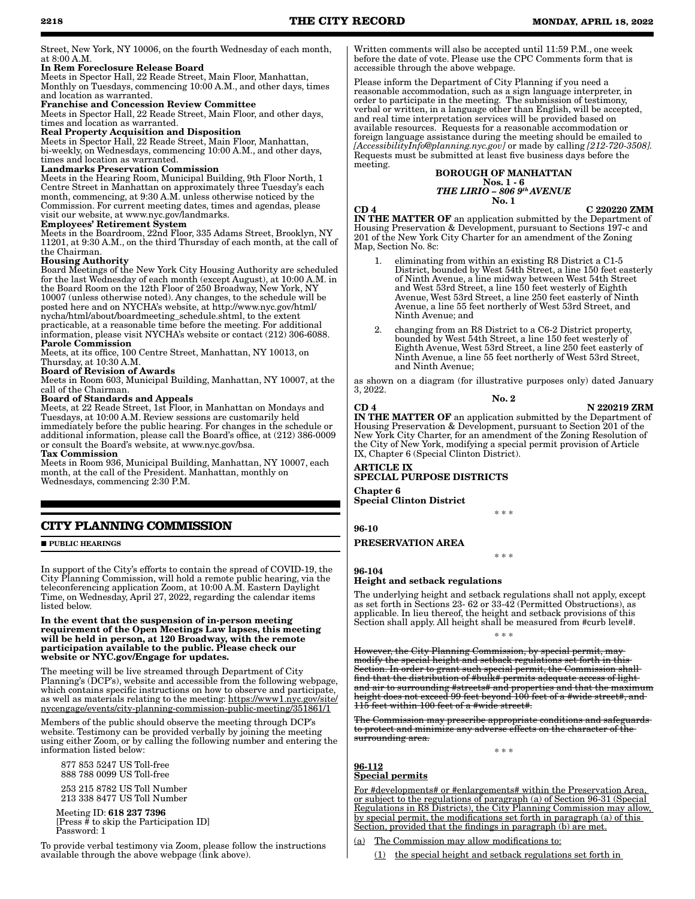Street, New York, NY 10006, on the fourth Wednesday of each month, at 8:00 A.M.

#### In Rem Foreclosure Release Board

Meets in Spector Hall, 22 Reade Street, Main Floor, Manhattan, Monthly on Tuesdays, commencing 10:00 A.M., and other days, times and location as warranted.

#### Franchise and Concession Review Committee

Meets in Spector Hall, 22 Reade Street, Main Floor, and other days, times and location as warranted.

### Real Property Acquisition and Disposition

Meets in Spector Hall, 22 Reade Street, Main Floor, Manhattan, bi-weekly, on Wednesdays, commencing 10:00 A.M., and other days, times and location as warranted.

#### Landmarks Preservation Commission

Meets in the Hearing Room, Municipal Building, 9th Floor North, 1 Centre Street in Manhattan on approximately three Tuesday's each month, commencing, at 9:30 A.M. unless otherwise noticed by the Commission. For current meeting dates, times and agendas, please visit our website, at www.nyc.gov/landmarks.

#### Employees' Retirement System

Meets in the Boardroom, 22nd Floor, 335 Adams Street, Brooklyn, NY 11201, at 9:30 A.M., on the third Thursday of each month, at the call of the Chairman.

#### Housing Authority

Board Meetings of the New York City Housing Authority are scheduled for the last Wednesday of each month (except August), at 10:00 A.M. in the Board Room on the 12th Floor of 250 Broadway, New York, NY 10007 (unless otherwise noted). Any changes, to the schedule will be posted here and on NYCHA's website, at http://www.nyc.gov/html/ nycha/html/about/boardmeeting\_schedule.shtml, to the extent practicable, at a reasonable time before the meeting. For additional information, please visit NYCHA's website or contact (212) 306-6088. Parole Commission

Meets, at its office, 100 Centre Street, Manhattan, NY 10013, on Thursday, at 10:30 A.M.

#### Board of Revision of Awards

Meets in Room 603, Municipal Building, Manhattan, NY 10007, at the call of the Chairman.

### Board of Standards and Appeals

Meets, at 22 Reade Street, 1st Floor, in Manhattan on Mondays and Tuesdays, at 10:00 A.M. Review sessions are customarily held immediately before the public hearing. For changes in the schedule or additional information, please call the Board's office, at (212) 386-0009 or consult the Board's website, at www.nyc.gov/bsa.

#### Tax Commission

Meets in Room 936, Municipal Building, Manhattan, NY 10007, each month, at the call of the President. Manhattan, monthly on Wednesdays, commencing 2:30 P.M.

### **CITY PLANNING COMMISSION**

#### **PUBLIC HEARINGS**

In support of the City's efforts to contain the spread of COVID-19, the City Planning Commission, will hold a remote public hearing, via the teleconferencing application Zoom, at 10:00 A.M. Eastern Daylight Time, on Wednesday, April 27, 2022, regarding the calendar items listed below.

#### In the event that the suspension of in-person meeting requirement of the Open Meetings Law lapses, this meeting will be held in person, at 120 Broadway, with the remote participation available to the public. Please check our website or NYC.gov/Engage for updates.

The meeting will be live streamed through Department of City Planning's (DCP's), website and accessible from the following webpage, which contains specific instructions on how to observe and participate, as well as materials relating to the meeting: https://www1.nyc.gov/site/ nycengage/events/city-planning-commission-public-meeting/351861/1

Members of the public should observe the meeting through DCP's website. Testimony can be provided verbally by joining the meeting using either Zoom, or by calling the following number and entering the information listed below:

 877 853 5247 US Toll-free 888 788 0099 US Toll-free

 253 215 8782 US Toll Number 213 338 8477 US Toll Number

 Meeting ID: 618 237 7396 [Press # to skip the Participation ID] Password: 1

To provide verbal testimony via Zoom, please follow the instructions available through the above webpage (link above).

Written comments will also be accepted until 11:59 P.M., one week before the date of vote. Please use the CPC Comments form that is accessible through the above webpage.

Please inform the Department of City Planning if you need a reasonable accommodation, such as a sign language interpreter, in order to participate in the meeting. The submission of testimony, verbal or written, in a language other than English, will be accepted, and real time interpretation services will be provided based on available resources. Requests for a reasonable accommodation or foreign language assistance during the meeting should be emailed to *[AccessibilityInfo@planning.nyc.gov]* or made by calling *[212-720-3508].* Requests must be submitted at least five business days before the meeting.

#### BOROUGH OF MANHATTAN Nos. 1 - 6 *THE LIRIO – 806 9th AVENUE* No. 1

 $CD 4$   $C 220220 ZMM$ 

IN THE MATTER OF an application submitted by the Department of Housing Preservation & Development, pursuant to Sections 197-c and 201 of the New York City Charter for an amendment of the Zoning Map, Section No. 8c:

- 1. eliminating from within an existing R8 District a C1-5 District, bounded by West 54th Street, a line 150 feet easterly of Ninth Avenue, a line midway between West 54th Street and West 53rd Street, a line 150 feet westerly of Eighth Avenue, West 53rd Street, a line 250 feet easterly of Ninth Avenue, a line 55 feet northerly of West 53rd Street, and Ninth Avenue; and
- 2. changing from an R8 District to a C6-2 District property, bounded by West 54th Street, a line 150 feet westerly of Eighth Avenue, West 53rd Street, a line 250 feet easterly of Ninth Avenue, a line 55 feet northerly of West 53rd Street, and Ninth Avenue;

as shown on a diagram (for illustrative purposes only) dated January 3, 2022.

No. 2

 $CD 4$  N  $220219 ZRM$ IN THE MATTER OF an application submitted by the Department of Housing Preservation & Development, pursuant to Section 201 of the New York City Charter, for an amendment of the Zoning Resolution of the City of New York, modifying a special permit provision of Article IX, Chapter 6 (Special Clinton District).

\* \* \*

\* \* \*

ARTICLE IX SPECIAL PURPOSE DISTRICTS Chapter 6

Special Clinton District

96-10

PRESERVATION AREA

#### 96-104

#### Height and setback regulations

The underlying height and setback regulations shall not apply, except as set forth in Sections 23- 62 or 33-42 (Permitted Obstructions), as applicable. In lieu thereof, the height and setback provisions of this Section shall apply. All height shall be measured from #curb level#.

\* \* \*

However, the City Planning Commission, by special permit, may modify the special height and setback regulations set forth in this Section. In order to grant such special permit, the Commission shall find that the distribution of #bulk# permits adequate access of light and air to surrounding #streets# and properties and that the maximum height does not exceed 99 feet beyond 100 feet of a #wide street#, and 115 feet within 100 feet of a #wide street#.

The Commission may prescribe appropriate conditions and safeguards to protect and minimize any adverse effects on the character of the surrounding area. \* \* \*

### 96-112 Special permits

For #developments# or #enlargements# within the Preservation Area, or subject to the regulations of paragraph (a) of Section 96-31 (Special Regulations in R8 Districts), the City Planning Commission may allow, by special permit, the modifications set forth in paragraph (a) of this Section, provided that the findings in paragraph (b) are met.

- (a) The Commission may allow modifications to:
	- (1) the special height and setback regulations set forth in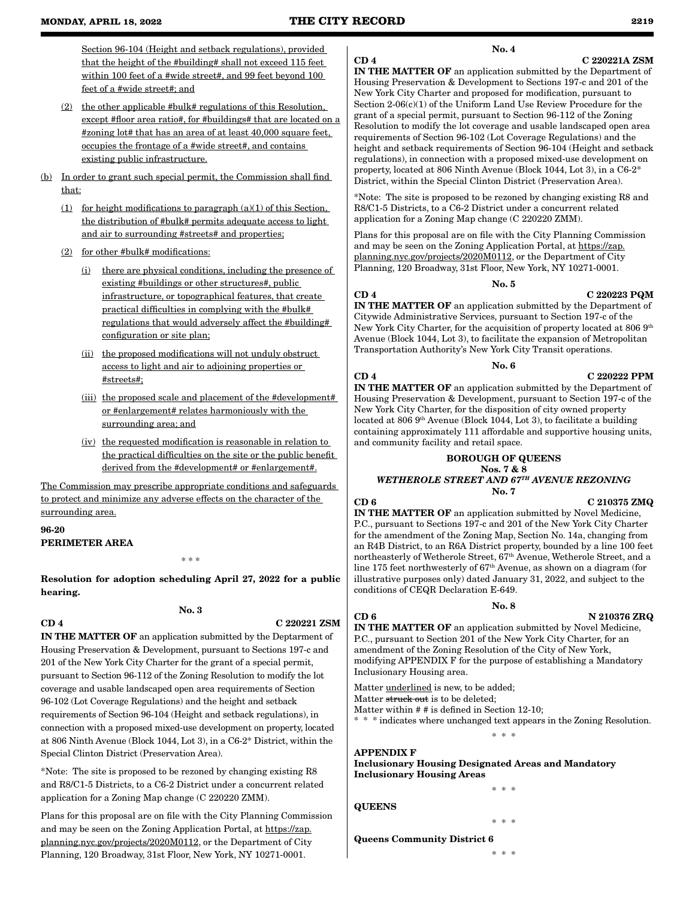Section 96-104 (Height and setback regulations), provided that the height of the #building# shall not exceed 115 feet within 100 feet of a #wide street#, and 99 feet beyond 100 feet of a #wide street#; and

- (2) the other applicable #bulk# regulations of this Resolution, except #floor area ratio#, for #buildings# that are located on a #zoning lot# that has an area of at least 40,000 square feet, occupies the frontage of a #wide street#, and contains existing public infrastructure.
- (b) In order to grant such special permit, the Commission shall find that:
	- (1) for height modifications to paragraph  $(a)(1)$  of this Section, the distribution of #bulk# permits adequate access to light and air to surrounding #streets# and properties;
	- (2) for other #bulk# modifications:
		- (i) there are physical conditions, including the presence of existing #buildings or other structures#, public infrastructure, or topographical features, that create practical difficulties in complying with the #bulk# regulations that would adversely affect the #building# configuration or site plan;
		- (ii) the proposed modifications will not unduly obstruct access to light and air to adjoining properties or #streets#;
		- (iii) the proposed scale and placement of the #development# or #enlargement# relates harmoniously with the surrounding area; and
		- (iv) the requested modification is reasonable in relation to the practical difficulties on the site or the public benefit derived from the #development# or #enlargement#.

The Commission may prescribe appropriate conditions and safeguards to protect and minimize any adverse effects on the character of the surrounding area.

### 96-20 PERIMETER AREA

\* \* \*

Resolution for adoption scheduling April 27, 2022 for a public hearing.

No. 3

### $CD 4$   $C 220221 ZSM$

IN THE MATTER OF an application submitted by the Deptarment of Housing Preservation & Development, pursuant to Sections 197-c and 201 of the New York City Charter for the grant of a special permit, pursuant to Section 96-112 of the Zoning Resolution to modify the lot coverage and usable landscaped open area requirements of Section 96-102 (Lot Coverage Regulations) and the height and setback requirements of Section 96-104 (Height and setback regulations), in connection with a proposed mixed-use development on property, located at 806 Ninth Avenue (Block 1044, Lot 3), in a C6-2\* District, within the Special Clinton District (Preservation Area).

\*Note: The site is proposed to be rezoned by changing existing R8 and R8/C1-5 Districts, to a C6-2 District under a concurrent related application for a Zoning Map change (C 220220 ZMM).

Plans for this proposal are on file with the City Planning Commission and may be seen on the Zoning Application Portal, at https://zap. planning.nyc.gov/projects/2020M0112, or the Department of City Planning, 120 Broadway, 31st Floor, New York, NY 10271-0001.

### No. 4

 $CD 4$   $C 220221A ZSM$ 

IN THE MATTER OF an application submitted by the Department of Housing Preservation & Development to Sections 197-c and 201 of the New York City Charter and proposed for modification, pursuant to Section 2-06(c)(1) of the Uniform Land Use Review Procedure for the grant of a special permit, pursuant to Section 96-112 of the Zoning Resolution to modify the lot coverage and usable landscaped open area requirements of Section 96-102 (Lot Coverage Regulations) and the height and setback requirements of Section 96-104 (Height and setback regulations), in connection with a proposed mixed-use development on property, located at 806 Ninth Avenue (Block 1044, Lot 3), in a C6-2\* District, within the Special Clinton District (Preservation Area).

\*Note: The site is proposed to be rezoned by changing existing R8 and R8/C1-5 Districts, to a C6-2 District under a concurrent related application for a Zoning Map change (C 220220 ZMM).

Plans for this proposal are on file with the City Planning Commission and may be seen on the Zoning Application Portal, at https://zap. planning.nyc.gov/projects/2020M0112, or the Department of City Planning, 120 Broadway, 31st Floor, New York, NY 10271-0001.

#### No. 5

#### $CD 4$   $C 220223$  PQM

IN THE MATTER OF an application submitted by the Department of Citywide Administrative Services, pursuant to Section 197-c of the New York City Charter, for the acquisition of property located at 806 9th Avenue (Block 1044, Lot 3), to facilitate the expansion of Metropolitan Transportation Authority's New York City Transit operations.

#### No. 6

#### $CD 4$   $C 220222$  PPM

IN THE MATTER OF an application submitted by the Department of Housing Preservation & Development, pursuant to Section 197-c of the New York City Charter, for the disposition of city owned property located at 806 9<sup>th</sup> Avenue (Block 1044, Lot 3), to facilitate a building containing approximately 111 affordable and supportive housing units, and community facility and retail space.

#### BOROUGH OF QUEENS Nos. 7 & 8

#### *WETHEROLE STREET AND 67TH AVENUE REZONING* No. 7

### $CD 6$  C 210375 ZMQ

IN THE MATTER OF an application submitted by Novel Medicine, P.C., pursuant to Sections 197-c and 201 of the New York City Charter for the amendment of the Zoning Map, Section No. 14a, changing from an R4B District, to an R6A District property, bounded by a line 100 feet northeasterly of Wetherole Street, 67th Avenue, Wetherole Street, and a line 175 feet northwesterly of 67th Avenue, as shown on a diagram (for illustrative purposes only) dated January 31, 2022, and subject to the conditions of CEQR Declaration E-649.

### CD 6 N 210376 ZRQ

IN THE MATTER OF an application submitted by Novel Medicine, P.C., pursuant to Section 201 of the New York City Charter, for an amendment of the Zoning Resolution of the City of New York, modifying APPENDIX F for the purpose of establishing a Mandatory Inclusionary Housing area.

No. 8

Matter underlined is new, to be added;

Matter struck out is to be deleted;

Matter within # # is defined in Section 12-10;

\* \* \* indicates where unchanged text appears in the Zoning Resolution.

\* \* \*

\* \* \*

\* \* \*

### APPENDIX F

Inclusionary Housing Designated Areas and Mandatory Inclusionary Housing Areas

**QUEENS** 

Queens Community District 6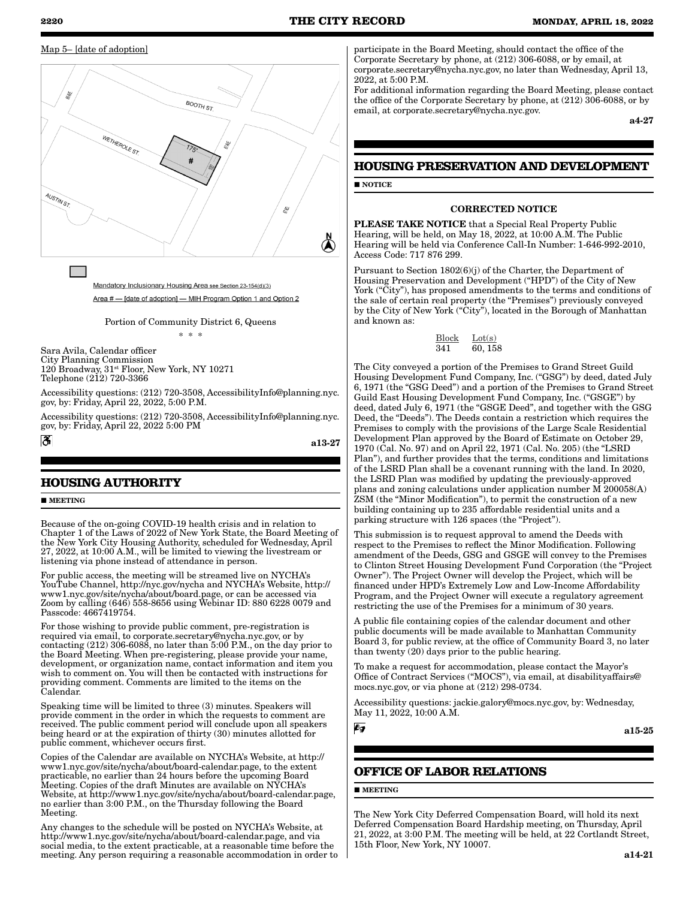#### Map 5– [date of adoption]



Mandatory Inclusionary Housing Area see Section 23-154(d)(3) Area # - [date of adoption] - MIH Program Option 1 and Option 2

Portion of Community District 6, Queens

\* \* \* Sara Avila, Calendar officer City Planning Commission

120 Broadway, 31st Floor, New York, NY 10271 Telephone (212) 720-3366

Accessibility questions: (212) 720-3508, AccessibilityInfo@planning.nyc. gov, by: Friday, April 22, 2022, 5:00 P.M.

Accessibility questions: (212) 720-3508, AccessibilityInfo@planning.nyc. gov, by: Friday, April 22, 2022 5:00 PM

ð

a13-27

#### **HOUSING AUTHORITY**

**MEETING** 

Because of the on-going COVID-19 health crisis and in relation to Chapter 1 of the Laws of 2022 of New York State, the Board Meeting of the New York City Housing Authority, scheduled for Wednesday, April 27, 2022, at 10:00 A.M., will be limited to viewing the livestream or listening via phone instead of attendance in person.

For public access, the meeting will be streamed live on NYCHA's YouTube Channel, http://nyc.gov/nycha and NYCHA's Website, http:// www1.nyc.gov/site/nycha/about/board.page, or can be accessed via Zoom by calling (646) 558-8656 using Webinar ID: 880 6228 0079 and Passcode: 4667419754.

For those wishing to provide public comment, pre-registration is required via email, to corporate.secretary@nycha.nyc.gov, or by contacting (212) 306-6088, no later than 5:00 P.M., on the day prior to the Board Meeting. When pre-registering, please provide your name, development, or organization name, contact information and item you wish to comment on. You will then be contacted with instructions for providing comment. Comments are limited to the items on the Calendar.

Speaking time will be limited to three (3) minutes. Speakers will provide comment in the order in which the requests to comment are received. The public comment period will conclude upon all speakers being heard or at the expiration of thirty (30) minutes allotted for public comment, whichever occurs first.

Copies of the Calendar are available on NYCHA's Website, at http:// www1.nyc.gov/site/nycha/about/board-calendar.page, to the extent practicable, no earlier than 24 hours before the upcoming Board Meeting. Copies of the draft Minutes are available on NYCHA's Website, at http://www1.nyc.gov/site/nycha/about/board-calendar.page, no earlier than 3:00 P.M., on the Thursday following the Board Meeting.

Any changes to the schedule will be posted on NYCHA's Website, at http://www1.nyc.gov/site/nycha/about/board-calendar.page, and via social media, to the extent practicable, at a reasonable time before the meeting. Any person requiring a reasonable accommodation in order to participate in the Board Meeting, should contact the office of the Corporate Secretary by phone, at (212) 306-6088, or by email, at corporate.secretary@nycha.nyc.gov, no later than Wednesday, April 13, 2022, at 5:00 P.M.

For additional information regarding the Board Meeting, please contact the office of the Corporate Secretary by phone, at (212) 306-6088, or by email, at corporate.secretary@nycha.nyc.gov.

a4-27

### **HOUSING PRESERVATION AND DEVELOPMENT**

**NOTICE** 

#### CORRECTED NOTICE

PLEASE TAKE NOTICE that a Special Real Property Public Hearing, will be held, on May 18, 2022, at 10:00 A.M. The Public Hearing will be held via Conference Call-In Number: 1-646-992-2010, Access Code: 717 876 299.

Pursuant to Section 1802(6)(j) of the Charter, the Department of Housing Preservation and Development ("HPD") of the City of New York ("City"), has proposed amendments to the terms and conditions of the sale of certain real property (the "Premises") previously conveyed by the City of New York ("City"), located in the Borough of Manhattan and known as:

$$
\frac{\text{Block}}{341} \quad \frac{\text{Lot(s)}}{60,158}
$$

The City conveyed a portion of the Premises to Grand Street Guild Housing Development Fund Company, Inc. ("GSG") by deed, dated July 6, 1971 (the "GSG Deed") and a portion of the Premises to Grand Street Guild East Housing Development Fund Company, Inc. ("GSGE") by deed, dated July 6, 1971 (the "GSGE Deed", and together with the GSG Deed, the "Deeds"). The Deeds contain a restriction which requires the Premises to comply with the provisions of the Large Scale Residential Development Plan approved by the Board of Estimate on October 29, 1970 (Cal. No. 97) and on April 22, 1971 (Cal. No. 205) (the "LSRD Plan"), and further provides that the terms, conditions and limitations of the LSRD Plan shall be a covenant running with the land. In 2020, the LSRD Plan was modified by updating the previously-approved plans and zoning calculations under application number M 200058(A) ZSM (the "Minor Modification"), to permit the construction of a new building containing up to 235 affordable residential units and a parking structure with 126 spaces (the "Project").

This submission is to request approval to amend the Deeds with respect to the Premises to reflect the Minor Modification. Following amendment of the Deeds, GSG and GSGE will convey to the Premises to Clinton Street Housing Development Fund Corporation (the "Project Owner"). The Project Owner will develop the Project, which will be financed under HPD's Extremely Low and Low-Income Affordability Program, and the Project Owner will execute a regulatory agreement restricting the use of the Premises for a minimum of 30 years.

A public file containing copies of the calendar document and other public documents will be made available to Manhattan Community Board 3, for public review, at the office of Community Board 3, no later than twenty (20) days prior to the public hearing.

To make a request for accommodation, please contact the Mayor's Office of Contract Services ("MOCS"), via email, at disabilityaffairs@ mocs.nyc.gov, or via phone at (212) 298-0734.

Accessibility questions: jackie.galory@mocs.nyc.gov, by: Wednesday, May 11, 2022, 10:00 A.M.

бg

a15-25

### **OFFICE OF LABOR RELATIONS**

#### **MEETING**

The New York City Deferred Compensation Board, will hold its next Deferred Compensation Board Hardship meeting, on Thursday, April 21, 2022, at 3:00 P.M. The meeting will be held, at 22 Cortlandt Street, 15th Floor, New York, NY 10007.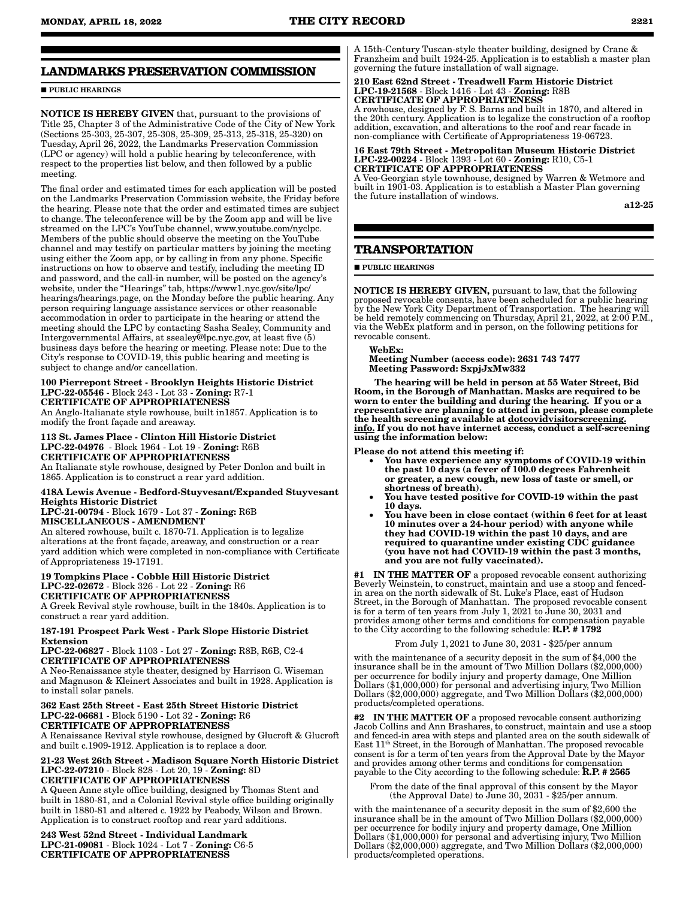### **LANDMARKS PRESERVATION COMMISSION**

#### **PUBLIC HEARINGS**

NOTICE IS HEREBY GIVEN that, pursuant to the provisions of Title 25, Chapter 3 of the Administrative Code of the City of New York (Sections 25-303, 25-307, 25-308, 25-309, 25-313, 25-318, 25-320) on Tuesday, April 26, 2022, the Landmarks Preservation Commission (LPC or agency) will hold a public hearing by teleconference, with respect to the properties list below, and then followed by a public meeting.

The final order and estimated times for each application will be posted on the Landmarks Preservation Commission website, the Friday before the hearing. Please note that the order and estimated times are subject to change. The teleconference will be by the Zoom app and will be live streamed on the LPC's YouTube channel, www.youtube.com/nyclpc. Members of the public should observe the meeting on the YouTube channel and may testify on particular matters by joining the meeting using either the Zoom app, or by calling in from any phone. Specific instructions on how to observe and testify, including the meeting ID and password, and the call-in number, will be posted on the agency's website, under the "Hearings" tab, https://www1.nyc.gov/site/lpc/ hearings/hearings.page, on the Monday before the public hearing. Any person requiring language assistance services or other reasonable accommodation in order to participate in the hearing or attend the meeting should the LPC by contacting Sasha Sealey, Community and Intergovernmental Affairs, at ssealey@lpc.nyc.gov, at least five (5) business days before the hearing or meeting. Please note: Due to the City's response to COVID-19, this public hearing and meeting is subject to change and/or cancellation.

#### 100 Pierrepont Street - Brooklyn Heights Historic District LPC-22-05546 - Block 243 - Lot 33 - Zoning: R7-1 CERTIFICATE OF APPROPRIATENESS

An Anglo-Italianate style rowhouse, built in1857. Application is to modify the front façade and areaway.

113 St. James Place - Clinton Hill Historic District LPC-22-04976 - Block 1964 - Lot 19 - Zoning: R6B CERTIFICATE OF APPROPRIATENESS An Italianate style rowhouse, designed by Peter Donlon and built in 1865. Application is to construct a rear yard addition.

#### 418A Lewis Avenue - Bedford-Stuyvesant/Expanded Stuyvesant Heights Historic District LPC-21-00794 - Block 1679 - Lot 37 - Zoning: R6B MISCELLANEOUS - AMENDMENT

An altered rowhouse, built c. 1870-71. Application is to legalize alterations at the front façade, areaway, and construction or a rear yard addition which were completed in non-compliance with Certificate of Appropriateness 19-17191.

#### 19 Tompkins Place - Cobble Hill Historic District LPC-22-02672 - Block 326 - Lot 22 - Zoning: R6 CERTIFICATE OF APPROPRIATENESS

A Greek Revival style rowhouse, built in the 1840s. Application is to construct a rear yard addition.

#### 187-191 Prospect Park West - Park Slope Historic District Extension

LPC-22-06827 - Block 1103 - Lot 27 - Zoning: R8B, R6B, C2-4 CERTIFICATE OF APPROPRIATENESS

A Neo-Renaissance style theater, designed by Harrison G. Wiseman and Magnuson & Kleinert Associates and built in 1928. Application is to install solar panels.

#### 362 East 25th Street - East 25th Street Historic District LPC-22-06681 - Block 5190 - Lot 32 - Zoning: R6 CERTIFICATE OF APPROPRIATENESS

A Renaissance Revival style rowhouse, designed by Glucroft & Glucroft and built c.1909-1912. Application is to replace a door.

#### 21-23 West 26th Street - Madison Square North Historic District LPC-22-07210 - Block 828 - Lot 20, 19 - Zoning: 8D CERTIFICATE OF APPROPRIATENESS

A Queen Anne style office building, designed by Thomas Stent and built in 1880-81, and a Colonial Revival style office building originally built in 1880-81 and altered c. 1922 by Peabody, Wilson and Brown. Application is to construct rooftop and rear yard additions.

243 West 52nd Street - Individual Landmark LPC-21-09081 - Block 1024 - Lot 7 - Zoning: C6-5 CERTIFICATE OF APPROPRIATENESS

A 15th-Century Tuscan-style theater building, designed by Crane & Franzheim and built 1924-25. Application is to establish a master plan governing the future installation of wall signage.

### 210 East 62nd Street - Treadwell Farm Historic District LPC-19-21568 - Block 1416 - Lot 43 - Zoning: R8B CERTIFICATE OF APPROPRIATENESS

A rowhouse, designed by F. S. Barns and built in 1870, and altered in the 20th century. Application is to legalize the construction of a rooftop addition, excavation, and alterations to the roof and rear facade in non-compliance with Certificate of Appropriateness 19-06723.

#### 16 East 79th Street - Metropolitan Museum Historic District LPC-22-00224 - Block 1393 - Lot 60 - Zoning: R10, C5-1 CERTIFICATE OF APPROPRIATENESS

A Veo-Georgian style townhouse, designed by Warren & Wetmore and built in 1901-03. Application is to establish a Master Plan governing the future installation of windows.

a12-25

### **TRANSPORTATION**

**PUBLIC HEARINGS** 

NOTICE IS HEREBY GIVEN, pursuant to law, that the following proposed revocable consents, have been scheduled for a public hearing by the New York City Department of Transportation. The hearing will be held remotely commencing on Thursday, April 21, 2022, at 2:00 P.M., via the WebEx platform and in person, on the following petitions for revocable consent.

WebEx:

Meeting Number (access code): 2631 743 7477 Meeting Password: SxpjJxMw332

The hearing will be held in person at 55 Water Street, Bid Room, in the Borough of Manhattan. Masks are required to be worn to enter the building and during the hearing. If you or a representative are planning to attend in person, please complete the health screening available at dotcovidvisitorscreening. info. If you do not have internet access, conduct a self-screening using the information below:

Please do not attend this meeting if:

- • You have experience any symptoms of COVID-19 within the past 10 days (a fever of 100.0 degrees Fahrenheit or greater, a new cough, new loss of taste or smell, or shortness of breath).
- You have tested positive for COVID-19 within the past 10 days.
- You have been in close contact (within 6 feet for at least 10 minutes over a 24-hour period) with anyone while they had COVID-19 within the past 10 days, and are required to quarantine under existing CDC guidance (you have not had COVID-19 within the past 3 months, and you are not fully vaccinated).

#1 IN THE MATTER OF a proposed revocable consent authorizing Beverly Weinstein, to construct, maintain and use a stoop and fencedin area on the north sidewalk of St. Luke's Place, east of Hudson Street, in the Borough of Manhattan. The proposed revocable consent is for a term of ten years from July 1, 2021 to June 30, 2031 and provides among other terms and conditions for compensation payable to the City according to the following schedule: **R.P.** # 1792

#### From July 1,2021 to June 30, 2031 - \$25/per annum

with the maintenance of a security deposit in the sum of \$4,000 the insurance shall be in the amount of Two Million Dollars (\$2,000,000) per occurrence for bodily injury and property damage, One Million Dollars (\$1,000,000) for personal and advertising injury, Two Million Dollars (\$2,000,000) aggregate, and Two Million Dollars (\$2,000,000) products/completed operations.

#2 IN THE MATTER OF a proposed revocable consent authorizing Jacob Collins and Ann Brashares, to construct, maintain and use a stoop and fenced-in area with steps and planted area on the south sidewalk of East 11th Street, in the Borough of Manhattan. The proposed revocable consent is for a term of ten years from the Approval Date by the Mayor and provides among other terms and conditions for compensation payable to the City according to the following schedule: R.P. # 2565

From the date of the final approval of this consent by the Mayor (the Approval Date) to June 30, 2031 - \$25/per annum.

with the maintenance of a security deposit in the sum of \$2,600 the insurance shall be in the amount of Two Million Dollars (\$2,000,000) per occurrence for bodily injury and property damage, One Million Dollars (\$1,000,000) for personal and advertising injury, Two Million Dollars (\$2,000,000) aggregate, and Two Million Dollars (\$2,000,000) products/completed operations.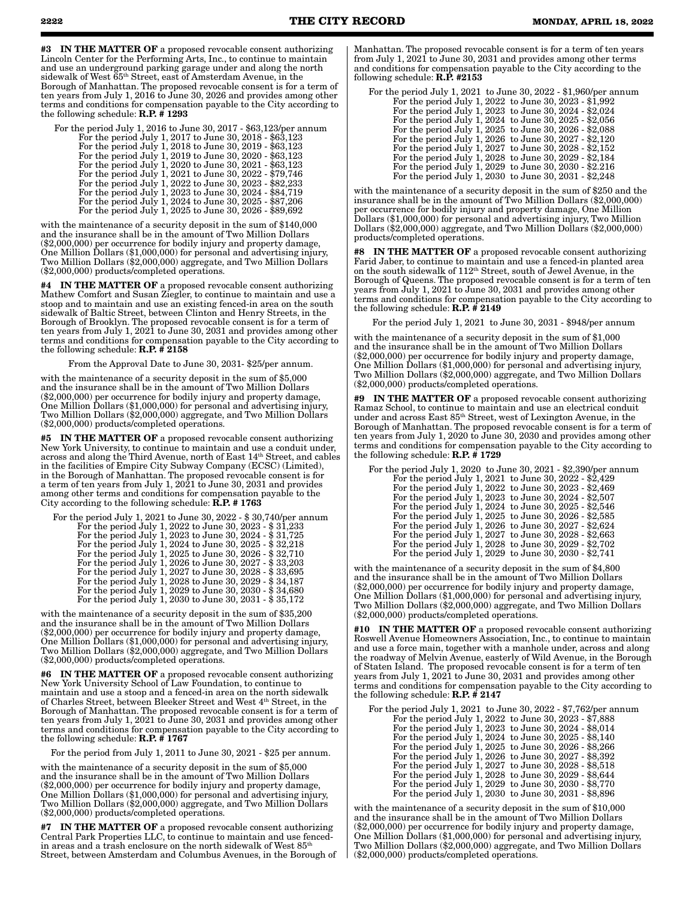#3 IN THE MATTER OF a proposed revocable consent authorizing Lincoln Center for the Performing Arts, Inc., to continue to maintain and use an underground parking garage under and along the north sidewalk of West 65th Street, east of Amsterdam Avenue, in the Borough of Manhattan. The proposed revocable consent is for a term of ten years from July 1, 2016 to June 30, 2026 and provides among other terms and conditions for compensation payable to the City according to the following schedule:  $R.P. \neq 1293$ 

For the period July 1, 2016 to June 30, 2017 - \$63,123/per annum For the period July 1, 2017 to June 30, 2018 - \$63,123 For the period July 1, 2018 to June 30, 2019 - \$63,123 For the period July 1, 2019 to June 30, 2020 - \$63,123 For the period July 1, 2020 to June 30, 2021 - \$63,123 For the period July 1, 2021 to June 30, 2022 - \$79,746 For the period July 1, 2022 to June 30, 2023 - \$82,233 For the period July 1, 2023 to June 30, 2024 - \$84,719 For the period July 1, 2024 to June 30, 2025 - \$87,206 For the period July 1, 2025 to June 30, 2026 - \$89,692

with the maintenance of a security deposit in the sum of \$140,000 and the insurance shall be in the amount of Two Million Dollars (\$2,000,000) per occurrence for bodily injury and property damage, One Million Dollars (\$1,000,000) for personal and advertising injury, Two Million Dollars (\$2,000,000) aggregate, and Two Million Dollars (\$2,000,000) products/completed operations.

#4 IN THE MATTER OF a proposed revocable consent authorizing Mathew Comfort and Susan Ziegler, to continue to maintain and use a stoop and to maintain and use an existing fenced-in area on the south sidewalk of Baltic Street, between Clinton and Henry Streets, in the Borough of Brooklyn. The proposed revocable consent is for a term of ten years from July 1, 2021 to June 30, 2031 and provides among other terms and conditions for compensation payable to the City according to the following schedule:  $R.P. \neq 2158$ 

From the Approval Date to June 30, 2031- \$25/per annum.

with the maintenance of a security deposit in the sum of \$5,000 and the insurance shall be in the amount of Two Million Dollars (\$2,000,000) per occurrence for bodily injury and property damage, One Million Dollars (\$1,000,000) for personal and advertising injury, Two Million Dollars (\$2,000,000) aggregate, and Two Million Dollars (\$2,000,000) products/completed operations.

#5 IN THE MATTER OF a proposed revocable consent authorizing New York University, to continue to maintain and use a conduit under, across and along the Third Avenue, north of East 14<sup>th</sup> Street, and cables in the facilities of Empire City Subway Company (ECSC) (Limited), in the Borough of Manhattan. The proposed revocable consent is for a term of ten years from July 1, 2021 to June 30, 2031 and provides among other terms and conditions for compensation payable to the City according to the following schedule:  $\mathbf{R}.\mathbf{P}.\# \mathbf{1763}$ 

For the period July 1, 2021 to June 30, 2022 - \$ 30,740/per annum

|  |  |  | For the period July 1, 2022 to June 30, 2023 - \$31,233  |
|--|--|--|----------------------------------------------------------|
|  |  |  | For the period July 1, 2023 to June 30, 2024 - \$ 31,725 |
|  |  |  | For the period July 1, 2024 to June 30, 2025 - \$32,218  |
|  |  |  | For the period July 1, 2025 to June 30, 2026 - \$32,710  |
|  |  |  | For the period July 1, 2026 to June 30, 2027 - \$ 33,203 |
|  |  |  | For the period July 1, 2027 to June 30, 2028 - \$33,695  |
|  |  |  | For the period July 1, 2028 to June 30, 2029 - \$34,187  |
|  |  |  | For the period July 1, 2029 to June 30, 2030 - \$34,680  |
|  |  |  | For the period July 1, 2030 to June 30, 2031 - \$ 35,172 |

with the maintenance of a security deposit in the sum of \$35,200 and the insurance shall be in the amount of Two Million Dollars (\$2,000,000) per occurrence for bodily injury and property damage, One Million Dollars (\$1,000,000) for personal and advertising injury, Two Million Dollars (\$2,000,000) aggregate, and Two Million Dollars (\$2,000,000) products/completed operations.

#6 IN THE MATTER OF a proposed revocable consent authorizing New York University School of Law Foundation, to continue to maintain and use a stoop and a fenced-in area on the north sidewalk of Charles Street, between Bleeker Street and West 4th Street, in the Borough of Manhattan. The proposed revocable consent is for a term of ten years from July 1, 2021 to June 30, 2031 and provides among other terms and conditions for compensation payable to the City according to the following schedule:  $R.P. \# 1767$ 

For the period from July 1, 2011 to June 30, 2021 - \$25 per annum.

with the maintenance of a security deposit in the sum of \$5,000 and the insurance shall be in the amount of Two Million Dollars (\$2,000,000) per occurrence for bodily injury and property damage, One Million Dollars (\$1,000,000) for personal and advertising injury, Two Million Dollars (\$2,000,000) aggregate, and Two Million Dollars (\$2,000,000) products/completed operations.

#7 IN THE MATTER OF a proposed revocable consent authorizing Central Park Properties LLC, to continue to maintain and use fencedin areas and a trash enclosure on the north sidewalk of West  $85<sup>th</sup>$ Street, between Amsterdam and Columbus Avenues, in the Borough of Manhattan. The proposed revocable consent is for a term of ten years from July 1, 2021 to June 30, 2031 and provides among other terms and conditions for compensation payable to the City according to the following schedule:  $\mathbf{R}.\hat{\mathbf{P}}$ . #2153

| For the period July 1, 2021 to June 30, 2022 - \$1,960/per annum |
|------------------------------------------------------------------|
| For the period July 1, 2022 to June 30, 2023 - \$1,992           |
| For the period July 1, 2023 to June 30, 2024 - \$2,024           |
| For the period July 1, 2024 to June 30, 2025 - \$2,056           |
| For the period July 1, 2025 to June 30, 2026 - \$2,088           |
| For the period July 1, 2026 to June 30, 2027 - \$2,120           |
| For the period July 1, 2027 to June 30, 2028 - \$2,152           |
| For the period July 1, 2028 to June 30, 2029 - \$2,184           |
| For the period July 1, 2029 to June 30, 2030 - \$2.216           |
| For the period July 1, 2030 to June 30, 2031 - \$2,248           |

with the maintenance of a security deposit in the sum of \$250 and the insurance shall be in the amount of Two Million Dollars (\$2,000,000) per occurrence for bodily injury and property damage, One Million Dollars (\$1,000,000) for personal and advertising injury, Two Million Dollars (\$2,000,000) aggregate, and Two Million Dollars (\$2,000,000) products/completed operations.

#8 IN THE MATTER OF a proposed revocable consent authorizing Farid Jaber, to continue to maintain and use a fenced-in planted area on the south sidewalk of 112th Street, south of Jewel Avenue, in the Borough of Queens. The proposed revocable consent is for a term of ten years from July 1, 2021 to June 30, 2031 and provides among other terms and conditions for compensation payable to the City according to the following schedule:  $R.P. \neq 2149$ 

For the period July 1, 2021 to June 30, 2031 - \$948/per annum

with the maintenance of a security deposit in the sum of \$1,000 and the insurance shall be in the amount of Two Million Dollars (\$2,000,000) per occurrence for bodily injury and property damage, One Million Dollars (\$1,000,000) for personal and advertising injury, Two Million Dollars (\$2,000,000) aggregate, and Two Million Dollars (\$2,000,000) products/completed operations.

#9 IN THE MATTER OF a proposed revocable consent authorizing Ramaz School, to continue to maintain and use an electrical conduit under and across East 85<sup>th</sup> Street, west of Lexington Avenue, in the Borough of Manhattan. The proposed revocable consent is for a term of ten years from July 1, 2020 to June 30, 2030 and provides among other terms and conditions for compensation payable to the City according to the following schedule:  $R.P. \neq 1729$ 

| For the period July 1, 2020 to June 30, 2021 - \$2,390/per annum |
|------------------------------------------------------------------|
| For the period July 1, 2021 to June 30, 2022 - \$2,429           |
| For the period July 1, 2022 to June 30, 2023 - \$2,469           |
| For the period July 1, 2023 to June 30, 2024 - \$2,507           |
| For the period July 1, 2024 to June 30, 2025 - \$2,546           |
| For the period July 1, 2025 to June 30, 2026 - \$2,585           |
| For the period July 1, 2026 to June 30, 2027 - \$2,624           |
| For the period July 1, 2027 to June 30, 2028 - \$2,663           |
| For the period July 1, 2028 to June 30, 2029 - \$2,702           |
| For the period July 1, 2029 to June 30, 2030 - \$2,741           |
|                                                                  |

with the maintenance of a security deposit in the sum of \$4,800 and the insurance shall be in the amount of Two Million Dollars (\$2,000,000) per occurrence for bodily injury and property damage, One Million Dollars (\$1,000,000) for personal and advertising injury, Two Million Dollars (\$2,000,000) aggregate, and Two Million Dollars (\$2,000,000) products/completed operations.

#10 IN THE MATTER OF a proposed revocable consent authorizing Roswell Avenue Homeowners Association, Inc., to continue to maintain and use a force main, together with a manhole under, across and along the roadway of Melvin Avenue, easterly of Wild Avenue, in the Borough of Staten Island. The proposed revocable consent is for a term of ten years from July 1, 2021 to June 30, 2031 and provides among other terms and conditions for compensation payable to the City according to the following schedule:  $R.P. \neq 2147$ 

| For the period July 1, 2021 to June 30, 2022 - \$7,762/per annum |  |
|------------------------------------------------------------------|--|
| For the period July 1, 2022 to June 30, 2023 - \$7,888           |  |
| For the period July 1, 2023 to June 30, 2024 - \$8,014           |  |
| For the period July 1, 2024 to June 30, 2025 - \$8,140           |  |
| For the period July 1, 2025 to June 30, 2026 - \$8,266           |  |
| For the period July 1, 2026 to June 30, 2027 - \$8,392           |  |
| For the period July 1, 2027 to June 30, 2028 - \$8,518           |  |
| For the period July 1, 2028 to June 30, 2029 - \$8,644           |  |
| For the period July 1, 2029 to June 30, 2030 - \$8,770           |  |
| For the period July 1, 2030 to June 30, 2031 - \$8,896           |  |

with the maintenance of a security deposit in the sum of \$10,000 and the insurance shall be in the amount of Two Million Dollars (\$2,000,000) per occurrence for bodily injury and property damage, One Million Dollars (\$1,000,000) for personal and advertising injury, Two Million Dollars (\$2,000,000) aggregate, and Two Million Dollars (\$2,000,000) products/completed operations.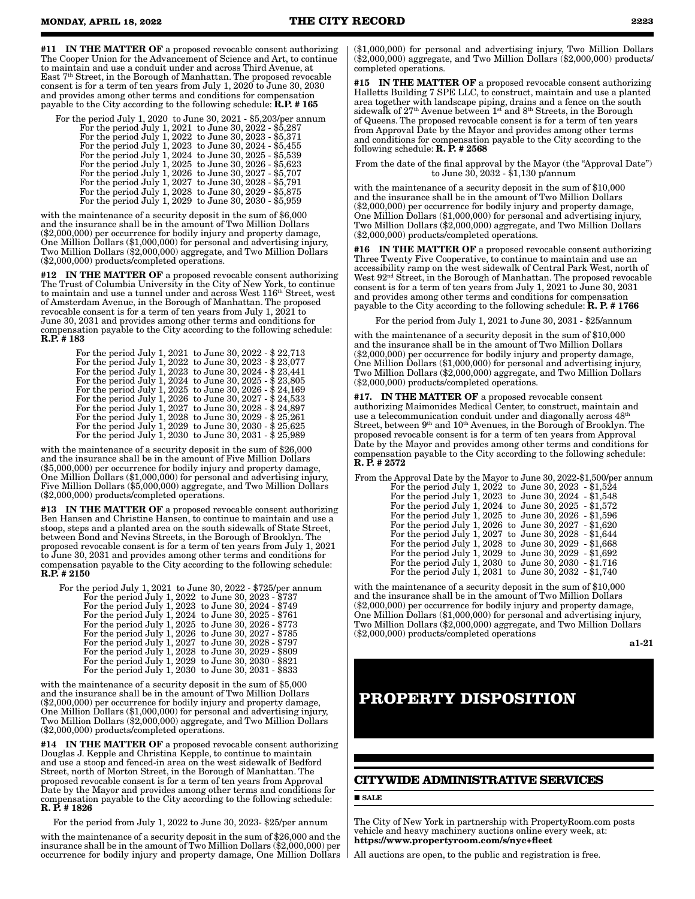#11 IN THE MATTER OF a proposed revocable consent authorizing The Cooper Union for the Advancement of Science and Art, to continue to maintain and use a conduit under and across Third Avenue, at East 7th Street, in the Borough of Manhattan. The proposed revocable consent is for a term of ten years from July 1, 2020 to June 30, 2030 and provides among other terms and conditions for compensation payable to the City according to the following schedule:  $\mathbf{\hat{R}}.\mathbf{P}$ . # 165

For the period July 1, 2020 to June 30, 2021 - \$5,203/per annum For the period July 1, 2021 to June 30, 2022 - \$5,287 For the period July 1, 2022 to June 30, 2023 - \$5,371 For the period July 1, 2023 to June 30, 2024 - \$5,455 For the period July 1, 2024 to June 30, 2025 - \$5,539 For the period July 1, 2025 to June 30, 2026 - \$5,623 For the period July 1, 2026 to June 30, 2027 - \$5,707 For the period July 1, 2027 to June 30, 2028 - \$5,791 For the period July 1, 2028 to June 30, 2029 - \$5,875 For the period July 1, 2029 to June 30, 2030 - \$5,959

with the maintenance of a security deposit in the sum of \$6,000 and the insurance shall be in the amount of Two Million Dollars (\$2,000,000) per occurrence for bodily injury and property damage, One Million Dollars (\$1,000,000) for personal and advertising injury, Two Million Dollars (\$2,000,000) aggregate, and Two Million Dollars (\$2,000,000) products/completed operations.

IN THE MATTER OF a proposed revocable consent authorizing The Trust of Columbia University in the City of New York, to continue to maintain and use a tunnel under and across West 116<sup>th</sup> Street, west of Amsterdam Avenue, in the Borough of Manhattan. The proposed revocable consent is for a term of ten years from July 1, 2021 to June 30, 2031 and provides among other terms and conditions for compensation payable to the City according to the following schedule: R.P. # 183

| For the period July 1, 2021 to June 30, 2022 - \$ 22,713 |
|----------------------------------------------------------|
| For the period July 1, 2022 to June 30, 2023 - \$ 23,077 |
| For the period July 1, 2023 to June 30, 2024 - \$ 23,441 |
| For the period July 1, 2024 to June 30, 2025 - \$ 23,805 |
| For the period July 1, 2025 to June 30, 2026 - \$ 24,169 |
| For the period July 1, 2026 to June 30, 2027 - \$ 24,533 |
| For the period July 1, 2027 to June 30, 2028 - \$ 24,897 |
| For the period July 1, 2028 to June 30, 2029 - \$ 25,261 |
| For the period July 1, 2029 to June 30, 2030 - \$ 25,625 |
| For the period July 1, 2030 to June 30, 2031 - \$ 25,989 |
|                                                          |

with the maintenance of a security deposit in the sum of \$26,000 and the insurance shall be in the amount of Five Million Dollars (\$5,000,000) per occurrence for bodily injury and property damage, One Million Dollars (\$1,000,000) for personal and advertising injury, Five Million Dollars (\$5,000,000) aggregate, and Two Million Dollars (\$2,000,000) products/completed operations.

#13 IN THE MATTER OF a proposed revocable consent authorizing Ben Hansen and Christine Hansen, to continue to maintain and use a stoop, steps and a planted area on the south sidewalk of State Street, between Bond and Nevins Streets, in the Borough of Brooklyn. The proposed revocable consent is for a term of ten years from July 1, 2021 to June 30, 2031 and provides among other terms and conditions for compensation payable to the City according to the following schedule:  $R.P. 42150$ 

For the period July 1, 2021 to June 30, 2022 - \$725/per annum For the period July 1, 2022 to June 30, 2023 - \$737 For the period July 1, 2023 to June 30, 2024 - \$749 For the period July 1, 2024 to June 30, 2025 - \$761 For the period July 1, 2025 to June 30, 2026 - \$773 For the period July 1, 2026 to June 30, 2027 - \$785 For the period July 1, 2027 to June 30, 2028 - \$797 For the period July 1, 2028 to June 30, 2029 - \$809 For the period July 1, 2029 to June 30, 2030 - \$821 For the period July 1, 2030 to June 30, 2031 - \$833

with the maintenance of a security deposit in the sum of \$5,000 and the insurance shall be in the amount of Two Million Dollars (\$2,000,000) per occurrence for bodily injury and property damage, One Million Dollars (\$1,000,000) for personal and advertising injury, Two Million Dollars (\$2,000,000) aggregate, and Two Million Dollars (\$2,000,000) products/completed operations.

#14 IN THE MATTER OF a proposed revocable consent authorizing Douglas J. Kepple and Christina Kepple, to continue to maintain and use a stoop and fenced-in area on the west sidewalk of Bedford Street, north of Morton Street, in the Borough of Manhattan. The proposed revocable consent is for a term of ten years from Approval Date by the Mayor and provides among other terms and conditions for compensation payable to the City according to the following schedule: R. P. # 1826

For the period from July 1, 2022 to June 30, 2023- \$25/per annum

with the maintenance of a security deposit in the sum of \$26,000 and the insurance shall be in the amount of Two Million Dollars (\$2,000,000) per occurrence for bodily injury and property damage, One Million Dollars (\$1,000,000) for personal and advertising injury, Two Million Dollars (\$2,000,000) aggregate, and Two Million Dollars (\$2,000,000) products/ completed operations.

#15 IN THE MATTER OF a proposed revocable consent authorizing Halletts Building 7 SPE LLC, to construct, maintain and use a planted area together with landscape piping, drains and a fence on the south sidewalk of  $27<sup>th</sup>$  Avenue between  $1<sup>st</sup>$  and  $8<sup>th</sup>$  Streets, in the Borough of Queens. The proposed revocable consent is for a term of ten years from Approval Date by the Mayor and provides among other terms and conditions for compensation payable to the City according to the following schedule:  $R. \tilde{P}.$  # 2568

From the date of the final approval by the Mayor (the "Approval Date") to June 30, 2032 - \$1,130 p/annum

with the maintenance of a security deposit in the sum of \$10,000 and the insurance shall be in the amount of Two Million Dollars (\$2,000,000) per occurrence for bodily injury and property damage, One Million Dollars (\$1,000,000) for personal and advertising injury, Two Million Dollars (\$2,000,000) aggregate, and Two Million Dollars (\$2,000,000) products/completed operations.

#16 IN THE MATTER OF a proposed revocable consent authorizing Three Twenty Five Cooperative, to continue to maintain and use an accessibility ramp on the west sidewalk of Central Park West, north of West 92nd Street, in the Borough of Manhattan. The proposed revocable consent is for a term of ten years from July 1, 2021 to June 30, 2031 and provides among other terms and conditions for compensation payable to the City according to the following schedule:  $\mathbf{\hat{R}}$ . **P.** # 1766

For the period from July 1, 2021 to June 30, 2031 - \$25/annum

with the maintenance of a security deposit in the sum of \$10,000 and the insurance shall be in the amount of Two Million Dollars (\$2,000,000) per occurrence for bodily injury and property damage, One Million Dollars (\$1,000,000) for personal and advertising injury, Two Million Dollars (\$2,000,000) aggregate, and Two Million Dollars (\$2,000,000) products/completed operations.

#17. IN THE MATTER OF a proposed revocable consent authorizing Maimonides Medical Center, to construct, maintain and use a telecommunication conduit under and diagonally across  $48<sup>th</sup>$ Street, between 9<sup>th</sup> and 10<sup>th</sup> Avenues, in the Borough of Brooklyn. The proposed revocable consent is for a term of ten years from Approval Date by the Mayor and provides among other terms and conditions for compensation payable to the City according to the following schedule: R. P. # 2572

From the Approval Date by the Mayor to June 30, 2022-\$1,500/per annum

| For the period July 1, 2022 to June 30, 2023 - \$1,524   |  |
|----------------------------------------------------------|--|
| For the period July 1, 2023 to June 30, 2024 - \$1,548   |  |
| For the period July 1, 2024 to June 30, 2025 $-$ \$1,572 |  |
| For the period July 1, 2025 to June 30, 2026 - \$1,596   |  |
| For the period July 1, 2026 to June 30, 2027 - \$1,620   |  |
| For the period July 1, 2027 to June 30, 2028 - \$1,644   |  |
| For the period July 1, 2028 to June 30, 2029 - \$1,668   |  |
| For the period July 1, 2029 to June 30, 2029 - \$1,692   |  |
| For the period July 1, 2030 to June 30, 2030 - \$1.716   |  |
| For the period July 1, 2031 to June 30, 2032 - \$1,740   |  |

with the maintenance of a security deposit in the sum of \$10,000 and the insurance shall be in the amount of Two Million Dollars (\$2,000,000) per occurrence for bodily injury and property damage, One Million Dollars (\$1,000,000) for personal and advertising injury, Two Million Dollars (\$2,000,000) aggregate, and Two Million Dollars (\$2,000,000) products/completed operations

a1-21

## **PROPERTY DISPOSITION**

### **CITYWIDE ADMINISTRATIVE SERVICES**

**SALE** 

The City of New York in partnership with PropertyRoom.com posts vehicle and heavy machinery auctions online every week, at: https://www.propertyroom.com/s/nyc+fleet

All auctions are open, to the public and registration is free.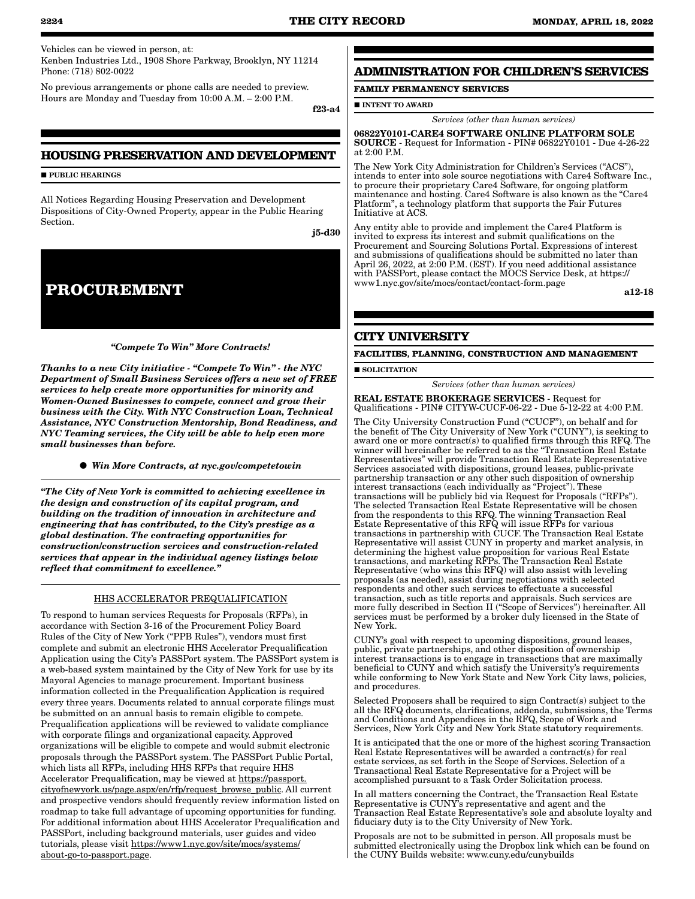Vehicles can be viewed in person, at: Kenben Industries Ltd., 1908 Shore Parkway, Brooklyn, NY 11214 Phone: (718) 802-0022

No previous arrangements or phone calls are needed to preview. Hours are Monday and Tuesday from 10:00 A.M. – 2:00 P.M.

f23-a4

### **HOUSING PRESERVATION AND DEVELOPMENT**

**PUBLIC HEARINGS** 

All Notices Regarding Housing Preservation and Development Dispositions of City-Owned Property, appear in the Public Hearing Section.

j5-d30

## **PROCUREMENT**

*"Compete To Win" More Contracts!* 

*Thanks to a new City initiative - "Compete To Win" - the NYC Department of Small Business Services offers a new set of FREE services to help create more opportunities for minority and Women-Owned Businesses to compete, connect and grow their business with the City. With NYC Construction Loan, Technical Assistance, NYC Construction Mentorship, Bond Readiness, and NYC Teaming services, the City will be able to help even more small businesses than before.*

*Win More Contracts, at nyc.gov/competetowin*

*"The City of New York is committed to achieving excellence in the design and construction of its capital program, and building on the tradition of innovation in architecture and engineering that has contributed, to the City's prestige as a global destination. The contracting opportunities for construction/construction services and construction-related services that appear in the individual agency listings below reflect that commitment to excellence."*

### HHS ACCELERATOR PREQUALIFICATION

To respond to human services Requests for Proposals (RFPs), in accordance with Section 3-16 of the Procurement Policy Board Rules of the City of New York ("PPB Rules"), vendors must first complete and submit an electronic HHS Accelerator Prequalification Application using the City's PASSPort system. The PASSPort system is a web-based system maintained by the City of New York for use by its Mayoral Agencies to manage procurement. Important business information collected in the Prequalification Application is required every three years. Documents related to annual corporate filings must be submitted on an annual basis to remain eligible to compete. Prequalification applications will be reviewed to validate compliance with corporate filings and organizational capacity. Approved organizations will be eligible to compete and would submit electronic proposals through the PASSPort system. The PASSPort Public Portal, which lists all RFPs, including HHS RFPs that require HHS Accelerator Prequalification, may be viewed at https://passport. cityofnewyork.us/page.aspx/en/rfp/request\_browse\_public. All current and prospective vendors should frequently review information listed on roadmap to take full advantage of upcoming opportunities for funding. For additional information about HHS Accelerator Prequalification and PASSPort, including background materials, user guides and video tutorials, please visit https://www1.nyc.gov/site/mocs/systems/ about-go-to-passport.page.

### **ADMINISTRATION FOR CHILDREN'S SERVICES**

#### **FAMILY PERMANENCY SERVICES**

**INTENT TO AWARD** 

*Services (other than human services)*

06822Y0101-CARE4 SOFTWARE ONLINE PLATFORM SOLE SOURCE - Request for Information - PIN# 06822Y0101 - Due 4-26-22 at 2:00 P.M.

The New York City Administration for Children's Services ("ACS"), intends to enter into sole source negotiations with Care4 Software Inc., to procure their proprietary Care4 Software, for ongoing platform maintenance and hosting. Care4 Software is also known as the "Care4 Platform", a technology platform that supports the Fair Futures Initiative at ACS.

Any entity able to provide and implement the Care4 Platform is invited to express its interest and submit qualifications on the Procurement and Sourcing Solutions Portal. Expressions of interest and submissions of qualifications should be submitted no later than April 26, 2022, at 2:00 P.M. (EST). If you need additional assistance with PASSPort, please contact the MOCS Service Desk, at https:// www1.nyc.gov/site/mocs/contact/contact-form.page

a12-18

### **CITY UNIVERSITY**

#### **FACILITIES, PLANNING, CONSTRUCTION AND MANAGEMENT**

**SOLICITATION** 

*Services (other than human services)*

REAL ESTATE BROKERAGE SERVICES - Request for Qualifications - PIN# CITYW-CUCF-06-22 - Due 5-12-22 at 4:00 P.M.

The City University Construction Fund ("CUCF"), on behalf and for the benefit of The City University of New York ("CUNY"), is seeking to award one or more contract(s) to qualified firms through this RFQ. The winner will hereinafter be referred to as the "Transaction Real Estate Representatives" will provide Transaction Real Estate Representative Services associated with dispositions, ground leases, public-private partnership transaction or any other such disposition of ownership interest transactions (each individually as "Project"). These transactions will be publicly bid via Request for Proposals ("RFPs"). The selected Transaction Real Estate Representative will be chosen from the respondents to this RFQ. The winning Transaction Real Estate Representative of this RFQ will issue RFPs for various transactions in partnership with CUCF. The Transaction Real Estate Representative will assist CUNY in property and market analysis, in determining the highest value proposition for various Real Estate transactions, and marketing RFPs. The Transaction Real Estate Representative (who wins this RFQ) will also assist with leveling proposals (as needed), assist during negotiations with selected respondents and other such services to effectuate a successful transaction, such as title reports and appraisals. Such services are more fully described in Section II ("Scope of Services") hereinafter. All services must be performed by a broker duly licensed in the State of New York.

CUNY's goal with respect to upcoming dispositions, ground leases, public, private partnerships, and other disposition of ownership interest transactions is to engage in transactions that are maximally beneficial to CUNY and which satisfy the University's requirements while conforming to New York State and New York City laws, policies, and procedures.

Selected Proposers shall be required to sign Contract(s) subject to the all the RFQ documents, clarifications, addenda, submissions, the Terms and Conditions and Appendices in the RFQ, Scope of Work and Services, New York City and New York State statutory requirements.

It is anticipated that the one or more of the highest scoring Transaction Real Estate Representatives will be awarded a contract(s) for real estate services, as set forth in the Scope of Services. Selection of a Transactional Real Estate Representative for a Project will be accomplished pursuant to a Task Order Solicitation process.

In all matters concerning the Contract, the Transaction Real Estate Representative is CUNY's representative and agent and the Transaction Real Estate Representative's sole and absolute loyalty and fiduciary duty is to the City University of New York.

Proposals are not to be submitted in person. All proposals must be submitted electronically using the Dropbox link which can be found on the CUNY Builds website: www.cuny.edu/cunybuilds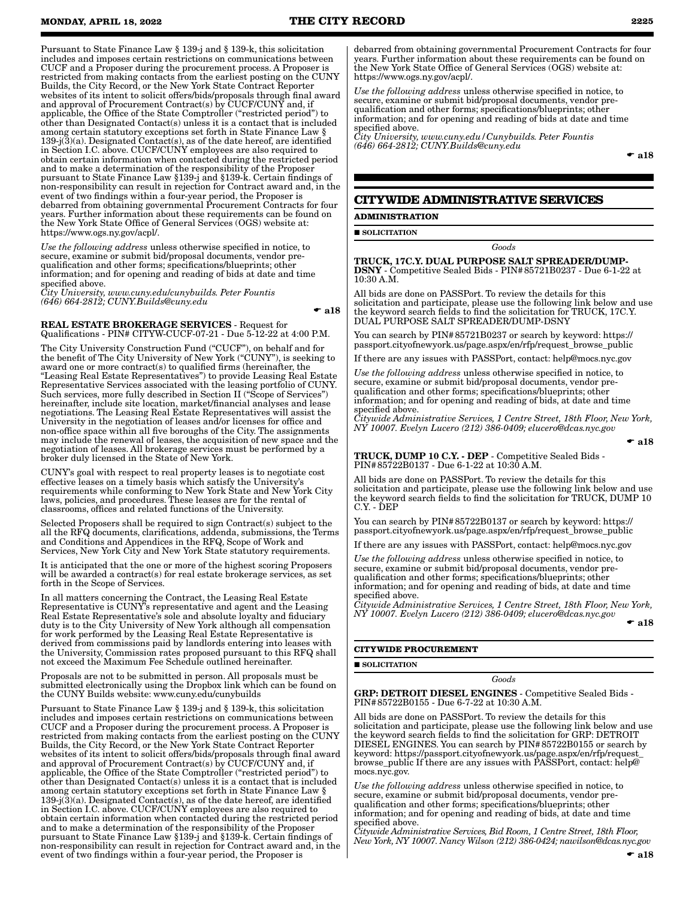Pursuant to State Finance Law § 139-j and § 139-k, this solicitation includes and imposes certain restrictions on communications between CUCF and a Proposer during the procurement process. A Proposer is restricted from making contacts from the earliest posting on the CUNY Builds, the City Record, or the New York State Contract Reporter websites of its intent to solicit offers/bids/proposals through final award and approval of Procurement Contract(s) by CUCF/CUNY and, if applicable, the Office of the State Comptroller ("restricted period") to other than Designated Contact(s) unless it is a contact that is included among certain statutory exceptions set forth in State Finance Law §  $139-i(3)(a)$ . Designated Contact(s), as of the date hereof, are identified in Section I.C. above. CUCF/CUNY employees are also required to obtain certain information when contacted during the restricted period and to make a determination of the responsibility of the Proposer pursuant to State Finance Law §139-j and §139-k. Certain findings of non-responsibility can result in rejection for Contract award and, in the event of two findings within a four-year period, the Proposer is debarred from obtaining governmental Procurement Contracts for four years. Further information about these requirements can be found on the New York State Office of General Services (OGS) website at: https://www.ogs.ny.gov/acpl/.

*Use the following address* unless otherwise specified in notice, to secure, examine or submit bid/proposal documents, vendor prequalification and other forms; specifications/blueprints; other information; and for opening and reading of bids at date and time specified above.

*City University, www.cuny.edu*/*cunybuilds. Peter Fountis (646) 664-2812; CUNY.Builds@cuny.edu* 

 $\bullet$  a18

#### REAL ESTATE BROKERAGE SERVICES - Request for Qualifications - PIN# CITYW-CUCF-07-21 - Due 5-12-22 at 4:00 P.M.

The City University Construction Fund ("CUCF"), on behalf and for the benefit of The City University of New York ("CUNY"), is seeking to award one or more contract(s) to qualified firms (hereinafter, the "Leasing Real Estate Representatives") to provide Leasing Real Estate Representative Services associated with the leasing portfolio of CUNY. Such services, more fully described in Section II ("Scope of Services") hereinafter, include site location, market/financial analyses and lease negotiations. The Leasing Real Estate Representatives will assist the University in the negotiation of leases and/or licenses for office and non-office space within all five boroughs of the City. The assignments may include the renewal of leases, the acquisition of new space and the negotiation of leases. All brokerage services must be performed by a broker duly licensed in the State of New York.

CUNY's goal with respect to real property leases is to negotiate cost effective leases on a timely basis which satisfy the University's requirements while conforming to New York State and New York City laws, policies, and procedures. These leases are for the rental of classrooms, offices and related functions of the University.

Selected Proposers shall be required to sign Contract(s) subject to the all the RFQ documents, clarifications, addenda, submissions, the Terms and Conditions and Appendices in the RFQ, Scope of Work and Services, New York City and New York State statutory requirements.

It is anticipated that the one or more of the highest scoring Proposers will be awarded a contract(s) for real estate brokerage services, as set forth in the Scope of Services.

In all matters concerning the Contract, the Leasing Real Estate Representative is CUNY's representative and agent and the Leasing Real Estate Representative's sole and absolute loyalty and fiduciary duty is to the City University of New York although all compensation for work performed by the Leasing Real Estate Representative is derived from commissions paid by landlords entering into leases with the University, Commission rates proposed pursuant to this RFQ shall not exceed the Maximum Fee Schedule outlined hereinafter.

Proposals are not to be submitted in person. All proposals must be submitted electronically using the Dropbox link which can be found on the CUNY Builds website: www.cuny.edu/cunybuilds

Pursuant to State Finance Law § 139-j and § 139-k, this solicitation includes and imposes certain restrictions on communications between CUCF and a Proposer during the procurement process. A Proposer is restricted from making contacts from the earliest posting on the CUNY Builds, the City Record, or the New York State Contract Reporter websites of its intent to solicit offers/bids/proposals through final award and approval of Procurement Contract(s) by  $\text{CUCF/CUNY}$  and, if applicable, the Office of the State Comptroller ("restricted period") to other than Designated Contact(s) unless it is a contact that is included among certain statutory exceptions set forth in State Finance Law § 139-j(3)(a). Designated Contact(s), as of the date hereof, are identified in Section I.C. above. CUCF/CUNY employees are also required to obtain certain information when contacted during the restricted period and to make a determination of the responsibility of the Proposer pursuant to State Finance Law §139-j and §139-k. Certain findings of non-responsibility can result in rejection for Contract award and, in the event of two findings within a four-year period, the Proposer is

debarred from obtaining governmental Procurement Contracts for four years. Further information about these requirements can be found on the New York State Office of General Services (OGS) website at: https://www.ogs.ny.gov/acpl/.

*Use the following address* unless otherwise specified in notice, to secure, examine or submit bid/proposal documents, vendor prequalification and other forms; specifications/blueprints; other information; and for opening and reading of bids at date and time specified above.

*City University, www.cuny.edu/Cunybuilds. Peter Fountis (646) 664-2812; CUNY.Builds@cuny.edu*

 $\bullet$  a18

### **CITYWIDE ADMINISTRATIVE SERVICES**

#### **ADMINISTRATION**

**SOLICITATION** 

TRUCK, 17C.Y. DUAL PURPOSE SALT SPREADER/DUMP-DSNY - Competitive Sealed Bids - PIN#85721B0237 - Due 6-1-22 at 10:30 A.M.

*Goods*

All bids are done on PASSPort. To review the details for this solicitation and participate, please use the following link below and use the keyword search fields to find the solicitation for TRUCK, 17C.Y. DUAL PURPOSE SALT SPREADER/DUMP-DSNY

You can search by PIN#85721B0237 or search by keyword: https:// passport.cityofnewyork.us/page.aspx/en/rfp/request\_browse\_public

If there are any issues with PASSPort, contact: help@mocs.nyc.gov

*Use the following address* unless otherwise specified in notice, to secure, examine or submit bid/proposal documents, vendor prequalification and other forms; specifications/blueprints; other information; and for opening and reading of bids, at date and time specified above.

*Citywide Administrative Services, 1 Centre Street, 18th Floor, New York, NY 10007. Evelyn Lucero (212) 386-0409; elucero@dcas.nyc.gov*

 $\bullet$  a18

#### TRUCK, DUMP 10 C.Y. - DEP - Competitive Sealed Bids - PIN#85722B0137 - Due 6-1-22 at 10:30 A.M.

All bids are done on PASSPort. To review the details for this solicitation and participate, please use the following link below and use the keyword search fields to find the solicitation for TRUCK, DUMP 10 C.Y. - DEP

You can search by PIN#85722B0137 or search by keyword: https:// passport.cityofnewyork.us/page.aspx/en/rfp/request\_browse\_public

If there are any issues with PASSPort, contact: help@mocs.nyc.gov

*Use the following address* unless otherwise specified in notice, to secure, examine or submit bid/proposal documents, vendor prequalification and other forms; specifications/blueprints; other information; and for opening and reading of bids, at date and time specified above.

*Citywide Administrative Services, 1 Centre Street, 18th Floor, New York, NY 10007. Evelyn Lucero (212) 386-0409; elucero@dcas.nyc.gov*  $\bullet$  a18

#### **CITYWIDE PROCUREMENT**

**SOLICITATION** 

#### *Goods*

GRP: DETROIT DIESEL ENGINES - Competitive Sealed Bids - PIN#85722B0155 - Due 6-7-22 at 10:30 A.M.

All bids are done on PASSPort. To review the details for this solicitation and participate, please use the following link below and use the keyword search fields to find the solicitation for GRP: DETROIT DIESEL ENGINES. You can search by PIN#85722B0155 or search by keyword: https://passport.cityofnewyork.us/page.aspx/en/rfp/request\_ browse\_public If there are any issues with PASSPort, contact: help@ mocs.nyc.gov.

*Use the following address* unless otherwise specified in notice, to secure, examine or submit bid/proposal documents, vendor prequalification and other forms; specifications/blueprints; other information; and for opening and reading of bids, at date and time specified above.

*Citywide Administrative Services, Bid Room, 1 Centre Street, 18th Floor, New York, NY 10007. Nancy Wilson (212) 386-0424; nawilson@dcas.nyc.gov*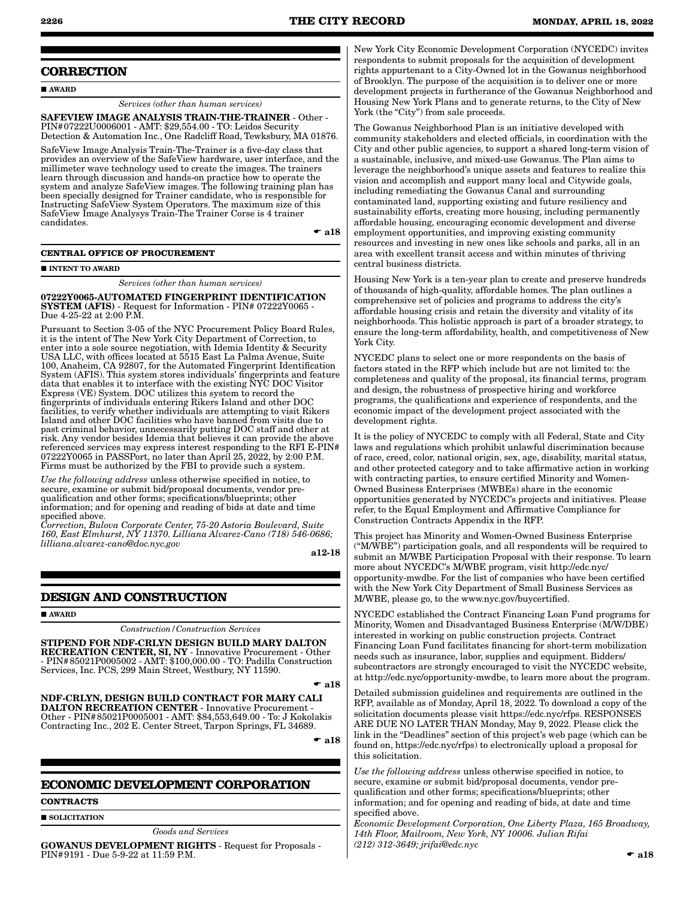### **CORRECTION**

#### **AWARD**

*Services (other than human services)*

SAFEVIEW IMAGE ANALYSIS TRAIN-THE-TRAINER - Other - PIN#07222U0006001 - AMT: \$29,554.00 - TO: Leidos Security Detection & Automation Inc., One Radcliff Road, Tewksbury, MA 01876.

SafeView Image Analysis Train-The-Trainer is a five-day class that provides an overview of the SafeView hardware, user interface, and the millimeter wave technology used to create the images. The trainers learn through discussion and hands-on practice how to operate the system and analyze SafeView images. The following training plan has been specially designed for Trainer candidate, who is responsible for Instructing SafeView System Operators. The maximum size of this SafeView Image Analysys Train-The Trainer Corse is 4 trainer candidates.

 $\bullet$  a18

#### **CENTRAL OFFICE OF PROCUREMENT**

**INTENT TO AWARD** 

*Services (other than human services)*

07222Y0065-AUTOMATED FINGERPRINT IDENTIFICATION SYSTEM (AFIS) - Request for Information - PIN# 07222Y0065 - Due 4-25-22 at 2:00 P.M.

Pursuant to Section 3-05 of the NYC Procurement Policy Board Rules, it is the intent of The New York City Department of Correction, to enter into a sole source negotiation, with Idemia Identity & Security USA LLC, with offices located at 5515 East La Palma Avenue, Suite 100, Anaheim, CA 92807, for the Automated Fingerprint Identification System (AFIS). This system stores individuals' fingerprints and feature data that enables it to interface with the existing NYC DOC Visitor Express (VE) System. DOC utilizes this system to record the fingerprints of individuals entering Rikers Island and other DOC facilities, to verify whether individuals are attempting to visit Rikers Island and other DOC facilities who have banned from visits due to past criminal behavior, unnecessarily putting DOC staff and other at risk. Any vendor besides Idemia that believes it can provide the above referenced services may express interest responding to the RFI E-PIN# 07222Y0065 in PASSPort, no later than April 25, 2022, by 2:00 P.M. Firms must be authorized by the FBI to provide such a system.

*Use the following address* unless otherwise specified in notice, to secure, examine or submit bid/proposal documents, vendor prequalification and other forms; specifications/blueprints; other information; and for opening and reading of bids at date and time specified above.

*Correction, Bulova Corporate Center, 75-20 Astoria Boulevard, Suite 160, East Elmhurst, NY 11370. Lilliana Alvarez-Cano (718) 546-0686; lilliana.alvarez-cano@doc.nyc.gov*

a12-18

### **DESIGN AND CONSTRUCTION**

#### **AWARD**

*Construction/Construction Services*

STIPEND FOR NDF-CRLYN DESIGN BUILD MARY DALTON RECREATION CENTER, SI, NY - Innovative Procurement - Other - PIN#85021P0005002 - AMT: \$100,000.00 - TO: Padilla Construction Services, Inc. PCS, 299 Main Street, Westbury, NY 11590.

 $\bullet$  a18

NDF-CRLYN, DESIGN BUILD CONTRACT FOR MARY CALI DALTON RECREATION CENTER - Innovative Procurement - Other - PIN#85021P0005001 - AMT: \$84,553,649.00 - To: J Kokolakis Contracting Inc., 202 E. Center Street, Tarpon Springs, FL 34689.

 $\bullet$  a18

### **ECONOMIC DEVELOPMENT CORPORATION**

**CONTRACTS**

SOLICITATION

*Goods and Services*

GOWANUS DEVELOPMENT RIGHTS - Request for Proposals - PIN#9191 - Due 5-9-22 at 11:59 P.M.

New York City Economic Development Corporation (NYCEDC) invites respondents to submit proposals for the acquisition of development rights appurtenant to a City-Owned lot in the Gowanus neighborhood of Brooklyn. The purpose of the acquisition is to deliver one or more development projects in furtherance of the Gowanus Neighborhood and Housing New York Plans and to generate returns, to the City of New York (the "City") from sale proceeds.

The Gowanus Neighborhood Plan is an initiative developed with community stakeholders and elected officials, in coordination with the City and other public agencies, to support a shared long-term vision of a sustainable, inclusive, and mixed-use Gowanus. The Plan aims to leverage the neighborhood's unique assets and features to realize this vision and accomplish and support many local and Citywide goals, including remediating the Gowanus Canal and surrounding contaminated land, supporting existing and future resiliency and sustainability efforts, creating more housing, including permanently affordable housing, encouraging economic development and diverse employment opportunities, and improving existing community resources and investing in new ones like schools and parks, all in an area with excellent transit access and within minutes of thriving central business districts.

Housing New York is a ten-year plan to create and preserve hundreds of thousands of high-quality, affordable homes. The plan outlines a comprehensive set of policies and programs to address the city's affordable housing crisis and retain the diversity and vitality of its neighborhoods. This holistic approach is part of a broader strategy, to ensure the long-term affordability, health, and competitiveness of New York City.

NYCEDC plans to select one or more respondents on the basis of factors stated in the RFP which include but are not limited to: the completeness and quality of the proposal, its financial terms, program and design, the robustness of prospective hiring and workforce programs, the qualifications and experience of respondents, and the economic impact of the development project associated with the development rights.

It is the policy of NYCEDC to comply with all Federal, State and City laws and regulations which prohibit unlawful discrimination because of race, creed, color, national origin, sex, age, disability, marital status, and other protected category and to take affirmative action in working with contracting parties, to ensure certified Minority and Women-Owned Business Enterprises (MWBEs) share in the economic opportunities generated by NYCEDC's projects and initiatives. Please refer, to the Equal Employment and Affirmative Compliance for Construction Contracts Appendix in the RFP.

This project has Minority and Women-Owned Business Enterprise ("M/WBE") participation goals, and all respondents will be required to submit an M/WBE Participation Proposal with their response. To learn more about NYCEDC's M/WBE program, visit http://edc.nyc/ opportunity-mwdbe. For the list of companies who have been certified with the New York City Department of Small Business Services as M/WBE, please go, to the www.nyc.gov/buycertified.

NYCEDC established the Contract Financing Loan Fund programs for Minority, Women and Disadvantaged Business Enterprise (M/W/DBE) interested in working on public construction projects. Contract Financing Loan Fund facilitates financing for short-term mobilization needs such as insurance, labor, supplies and equipment. Bidders/ subcontractors are strongly encouraged to visit the NYCEDC website, at http://edc.nyc/opportunity-mwdbe, to learn more about the program.

Detailed submission guidelines and requirements are outlined in the RFP, available as of Monday, April 18, 2022. To download a copy of the solicitation documents please visit https://edc.nyc/rfps. RESPONSES ARE DUE NO LATER THAN Monday, May 9, 2022. Please click the link in the "Deadlines" section of this project's web page (which can be found on, https://edc.nyc/rfps) to electronically upload a proposal for this solicitation.

*Use the following address* unless otherwise specified in notice, to secure, examine or submit bid/proposal documents, vendor prequalification and other forms; specifications/blueprints; other information; and for opening and reading of bids, at date and time specified above.

*Economic Development Corporation, One Liberty Plaza, 165 Broadway, 14th Floor, Mailroom, New York, NY 10006. Julian Rifai (212) 312-3649; jrifai@edc.nyc*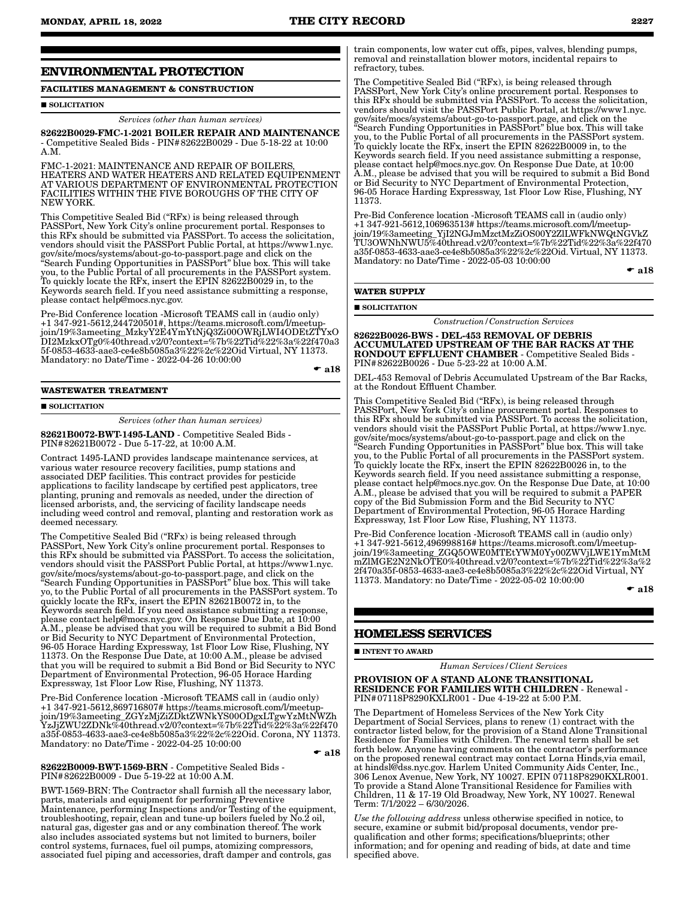#### **ENVIRONMENTAL PROTECTION**

### **FACILITIES MANAGEMENT & CONSTRUCTION**

SOLICITATION

#### *Services (other than human services)*

82622B0029-FMC-1-2021 BOILER REPAIR AND MAINTENANCE - Competitive Sealed Bids - PIN#82622B0029 - Due 5-18-22 at 10:00 A.M.

FMC-1-2021: MAINTENANCE AND REPAIR OF BOILERS, HEATERS AND WATER HEATERS AND RELATED EQUIPENMENT AT VARIOUS DEPARTMENT OF ENVIRONMENTAL PROTECTION FACILITIES WITHIN THE FIVE BOROUGHS OF THE CITY OF NEW YORK.

This Competitive Sealed Bid ("RFx) is being released through PASSPort, New York City's online procurement portal. Responses to this RFx should be submitted via PASSPort. To access the solicitation, vendors should visit the PASSPort Public Portal, at https://www1.nyc. gov/site/mocs/systems/about-go-to-passport.page and click on the "Search Funding Opportunities in PASSPort" blue box. This will take you, to the Public Portal of all procurements in the PASSPort system. To quickly locate the RFx, insert the EPIN 82622B0029 in, to the Keywords search field. If you need assistance submitting a response, please contact help@mocs.nyc.gov.

Pre-Bid Conference location -Microsoft TEAMS call in (audio only) +1 347-921-5612,244720501#, https://teams.microsoft.com/l/meetupjoin/19%3ameeting\_MzkyY2E4YmYtNjQ3Zi00OWRjLWI4ODEtZTYxO DI2MzkxOTg0%40thread.v2/0?context=%7b%22Tid%22%3a%22f470a3 5f-0853-4633-aae3-ce4e8b5085a3%22%2c%22Oid Virtual, NY 11373. Mandatory: no Date/Time - 2022-04-26 10:00:00

 $\bullet$  a18

#### **WASTEWATER TREATMENT**

**SOLICITATION** 

*Services (other than human services)*

82621B0072-BWT-1495-LAND - Competitive Sealed Bids - PIN#82621B0072 - Due 5-17-22, at 10:00 A.M.

Contract 1495-LAND provides landscape maintenance services, at various water resource recovery facilities, pump stations and associated DEP facilities. This contract provides for pesticide applications to facility landscape by certified pest applicators, tree planting, pruning and removals as needed, under the direction of licensed arborists, and, the servicing of facility landscape needs including weed control and removal, planting and restoration work as deemed necessary.

The Competitive Sealed Bid ("RFx) is being released through PASSPort, New York City's online procurement portal. Responses to this RFx should be submitted via PASSPort. To access the solicitation, vendors should visit the PASSPort Public Portal, at https://www1.nyc. gov/site/mocs/systems/about-go-to-passport.page, and click on the "Search Funding Opportunities in PASSPort" blue box. This will take yo, to the Public Portal of all procurements in the PASSPort system. To quickly locate the RFx, insert the EPIN 82621B0072 in, to the Keywords search field. If you need assistance submitting a response, please contact help@mocs.nyc.gov. On Response Due Date, at 10:00 A.M., please be advised that you will be required to submit a Bid Bond or Bid Security to NYC Department of Environmental Protection, 96-05 Horace Harding Expressway, 1st Floor Low Rise, Flushing, NY 11373. On the Response Due Date, at 10:00 A.M., please be advised that you will be required to submit a Bid Bond or Bid Security to NYC Department of Environmental Protection, 96-05 Horace Harding Expressway, 1st Floor Low Rise, Flushing, NY 11373.

Pre-Bid Conference location -Microsoft TEAMS call in (audio only) +1 347-921-5612,869716807# https://teams.microsoft.com/l/meetupjoin/19%3ameeting\_ZGYzMjZiZDktZWNkYS00ODgxLTgwYzMtNWZh  $\operatorname{YzJjZWU2ZDNk}\tilde{\mathscr{C}40}$ thread.v2/0?context=%7b%22Tid%22%3a%22f470 a35f-0853-4633-aae3-ce4e8b5085a3%22%2c%22Oid. Corona, NY 11373. Mandatory: no Date/Time - 2022-04-25 10:00:00

 $\bullet$  a18

82622B0009-BWT-1569-BRN - Competitive Sealed Bids - PIN#82622B0009 - Due 5-19-22 at 10:00 A.M.

BWT-1569-BRN: The Contractor shall furnish all the necessary labor, parts, materials and equipment for performing Preventive Maintenance, performing Inspections and/or Testing of the equipment, troubleshooting, repair, clean and tune-up boilers fueled by No.2 oil, natural gas, digester gas and or any combination thereof. The work also includes associated systems but not limited to burners, boiler control systems, furnaces, fuel oil pumps, atomizing compressors, associated fuel piping and accessories, draft damper and controls, gas

train components, low water cut offs, pipes, valves, blending pumps, removal and reinstallation blower motors, incidental repairs to refractory, tubes.

The Competitive Sealed Bid ("RFx), is being released through PASSPort, New York City's online procurement portal. Responses to this RFx should be submitted via PASSPort. To access the solicitation, vendors should visit the PASSPort Public Portal, at https://www1.nyc. gov/site/mocs/systems/about-go-to-passport.page, and click on the "Search Funding Opportunities in PASSPort" blue box. This will take you, to the Public Portal of all procurements in the PASSPort system. To quickly locate the RFx, insert the EPIN 82622B0009 in, to the Keywords search field. If you need assistance submitting a response, please contact help@mocs.nyc.gov. On Response Due Date, at 10:00 A.M., please be advised that you will be required to submit a Bid Bond or Bid Security to NYC Department of Environmental Protection, 96-05 Horace Harding Expressway, 1st Floor Low Rise, Flushing, NY 11373.

Pre-Bid Conference location -Microsoft TEAMS call in (audio only) +1 347-921-5612,106963513# https://teams.microsoft.com/l/meetupjoin/19%3ameeting\_YjI2NGJmMzctMzZiOS00Y2ZlLWFkNWQtNGVkZ TU3OWNhNWU5%40thread.v2/0?context=%7b%22Tid%22%3a%22f470 a35f-0853-4633-aae3-ce4e8b5085a3%22%2c%22Oid. Virtual, NY 11373. Mandatory: no Date/Time - 2022-05-03 10:00:00

 $\bullet$  a18

#### **WATER SUPPLY**

#### SOLICITATION

*Construction/Construction Services*

82622B0026-BWS - DEL-453 REMOVAL OF DEBRIS ACCUMULATED UPSTREAM OF THE BAR RACKS AT THE RONDOUT EFFLUENT CHAMBER - Competitive Sealed Bids - PIN#82622B0026 - Due 5-23-22 at 10:00 A.M.

DEL-453 Removal of Debris Accumulated Upstream of the Bar Racks, at the Rondout Effluent Chamber.

This Competitive Sealed Bid ("RFx), is being released through PASSPort, New York City's online procurement portal. Responses to this RFx should be submitted via PASSPort. To access the solicitation, vendors should visit the PASSPort Public Portal, at https://www1.nyc. gov/site/mocs/systems/about-go-to-passport.page and click on the "Search Funding Opportunities in PASSPort" blue box. This will take you, to the Public Portal of all procurements in the PASSPort system. To quickly locate the RFx, insert the EPIN 82622B0026 in, to the Keywords search field. If you need assistance submitting a response, please contact help@mocs.nyc.gov. On the Response Due Date, at 10:00 A.M., please be advised that you will be required to submit a PAPER copy of the Bid Submission Form and the Bid Security to NYC Department of Environmental Protection, 96-05 Horace Harding Expressway, 1st Floor Low Rise, Flushing, NY 11373.

Pre-Bid Conference location -Microsoft TEAMS call in (audio only) +1 347-921-5612,496998816# https://teams.microsoft.com/l/meetupjoin/19%3ameeting\_ZGQ5OWE0MTEtYWM0Yy00ZWVjLWE1YmMtM mZlMGE2N2NkOTE0%40thread.v2/0?context=%7b%22Tid%22%3a%2 2f470a35f-0853-4633-aae3-ce4e8b5085a3%22%2c%22Oid Virtual, NY 11373. Mandatory: no Date/Time - 2022-05-02 10:00:00

 $\bullet$  a18

#### **HOMELESS SERVICES**

**INTENT TO AWARD** 

*Human Services/Client Services*

PROVISION OF A STAND ALONE TRANSITIONAL RESIDENCE FOR FAMILIES WITH CHILDREN - Renewal - PIN#07118P8290KXLR001 - Due 4-19-22 at 5:00 P.M.

The Department of Homeless Services of the New York City Department of Social Services, plans to renew (1) contract with the contractor listed below, for the provision of a Stand Alone Transitional Residence for Families with Children. The renewal term shall be set forth below. Anyone having comments on the contractor's performance on the proposed renewal contract may contact Lorna Hinds,via email, at hindsl@dss.nyc.gov. Harlem United Community Aids Center, Inc., 306 Lenox Avenue, New York, NY 10027. EPIN 07118P8290KXLR001. To provide a Stand Alone Transitional Residence for Families with Children, 11 & 17-19 Old Broadway, New York, NY 10027. Renewal Term: 7/1/2022 – 6/30/2026.

*Use the following address* unless otherwise specified in notice, to secure, examine or submit bid/proposal documents, vendor prequalification and other forms; specifications/blueprints; other information; and for opening and reading of bids, at date and time specified above.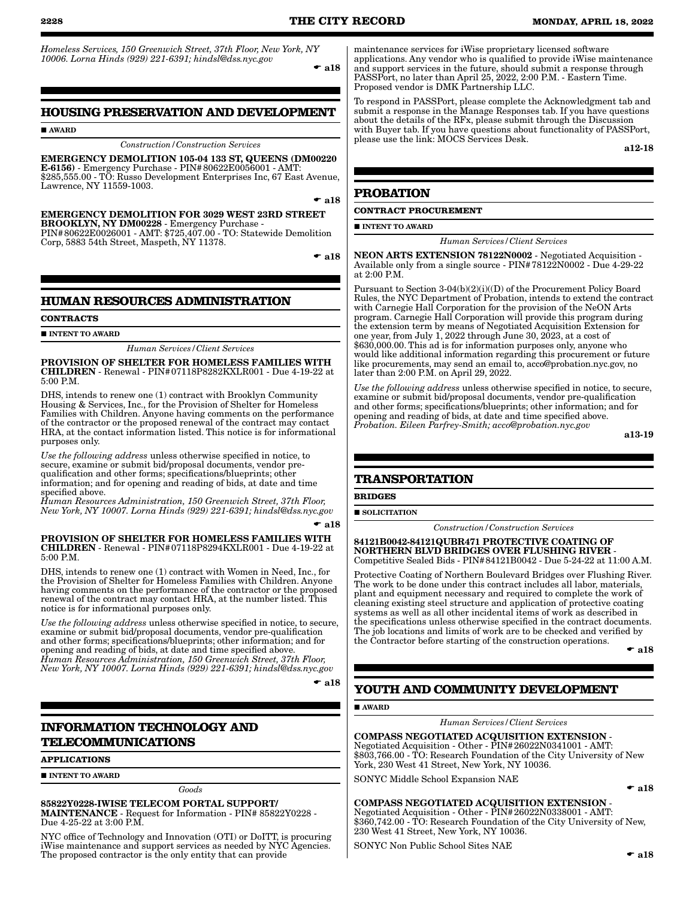*Homeless Services, 150 Greenwich Street, 37th Floor, New York, NY 10006. Lorna Hinds (929) 221-6391; hindsl@dss.nyc.gov*  $\bullet$  a18

**HOUSING PRESERVATION AND DEVELOPMENT**

**AWARD** 

*Construction/Construction Services*

EMERGENCY DEMOLITION 105-04 133 ST, QUEENS (DM00220 E-6156) - Emergency Purchase - PIN#80622E0056001 - AMT: \$285,555.00 - TO: Russo Development Enterprises Inc, 67 East Avenue, Lawrence, NY 11559-1003.

 $\bullet$  a18 EMERGENCY DEMOLITION FOR 3029 WEST 23RD STREET

BROOKLYN, NY DM00228 - Emergency Purchase - PIN#80622E0026001 - AMT: \$725,407.00 - TO: Statewide Demolition Corp, 5883 54th Street, Maspeth, NY 11378.

 $\bullet$  a18

### **HUMAN RESOURCES ADMINISTRATION**

**CONTRACTS**

**INTENT TO AWARD** 

*Human Services/Client Services*

PROVISION OF SHELTER FOR HOMELESS FAMILIES WITH CHILDREN - Renewal - PIN#07118P8282KXLR001 - Due 4-19-22 at  $5:00 \text{ } PM$ 

DHS, intends to renew one (1) contract with Brooklyn Community Housing & Services, Inc., for the Provision of Shelter for Homeless Families with Children. Anyone having comments on the performance of the contractor or the proposed renewal of the contract may contact HRA, at the contact information listed. This notice is for informational purposes only.

*Use the following address* unless otherwise specified in notice, to secure, examine or submit bid/proposal documents, vendor prequalification and other forms; specifications/blueprints; other information; and for opening and reading of bids, at date and time specified above.

*Human Resources Administration, 150 Greenwich Street, 37th Floor, New York, NY 10007. Lorna Hinds (929) 221-6391; hindsl@dss.nyc.gov*

 $\bullet$  a18

PROVISION OF SHELTER FOR HOMELESS FAMILIES WITH CHILDREN - Renewal - PIN#07118P8294KXLR001 - Due 4-19-22 at 5:00 P.M.

DHS, intends to renew one (1) contract with Women in Need, Inc., for the Provision of Shelter for Homeless Families with Children. Anyone having comments on the performance of the contractor or the proposed renewal of the contract may contact HRA, at the number listed. This notice is for informational purposes only.

*Use the following address* unless otherwise specified in notice, to secure, examine or submit bid/proposal documents, vendor pre-qualification and other forms; specifications/blueprints; other information; and for opening and reading of bids, at date and time specified above. *Human Resources Administration, 150 Greenwich Street, 37th Floor, New York, NY 10007. Lorna Hinds (929) 221-6391; hindsl@dss.nyc.gov*

 $\bullet$  a18

### **INFORMATION TECHNOLOGY AND TELECOMMUNICATIONS**

#### **APPLICATIONS**

**INTENT TO AWARD** 

*Goods*

85822Y0228-IWISE TELECOM PORTAL SUPPORT/ MAINTENANCE - Request for Information - PIN# 85822Y0228 - Due 4-25-22 at 3:00 P.M.

NYC office of Technology and Innovation (OTI) or DoITT, is procuring iWise maintenance and support services as needed by NYC Agencies. The proposed contractor is the only entity that can provide

maintenance services for iWise proprietary licensed software applications. Any vendor who is qualified to provide iWise maintenance and support services in the future, should submit a response through PASSPort, no later than April 25, 2022, 2:00 P.M. - Eastern Time. Proposed vendor is DMK Partnership LLC.

To respond in PASSPort, please complete the Acknowledgment tab and submit a response in the Manage Responses tab. If you have questions about the details of the RFx, please submit through the Discussion with Buyer tab. If you have questions about functionality of PASSPort, please use the link: MOCS Services Desk.

a12-18

### **PROBATION**

#### **CONTRACT PROCUREMENT**

**INTENT TO AWARD** 

*Human Services/Client Services*

NEON ARTS EXTENSION 78122N0002 - Negotiated Acquisition - Available only from a single source - PIN#78122N0002 - Due 4-29-22 at 2:00 P.M.

Pursuant to Section 3-04(b)(2)(i)((D) of the Procurement Policy Board Rules, the NYC Department of Probation, intends to extend the contract with Carnegie Hall Corporation for the provision of the NeON Arts program. Carnegie Hall Corporation will provide this program during the extension term by means of Negotiated Acquisition Extension for one year, from July 1, 2022 through June 30, 2023, at a cost of \$630,000.00. This ad is for information purposes only, anyone who would like additional information regarding this procurement or future like procurements, may send an email to, acco@probation.nyc.gov, no later than 2:00 P.M. on April 29, 2022.

*Use the following address* unless otherwise specified in notice, to secure, examine or submit bid/proposal documents, vendor pre-qualification and other forms; specifications/blueprints; other information; and for opening and reading of bids, at date and time specified above. *Probation. Eileen Parfrey-Smith; acco@probation.nyc.gov*

a13-19

### **TRANSPORTATION**

**BRIDGES**

SOLICITATION

*Construction/Construction Services*

84121B0042-84121QUBR471 PROTECTIVE COATING OF NORTHERN BLVD BRIDGES OVER FLUSHING RIVER - Competitive Sealed Bids - PIN#84121B0042 - Due 5-24-22 at 11:00 A.M.

Protective Coating of Northern Boulevard Bridges over Flushing River. The work to be done under this contract includes all labor, materials, plant and equipment necessary and required to complete the work of cleaning existing steel structure and application of protective coating systems as well as all other incidental items of work as described in the specifications unless otherwise specified in the contract documents. The job locations and limits of work are to be checked and verified by the Contractor before starting of the construction operations.

 $\bullet$  a18

### **YOUTH AND COMMUNITY DEVELOPMENT**

#### **AWARD**

*Human Services/Client Services*

#### COMPASS NEGOTIATED ACQUISITION EXTENSION - Negotiated Acquisition - Other - PIN#26022N0341001 - AMT:

\$803,766.00 - TO: Research Foundation of the City University of New York, 230 West 41 Street, New York, NY 10036.

SONYC Middle School Expansion NAE

 $\bullet$  a18

#### COMPASS NEGOTIATED ACQUISITION EXTENSION - Negotiated Acquisition - Other - PIN#26022N0338001 - AMT: \$360,742.00 - TO: Research Foundation of the City University of New, 230 West 41 Street, New York, NY 10036.

SONYC Non Public School Sites NAE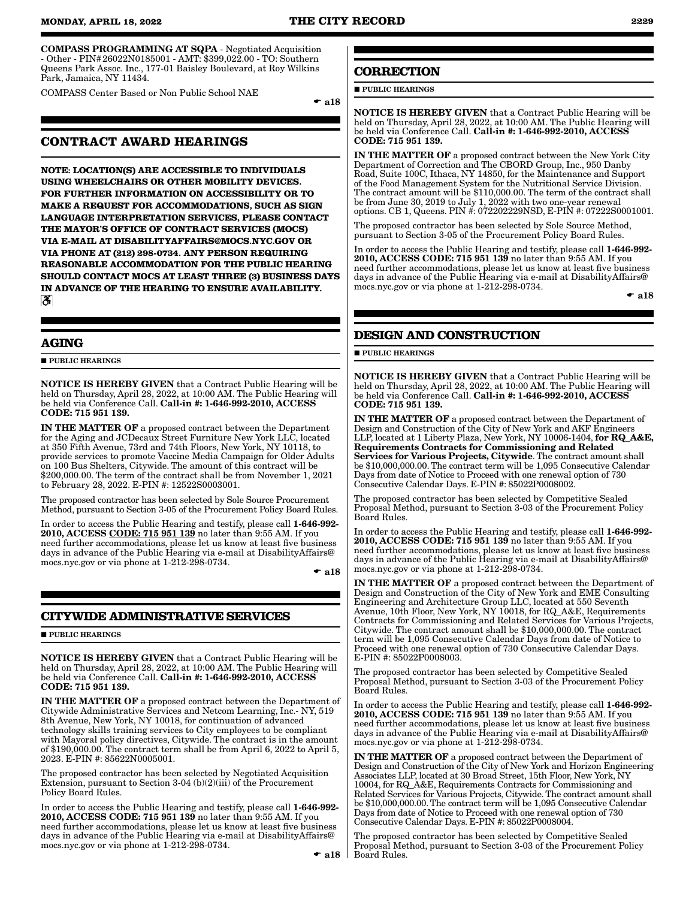COMPASS PROGRAMMING AT SQPA - Negotiated Acquisition - Other - PIN#26022N0185001 - AMT: \$399,022.00 - TO: Southern Queens Park Assoc. Inc., 177-01 Baisley Boulevard, at Roy Wilkins Park, Jamaica, NY 11434.

COMPASS Center Based or Non Public School NAE

 $\bullet$  a18

### **CONTRACT AWARD HEARINGS**

**NOTE: LOCATION(S) ARE ACCESSIBLE TO INDIVIDUALS USING WHEELCHAIRS OR OTHER MOBILITY DEVICES. FOR FURTHER INFORMATION ON ACCESSIBILITY OR TO MAKE A REQUEST FOR ACCOMMODATIONS, SUCH AS SIGN LANGUAGE INTERPRETATION SERVICES, PLEASE CONTACT THE MAYOR'S OFFICE OF CONTRACT SERVICES (MOCS) VIA E-MAIL AT DISABILITYAFFAIRS@MOCS.NYC.GOV OR VIA PHONE AT (212) 298-0734. ANY PERSON REQUIRING REASONABLE ACCOMMODATION FOR THE PUBLIC HEARING SHOULD CONTACT MOCS AT LEAST THREE (3) BUSINESS DAYS IN ADVANCE OF THE HEARING TO ENSURE AVAILABILITY.**  $\mathbf{a}$ 

#### **AGING**

**PUBLIC HEARINGS** 

NOTICE IS HEREBY GIVEN that a Contract Public Hearing will be held on Thursday, April 28, 2022, at 10:00 AM. The Public Hearing will be held via Conference Call. Call-in #: 1-646-992-2010, ACCESS CODE: 715 951 139.

IN THE MATTER OF a proposed contract between the Department for the Aging and JCDecaux Street Furniture New York LLC, located at 350 Fifth Avenue, 73rd and 74th Floors, New York, NY 10118, to provide services to promote Vaccine Media Campaign for Older Adults on 100 Bus Shelters, Citywide. The amount of this contract will be \$200,000.00. The term of the contract shall be from November 1, 2021 to February 28, 2022. E-PIN #: 12522S0003001.

The proposed contractor has been selected by Sole Source Procurement Method, pursuant to Section 3-05 of the Procurement Policy Board Rules.

In order to access the Public Hearing and testify, please call 1-646-992- 2010, ACCESS CODE: 715 951 139 no later than 9:55 AM. If you need further accommodations, please let us know at least five business days in advance of the Public Hearing via e-mail at DisabilityAffairs@ mocs.nyc.gov or via phone at 1-212-298-0734.

 $\bullet$  a18

#### **CITYWIDE ADMINISTRATIVE SERVICES**

**PUBLIC HEARINGS** 

NOTICE IS HEREBY GIVEN that a Contract Public Hearing will be held on Thursday, April 28, 2022, at 10:00 AM. The Public Hearing will be held via Conference Call. Call-in #: 1-646-992-2010, ACCESS CODE: 715 951 139.

IN THE MATTER OF a proposed contract between the Department of Citywide Administrative Services and Netcom Learning, Inc.- NY, 519 8th Avenue, New York, NY 10018, for continuation of advanced technology skills training services to City employees to be compliant with Mayoral policy directives, Citywide. The contract is in the amount of \$190,000.00. The contract term shall be from April 6, 2022 to April 5, 2023. E-PIN #: 85622N0005001.

The proposed contractor has been selected by Negotiated Acquisition Extension, pursuant to Section 3-04 (b)(2)(iii) of the Procurement Policy Board Rules.

In order to access the Public Hearing and testify, please call 1-646-992- 2010, ACCESS CODE: 715 951 139 no later than 9:55 AM. If you need further accommodations, please let us know at least five business days in advance of the Public Hearing via e-mail at DisabilityAffairs@ mocs.nyc.gov or via phone at 1-212-298-0734.

### **CORRECTION**

**PUBLIC HEARINGS** 

NOTICE IS HEREBY GIVEN that a Contract Public Hearing will be held on Thursday, April 28, 2022, at 10:00 AM. The Public Hearing will be held via Conference Call. Call-in #: 1-646-992-2010, ACCESS CODE: 715 951 139.

IN THE MATTER OF a proposed contract between the New York City Department of Correction and The CBORD Group, Inc., 950 Danby Road, Suite 100C, Ithaca, NY 14850, for the Maintenance and Support of the Food Management System for the Nutritional Service Division. The contract amount will be \$110,000.00. The term of the contract shall be from June 30, 2019 to July 1, 2022 with two one-year renewal options. CB 1, Queens. PIN #: 072202229NSD, E-PIN #: 07222S0001001.

The proposed contractor has been selected by Sole Source Method, pursuant to Section 3-05 of the Procurement Policy Board Rules.

In order to access the Public Hearing and testify, please call 1-646-992- 2010, ACCESS CODE: 715 951 139 no later than 9:55 AM. If you need further accommodations, please let us know at least five business days in advance of the Public Hearing via e-mail at DisabilityAffairs@ mocs.nyc.gov or via phone at 1-212-298-0734.

 $\bullet$  a18

#### **DESIGN AND CONSTRUCTION**

**PUBLIC HEARINGS** 

NOTICE IS HEREBY GIVEN that a Contract Public Hearing will be held on Thursday, April 28, 2022, at 10:00 AM. The Public Hearing will be held via Conference Call. Call-in #: 1-646-992-2010, ACCESS CODE: 715 951 139.

IN THE MATTER OF a proposed contract between the Department of Design and Construction of the City of New York and AKF Engineers LLP, located at 1 Liberty Plaza, New York, NY 10006-1404, for RQ\_A&E, Requirements Contracts for Commissioning and Related Services for Various Projects, Citywide. The contract amount shall be \$10,000,000.00. The contract term will be 1,095 Consecutive Calendar Days from date of Notice to Proceed with one renewal option of 730 Consecutive Calendar Days. E-PIN #: 85022P0008002.

The proposed contractor has been selected by Competitive Sealed Proposal Method, pursuant to Section 3-03 of the Procurement Policy Board Rules.

In order to access the Public Hearing and testify, please call 1-646-992- 2010, ACCESS CODE: 715 951 139 no later than 9:55 AM. If you need further accommodations, please let us know at least five business days in advance of the Public Hearing via e-mail at DisabilityAffairs@ mocs.nyc.gov or via phone at 1-212-298-0734.

IN THE MATTER OF a proposed contract between the Department of Design and Construction of the City of New York and EME Consulting Engineering and Architecture Group LLC, located at 550 Seventh Avenue, 10th Floor, New York, NY 10018, for RQ\_A&E, Requirements Contracts for Commissioning and Related Services for Various Projects, Citywide. The contract amount shall be \$10,000,000.00. The contract term will be 1,095 Consecutive Calendar Days from date of Notice to Proceed with one renewal option of 730 Consecutive Calendar Days. E-PIN #: 85022P0008003.

The proposed contractor has been selected by Competitive Sealed Proposal Method, pursuant to Section 3-03 of the Procurement Policy Board Rules.

In order to access the Public Hearing and testify, please call 1-646-992- 2010, ACCESS CODE: 715 951 139 no later than 9:55 AM. If you need further accommodations, please let us know at least five business days in advance of the Public Hearing via e-mail at DisabilityAffairs@ mocs.nyc.gov or via phone at 1-212-298-0734.

IN THE MATTER OF a proposed contract between the Department of Design and Construction of the City of New York and Horizon Engineering Associates LLP, located at 30 Broad Street, 15th Floor, New York, NY 10004, for RQ\_A&E, Requirements Contracts for Commissioning and Related Services for Various Projects, Citywide. The contract amount shall be \$10,000,000.00. The contract term will be 1,095 Consecutive Calendar Days from date of Notice to Proceed with one renewal option of 730 Consecutive Calendar Days. E-PIN #: 85022P0008004.

The proposed contractor has been selected by Competitive Sealed Proposal Method, pursuant to Section 3-03 of the Procurement Policy Board Rules.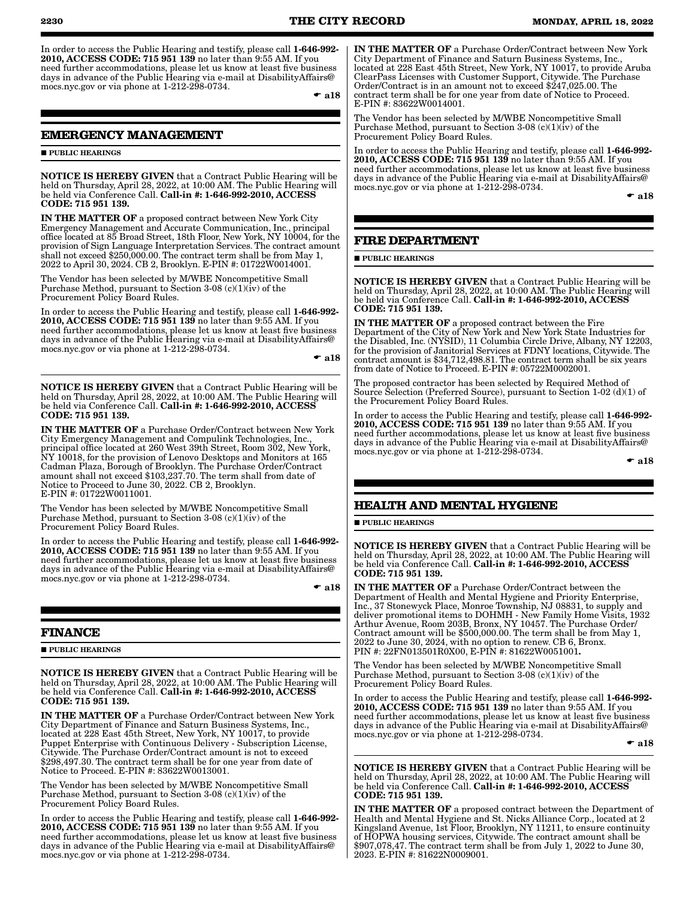In order to access the Public Hearing and testify, please call 1-646-992- 2010, ACCESS CODE: 715 951 139 no later than 9:55 AM. If you need further accommodations, please let us know at least five business days in advance of the Public Hearing via e-mail at DisabilityAffairs@ mocs.nyc.gov or via phone at 1-212-298-0734.

 $\bullet$  a18

#### **EMERGENCY MANAGEMENT**

#### **PUBLIC HEARINGS**

NOTICE IS HEREBY GIVEN that a Contract Public Hearing will be held on Thursday, April 28, 2022, at 10:00 AM. The Public Hearing will be held via Conference Call. Call-in #: 1-646-992-2010, ACCESS CODE: 715 951 139.

IN THE MATTER OF a proposed contract between New York City Emergency Management and Accurate Communication, Inc., principal office located at 85 Broad Street, 18th Floor, New York, NY 10004, for the provision of Sign Language Interpretation Services. The contract amount shall not exceed \$250,000.00. The contract term shall be from May 1, 2022 to April 30, 2024. CB 2, Brooklyn. E-PIN #: 01722W0014001.

The Vendor has been selected by M/WBE Noncompetitive Small Purchase Method, pursuant to Section  $3-08$  (c)(1)(iv) of the Procurement Policy Board Rules.

In order to access the Public Hearing and testify, please call 1-646-992-2010, ACCESS CODE: 715 951 139 no later than 9:55 AM. If you need further accommodations, please let us know at least five business days in advance of the Public Hearing via e-mail at DisabilityAffairs@ mocs.nyc.gov or via phone at 1-212-298-0734.

 $\bullet$  a18

NOTICE IS HEREBY GIVEN that a Contract Public Hearing will be held on Thursday, April 28, 2022, at 10:00 AM. The Public Hearing will be held via Conference Call. Call-in #: 1-646-992-2010, ACCESS CODE: 715 951 139.

IN THE MATTER OF a Purchase Order/Contract between New York City Emergency Management and Compulink Technologies, Inc., principal office located at 260 West 39th Street, Room 302, New York, NY 10018, for the provision of Lenovo Desktops and Monitors at 165 Cadman Plaza, Borough of Brooklyn. The Purchase Order/Contract amount shall not exceed \$103,237.70. The term shall from date of Notice to Proceed to June 30, 2022. CB 2, Brooklyn. E-PIN #: 01722W0011001.

The Vendor has been selected by M/WBE Noncompetitive Small Purchase Method, pursuant to Section 3-08  $(c)(1)(\hat{\textbf{i}}v)$  of the Procurement Policy Board Rules.

In order to access the Public Hearing and testify, please call 1-646-992- 2010, ACCESS CODE: 715 951 139 no later than 9:55 AM. If you need further accommodations, please let us know at least five business days in advance of the Public Hearing via e-mail at DisabilityAffairs@ mocs.nyc.gov or via phone at 1-212-298-0734.

 $\bullet$  a18

#### **FINANCE**

**PUBLIC HEARINGS** 

NOTICE IS HEREBY GIVEN that a Contract Public Hearing will be held on Thursday, April 28, 2022, at 10:00 AM. The Public Hearing will be held via Conference Call. Call-in #: 1-646-992-2010, ACCESS CODE: 715 951 139.

IN THE MATTER OF a Purchase Order/Contract between New York City Department of Finance and Saturn Business Systems, Inc., located at 228 East 45th Street, New York, NY 10017, to provide Puppet Enterprise with Continuous Delivery - Subscription License, Citywide. The Purchase Order/Contract amount is not to exceed \$298,497.30. The contract term shall be for one year from date of Notice to Proceed. E-PIN #: 83622W0013001.

The Vendor has been selected by M/WBE Noncompetitive Small Purchase Method, pursuant to Section 3-08 (c)(1)(iv) of the Procurement Policy Board Rules.

In order to access the Public Hearing and testify, please call 1-646-992- 2010, ACCESS CODE: 715 951 139 no later than 9:55 AM. If you need further accommodations, please let us know at least five business days in advance of the Public Hearing via e-mail at DisabilityAffairs@ mocs.nyc.gov or via phone at 1-212-298-0734.

IN THE MATTER OF a Purchase Order/Contract between New York City Department of Finance and Saturn Business Systems, Inc., located at 228 East 45th Street, New York, NY 10017, to provide Aruba ClearPass Licenses with Customer Support, Citywide. The Purchase Order/Contract is in an amount not to exceed \$247,025.00. The contract term shall be for one year from date of Notice to Proceed. E-PIN #: 83622W0014001.

The Vendor has been selected by M/WBE Noncompetitive Small Purchase Method, pursuant to Section 3-08 (c)(1)(iv) of the Procurement Policy Board Rules.

In order to access the Public Hearing and testify, please call 1-646-992- 2010, ACCESS CODE: 715 951 139 no later than 9:55 AM. If you need further accommodations, please let us know at least five business days in advance of the Public Hearing via e-mail at DisabilityAffairs@ mocs.nyc.gov or via phone at 1-212-298-0734.

 $\bullet$  a18

#### **FIRE DEPARTMENT**

**PUBLIC HEARINGS** 

NOTICE IS HEREBY GIVEN that a Contract Public Hearing will be held on Thursday, April 28, 2022, at 10:00 AM. The Public Hearing will be held via Conference Call. Call-in #: 1-646-992-2010, ACCESS CODE: 715 951 139.

IN THE MATTER OF a proposed contract between the Fire Department of the City of New York and New York State Industries for the Disabled, Inc. (NYSID), 11 Columbia Circle Drive, Albany, NY 12203, for the provision of Janitorial Services at FDNY locations, Citywide. The contract amount is \$34,712,498.81. The contract term shall be six years from date of Notice to Proceed. E-PIN #: 05722M0002001.

The proposed contractor has been selected by Required Method of Source Selection (Preferred Source), pursuant to Section 1-02 (d)(1) of the Procurement Policy Board Rules.

In order to access the Public Hearing and testify, please call 1-646-992- 2010, ACCESS CODE: 715 951 139 no later than 9:55 AM. If you need further accommodations, please let us know at least five business days in advance of the Public Hearing via e-mail at DisabilityAffairs@ mocs.nyc.gov or via phone at 1-212-298-0734.

 $\bullet$  a18

### **HEALTH AND MENTAL HYGIENE**

**PUBLIC HEARINGS** 

NOTICE IS HEREBY GIVEN that a Contract Public Hearing will be held on Thursday, April 28, 2022, at 10:00 AM. The Public Hearing will be held via Conference Call. Call-in #: 1-646-992-2010, ACCESS CODE: 715 951 139.

IN THE MATTER OF a Purchase Order/Contract between the Department of Health and Mental Hygiene and Priority Enterprise, Inc., 37 Stonewyck Place, Monroe Township, NJ 08831, to supply and deliver promotional items to DOHMH - New Family Home Visits, 1932 Arthur Avenue, Room 203B, Bronx, NY 10457. The Purchase Order/ Contract amount will be \$500,000.00. The term shall be from May 1, 2022 to June 30, 2024, with no option to renew. CB 6, Bronx. PIN #: 22FN013501R0X00, E-PIN #: 81622W0051001.

The Vendor has been selected by M/WBE Noncompetitive Small Purchase Method, pursuant to Section 3-08 (c)(1)(iv) of the Procurement Policy Board Rules.

In order to access the Public Hearing and testify, please call 1-646-992- 2010, ACCESS CODE: 715 951 139 no later than 9:55 AM. If you need further accommodations, please let us know at least five business days in advance of the Public Hearing via e-mail at DisabilityAffairs@ mocs.nyc.gov or via phone at 1-212-298-0734.

 $\bullet$  a18

NOTICE IS HEREBY GIVEN that a Contract Public Hearing will be held on Thursday, April 28, 2022, at 10:00 AM. The Public Hearing will be held via Conference Call. Call-in #: 1-646-992-2010, ACCESS CODE: 715 951 139.

IN THE MATTER OF a proposed contract between the Department of Health and Mental Hygiene and St. Nicks Alliance Corp., located at 2 Kingsland Avenue, 1st Floor, Brooklyn, NY 11211, to ensure continuity of HOPWA housing services, Citywide. The contract amount shall be \$907,078,47. The contract term shall be from July 1, 2022 to June 30, 2023. E-PIN #: 81622N0009001.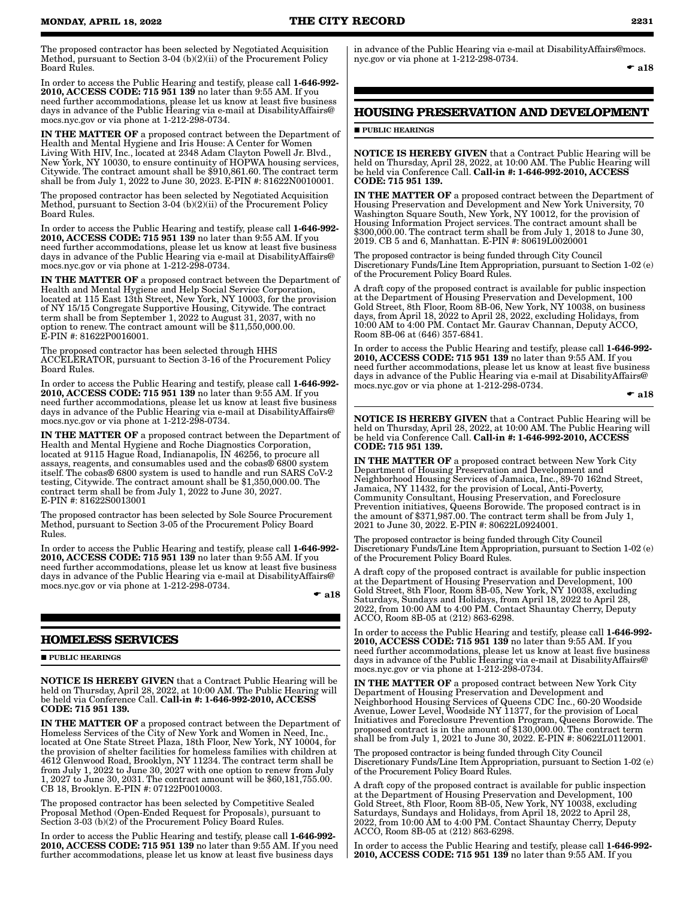The proposed contractor has been selected by Negotiated Acquisition Method, pursuant to Section 3-04 (b)(2)(ii) of the Procurement Policy Board Rules.

In order to access the Public Hearing and testify, please call 1-646-992- 2010, ACCESS CODE: 715 951 139 no later than 9:55 AM. If you need further accommodations, please let us know at least five business days in advance of the Public Hearing via e-mail at DisabilityAffairs@ mocs.nyc.gov or via phone at 1-212-298-0734.

IN THE MATTER OF a proposed contract between the Department of Health and Mental Hygiene and Iris House: A Center for Women Living With HIV, Inc., located at 2348 Adam Clayton Powell Jr. Blvd., New York, NY 10030, to ensure continuity of HOPWA housing services, Citywide. The contract amount shall be \$910,861.60. The contract term shall be from July 1, 2022 to June 30, 2023. E-PIN #: 81622N0010001.

The proposed contractor has been selected by Negotiated Acquisition Method, pursuant to Section 3-04 (b)(2)(ii) of the Procurement Policy Board Rules.

In order to access the Public Hearing and testify, please call 1-646-992- 2010, ACCESS CODE: 715 951 139 no later than 9:55 AM. If you need further accommodations, please let us know at least five business days in advance of the Public Hearing via e-mail at DisabilityAffairs@ mocs.nyc.gov or via phone at 1-212-298-0734.

IN THE MATTER OF a proposed contract between the Department of Health and Mental Hygiene and Help Social Service Corporation, located at 115 East 13th Street, New York, NY 10003, for the provision of NY 15/15 Congregate Supportive Housing, Citywide. The contract term shall be from September 1, 2022 to August 31, 2037, with no option to renew. The contract amount will be \$11,550,000.00. E-PIN #: 81622P0016001.

The proposed contractor has been selected through HHS ACCELERATOR, pursuant to Section 3-16 of the Procurement Policy Board Rules.

In order to access the Public Hearing and testify, please call 1-646-992- 2010, ACCESS CODE: 715 951 139 no later than 9:55 AM. If you need further accommodations, please let us know at least five business days in advance of the Public Hearing via e-mail at DisabilityAffairs@ mocs.nyc.gov or via phone at 1-212-298-0734.

IN THE MATTER OF a proposed contract between the Department of Health and Mental Hygiene and Roche Diagnostics Corporation, located at 9115 Hague Road, Indianapolis, IN 46256, to procure all assays, reagents, and consumables used and the cobas® 6800 system itself. The cobas® 6800 system is used to handle and run SARS CoV-2 testing, Citywide. The contract amount shall be \$1,350,000.00. The contract term shall be from July 1, 2022 to June 30, 2027. E-PIN #: 81622S0013001

The proposed contractor has been selected by Sole Source Procurement Method, pursuant to Section 3-05 of the Procurement Policy Board Rules.

In order to access the Public Hearing and testify, please call 1-646-992- 2010, ACCESS CODE: 715 951 139 no later than 9:55 AM. If you need further accommodations, please let us know at least five business days in advance of the Public Hearing via e-mail at DisabilityAffairs@ mocs.nyc.gov or via phone at 1-212-298-0734.

 $\bullet$  a18

### **HOMELESS SERVICES**

**PUBLIC HEARINGS** 

NOTICE IS HEREBY GIVEN that a Contract Public Hearing will be held on Thursday, April 28, 2022, at 10:00 AM. The Public Hearing will be held via Conference Call. Call-in #: 1-646-992-2010, ACCESS CODE: 715 951 139.

IN THE MATTER OF a proposed contract between the Department of Homeless Services of the City of New York and Women in Need, Inc., located at One State Street Plaza, 18th Floor, New York, NY 10004, for the provision of shelter facilities for homeless families with children at 4612 Glenwood Road, Brooklyn, NY 11234. The contract term shall be from July 1, 2022 to June 30, 2027 with one option to renew from July 1, 2027 to June 30, 2031. The contract amount will be \$60,181,755.00. CB 18, Brooklyn. E-PIN #: 07122P0010003.

The proposed contractor has been selected by Competitive Sealed Proposal Method (Open-Ended Request for Proposals), pursuant to Section 3-03 (b)(2) of the Procurement Policy Board Rules.

In order to access the Public Hearing and testify, please call 1-646-992- 2010, ACCESS CODE: 715 951 139 no later than 9:55 AM. If you need further accommodations, please let us know at least five business days

in advance of the Public Hearing via e-mail at DisabilityAffairs@mocs. nyc.gov or via phone at 1-212-298-0734.

 $\bullet$  a18

### **HOUSING PRESERVATION AND DEVELOPMENT**

### **PUBLIC HEARINGS**

NOTICE IS HEREBY GIVEN that a Contract Public Hearing will be held on Thursday, April 28, 2022, at 10:00 AM. The Public Hearing will be held via Conference Call. Call-in #: 1-646-992-2010, ACCESS CODE: 715 951 139.

IN THE MATTER OF a proposed contract between the Department of Housing Preservation and Development and New York University, 70 Washington Square South, New York, NY 10012, for the provision of Housing Information Project services. The contract amount shall be \$300,000.00. The contract term shall be from July 1, 2018 to June 30, 2019. CB 5 and 6, Manhattan. E-PIN #: 80619L0020001

The proposed contractor is being funded through City Council Discretionary Funds/Line Item Appropriation, pursuant to Section 1-02 (e) of the Procurement Policy Board Rules.

A draft copy of the proposed contract is available for public inspection at the Department of Housing Preservation and Development, 100 Gold Street, 8th Floor, Room 8B-06, New York, NY 10038, on business days, from April 18, 2022 to April 28, 2022, excluding Holidays, from 10:00 AM to 4:00 PM. Contact Mr. Gaurav Channan, Deputy ACCO, Room 8B-06 at (646) 357-6841.

In order to access the Public Hearing and testify, please call 1-646-992- 2010, ACCESS CODE: 715 951 139 no later than 9:55 AM. If you need further accommodations, please let us know at least five business days in advance of the Public Hearing via e-mail at DisabilityAffairs@ mocs.nyc.gov or via phone at 1-212-298-0734.

 $\bullet$  a18

NOTICE IS HEREBY GIVEN that a Contract Public Hearing will be held on Thursday, April 28, 2022, at 10:00 AM. The Public Hearing will be held via Conference Call. Call-in #: 1-646-992-2010, ACCESS CODE: 715 951 139.

I THE MATTER OF a proposed contract between New York City Department of Housing Preservation and Development and Neighborhood Housing Services of Jamaica, Inc., 89-70 162nd Street, Jamaica, NY 11432, for the provision of Local, Anti-Poverty, Community Consultant, Housing Preservation, and Foreclosure Prevention initiatives, Queens Borowide. The proposed contract is in the amount of \$371,987.00. The contract term shall be from July 1, 2021 to June 30, 2022. E-PIN #: 80622L0924001.

The proposed contractor is being funded through City Council Discretionary Funds/Line Item Appropriation, pursuant to Section 1-02 (e) of the Procurement Policy Board Rules.

A draft copy of the proposed contract is available for public inspection at the Department of Housing Preservation and Development, 100 Gold Street, 8th Floor, Room 8B-05, New York, NY 10038, excluding Saturdays, Sundays and Holidays, from April 18, 2022 to April 28, 2022, from 10:00 AM to 4:00 PM. Contact Shauntay Cherry, Deputy ACCO, Room 8B-05 at (212) 863-6298.

In order to access the Public Hearing and testify, please call 1-646-992- 2010, ACCESS CODE: 715 951 139 no later than 9:55 AM. If you need further accommodations, please let us know at least five business days in advance of the Public Hearing via e-mail at DisabilityAffairs@ mocs.nyc.gov or via phone at 1-212-298-0734.

IN THE MATTER OF a proposed contract between New York City Department of Housing Preservation and Development and Neighborhood Housing Services of Queens CDC Inc., 60-20 Woodside Avenue, Lower Level, Woodside NY 11377, for the provision of Local Initiatives and Foreclosure Prevention Program, Queens Borowide. The proposed contract is in the amount of \$130,000.00. The contract term shall be from July 1, 2021 to June 30, 2022. E-PIN #: 80622L0112001.

The proposed contractor is being funded through City Council Discretionary Funds/Line Item Appropriation, pursuant to Section 1-02 (e) of the Procurement Policy Board Rules.

A draft copy of the proposed contract is available for public inspection at the Department of Housing Preservation and Development, 100 Gold Street, 8th Floor, Room 8B-05, New York, NY 10038, excluding Saturdays, Sundays and Holidays, from April 18, 2022 to April 28, 2022, from 10:00 AM to 4:00 PM. Contact Shauntay Cherry, Deputy ACCO, Room 8B-05 at (212) 863-6298.

In order to access the Public Hearing and testify, please call 1-646-992- 2010, ACCESS CODE: 715 951 139 no later than 9:55 AM. If you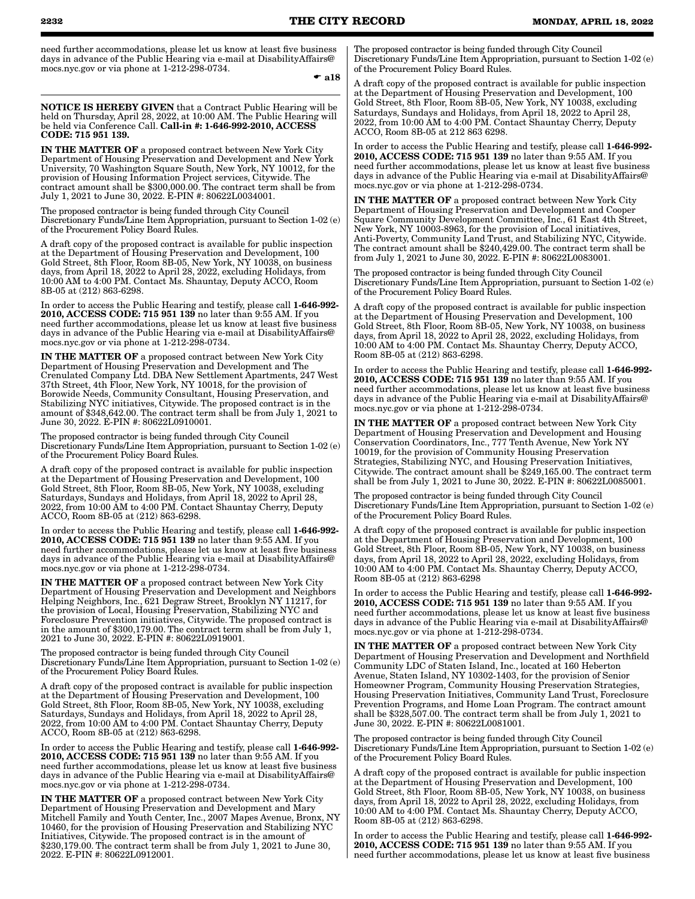need further accommodations, please let us know at least five business days in advance of the Public Hearing via e-mail at DisabilityAffairs@ mocs.nyc.gov or via phone at 1-212-298-0734.

 $\bullet$  a18

NOTICE IS HEREBY GIVEN that a Contract Public Hearing will be held on Thursday, April 28, 2022, at 10:00 AM. The Public Hearing will be held via Conference Call. Call-in #: 1-646-992-2010, ACCESS CODE: 715 951 139.

IN THE MATTER OF a proposed contract between New York City Department of Housing Preservation and Development and New York University, 70 Washington Square South, New York, NY 10012, for the provision of Housing Information Project services, Citywide. The contract amount shall be \$300,000.00. The contract term shall be from July 1, 2021 to June 30, 2022. E-PIN #: 80622L0034001.

The proposed contractor is being funded through City Council Discretionary Funds/Line Item Appropriation, pursuant to Section 1-02 (e) of the Procurement Policy Board Rules.

A draft copy of the proposed contract is available for public inspection at the Department of Housing Preservation and Development, 100 Gold Street, 8th Floor, Room 8B-05, New York, NY 10038, on business days, from April 18, 2022 to April 28, 2022, excluding Holidays, from 10:00 AM to 4:00 PM. Contact Ms. Shauntay, Deputy ACCO, Room 8B-05 at (212) 863-6298.

In order to access the Public Hearing and testify, please call 1-646-992- 2010, ACCESS CODE: 715 951 139 no later than 9:55 AM. If you need further accommodations, please let us know at least five business days in advance of the Public Hearing via e-mail at DisabilityAffairs@ mocs.nyc.gov or via phone at 1-212-298-0734.

IN THE MATTER OF a proposed contract between New York City Department of Housing Preservation and Development and The Crenulated Company Ltd. DBA New Settlement Apartments, 247 West 37th Street, 4th Floor, New York, NY 10018, for the provision of Borowide Needs, Community Consultant, Housing Preservation, and Stabilizing NYC initiatives, Citywide. The proposed contract is in the amount of \$348,642.00. The contract term shall be from July 1, 2021 to June 30, 2022. E-PIN #: 80622L0910001.

The proposed contractor is being funded through City Council Discretionary Funds/Line Item Appropriation, pursuant to Section 1-02 (e) of the Procurement Policy Board Rules.

A draft copy of the proposed contract is available for public inspection at the Department of Housing Preservation and Development, 100 Gold Street, 8th Floor, Room 8B-05, New York, NY 10038, excluding Saturdays, Sundays and Holidays, from April 18, 2022 to April 28, 2022, from 10:00 AM to 4:00 PM. Contact Shauntay Cherry, Deputy ACCO, Room 8B-05 at (212) 863-6298.

In order to access the Public Hearing and testify, please call 1-646-992- 2010, ACCESS CODE: 715 951 139 no later than 9:55 AM. If you need further accommodations, please let us know at least five business days in advance of the Public Hearing via e-mail at DisabilityAffairs@ mocs.nyc.gov or via phone at 1-212-298-0734.

IN THE MATTER OF a proposed contract between New York City Department of Housing Preservation and Development and Neighbors Helping Neighbors, Inc., 621 Degraw Street, Brooklyn NY 11217, for the provision of Local, Housing Preservation, Stabilizing NYC and Foreclosure Prevention initiatives, Citywide. The proposed contract is in the amount of \$300,179.00. The contract term shall be from July 1, 2021 to June 30, 2022. E-PIN #: 80622L0919001.

The proposed contractor is being funded through City Council Discretionary Funds/Line Item Appropriation, pursuant to Section 1-02 (e) of the Procurement Policy Board Rules.

A draft copy of the proposed contract is available for public inspection at the Department of Housing Preservation and Development, 100 Gold Street, 8th Floor, Room 8B-05, New York, NY 10038, excluding Saturdays, Sundays and Holidays, from April 18, 2022 to April 28, 2022, from 10:00 AM to 4:00 PM. Contact Shauntay Cherry, Deputy ACCO, Room 8B-05 at (212) 863-6298.

In order to access the Public Hearing and testify, please call 1-646-992- 2010, ACCESS CODE: 715 951 139 no later than 9:55 AM. If you need further accommodations, please let us know at least five business days in advance of the Public Hearing via e-mail at DisabilityAffairs@ mocs.nyc.gov or via phone at 1-212-298-0734.

IN THE MATTER OF a proposed contract between New York City Department of Housing Preservation and Development and Mary Mitchell Family and Youth Center, Inc., 2007 Mapes Avenue, Bronx, NY 10460, for the provision of Housing Preservation and Stabilizing NYC Initiatives, Citywide. The proposed contract is in the amount of \$230,179.00. The contract term shall be from July 1, 2021 to June 30, 2022. E-PIN #: 80622L0912001.

The proposed contractor is being funded through City Council Discretionary Funds/Line Item Appropriation, pursuant to Section 1-02 (e) of the Procurement Policy Board Rules.

A draft copy of the proposed contract is available for public inspection at the Department of Housing Preservation and Development, 100 Gold Street, 8th Floor, Room 8B-05, New York, NY 10038, excluding Saturdays, Sundays and Holidays, from April 18, 2022 to April 28, 2022, from 10:00 AM to 4:00 PM. Contact Shauntay Cherry, Deputy ACCO, Room 8B-05 at 212 863 6298.

In order to access the Public Hearing and testify, please call 1-646-992- 2010, ACCESS CODE: 715 951 139 no later than 9:55 AM. If you need further accommodations, please let us know at least five business days in advance of the Public Hearing via e-mail at DisabilityAffairs@ mocs.nyc.gov or via phone at 1-212-298-0734.

IN THE MATTER OF a proposed contract between New York City Department of Housing Preservation and Development and Cooper Square Community Development Committee, Inc., 61 East 4th Street, New York, NY 10003-8963, for the provision of Local initiatives, Anti-Poverty, Community Land Trust, and Stabilizing NYC, Citywide. The contract amount shall be \$240,429.00. The contract term shall be from July 1, 2021 to June 30, 2022. E-PIN #: 80622L0083001.

The proposed contractor is being funded through City Council Discretionary Funds/Line Item Appropriation, pursuant to Section 1-02 (e) of the Procurement Policy Board Rules.

A draft copy of the proposed contract is available for public inspection at the Department of Housing Preservation and Development, 100 Gold Street, 8th Floor, Room 8B-05, New York, NY 10038, on business days, from April 18, 2022 to April 28, 2022, excluding Holidays, from 10:00 AM to 4:00 PM. Contact Ms. Shauntay Cherry, Deputy ACCO, Room 8B-05 at (212) 863-6298.

In order to access the Public Hearing and testify, please call 1-646-992- 2010, ACCESS CODE: 715 951 139 no later than 9:55 AM. If you need further accommodations, please let us know at least five business days in advance of the Public Hearing via e-mail at DisabilityAffairs@ mocs.nyc.gov or via phone at 1-212-298-0734.

IN THE MATTER OF a proposed contract between New York City Department of Housing Preservation and Development and Housing Conservation Coordinators, Inc., 777 Tenth Avenue, New York NY 10019, for the provision of Community Housing Preservation Strategies, Stabilizing NYC, and Housing Preservation Initiatives, Citywide. The contract amount shall be \$249,165.00. The contract term shall be from July 1, 2021 to June 30, 2022. E-PIN #: 80622L0085001.

The proposed contractor is being funded through City Council Discretionary Funds/Line Item Appropriation, pursuant to Section 1-02 (e) of the Procurement Policy Board Rules.

A draft copy of the proposed contract is available for public inspection at the Department of Housing Preservation and Development, 100 Gold Street, 8th Floor, Room 8B-05, New York, NY 10038, on business days, from April 18, 2022 to April 28, 2022, excluding Holidays, from 10:00 AM to 4:00 PM. Contact Ms. Shauntay Cherry, Deputy ACCO, Room 8B-05 at (212) 863-6298

In order to access the Public Hearing and testify, please call 1-646-992-2010, ACCESS CODE: 715 951 139 no later than 9:55 AM. If you need further accommodations, please let us know at least five business days in advance of the Public Hearing via e-mail at DisabilityAffairs@ mocs.nyc.gov or via phone at 1-212-298-0734.

IN THE MATTER OF a proposed contract between New York City Department of Housing Preservation and Development and Northfield Community LDC of Staten Island, Inc., located at 160 Heberton Avenue, Staten Island, NY 10302-1403, for the provision of Senior Homeowner Program, Community Housing Preservation Strategies, Housing Preservation Initiatives, Community Land Trust, Foreclosure Prevention Programs, and Home Loan Program. The contract amount shall be \$328,507.00. The contract term shall be from July 1, 2021 to June 30, 2022. E-PIN #: 80622L0081001.

The proposed contractor is being funded through City Council Discretionary Funds/Line Item Appropriation, pursuant to Section 1-02 (e) of the Procurement Policy Board Rules.

A draft copy of the proposed contract is available for public inspection at the Department of Housing Preservation and Development, 100 Gold Street, 8th Floor, Room 8B-05, New York, NY 10038, on business days, from April 18, 2022 to April 28, 2022, excluding Holidays, from 10:00 AM to 4:00 PM. Contact Ms. Shauntay Cherry, Deputy ACCO, Room 8B-05 at (212) 863-6298.

In order to access the Public Hearing and testify, please call 1-646-992- 2010, ACCESS CODE: 715 951 139 no later than 9:55 AM. If you need further accommodations, please let us know at least five business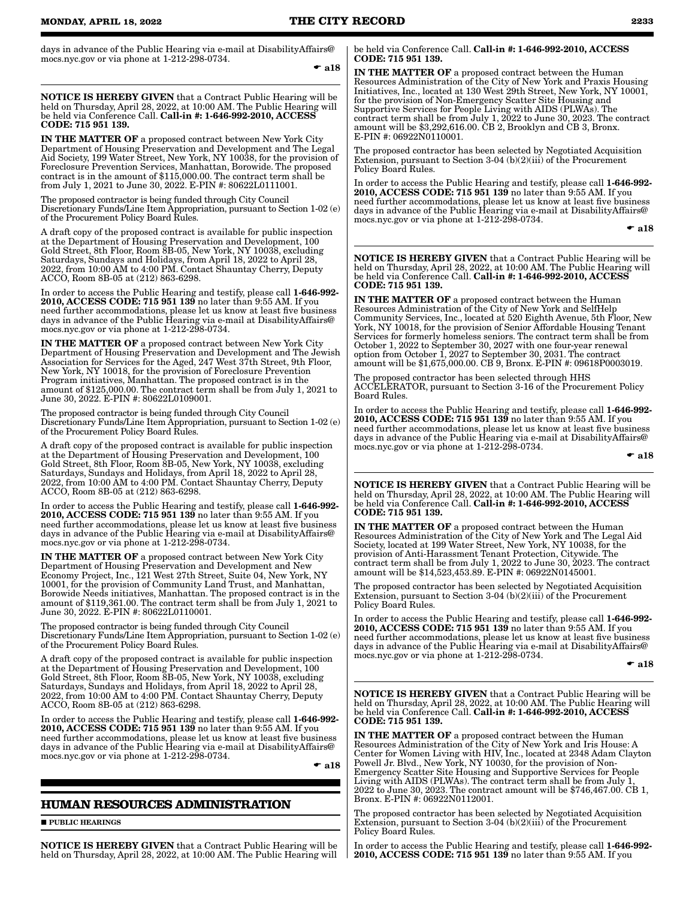days in advance of the Public Hearing via e-mail at DisabilityAffairs@ mocs.nyc.gov or via phone at 1-212-298-0734.

 $\bullet$  a18

NOTICE IS HEREBY GIVEN that a Contract Public Hearing will be held on Thursday, April 28, 2022, at 10:00 AM. The Public Hearing will be held via Conference Call. Call-in #: 1-646-992-2010, ACCESS CODE: 715 951 139.

IN THE MATTER OF a proposed contract between New York City Department of Housing Preservation and Development and The Legal Aid Society, 199 Water Street, New York, NY 10038, for the provision of Foreclosure Prevention Services, Manhattan, Borowide. The proposed contract is in the amount of \$115,000.00. The contract term shall be from July 1, 2021 to June 30, 2022. E-PIN #: 80622L0111001.

The proposed contractor is being funded through City Council Discretionary Funds/Line Item Appropriation, pursuant to Section 1-02 (e) of the Procurement Policy Board Rules.

A draft copy of the proposed contract is available for public inspection at the Department of Housing Preservation and Development, 100 Gold Street, 8th Floor, Room 8B-05, New York, NY 10038, excluding Saturdays, Sundays and Holidays, from April 18, 2022 to April 28, 2022, from 10:00 AM to 4:00 PM. Contact Shauntay Cherry, Deputy ACCO, Room 8B-05 at (212) 863-6298.

In order to access the Public Hearing and testify, please call 1-646-992- 2010, ACCESS CODE: 715 951 139 no later than 9:55 AM. If you need further accommodations, please let us know at least five business days in advance of the Public Hearing via e-mail at DisabilityAffairs@ mocs.nyc.gov or via phone at 1-212-298-0734.

IN THE MATTER OF a proposed contract between New York City Department of Housing Preservation and Development and The Jewish Association for Services for the Aged, 247 West 37th Street, 9th Floor, New York, NY 10018, for the provision of Foreclosure Prevention Program initiatives, Manhattan. The proposed contract is in the amount of \$125,000.00. The contract term shall be from July 1, 2021 to June 30, 2022. E-PIN #: 80622L0109001.

The proposed contractor is being funded through City Council Discretionary Funds/Line Item Appropriation, pursuant to Section 1-02 (e) of the Procurement Policy Board Rules.

A draft copy of the proposed contract is available for public inspection at the Department of Housing Preservation and Development, 100 Gold Street, 8th Floor, Room 8B-05, New York, NY 10038, excluding Saturdays, Sundays and Holidays, from April 18, 2022 to April 28, 2022, from 10:00 AM to 4:00 PM. Contact Shauntay Cherry, Deputy ACCO, Room 8B-05 at (212) 863-6298.

In order to access the Public Hearing and testify, please call 1-646-992- 2010, ACCESS CODE: 715 951 139 no later than 9:55 AM. If you need further accommodations, please let us know at least five business days in advance of the Public Hearing via e-mail at DisabilityAffairs@ mocs.nyc.gov or via phone at 1-212-298-0734.

IN THE MATTER OF a proposed contract between New York City Department of Housing Preservation and Development and New Economy Project, Inc., 121 West 27th Street, Suite 04, New York, NY 10001, for the provision of Community Land Trust, and Manhattan, Borowide Needs initiatives, Manhattan. The proposed contract is in the amount of \$119,361.00. The contract term shall be from July 1, 2021 to June 30, 2022. E-PIN #: 80622L0110001.

The proposed contractor is being funded through City Council Discretionary Funds/Line Item Appropriation, pursuant to Section 1-02 (e) of the Procurement Policy Board Rules.

A draft copy of the proposed contract is available for public inspection at the Department of Housing Preservation and Development, 100 Gold Street, 8th Floor, Room 8B-05, New York, NY 10038, excluding Saturdays, Sundays and Holidays, from April 18, 2022 to April 28, 2022, from 10:00 AM to 4:00 PM. Contact Shauntay Cherry, Deputy ACCO, Room 8B-05 at (212) 863-6298.

In order to access the Public Hearing and testify, please call 1-646-992- 2010, ACCESS CODE: 715 951 139 no later than 9:55 AM. If you need further accommodations, please let us know at least five business days in advance of the Public Hearing via e-mail at DisabilityAffairs@ mocs.nyc.gov or via phone at 1-212-298-0734.

 $\bullet$  a18

### **HUMAN RESOURCES ADMINISTRATION**

**PUBLIC HEARINGS** 

NOTICE IS HEREBY GIVEN that a Contract Public Hearing will be held on Thursday, April 28, 2022, at 10:00 AM. The Public Hearing will be held via Conference Call. Call-in #: 1-646-992-2010, ACCESS CODE: 715 951 139.

IN THE MATTER OF a proposed contract between the Human Resources Administration of the City of New York and Praxis Housing Initiatives, Inc., located at 130 West 29th Street, New York, NY 10001, for the provision of Non-Emergency Scatter Site Housing and Supportive Services for People Living with AIDS (PLWAs). The contract term shall be from July 1, 2022 to June 30, 2023. The contract amount will be \$3,292,616.00. CB 2, Brooklyn and CB 3, Bronx. E-PIN #: 06922N0110001.

The proposed contractor has been selected by Negotiated Acquisition Extension, pursuant to Section 3-04 (b)(2)(iii) of the Procurement Policy Board Rules.

In order to access the Public Hearing and testify, please call 1-646-992- 2010, ACCESS CODE: 715 951 139 no later than 9:55 AM. If you need further accommodations, please let us know at least five business days in advance of the Public Hearing via e-mail at DisabilityAffairs@ mocs.nyc.gov or via phone at 1-212-298-0734.

 $\bullet$  a18

NOTICE IS HEREBY GIVEN that a Contract Public Hearing will be held on Thursday, April 28, 2022, at 10:00 AM. The Public Hearing will<br>be held via Conference Call. **Call-in #: 1-646-992-2010, ACCESS** CODE: 715 951 139.

IN THE MATTER OF a proposed contract between the Human Resources Administration of the City of New York and SelfHelp Community Services, Inc., located at 520 Eighth Avenue, 5th Floor, New York, NY 10018, for the provision of Senior Affordable Housing Tenant Services for formerly homeless seniors. The contract term shall be from October 1, 2022 to September 30, 2027 with one four-year renewal option from October 1, 2027 to September 30, 2031. The contract amount will be \$1,675,000.00. CB 9, Bronx. E-PIN #: 09618P0003019.

The proposed contractor has been selected through HHS ACCELERATOR, pursuant to Section 3-16 of the Procurement Policy Board Rules.

In order to access the Public Hearing and testify, please call 1-646-992- 2010, ACCESS CODE: 715 951 139 no later than 9:55 AM. If you need further accommodations, please let us know at least five business days in advance of the Public Hearing via e-mail at DisabilityAffairs@ mocs.nyc.gov or via phone at 1-212-298-0734.

 $\bullet$  a18

NOTICE IS HEREBY GIVEN that a Contract Public Hearing will be held on Thursday, April 28, 2022, at 10:00 AM. The Public Hearing will be held via Conference Call. Call-in #: 1-646-992-2010, ACCESS CODE: 715 951 139.

IN THE MATTER OF a proposed contract between the Human Resources Administration of the City of New York and The Legal Aid Society, located at 199 Water Street, New York, NY 10038, for the provision of Anti-Harassment Tenant Protection, Citywide. The contract term shall be from July 1, 2022 to June 30, 2023. The contract amount will be \$14,523,453.89. E-PIN #: 06922N0145001.

The proposed contractor has been selected by Negotiated Acquisition Extension, pursuant to Section 3-04 (b)(2)(iii) of the Procurement Policy Board Rules.

In order to access the Public Hearing and testify, please call 1-646-992- 2010, ACCESS CODE: 715 951 139 no later than 9:55 AM. If you need further accommodations, please let us know at least five business days in advance of the Public Hearing via e-mail at DisabilityAffairs@ mocs.nyc.gov or via phone at 1-212-298-0734.

 $\bullet$  a18

NOTICE IS HEREBY GIVEN that a Contract Public Hearing will be held on Thursday, April 28, 2022, at 10:00 AM. The Public Hearing will<br>be held via Conference Call. **Call-in #: 1-646-992-2010, ACCESS** CODE: 715 951 139.

IN THE MATTER OF a proposed contract between the Human Resources Administration of the City of New York and Iris House: A Center for Women Living with HIV, Inc., located at 2348 Adam Clayton Powell Jr. Blvd., New York, NY 10030, for the provision of Non-Emergency Scatter Site Housing and Supportive Services for People Living with AIDS (PLWAs). The contract term shall be from July 1 2022 to June 30, 2023. The contract amount will be \$746,467.00. CB 1, Bronx. E-PIN #: 06922N0112001.

The proposed contractor has been selected by Negotiated Acquisition Extension, pursuant to Section 3-04 (b)(2)(iii) of the Procurement Policy Board Rules.

In order to access the Public Hearing and testify, please call 1-646-992- 2010, ACCESS CODE: 715 951 139 no later than 9:55 AM. If you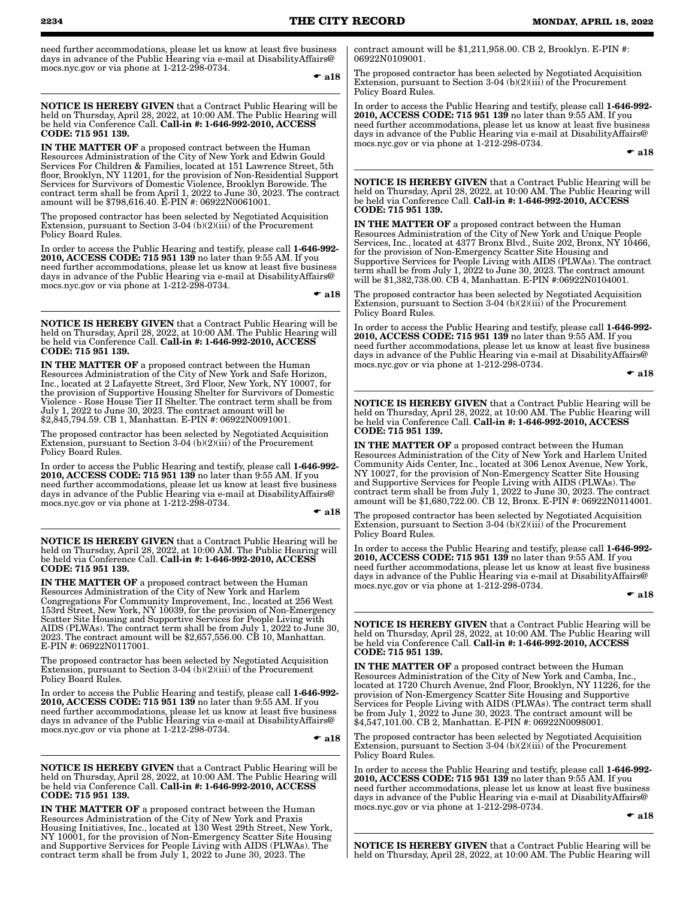need further accommodations, please let us know at least five business days in advance of the Public Hearing via e-mail at DisabilityAffairs@ mocs.nyc.gov or via phone at 1-212-298-0734.

 $\bullet$  a18

NOTICE IS HEREBY GIVEN that a Contract Public Hearing will be held on Thursday, April 28, 2022, at 10:00 AM. The Public Hearing will be held via Conference Call. Call-in #: 1-646-992-2010, ACCESS CODE: 715 951 139.

IN THE MATTER OF a proposed contract between the Human Resources Administration of the City of New York and Edwin Gould Services For Children & Families, located at 151 Lawrence Street, 5th floor, Brooklyn, NY 11201, for the provision of Non-Residential Support Services for Survivors of Domestic Violence, Brooklyn Borowide. The contract term shall be from April 1, 2022 to June 30, 2023. The contract amount will be \$798,616.40. E-PIN #: 06922N0061001.

The proposed contractor has been selected by Negotiated Acquisition Extension, pursuant to Section 3-04 (b)(2)(iii) of the Procurement Policy Board Rules.

In order to access the Public Hearing and testify, please call 1-646-992- 2010, ACCESS CODE: 715 951 139 no later than 9:55 AM. If you need further accommodations, please let us know at least five business days in advance of the Public Hearing via e-mail at DisabilityAffairs@ mocs.nyc.gov or via phone at 1-212-298-0734.

 $\bullet$  a18

NOTICE IS HEREBY GIVEN that a Contract Public Hearing will be held on Thursday, April 28, 2022, at 10:00 AM. The Public Hearing will<br>be held via Conference Call. **Call-in #: 1-646-992-2010, ACCESS** CODE: 715 951 139.

IN THE MATTER OF a proposed contract between the Human Resources Administration of the City of New York and Safe Horizon, Inc., located at 2 Lafayette Street, 3rd Floor, New York, NY 10007, for the provision of Supportive Housing Shelter for Survivors of Domestic Violence - Rose House Tier II Shelter. The contract term shall be from July 1, 2022 to June 30, 2023. The contract amount will be \$2,845,794.59. CB 1, Manhattan. E-PIN #: 06922N0091001.

The proposed contractor has been selected by Negotiated Acquisition Extension, pursuant to Section 3-04 (b)(2)(iii) of the Procurement Policy Board Rules.

In order to access the Public Hearing and testify, please call 1-646-992- 2010, ACCESS CODE: 715 951 139 no later than 9:55 AM. If you need further accommodations, please let us know at least five business days in advance of the Public Hearing via e-mail at DisabilityAffairs@ mocs.nyc.gov or via phone at 1-212-298-0734.

 $\bullet$  a18

NOTICE IS HEREBY GIVEN that a Contract Public Hearing will be held on Thursday, April 28, 2022, at 10:00 AM. The Public Hearing will be held via Conference Call. Call-in #: 1-646-992-2010, ACCESS CODE: 715 951 139.

IN THE MATTER OF a proposed contract between the Human Resources Administration of the City of New York and Harlem Congregations For Community Improvement, Inc., located at 256 West 153rd Street, New York, NY 10039, for the provision of Non-Emergency Scatter Site Housing and Supportive Services for People Living with AIDS (PLWAs). The contract term shall be from July 1, 2022 to June 30, 2023. The contract amount will be \$2,657,556.00. CB 10, Manhattan. E-PIN #: 06922N0117001.

The proposed contractor has been selected by Negotiated Acquisition Extension, pursuant to Section 3-04 (b)(2)(iii) of the Procurement Policy Board Rules.

In order to access the Public Hearing and testify, please call 1-646-992- 2010, ACCESS CODE: 715 951 139 no later than 9:55 AM. If you need further accommodations, please let us know at least five business days in advance of the Public Hearing via e-mail at DisabilityAffairs@ mocs.nyc.gov or via phone at 1-212-298-0734.

 $\bullet$  a18

NOTICE IS HEREBY GIVEN that a Contract Public Hearing will be held on Thursday, April 28, 2022, at 10:00 AM. The Public Hearing will<br>be held via Conference Call. **Call-in #: 1-646-992-2010, ACCESS** CODE: 715 951 139.

IN THE MATTER OF a proposed contract between the Human Resources Administration of the City of New York and Praxis Housing Initiatives, Inc., located at 130 West 29th Street, New York, NY 10001, for the provision of Non-Emergency Scatter Site Housing and Supportive Services for People Living with AIDS (PLWAs). The contract term shall be from July 1, 2022 to June 30, 2023. The

The proposed contractor has been selected by Negotiated Acquisition Extension, pursuant to Section 3-04 (b)(2)(iii) of the Procurement Policy Board Rules.

In order to access the Public Hearing and testify, please call 1-646-992- 2010, ACCESS CODE: 715 951 139 no later than 9:55 AM. If you need further accommodations, please let us know at least five business days in advance of the Public Hearing via e-mail at DisabilityAffairs@ mocs.nyc.gov or via phone at 1-212-298-0734.  $\bullet$  a18

NOTICE IS HEREBY GIVEN that a Contract Public Hearing will be held on Thursday, April 28, 2022, at 10:00 AM. The Public Hearing will be held via Conference Call. Call-in #: 1-646-992-2010, ACCESS CODE: 715 951 139.

IN THE MATTER OF a proposed contract between the Human Resources Administration of the City of New York and Unique People Services, Inc., located at 4377 Bronx Blvd., Suite 202, Bronx, NY 10466, for the provision of Non-Emergency Scatter Site Housing and Supportive Services for People Living with AIDS (PLWAs). The contract term shall be from July 1, 2022 to June 30, 2023. The contract amount will be \$1,382,738.00. CB 4, Manhattan. E-PIN #:06922N0104001.

The proposed contractor has been selected by Negotiated Acquisition Extension, pursuant to Section 3-04 (b)(2)(iii) of the Procurement Policy Board Rules.

In order to access the Public Hearing and testify, please call 1-646-992- 2010, ACCESS CODE: 715 951 139 no later than 9:55 AM. If you need further accommodations, please let us know at least five business days in advance of the Public Hearing via e-mail at DisabilityAffairs@ mocs.nyc.gov or via phone at 1-212-298-0734.

 $\bullet$  a18

NOTICE IS HEREBY GIVEN that a Contract Public Hearing will be held on Thursday, April 28, 2022, at 10:00 AM. The Public Hearing will be held via Conference Call. Call-in #: 1-646-992-2010, ACCESS CODE: 715 951 139.

IN THE MATTER OF a proposed contract between the Human Resources Administration of the City of New York and Harlem United Community Aids Center, Inc., located at 306 Lenox Avenue, New York, NY 10027, for the provision of Non-Emergency Scatter Site Housing and Supportive Services for People Living with AIDS (PLWAs). The contract term shall be from July 1, 2022 to June 30, 2023. The contract amount will be \$1,680,722.00. CB 12, Bronx. E-PIN #: 06922N0114001.

The proposed contractor has been selected by Negotiated Acquisition Extension, pursuant to Section 3-04 (b)(2)(iii) of the Procurement Policy Board Rules.

In order to access the Public Hearing and testify, please call 1-646-992- 2010, ACCESS CODE: 715 951 139 no later than 9:55 AM. If you need further accommodations, please let us know at least five business days in advance of the Public Hearing via e-mail at DisabilityAffairs@ mocs.nyc.gov or via phone at 1-212-298-0734.

 $\bullet$  a18

NOTICE IS HEREBY GIVEN that a Contract Public Hearing will be held on Thursday, April 28, 2022, at 10:00 AM. The Public Hearing will be held via Conference Call. Call-in #: 1-646-992-2010, ACCESS CODE: 715 951 139.

IN THE MATTER OF a proposed contract between the Human Resources Administration of the City of New York and Camba, Inc., located at 1720 Church Avenue, 2nd Floor, Brooklyn, NY 11226, for the provision of Non-Emergency Scatter Site Housing and Supportive Services for People Living with AIDS (PLWAs). The contract term shall be from July 1, 2022 to June 30, 2023. The contract amount will be \$4,547,101.00. CB 2, Manhattan. E-PIN #: 06922N0098001.

The proposed contractor has been selected by Negotiated Acquisition Extension, pursuant to Section 3-04 (b)(2)(iii) of the Procurement Policy Board Rules.

In order to access the Public Hearing and testify, please call 1-646-992- 2010, ACCESS CODE: 715 951 139 no later than 9:55 AM. If you need further accommodations, please let us know at least five business days in advance of the Public Hearing via e-mail at DisabilityAffairs@ mocs.nyc.gov or via phone at 1-212-298-0734.

 $\bullet$  a18

NOTICE IS HEREBY GIVEN that a Contract Public Hearing will be held on Thursday, April 28, 2022, at 10:00 AM. The Public Hearing will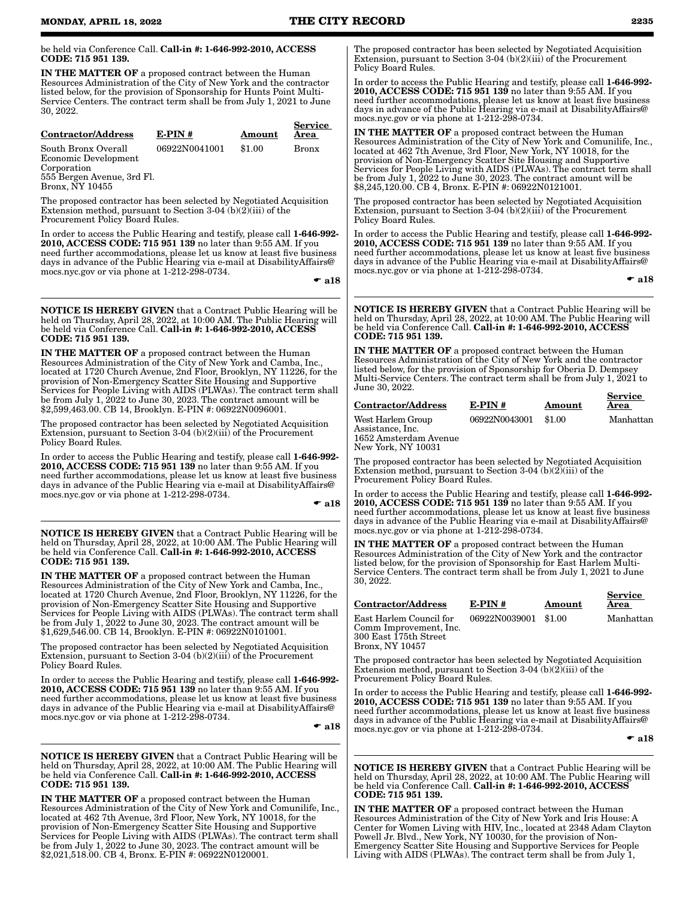#### be held via Conference Call. Call-in #: 1-646-992-2010, ACCESS CODE: 715 951 139.

IN THE MATTER OF a proposed contract between the Human Resources Administration of the City of New York and the contractor listed below, for the provision of Sponsorship for Hunts Point Multi-Service Centers. The contract term shall be from July 1, 2021 to June 30, 2022.

| <b>Contractor/Address</b>                                                                                          | $E-PIN#$      | Amount | <b>Service</b><br>Area |
|--------------------------------------------------------------------------------------------------------------------|---------------|--------|------------------------|
| South Bronx Overall<br>Economic Development<br>Corporation<br>555 Bergen Avenue, 3rd Fl.<br><b>Bronx, NY 10455</b> | 06922N0041001 | \$1.00 | <b>Bronx</b>           |

The proposed contractor has been selected by Negotiated Acquisition Extension method, pursuant to Section 3-04 (b)(2)(iii) of the Procurement Policy Board Rules.

In order to access the Public Hearing and testify, please call 1-646-992- 2010, ACCESS CODE: 715 951 139 no later than 9:55 AM. If you need further accommodations, please let us know at least five business days in advance of the Public Hearing via e-mail at DisabilityAffairs@ mocs.nyc.gov or via phone at 1-212-298-0734.

 $\bullet$  a18

NOTICE IS HEREBY GIVEN that a Contract Public Hearing will be held on Thursday, April 28, 2022, at 10:00 AM. The Public Hearing will be held via Conference Call. Call-in #: 1-646-992-2010, ACCESS CODE: 715 951 139.

IN THE MATTER OF a proposed contract between the Human Resources Administration of the City of New York and Camba, Inc., located at 1720 Church Avenue, 2nd Floor, Brooklyn, NY 11226, for the provision of Non-Emergency Scatter Site Housing and Supportive Services for People Living with AIDS (PLWAs). The contract term shall be from July 1, 2022 to June 30, 2023. The contract amount will be \$2,599,463.00. CB 14, Brooklyn. E-PIN #: 06922N0096001.

The proposed contractor has been selected by Negotiated Acquisition Extension, pursuant to Section 3-04 (b)(2)(iii) of the Procurement Policy Board Rules.

In order to access the Public Hearing and testify, please call 1-646-992- 2010, ACCESS CODE: 715 951 139 no later than 9:55 AM. If you need further accommodations, please let us know at least five business days in advance of the Public Hearing via e-mail at DisabilityAffairs@ mocs.nyc.gov or via phone at 1-212-298-0734.

 $\bullet$  a18

NOTICE IS HEREBY GIVEN that a Contract Public Hearing will be held on Thursday, April 28, 2022, at 10:00 AM. The Public Hearing will be held via Conference Call. Call-in #: 1-646-992-2010, ACCESS CODE: 715 951 139.

IN THE MATTER OF a proposed contract between the Human Resources Administration of the City of New York and Camba, Inc., located at 1720 Church Avenue, 2nd Floor, Brooklyn, NY 11226, for the provision of Non-Emergency Scatter Site Housing and Supportive Services for People Living with AIDS (PLWAs). The contract term shall be from July 1, 2022 to June 30, 2023. The contract amount will be \$1,629,546.00. CB 14, Brooklyn. E-PIN #: 06922N0101001.

The proposed contractor has been selected by Negotiated Acquisition Extension, pursuant to Section 3-04 (b)(2)(iii) of the Procurement Policy Board Rules.

In order to access the Public Hearing and testify, please call 1-646-992- 2010, ACCESS CODE: 715 951 139 no later than 9:55 AM. If you need further accommodations, please let us know at least five business days in advance of the Public Hearing via e-mail at DisabilityAffairs@ mocs.nyc.gov or via phone at 1-212-298-0734.

 $\bullet$  a18

NOTICE IS HEREBY GIVEN that a Contract Public Hearing will be held on Thursday, April 28, 2022, at 10:00 AM. The Public Hearing will be held via Conference Call. Call-in #: 1-646-992-2010, ACCESS CODE: 715 951 139.

IN THE MATTER OF a proposed contract between the Human Resources Administration of the City of New York and Comunilife, Inc., located at 462 7th Avenue, 3rd Floor, New York, NY 10018, for the provision of Non-Emergency Scatter Site Housing and Supportive Services for People Living with AIDS (PLWAs). The contract term shall be from July 1, 2022 to June 30, 2023. The contract amount will be \$2,021,518.00. CB 4, Bronx. E-PIN #: 06922N0120001.

The proposed contractor has been selected by Negotiated Acquisition Extension, pursuant to Section 3-04 (b)(2)(iii) of the Procurement Policy Board Rules.

In order to access the Public Hearing and testify, please call 1-646-992- 2010, ACCESS CODE: 715 951 139 no later than 9:55 AM. If you need further accommodations, please let us know at least five business days in advance of the Public Hearing via e-mail at DisabilityAffairs@ mocs.nyc.gov or via phone at 1-212-298-0734.

IN THE MATTER OF a proposed contract between the Human Resources Administration of the City of New York and Comunilife, Inc., located at 462 7th Avenue, 3rd Floor, New York, NY 10018, for the provision of Non-Emergency Scatter Site Housing and Supportive Services for People Living with AIDS (PLWAs). The contract term shall be from July 1, 2022 to June 30, 2023. The contract amount will be \$8,245,120.00. CB 4, Bronx. E-PIN #: 06922N0121001.

The proposed contractor has been selected by Negotiated Acquisition Extension, pursuant to Section 3-04 (b)(2)(iii) of the Procurement Policy Board Rules.

In order to access the Public Hearing and testify, please call 1-646-992- 2010, ACCESS CODE: 715 951 139 no later than 9:55 AM. If you need further accommodations, please let us know at least five business days in advance of the Public Hearing via e-mail at DisabilityAffairs@ mocs.nyc.gov or via phone at 1-212-298-0734.

 $\bullet$  a18

NOTICE IS HEREBY GIVEN that a Contract Public Hearing will be held on Thursday, April 28, 2022, at 10:00 AM. The Public Hearing will be held via Conference Call. Call-in #: 1-646-992-2010, ACCESS CODE: 715 951 139.

IN THE MATTER OF a proposed contract between the Human Resources Administration of the City of New York and the contractor listed below, for the provision of Sponsorship for Oberia D. Dempsey Multi-Service Centers. The contract term shall be from July 1, 2021 to June 30, 2022.

| <b>Contractor/Address</b>             | $E-PIN#$      | Amount | <b>Service</b><br>Area |
|---------------------------------------|---------------|--------|------------------------|
| West Harlem Group<br>Assistance, Inc. | 06922N0043001 | \$1.00 | Manhattan              |
| 1652 Amsterdam Avenue                 |               |        |                        |

New York, NY 10031

The proposed contractor has been selected by Negotiated Acquisition Extension method, pursuant to Section  $3-04$  (b)(2)(iii) of the Procurement Policy Board Rules.

In order to access the Public Hearing and testify, please call 1-646-992- 2010, ACCESS CODE: 715 951 139 no later than 9:55 AM. If you need further accommodations, please let us know at least five business days in advance of the Public Hearing via e-mail at DisabilityAffairs@ mocs.nyc.gov or via phone at 1-212-298-0734.

IN THE MATTER OF a proposed contract between the Human Resources Administration of the City of New York and the contractor listed below, for the provision of Sponsorship for East Harlem Multi-Service Centers. The contract term shall be from July 1, 2021 to June 30, 2022.

| <b>Contractor/Address</b>                                                                     | $E-PIN#$             | Amount | <b>Service</b><br>Area |
|-----------------------------------------------------------------------------------------------|----------------------|--------|------------------------|
| East Harlem Council for<br>Comm Improvement, Inc.<br>300 East 175th Street<br>Bronx, NY 10457 | 06922N0039001 \$1.00 |        | Manhattan              |

The proposed contractor has been selected by Negotiated Acquisition Extension method, pursuant to Section 3-04 (b)(2)(iii) of the Procurement Policy Board Rules.

In order to access the Public Hearing and testify, please call 1-646-992- 2010, ACCESS CODE: 715 951 139 no later than 9:55 AM. If you need further accommodations, please let us know at least five business days in advance of the Public Hearing via e-mail at DisabilityAffairs@ mocs.nyc.gov or via phone at 1-212-298-0734.

 $\bullet$  a18

NOTICE IS HEREBY GIVEN that a Contract Public Hearing will be held on Thursday, April 28, 2022, at 10:00 AM. The Public Hearing will be held via Conference Call. Call-in #: 1-646-992-2010, ACCESS CODE: 715 951 139.

IN THE MATTER OF a proposed contract between the Human Resources Administration of the City of New York and Iris House: A Center for Women Living with HIV, Inc., located at 2348 Adam Clayton Powell Jr. Blvd., New York, NY 10030, for the provision of Non-Emergency Scatter Site Housing and Supportive Services for People Living with AIDS (PLWAs). The contract term shall be from July 1,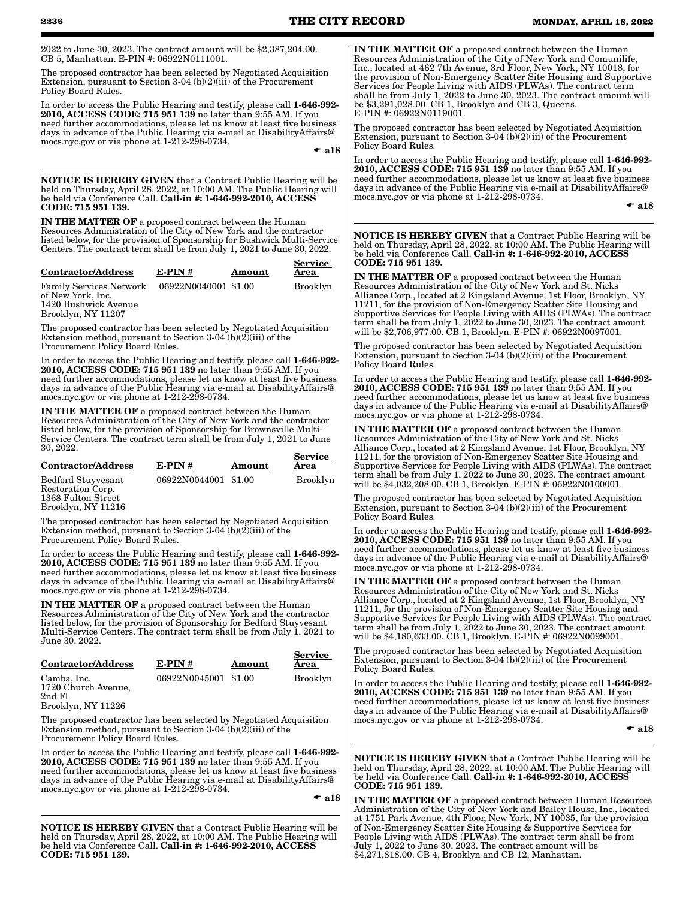2022 to June 30, 2023. The contract amount will be \$2,387,204.00. CB 5, Manhattan. E-PIN #: 06922N0111001.

The proposed contractor has been selected by Negotiated Acquisition Extension, pursuant to Section 3-04 (b)(2)(iii) of the Procurement Policy Board Rules.

In order to access the Public Hearing and testify, please call 1-646-992- 2010, ACCESS CODE: 715 951 139 no later than 9:55 AM. If you need further accommodations, please let us know at least five business days in advance of the Public Hearing via e-mail at DisabilityAffairs@ mocs.nyc.gov or via phone at 1-212-298-0734.

 $\bullet$  a18

NOTICE IS HEREBY GIVEN that a Contract Public Hearing will be held on Thursday, April 28, 2022, at 10:00 AM. The Public Hearing will be held via Conference Call. Call-in #: 1-646-992-2010, ACCESS CODE: 715 951 139.

IN THE MATTER OF a proposed contract between the Human Resources Administration of the City of New York and the contractor listed below, for the provision of Sponsorship for Bushwick Multi-Service Centers. The contract term shall be from July 1, 2021 to June 30, 2022.

| <b>Contractor/Address</b>                           | $E-PIN#$             | Amount | <b>Service</b><br>Area |
|-----------------------------------------------------|----------------------|--------|------------------------|
| <b>Family Services Network</b><br>of New York, Inc. | 06922N0040001 \$1.00 |        | Brooklyn               |
| 1420 Bushwick Avenue                                |                      |        |                        |

1420 Bushwick Avenue Brooklyn, NY 11207

The proposed contractor has been selected by Negotiated Acquisition Extension method, pursuant to Section 3-04 (b)(2)(iii) of the Procurement Policy Board Rules.

In order to access the Public Hearing and testify, please call 1-646-992-2010, ACCESS CODE: 715 951 139 no later than 9:55 AM. If you need further accommodations, please let us know at least five business days in advance of the Public Hearing via e-mail at DisabilityAffairs@ mocs.nyc.gov or via phone at 1-212-298-0734.

IN THE MATTER OF a proposed contract between the Human Resources Administration of the City of New York and the contractor listed below, for the provision of Sponsorship for Brownsville Multi-Service Centers. The contract term shall be from July 1, 2021 to June 30, 2022.

| <b>Contractor/Address</b>               | $E-PIN#$             | Amount | <b>Service</b><br>Area |
|-----------------------------------------|----------------------|--------|------------------------|
| Bedford Stuyvesant<br>Restoration Corp. | 06922N0044001 \$1.00 |        | Brooklyn               |
| 1368 Fulton Street                      |                      |        |                        |

Brooklyn, NY 11216 The proposed contractor has been selected by Negotiated Acquisition Extension method, pursuant to Section  $3-04$  (b)(2)(iii) of the Procurement Policy Board Rules.

In order to access the Public Hearing and testify, please call 1-646-992- 2010, ACCESS CODE: 715 951 139 no later than 9:55 AM. If you need further accommodations, please let us know at least five business days in advance of the Public Hearing via e-mail at DisabilityAffairs@ mocs.nyc.gov or via phone at 1-212-298-0734.

HE MATTER OF a proposed contract between the Human Resources Administration of the City of New York and the contractor listed below, for the provision of Sponsorship for Bedford Stuyvesant Multi-Service Centers. The contract term shall be from July 1, 2021 to June 30, 2022.

| <b>Contractor/Address</b>                     | $E-PIN#$             | Amount | <b>Service</b><br>Area |
|-----------------------------------------------|----------------------|--------|------------------------|
| Camba, Inc.<br>1720 Church Avenue.<br>2nd Fl. | 06922N0045001 \$1.00 |        | Brooklyn               |

Brooklyn, NY 11226

The proposed contractor has been selected by Negotiated Acquisition Extension method, pursuant to Section 3-04 (b)(2)(iii) of the Procurement Policy Board Rules.

In order to access the Public Hearing and testify, please call 1-646-992- 2010, ACCESS CODE: 715 951 139 no later than 9:55 AM. If you need further accommodations, please let us know at least five business days in advance of the Public Hearing via e-mail at DisabilityAffairs@ mocs.nyc.gov or via phone at 1-212-298-0734.

 $\bullet$  a18

NOTICE IS HEREBY GIVEN that a Contract Public Hearing will be held on Thursday, April 28, 2022, at 10:00 AM. The Public Hearing will<br>be held via Conference Call. **Call-in #: 1-646-992-2010, ACCESS** CODE: 715 951 139.

IN THE MATTER OF a proposed contract between the Human Resources Administration of the City of New York and Comunilife, Inc., located at 462 7th Avenue, 3rd Floor, New York, NY 10018, for the provision of Non-Emergency Scatter Site Housing and Supportive Services for People Living with AIDS (PLWAs). The contract term shall be from July 1, 2022 to June 30, 2023. The contract amount will be \$3,291,028.00. CB 1, Brooklyn and CB 3, Queens. E-PIN #: 06922N0119001.

The proposed contractor has been selected by Negotiated Acquisition Extension, pursuant to Section 3-04 (b)(2)(iii) of the Procurement Policy Board Rules.

In order to access the Public Hearing and testify, please call 1-646-992- 2010, ACCESS CODE: 715 951 139 no later than 9:55 AM. If you need further accommodations, please let us know at least five business days in advance of the Public Hearing via e-mail at DisabilityAffairs@ mocs.nyc.gov or via phone at 1-212-298-0734.

 $\bullet$  a18

NOTICE IS HEREBY GIVEN that a Contract Public Hearing will be held on Thursday, April 28, 2022, at 10:00 AM. The Public Hearing will be held via Conference Call. Call-in #: 1-646-992-2010, ACCESS CODE: 715 951 139.

IN THE MATTER OF a proposed contract between the Human Resources Administration of the City of New York and St. Nicks Alliance Corp., located at 2 Kingsland Avenue, 1st Floor, Brooklyn, NY 11211, for the provision of Non-Emergency Scatter Site Housing and Supportive Services for People Living with AIDS (PLWAs). The contract term shall be from July 1, 2022 to June 30, 2023. The contract amount will be \$2,706,977.00. CB 1, Brooklyn. E-PIN #: 06922N0097001.

The proposed contractor has been selected by Negotiated Acquisition Extension, pursuant to Section 3-04 (b)(2)(iii) of the Procurement Policy Board Rules.

In order to access the Public Hearing and testify, please call 1-646-992-2010, ACCESS CODE: 715 951 139 no later than 9:55 AM. If you need further accommodations, please let us know at least five business days in advance of the Public Hearing via e-mail at DisabilityAffairs@ mocs.nyc.gov or via phone at 1-212-298-0734.

IN THE MATTER OF a proposed contract between the Human Resources Administration of the City of New York and St. Nicks Alliance Corp., located at 2 Kingsland Avenue, 1st Floor, Brooklyn, NY 11211, for the provision of Non-Emergency Scatter Site Housing and Supportive Services for People Living with AIDS (PLWAs). The contract term shall be from July 1, 2022 to June 30, 2023. The contract amount will be \$4,032,208.00. CB 1, Brooklyn. E-PIN #: 06922N0100001.

The proposed contractor has been selected by Negotiated Acquisition Extension, pursuant to Section 3-04 (b)(2)(iii) of the Procurement Policy Board Rules.

In order to access the Public Hearing and testify, please call 1-646-992- 2010, ACCESS CODE: 715 951 139 no later than 9:55 AM. If you need further accommodations, please let us know at least five business days in advance of the Public Hearing via e-mail at DisabilityAffairs@ mocs.nyc.gov or via phone at 1-212-298-0734.

IN THE MATTER OF a proposed contract between the Human Resources Administration of the City of New York and St. Nicks Alliance Corp., located at 2 Kingsland Avenue, 1st Floor, Brooklyn, NY 11211, for the provision of Non-Emergency Scatter Site Housing and Supportive Services for People Living with AIDS (PLWAs). The contract term shall be from July 1, 2022 to June 30, 2023. The contract amount will be \$4,180,633.00. CB 1, Brooklyn. E-PIN #: 06922N0099001.

The proposed contractor has been selected by Negotiated Acquisition Extension, pursuant to Section 3-04 (b)(2)(iii) of the Procurement Policy Board Rules.

In order to access the Public Hearing and testify, please call 1-646-992- 2010, ACCESS CODE: 715 951 139 no later than 9:55 AM. If you need further accommodations, please let us know at least five business days in advance of the Public Hearing via e-mail at DisabilityAffairs@ mocs.nyc.gov or via phone at 1-212-298-0734.

 $\bullet$  a18

NOTICE IS HEREBY GIVEN that a Contract Public Hearing will be held on Thursday, April 28, 2022, at 10:00 AM. The Public Hearing will be held via Conference Call. Call-in #: 1-646-992-2010, ACCESS CODE: 715 951 139.

IN THE MATTER OF a proposed contract between Human Resources Administration of the City of New York and Bailey House, Inc., located at 1751 Park Avenue, 4th Floor, New York, NY 10035, for the provision of Non-Emergency Scatter Site Housing & Supportive Services for People Living with AIDS (PLWAs). The contract term shall be from July 1, 2022 to June 30, 2023. The contract amount will be \$4,271,818.00. CB 4, Brooklyn and CB 12, Manhattan.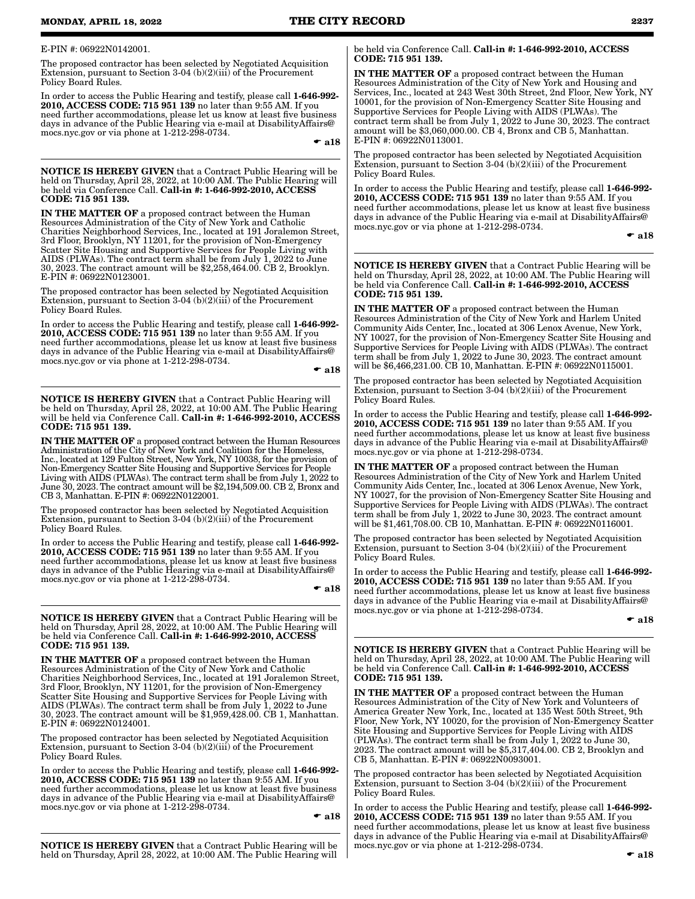The proposed contractor has been selected by Negotiated Acquisition Extension, pursuant to Section 3-04 (b)(2)(iii) of the Procurement Policy Board Rules.

In order to access the Public Hearing and testify, please call 1-646-992-2010, ACCESS CODE: 715 951 139 no later than 9:55 AM. If you need further accommodations, please let us know at least five business days in advance of the Public Hearing via e-mail at DisabilityAffairs@ mocs.nyc.gov or via phone at 1-212-298-0734.

 $\bullet$  a18

NOTICE IS HEREBY GIVEN that a Contract Public Hearing will be held on Thursday, April 28, 2022, at 10:00 AM. The Public Hearing will be held via Conference Call. Call-in #: 1-646-992-2010, ACCESS CODE: 715 951 139.

IN THE MATTER OF a proposed contract between the Human Resources Administration of the City of New York and Catholic Charities Neighborhood Services, Inc., located at 191 Joralemon Street, 3rd Floor, Brooklyn, NY 11201, for the provision of Non-Emergency Scatter Site Housing and Supportive Services for People Living with AIDS (PLWAs). The contract term shall be from July 1, 2022 to June 30, 2023. The contract amount will be \$2,258,464.00. CB 2, Brooklyn. E-PIN #: 06922N0123001.

The proposed contractor has been selected by Negotiated Acquisition Extension, pursuant to Section 3-04 (b)(2)(iii) of the Procurement Policy Board Rules.

In order to access the Public Hearing and testify, please call 1-646-992- 2010, ACCESS CODE: 715 951 139 no later than 9:55 AM. If you need further accommodations, please let us know at least five business days in advance of the Public Hearing via e-mail at DisabilityAffairs@ mocs.nyc.gov or via phone at 1-212-298-0734.

 $\bullet$  a18

NOTICE IS HEREBY GIVEN that a Contract Public Hearing will be held on Thursday, April 28, 2022, at 10:00 AM. The Public Hearing will be held via Conference Call. Call-in #: 1-646-992-2010, ACCESS CODE: 715 951 139.

IN THE MATTER OF a proposed contract between the Human Resources Administration of the City of New York and Coalition for the Homeless, Inc., located at 129 Fulton Street, New York, NY 10038, for the provision of Non-Emergency Scatter Site Housing and Supportive Services for People Living with AIDS (PLWAs). The contract term shall be from July 1, 2022 to June 30, 2023. The contract amount will be \$2,194,509.00. CB 2, Bronx and CB 3, Manhattan. E-PIN #: 06922N0122001.

The proposed contractor has been selected by Negotiated Acquisition Extension, pursuant to Section 3-04 (b)(2)(iii) of the Procurement Policy Board Rules.

In order to access the Public Hearing and testify, please call 1-646-992- 2010, ACCESS CODE: 715 951 139 no later than 9:55 AM. If you need further accommodations, please let us know at least five business days in advance of the Public Hearing via e-mail at DisabilityAffairs@ mocs.nyc.gov or via phone at 1-212-298-0734.

 $\bullet$  a18

NOTICE IS HEREBY GIVEN that a Contract Public Hearing will be held on Thursday, April 28, 2022, at 10:00 AM. The Public Hearing will be held via Conference Call. Call-in #: 1-646-992-2010, ACCESS CODE: 715 951 139.

IN THE MATTER OF a proposed contract between the Human Resources Administration of the City of New York and Catholic Charities Neighborhood Services, Inc., located at 191 Joralemon Street, 3rd Floor, Brooklyn, NY 11201, for the provision of Non-Emergency Scatter Site Housing and Supportive Services for People Living with AIDS (PLWAs). The contract term shall be from July 1, 2022 to June 30, 2023. The contract amount will be \$1,959,428.00. CB 1, Manhattan. E-PIN #: 06922N0124001.

The proposed contractor has been selected by Negotiated Acquisition Extension, pursuant to Section 3-04 (b)(2)(iii) of the Procurement Policy Board Rules.

In order to access the Public Hearing and testify, please call 1-646-992- 2010, ACCESS CODE: 715 951 139 no later than 9:55 AM. If you need further accommodations, please let us know at least five business days in advance of the Public Hearing via e-mail at DisabilityAffairs@ mocs.nyc.gov or via phone at 1-212-298-0734.

 $\bullet$  a18

NOTICE IS HEREBY GIVEN that a Contract Public Hearing will be held on Thursday, April 28, 2022, at 10:00 AM. The Public Hearing will be held via Conference Call. Call-in #: 1-646-992-2010, ACCESS CODE: 715 951 139.

IN THE MATTER OF a proposed contract between the Human Resources Administration of the City of New York and Housing and Services, Inc., located at 243 West 30th Street, 2nd Floor, New York, NY 10001, for the provision of Non-Emergency Scatter Site Housing and Supportive Services for People Living with AIDS (PLWAs). The contract term shall be from July 1, 2022 to June 30, 2023. The contract amount will be \$3,060,000.00. CB 4, Bronx and CB 5, Manhattan. E-PIN #: 06922N0113001.

The proposed contractor has been selected by Negotiated Acquisition Extension, pursuant to Section 3-04 (b)(2)(iii) of the Procurement Policy Board Rules.

In order to access the Public Hearing and testify, please call 1-646-992- 2010, ACCESS CODE: 715 951 139 no later than 9:55 AM. If you need further accommodations, please let us know at least five business days in advance of the Public Hearing via e-mail at DisabilityAffairs@ mocs.nyc.gov or via phone at 1-212-298-0734.

 $\bullet$  a18

NOTICE IS HEREBY GIVEN that a Contract Public Hearing will be held on Thursday, April 28, 2022, at 10:00 AM. The Public Hearing will be held via Conference Call. Call-in #: 1-646-992-2010, ACCESS CODE: 715 951 139.

IN THE MATTER OF a proposed contract between the Human Resources Administration of the City of New York and Harlem United Community Aids Center, Inc., located at 306 Lenox Avenue, New York, NY 10027, for the provision of Non-Emergency Scatter Site Housing and Supportive Services for People Living with AIDS (PLWAs). The contract term shall be from July 1, 2022 to June 30, 2023. The contract amount will be \$6,466,231.00. CB 10, Manhattan. E-PIN #: 06922N0115001.

The proposed contractor has been selected by Negotiated Acquisition Extension, pursuant to Section 3-04 (b)(2)(iii) of the Procurement Policy Board Rules.

In order to access the Public Hearing and testify, please call 1-646-992- 2010, ACCESS CODE: 715 951 139 no later than 9:55 AM. If you need further accommodations, please let us know at least five business days in advance of the Public Hearing via e-mail at DisabilityAffairs@ mocs.nyc.gov or via phone at 1-212-298-0734.

IN THE MATTER OF a proposed contract between the Human Resources Administration of the City of New York and Harlem United Community Aids Center, Inc., located at 306 Lenox Avenue, New York, NY 10027, for the provision of Non-Emergency Scatter Site Housing and Supportive Services for People Living with AIDS (PLWAs). The contract term shall be from July 1, 2022 to June 30, 2023. The contract amount will be \$1,461,708.00. CB 10, Manhattan. E-PIN #: 06922N0116001.

The proposed contractor has been selected by Negotiated Acquisition Extension, pursuant to Section 3-04 (b)(2)(iii) of the Procurement Policy Board Rules.

In order to access the Public Hearing and testify, please call 1-646-992- 2010, ACCESS CODE: 715 951 139 no later than 9:55 AM. If you need further accommodations, please let us know at least five business days in advance of the Public Hearing via e-mail at DisabilityAffairs@ mocs.nyc.gov or via phone at 1-212-298-0734.

 $\bullet$  a18

NOTICE IS HEREBY GIVEN that a Contract Public Hearing will be held on Thursday, April 28, 2022, at 10:00 AM. The Public Hearing will be held via Conference Call. Call-in #: 1-646-992-2010, ACCESS CODE: 715 951 139.

IN THE MATTER OF a proposed contract between the Human Resources Administration of the City of New York and Volunteers of America Greater New York, Inc., located at 135 West 50th Street, 9th Floor, New York, NY 10020, for the provision of Non-Emergency Scatter Site Housing and Supportive Services for People Living with AIDS (PLWAs). The contract term shall be from July 1, 2022 to June 30, 2023. The contract amount will be \$5,317,404.00. CB 2, Brooklyn and CB 5, Manhattan. E-PIN #: 06922N0093001.

The proposed contractor has been selected by Negotiated Acquisition Extension, pursuant to Section 3-04 (b)(2)(iii) of the Procurement Policy Board Rules.

In order to access the Public Hearing and testify, please call 1-646-992- 2010, ACCESS CODE: 715 951 139 no later than 9:55 AM. If you need further accommodations, please let us know at least five business days in advance of the Public Hearing via e-mail at DisabilityAffairs@ mocs.nyc.gov or via phone at 1-212-298-0734.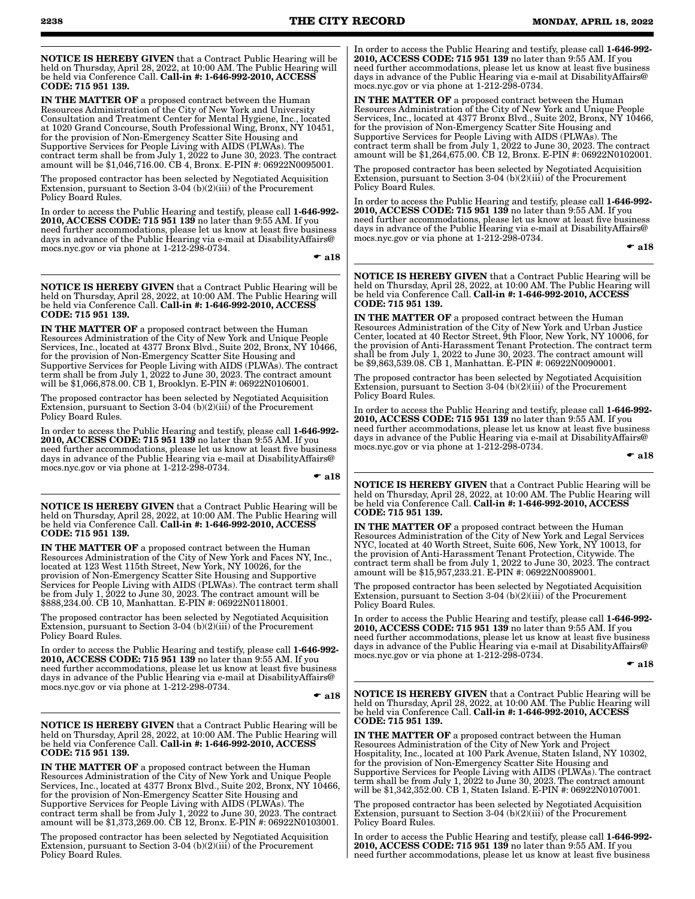IN THE MATTER OF a proposed contract between the Human Resources Administration of the City of New York and University Consultation and Treatment Center for Mental Hygiene, Inc., located at 1020 Grand Concourse, South Professional Wing, Bronx, NY 10451, for the provision of Non-Emergency Scatter Site Housing and Supportive Services for People Living with AIDS (PLWAs). The contract term shall be from July 1, 2022 to June 30, 2023. The contract amount will be \$1,046,716.00. CB 4, Bronx. E-PIN #: 06922N0095001.

The proposed contractor has been selected by Negotiated Acquisition Extension, pursuant to Section 3-04 (b)(2)(iii) of the Procurement Policy Board Rules.

In order to access the Public Hearing and testify, please call 1-646-992- 2010, ACCESS CODE: 715 951 139 no later than 9:55 AM. If you need further accommodations, please let us know at least five business days in advance of the Public Hearing via e-mail at DisabilityAffairs@ mocs.nyc.gov or via phone at 1-212-298-0734.

 $\bullet$  a18

NOTICE IS HEREBY GIVEN that a Contract Public Hearing will be held on Thursday, April 28, 2022, at 10:00 AM. The Public Hearing will be held via Conference Call. Call-in #: 1-646-992-2010, ACCESS CODE: 715 951 139.

IN THE MATTER OF a proposed contract between the Human Resources Administration of the City of New York and Unique People Services, Inc., located at 4377 Bronx Blvd., Suite 202, Bronx, NY 10466, for the provision of Non-Emergency Scatter Site Housing and Supportive Services for People Living with AIDS (PLWAs). The contract term shall be from July 1, 2022 to June 30, 2023. The contract amount will be \$1,066,878.00. CB 1, Brooklyn. E-PIN #: 06922N0106001.

The proposed contractor has been selected by Negotiated Acquisition Extension, pursuant to Section 3-04 (b)(2)(iii) of the Procurement Policy Board Rules.

In order to access the Public Hearing and testify, please call 1-646-992- 2010, ACCESS CODE: 715 951 139 no later than 9:55 AM. If you need further accommodations, please let us know at least five business days in advance of the Public Hearing via e-mail at DisabilityAffairs@ mocs.nyc.gov or via phone at 1-212-298-0734.

 $\bullet$  a18

NOTICE IS HEREBY GIVEN that a Contract Public Hearing will be held on Thursday, April 28, 2022, at 10:00 AM. The Public Hearing will be held via Conference Call. Call-in #: 1-646-992-2010, ACCESS CODE: 715 951 139.

IN THE MATTER OF a proposed contract between the Human Resources Administration of the City of New York and Faces NY, Inc., located at 123 West 115th Street, New York, NY 10026, for the provision of Non-Emergency Scatter Site Housing and Supportive Services for People Living with AIDS (PLWAs). The contract term shall be from July 1, 2022 to June 30, 2023. The contract amount will be \$888,234.00. CB 10, Manhattan. E-PIN #: 06922N0118001.

The proposed contractor has been selected by Negotiated Acquisition Extension, pursuant to Section 3-04 (b)(2)(iii) of the Procurement Policy Board Rules.

In order to access the Public Hearing and testify, please call 1-646-992- 2010, ACCESS CODE: 715 951 139 no later than 9:55 AM. If you need further accommodations, please let us know at least five business days in advance of the Public Hearing via e-mail at DisabilityAffairs@ mocs.nyc.gov or via phone at 1-212-298-0734.

 $\bullet$  a18

NOTICE IS HEREBY GIVEN that a Contract Public Hearing will be held on Thursday, April 28, 2022, at 10:00 AM. The Public Hearing will be held via Conference Call. Call-in #: 1-646-992-2010, ACCESS CODE: 715 951 139.

IN THE MATTER OF a proposed contract between the Human Resources Administration of the City of New York and Unique People Services, Inc., located at 4377 Bronx Blvd., Suite 202, Bronx, NY 10466, for the provision of Non-Emergency Scatter Site Housing and Supportive Services for People Living with AIDS (PLWAs). The contract term shall be from July 1, 2022 to June 30, 2023. The contract amount will be \$1,373,269.00. CB 12, Bronx. E-PIN #: 06922N0103001.

The proposed contractor has been selected by Negotiated Acquisition Extension, pursuant to Section 3-04 (b)(2)(iii) of the Procurement Policy Board Rules.

In order to access the Public Hearing and testify, please call 1-646-992- 2010, ACCESS CODE: 715 951 139 no later than 9:55 AM. If you need further accommodations, please let us know at least five business days in advance of the Public Hearing via e-mail at DisabilityAffairs@ mocs.nyc.gov or via phone at 1-212-298-0734.

IN THE MATTER OF a proposed contract between the Human Resources Administration of the City of New York and Unique People Services, Inc., located at 4377 Bronx Blvd., Suite 202, Bronx, NY 10466, for the provision of Non-Emergency Scatter Site Housing and Supportive Services for People Living with AIDS (PLWAs). The contract term shall be from July 1, 2022 to June 30, 2023. The contract amount will be \$1,264,675.00. CB 12, Bronx. E-PIN #: 06922N0102001.

The proposed contractor has been selected by Negotiated Acquisition Extension, pursuant to Section 3-04 (b)(2)(iii) of the Procurement Policy Board Rules.

In order to access the Public Hearing and testify, please call 1-646-992- 2010, ACCESS CODE: 715 951 139 no later than 9:55 AM. If you need further accommodations, please let us know at least five business days in advance of the Public Hearing via e-mail at DisabilityAffairs@ mocs.nyc.gov or via phone at 1-212-298-0734.

 $\bullet$  a18

NOTICE IS HEREBY GIVEN that a Contract Public Hearing will be held on Thursday, April 28, 2022, at 10:00 AM. The Public Hearing will be held via Conference Call. Call-in #: 1-646-992-2010, ACCESS CODE: 715 951 139.

IN THE MATTER OF a proposed contract between the Human Resources Administration of the City of New York and Urban Justice Center, located at 40 Rector Street, 9th Floor, New York, NY 10006, for the provision of Anti-Harassment Tenant Protection. The contract term shall be from July 1, 2022 to June 30, 2023. The contract amount will be \$9,863,539.08. CB 1, Manhattan. E-PIN #: 06922N0090001.

The proposed contractor has been selected by Negotiated Acquisition Extension, pursuant to Section 3-04 (b)(2)(iii) of the Procurement Policy Board Rules.

In order to access the Public Hearing and testify, please call 1-646-992- 2010, ACCESS CODE: 715 951 139 no later than 9:55 AM. If you need further accommodations, please let us know at least five business days in advance of the Public Hearing via e-mail at DisabilityAffairs@ mocs.nyc.gov or via phone at 1-212-298-0734.

 $\bullet$  a18

NOTICE IS HEREBY GIVEN that a Contract Public Hearing will be held on Thursday, April 28, 2022, at 10:00 AM. The Public Hearing will be held via Conference Call. Call-in #: 1-646-992-2010, ACCESS CODE: 715 951 139.

IN THE MATTER OF a proposed contract between the Human Resources Administration of the City of New York and Legal Services NYC, located at 40 Worth Street, Suite 606, New York, NY 10013, for the provision of Anti-Harassment Tenant Protection, Citywide. The contract term shall be from July 1, 2022 to June 30, 2023. The contract amount will be \$15,957,233.21. E-PIN #: 06922N0089001.

The proposed contractor has been selected by Negotiated Acquisition Extension, pursuant to Section 3-04 (b)(2)(iii) of the Procurement Policy Board Rules.

In order to access the Public Hearing and testify, please call 1-646-992- 2010, ACCESS CODE: 715 951 139 no later than 9:55 AM. If you need further accommodations, please let us know at least five business days in advance of the Public Hearing via e-mail at DisabilityAffairs@ mocs.nyc.gov or via phone at 1-212-298-0734.

NOTICE IS HEREBY GIVEN that a Contract Public Hearing will be held on Thursday, April 28, 2022, at 10:00 AM. The Public Hearing will<br>be held via Conference Call. **Call-in #: 1-646-992-2010, ACCESS** CODE: 715 951 139.

IN THE MATTER OF a proposed contract between the Human Resources Administration of the City of New York and Project Hospitality, Inc., located at 100 Park Avenue, Staten Island, NY 10302, for the provision of Non-Emergency Scatter Site Housing and Supportive Services for People Living with AIDS (PLWAs). The contract term shall be from July 1, 2022 to June 30, 2023. The contract amount will be \$1,342,352.00. CB 1, Staten Island. E-PIN #: 06922N0107001.

The proposed contractor has been selected by Negotiated Acquisition Extension, pursuant to Section 3-04 (b)(2)(iii) of the Procurement Policy Board Rules.

In order to access the Public Hearing and testify, please call 1-646-992- 2010, ACCESS CODE: 715 951 139 no later than 9:55 AM. If you need further accommodations, please let us know at least five business

 $\bullet$  a18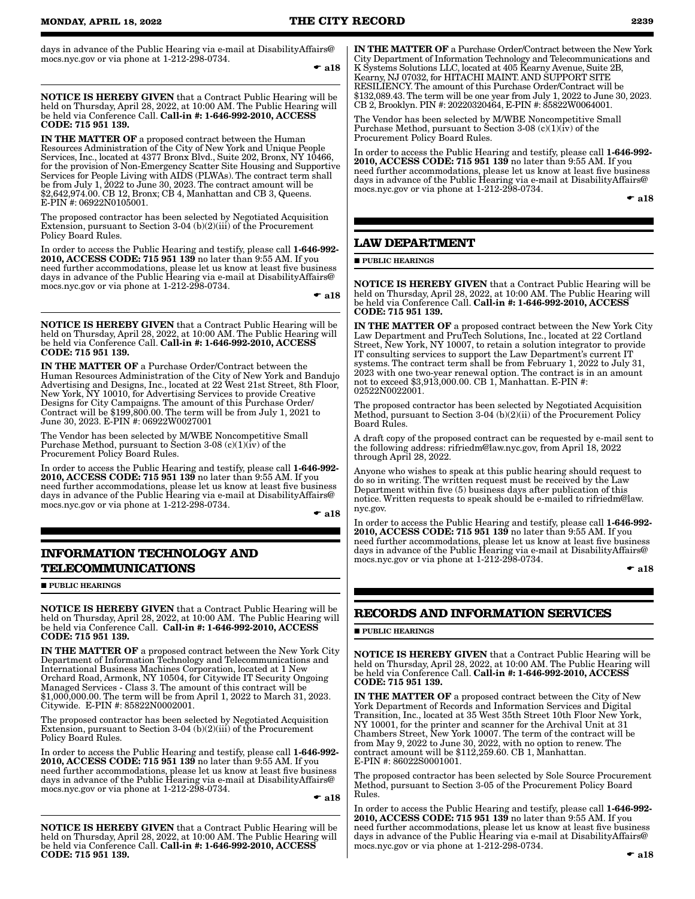days in advance of the Public Hearing via e-mail at DisabilityAffairs@ mocs.nyc.gov or via phone at 1-212-298-0734.

 $\bullet$  a18

NOTICE IS HEREBY GIVEN that a Contract Public Hearing will be held on Thursday, April 28, 2022, at 10:00 AM. The Public Hearing will be held via Conference Call. **Call-in #: 1-646-992-2010, ACCESS** CODE: 715 951 139.

IN THE MATTER OF a proposed contract between the Human Resources Administration of the City of New York and Unique People Services, Inc., located at 4377 Bronx Blvd., Suite 202, Bronx, NY 10466, for the provision of Non-Emergency Scatter Site Housing and Supportive Services for People Living with AIDS (PLWAs). The contract term shall be from July 1, 2022 to June 30, 2023. The contract amount will be \$2,642,974.00. CB 12, Bronx; CB 4, Manhattan and CB 3, Queens. E-PIN #: 06922N0105001.

The proposed contractor has been selected by Negotiated Acquisition Extension, pursuant to Section 3-04 (b)(2)(iii) of the Procurement Policy Board Rules.

In order to access the Public Hearing and testify, please call 1-646-992- 2010, ACCESS CODE: 715 951 139 no later than 9:55 AM. If you need further accommodations, please let us know at least five business days in advance of the Public Hearing via e-mail at DisabilityAffairs@ mocs.nyc.gov or via phone at 1-212-298-0734.

 $\bullet$  a18

NOTICE IS HEREBY GIVEN that a Contract Public Hearing will be held on Thursday, April 28, 2022, at 10:00 AM. The Public Hearing will be held via Conference Call. Call-in #: 1-646-992-2010, ACCESS CODE: 715 951 139.

IN THE MATTER OF a Purchase Order/Contract between the Human Resources Administration of the City of New York and Bandujo Advertising and Designs, Inc., located at 22 West 21st Street, 8th Floor, New York, NY 10010, for Advertising Services to provide Creative Designs for City Campaigns. The amount of this Purchase Order/ Contract will be \$199,800.00. The term will be from July 1, 2021 to June 30, 2023. E-PIN #: 06922W0027001

The Vendor has been selected by M/WBE Noncompetitive Small Purchase Method, pursuant to Section 3-08 (c)(1)(iv) of the Procurement Policy Board Rules.

In order to access the Public Hearing and testify, please call 1-646-992- 2010, ACCESS CODE: 715 951 139 no later than 9:55 AM. If you need further accommodations, please let us know at least five business days in advance of the Public Hearing via e-mail at DisabilityAffairs@ mocs.nyc.gov or via phone at 1-212-298-0734.

 $\bullet$  a18

### **INFORMATION TECHNOLOGY AND TELECOMMUNICATIONS**

**PUBLIC HEARINGS** 

NOTICE IS HEREBY GIVEN that a Contract Public Hearing will be held on Thursday, April 28, 2022, at 10:00 AM. The Public Hearing will be held via Conference Call. Call-in #: 1-646-992-2010, ACCESS CODE: 715 951 139.

IN THE MATTER OF a proposed contract between the New York City Department of Information Technology and Telecommunications and International Business Machines Corporation, located at 1 New Orchard Road, Armonk, NY 10504, for Citywide IT Security Ongoing Managed Services - Class 3. The amount of this contract will be \$1,000,000.00. The term will be from April 1, 2022 to March 31, 2023. Citywide. E-PIN #: 85822N0002001.

The proposed contractor has been selected by Negotiated Acquisition Extension, pursuant to Section 3-04 (b)(2)(iii) of the Procurement Policy Board Rules.

In order to access the Public Hearing and testify, please call 1-646-992- 2010, ACCESS CODE: 715 951 139 no later than 9:55 AM. If you need further accommodations, please let us know at least five business days in advance of the Public Hearing via e-mail at DisabilityAffairs@ mocs.nyc.gov or via phone at 1-212-298-0734.

 $\bullet$  a18

NOTICE IS HEREBY GIVEN that a Contract Public Hearing will be held on Thursday, April 28, 2022, at 10:00 AM. The Public Hearing will be held via Conference Call. Call-in #: 1-646-992-2010, ACCESS CODE: 715 951 139.

IN THE MATTER OF a Purchase Order/Contract between the New York City Department of Information Technology and Telecommunications and K Systems Solutions LLC, located at 405 Kearny Avenue, Suite 2B, Kearny, NJ 07032, for HITACHI MAINT. AND SUPPORT SITE RESILIENCY. The amount of this Purchase Order/Contract will be \$132,089.43. The term will be one year from July 1, 2022 to June 30, 2023. CB 2, Brooklyn. PIN #: 20220320464, E-PIN #: 85822W0064001.

The Vendor has been selected by M/WBE Noncompetitive Small Purchase Method, pursuant to Section 3-08 (c)(1)( $\hat{i}$ v) of the Procurement Policy Board Rules.

In order to access the Public Hearing and testify, please call 1-646-992- 2010, ACCESS CODE: 715 951 139 no later than 9:55 AM. If you need further accommodations, please let us know at least five business days in advance of the Public Hearing via e-mail at DisabilityAffairs@ mocs.nyc.gov or via phone at 1-212-298-0734.

 $\bullet$  a18

### **LAW DEPARTMENT**

**PUBLIC HEARINGS** 

NOTICE IS HEREBY GIVEN that a Contract Public Hearing will be held on Thursday, April 28, 2022, at 10:00 AM. The Public Hearing will be held via Conference Call. Call-in #: 1-646-992-2010, ACCESS CODE: 715 951 139.

IN THE MATTER OF a proposed contract between the New York City Law Department and PruTech Solutions, Inc., located at 22 Cortland Street, New York, NY 10007, to retain a solution integrator to provide IT consulting services to support the Law Department's current IT systems. The contract term shall be from February 1, 2022 to July 31, 2023 with one two-year renewal option. The contract is in an amount not to exceed \$3,913,000.00. CB 1, Manhattan. E-PIN #: 02522N0022001.

The proposed contractor has been selected by Negotiated Acquisition Method, pursuant to Section 3-04 (b)(2)(ii) of the Procurement Policy Board Rules.

A draft copy of the proposed contract can be requested by e-mail sent to the following address: rifriedm@law.nyc.gov, from April 18, 2022 through April 28, 2022.

Anyone who wishes to speak at this public hearing should request to do so in writing. The written request must be received by the Law Department within five (5) business days after publication of this notice. Written requests to speak should be e-mailed to rifriedm@law. nyc.gov.

In order to access the Public Hearing and testify, please call 1-646-992- 2010, ACCESS CODE: 715 951 139 no later than 9:55 AM. If you need further accommodations, please let us know at least five business days in advance of the Public Hearing via e-mail at DisabilityAffairs@ mocs.nyc.gov or via phone at 1-212-298-0734.

 $\bullet$  a18

### **RECORDS AND INFORMATION SERVICES**

**PUBLIC HEARINGS** 

NOTICE IS HEREBY GIVEN that a Contract Public Hearing will be held on Thursday, April 28, 2022, at 10:00 AM. The Public Hearing will be held via Conference Call. Call-in #: 1-646-992-2010, ACCESS CODE: 715 951 139.

IN THE MATTER OF a proposed contract between the City of New York Department of Records and Information Services and Digital Transition, Inc., located at 35 West 35th Street 10th Floor New York, NY 10001, for the printer and scanner for the Archival Unit at 31 Chambers Street, New York 10007. The term of the contract will be from May 9, 2022 to June 30, 2022, with no option to renew. The contract amount will be \$112,259.60. CB 1, Manhattan. E-PIN #: 86022S0001001.

The proposed contractor has been selected by Sole Source Procurement Method, pursuant to Section 3-05 of the Procurement Policy Board Rules.

In order to access the Public Hearing and testify, please call 1-646-992- 2010, ACCESS CODE: 715 951 139 no later than 9:55 AM. If you need further accommodations, please let us know at least five business days in advance of the Public Hearing via e-mail at DisabilityAffairs@ mocs.nyc.gov or via phone at 1-212-298-0734.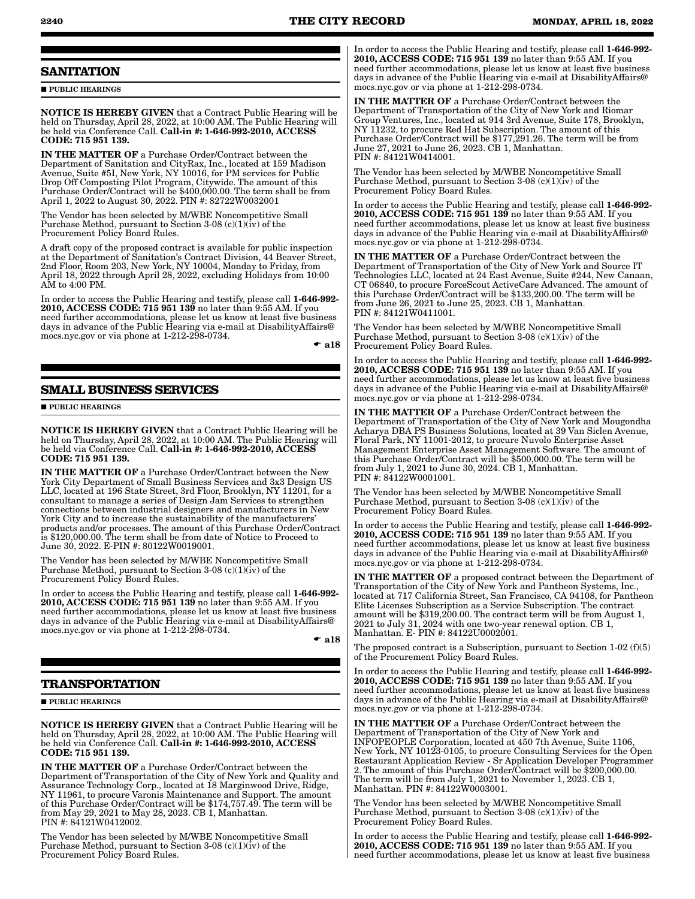### **SANITATION**

**PUBLIC HEARINGS** 

NOTICE IS HEREBY GIVEN that a Contract Public Hearing will be held on Thursday, April 28, 2022, at 10:00 AM. The Public Hearing will be held via Conference Call. Call-in #: 1-646-992-2010, ACCESS CODE: 715 951 139.

IN THE MATTER OF a Purchase Order/Contract between the Department of Sanitation and CityRax, Inc., located at 159 Madison Avenue, Suite #5I, New York, NY 10016, for PM services for Public Drop Off Composting Pilot Program, Citywide. The amount of this Purchase Order/Contract will be \$400,000.00. The term shall be from April 1, 2022 to August 30, 2022. PIN #: 82722W0032001

The Vendor has been selected by M/WBE Noncompetitive Small Purchase Method, pursuant to Section 3-08 (c)(1)( $iv$ ) of the Procurement Policy Board Rules.

A draft copy of the proposed contract is available for public inspection at the Department of Sanitation's Contract Division, 44 Beaver Street, 2nd Floor, Room 203, New York, NY 10004, Monday to Friday, from April 18, 2022 through April 28, 2022, excluding Holidays from 10:00 AM to 4:00 PM.

In order to access the Public Hearing and testify, please call 1-646-992- 2010, ACCESS CODE: 715 951 139 no later than 9:55 AM. If you need further accommodations, please let us know at least five business days in advance of the Public Hearing via e-mail at DisabilityAffairs@ mocs.nyc.gov or via phone at 1-212-298-0734.

 $\bullet$  a18

#### **SMALL BUSINESS SERVICES**

**PUBLIC HEARINGS** 

NOTICE IS HEREBY GIVEN that a Contract Public Hearing will be held on Thursday, April 28, 2022, at 10:00 AM. The Public Hearing will be held via Conference Call. Call-in #: 1-646-992-2010, ACCESS CODE: 715 951 139.

IN THE MATTER OF a Purchase Order/Contract between the New York City Department of Small Business Services and 3x3 Design US LLC, located at 196 State Street, 3rd Floor, Brooklyn, NY 11201, for a consultant to manage a series of Design Jam Services to strengthen connections between industrial designers and manufacturers in New York City and to increase the sustainability of the manufacturers' products and/or processes. The amount of this Purchase Order/Contract is \$120,000.00. The term shall be from date of Notice to Proceed to June 30, 2022. E-PIN #: 80122W0019001.

The Vendor has been selected by M/WBE Noncompetitive Small Purchase Method, pursuant to Section 3-08 (c)(1)(iv) of the Procurement Policy Board Rules.

In order to access the Public Hearing and testify, please call 1-646-992- 2010, ACCESS CODE: 715 951 139 no later than 9:55 AM. If you need further accommodations, please let us know at least five business days in advance of the Public Hearing via e-mail at DisabilityAffairs@ mocs.nyc.gov or via phone at 1-212-298-0734.

 $\bullet$  a18

### **TRANSPORTATION**

**PUBLIC HEARINGS** 

NOTICE IS HEREBY GIVEN that a Contract Public Hearing will be held on Thursday, April 28, 2022, at 10:00 AM. The Public Hearing will be held via Conference Call. Call-in #: 1-646-992-2010, ACCESS CODE: 715 951 139.

IN THE MATTER OF a Purchase Order/Contract between the Department of Transportation of the City of New York and Quality and Assurance Technology Corp., located at 18 Marginwood Drive, Ridge, NY 11961, to procure Varonis Maintenance and Support. The amount of this Purchase Order/Contract will be \$174,757.49. The term will be from May 29, 2021 to May 28, 2023. CB 1, Manhattan. PIN #: 84121W0412002.

The Vendor has been selected by M/WBE Noncompetitive Small Purchase Method, pursuant to Section 3-08 (c)(1)(iv) of the Procurement Policy Board Rules.

In order to access the Public Hearing and testify, please call 1-646-992- 2010, ACCESS CODE: 715 951 139 no later than 9:55 AM. If you need further accommodations, please let us know at least five business days in advance of the Public Hearing via e-mail at DisabilityAffairs@ mocs.nyc.gov or via phone at 1-212-298-0734.

**IN THE MATTER OF a Purchase Order/Contract between the** Department of Transportation of the City of New York and Riomar Group Ventures, Inc., located at 914 3rd Avenue, Suite 178, Brooklyn, NY 11232, to procure Red Hat Subscription. The amount of this Purchase Order/Contract will be \$177,291.26. The term will be from June 27, 2021 to June 26, 2023. CB 1, Manhattan. PIN #: 84121W0414001.

The Vendor has been selected by M/WBE Noncompetitive Small Purchase Method, pursuant to Section 3-08 (c)(1)(iv) of the Procurement Policy Board Rules.

In order to access the Public Hearing and testify, please call 1-646-992-2010, ACCESS CODE: 715 951 139 no later than 9:55 AM. If you need further accommodations, please let us know at least five business days in advance of the Public Hearing via e-mail at DisabilityAffairs@ mocs.nyc.gov or via phone at 1-212-298-0734.

IN THE MATTER OF a Purchase Order/Contract between the Department of Transportation of the City of New York and Source IT Technologies LLC, located at 24 East Avenue, Suite #244, New Canaan, CT 06840, to procure ForceScout ActiveCare Advanced. The amount of this Purchase Order/Contract will be \$133,200.00. The term will be from June 26, 2021 to June 25, 2023. CB 1, Manhattan. PIN #: 84121W0411001.

The Vendor has been selected by M/WBE Noncompetitive Small Purchase Method, pursuant to Section 3-08 (c)(1)( $iv$ ) of the Procurement Policy Board Rules.

In order to access the Public Hearing and testify, please call 1-646-992- 2010, ACCESS CODE: 715 951 139 no later than 9:55 AM. If you need further accommodations, please let us know at least five business days in advance of the Public Hearing via e-mail at DisabilityAffairs@ mocs.nyc.gov or via phone at 1-212-298-0734.

IN THE MATTER OF a Purchase Order/Contract between the Department of Transportation of the City of New York and Mougondha Acharya DBA PS Business Solutions, located at 39 Van Siclen Avenue, Floral Park, NY 11001-2012, to procure Nuvolo Enterprise Asset Management Enterprise Asset Management Software. The amount of this Purchase Order/Contract will be \$500,000.00. The term will be from July 1, 2021 to June 30, 2024. CB 1, Manhattan. PIN #: 84122W0001001.

The Vendor has been selected by M/WBE Noncompetitive Small Purchase Method, pursuant to Section 3-08 (c)(1)(iv) of the Procurement Policy Board Rules.

In order to access the Public Hearing and testify, please call 1-646-992- 2010, ACCESS CODE: 715 951 139 no later than 9:55 AM. If you need further accommodations, please let us know at least five business days in advance of the Public Hearing via e-mail at DisabilityAffairs@ mocs.nyc.gov or via phone at 1-212-298-0734.

IN THE MATTER OF a proposed contract between the Department of Transportation of the City of New York and Pantheon Systems, Inc., located at 717 California Street, San Francisco, CA 94108, for Pantheon Elite Licenses Subscription as a Service Subscription. The contract amount will be \$319,200.00. The contract term will be from August 1, 2021 to July 31, 2024 with one two-year renewal option. CB 1, Manhattan. E- PIN #: 84122U0002001.

The proposed contract is a Subscription, pursuant to Section  $1-02(f)(5)$ of the Procurement Policy Board Rules.

In order to access the Public Hearing and testify, please call 1-646-992- 2010, ACCESS CODE: 715 951 139 no later than 9:55 AM. If you need further accommodations, please let us know at least five business days in advance of the Public Hearing via e-mail at DisabilityAffairs@ mocs.nyc.gov or via phone at 1-212-298-0734.

IN THE MATTER OF a Purchase Order/Contract between the Department of Transportation of the City of New York and INFOPEOPLE Corporation, located at 450 7th Avenue, Suite 1106, New York, NY 10123-0105, to procure Consulting Services for the Open Restaurant Application Review - Sr Application Developer Programmer 2. The amount of this Purchase Order/Contract will be \$200,000.00. The term will be from July 1, 2021 to November 1, 2023. CB 1, Manhattan. PIN #: 84122W0003001.

The Vendor has been selected by M/WBE Noncompetitive Small Purchase Method, pursuant to Section 3-08 (c)(1)(iv) of the Procurement Policy Board Rules.

In order to access the Public Hearing and testify, please call 1-646-992- 2010, ACCESS CODE: 715 951 139 no later than 9:55 AM. If you need further accommodations, please let us know at least five business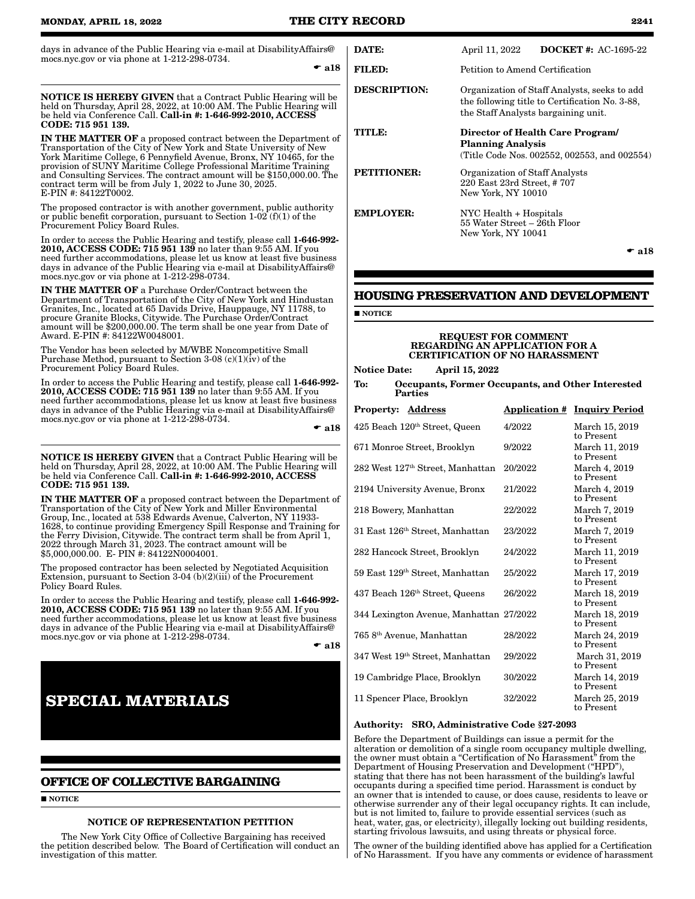| days in advance of the Public Hearing via e-mail at DisabilityAffairs@                                                                                                                                                                                                                                                                         | DATE:                                                                                                                                                                                                                                                                                                                                                                                                                                                                                                | April 11, 2022                                                                                               | <b>DOCKET #: AC-1695-22</b>                                                                                                                        |  |
|------------------------------------------------------------------------------------------------------------------------------------------------------------------------------------------------------------------------------------------------------------------------------------------------------------------------------------------------|------------------------------------------------------------------------------------------------------------------------------------------------------------------------------------------------------------------------------------------------------------------------------------------------------------------------------------------------------------------------------------------------------------------------------------------------------------------------------------------------------|--------------------------------------------------------------------------------------------------------------|----------------------------------------------------------------------------------------------------------------------------------------------------|--|
| mocs.nyc.gov or via phone at 1-212-298-0734.<br>$\bullet$ al8                                                                                                                                                                                                                                                                                  | <b>FILED:</b>                                                                                                                                                                                                                                                                                                                                                                                                                                                                                        | Petition to Amend Certification                                                                              |                                                                                                                                                    |  |
| <b>NOTICE IS HEREBY GIVEN</b> that a Contract Public Hearing will be<br>held on Thursday, April 28, 2022, at 10:00 AM. The Public Hearing will<br>be held via Conference Call. <b>Call-in #: 1-646-992-2010, ACCESS</b>                                                                                                                        | <b>DESCRIPTION:</b>                                                                                                                                                                                                                                                                                                                                                                                                                                                                                  |                                                                                                              | Organization of Staff Analysts, seeks to add<br>the following title to Certification No. 3-88,<br>the Staff Analysts bargaining unit.              |  |
| CODE: 715 951 139.<br>IN THE MATTER OF a proposed contract between the Department of<br>Transportation of the City of New York and State University of New<br>York Maritime College, 6 Pennyfield Avenue, Bronx, NY 10465, for the                                                                                                             | TITLE:                                                                                                                                                                                                                                                                                                                                                                                                                                                                                               | Director of Health Care Program/<br><b>Planning Analysis</b><br>(Title Code Nos. 002552, 002553, and 002554) |                                                                                                                                                    |  |
| provision of SUNY Maritime College Professional Maritime Training<br>and Consulting Services. The contract amount will be \$150,000.00. The<br>contract term will be from July 1, 2022 to June 30, 2025.<br>E-PIN #: 84122T0002.                                                                                                               | PETITIONER:                                                                                                                                                                                                                                                                                                                                                                                                                                                                                          | Organization of Staff Analysts<br>220 East 23rd Street, #707<br>New York, NY 10010                           |                                                                                                                                                    |  |
| The proposed contractor is with another government, public authority<br>or public benefit corporation, pursuant to Section $1-02$ (f)(1) of the<br>Procurement Policy Board Rules.                                                                                                                                                             | <b>EMPLOYER:</b>                                                                                                                                                                                                                                                                                                                                                                                                                                                                                     | NYC Health + Hospitals<br>55 Water Street - 26th Floor<br>New York, NY 10041                                 |                                                                                                                                                    |  |
| In order to access the Public Hearing and testify, please call 1-646-992-<br>2010, ACCESS CODE: 715 951 139 no later than 9:55 AM. If you<br>need further accommodations, please let us know at least five business<br>days in advance of the Public Hearing via e-mail at Disability Affairs@<br>mocs.nyc.gov or via phone at 1-212-298-0734. |                                                                                                                                                                                                                                                                                                                                                                                                                                                                                                      |                                                                                                              | $\bullet$ al8                                                                                                                                      |  |
| IN THE MATTER OF a Purchase Order/Contract between the<br>Department of Transportation of the City of New York and Hindustan                                                                                                                                                                                                                   | <b>HOUSING PRESERVATION AND DEVELOPMENT</b>                                                                                                                                                                                                                                                                                                                                                                                                                                                          |                                                                                                              |                                                                                                                                                    |  |
| Granites, Inc., located at 65 Davids Drive, Hauppauge, NY 11788, to<br>procure Granite Blocks, Citywide. The Purchase Order/Contract<br>amount will be \$200,000.00. The term shall be one year from Date of<br>Award. E-PIN #: 84122W0048001.                                                                                                 | $\blacksquare$ NOTICE                                                                                                                                                                                                                                                                                                                                                                                                                                                                                | <b>REQUEST FOR COMMENT</b>                                                                                   |                                                                                                                                                    |  |
| The Vendor has been selected by M/WBE Noncompetitive Small<br>Purchase Method, pursuant to Section 3-08 $(c)(1)(iv)$ of the<br>Procurement Policy Board Rules.                                                                                                                                                                                 | <b>Notice Date:</b><br>April 15, 2022                                                                                                                                                                                                                                                                                                                                                                                                                                                                | <b>REGARDING AN APPLICATION FOR A</b><br><b>CERTIFICATION OF NO HARASSMENT</b>                               |                                                                                                                                                    |  |
| In order to access the Public Hearing and testify, please call 1-646-992-<br>2010, ACCESS CODE: 715 951 139 no later than 9:55 AM. If you                                                                                                                                                                                                      | To:<br><b>Parties</b>                                                                                                                                                                                                                                                                                                                                                                                                                                                                                |                                                                                                              | Occupants, Former Occupants, and Other Interested                                                                                                  |  |
| need further accommodations, please let us know at least five business<br>days in advance of the Public Hearing via e-mail at Disability Affairs@                                                                                                                                                                                              | <b>Property: Address</b>                                                                                                                                                                                                                                                                                                                                                                                                                                                                             |                                                                                                              | <b>Application # Inquiry Period</b>                                                                                                                |  |
| mocs.nyc.gov or via phone at 1-212-298-0734.<br>$\bullet$ al <sub>8</sub>                                                                                                                                                                                                                                                                      | 425 Beach 120th Street, Queen                                                                                                                                                                                                                                                                                                                                                                                                                                                                        | 4/2022                                                                                                       | March 15, 2019<br>to Present                                                                                                                       |  |
| <b>NOTICE IS HEREBY GIVEN</b> that a Contract Public Hearing will be                                                                                                                                                                                                                                                                           | 671 Monroe Street, Brooklyn                                                                                                                                                                                                                                                                                                                                                                                                                                                                          | 9/2022                                                                                                       | March 11, 2019<br>to Present                                                                                                                       |  |
| held on Thursday, April 28, 2022, at 10:00 AM. The Public Hearing will<br>be held via Conference Call. Call-in #: 1-646-992-2010, ACCESS<br>CODE: 715 951 139.                                                                                                                                                                                 | 282 West 127th Street, Manhattan 20/2022                                                                                                                                                                                                                                                                                                                                                                                                                                                             |                                                                                                              | March 4, 2019<br>to Present                                                                                                                        |  |
| IN THE MATTER OF a proposed contract between the Department of                                                                                                                                                                                                                                                                                 | 2194 University Avenue, Bronx                                                                                                                                                                                                                                                                                                                                                                                                                                                                        | 21/2022                                                                                                      | March 4, 2019<br>to Present                                                                                                                        |  |
| Transportation of the City of New York and Miller Environmental<br>Group, Inc., located at 538 Edwards Avenue, Calverton, NY 11933-<br>1628, to continue providing Emergency Spill Response and Training for                                                                                                                                   | 218 Bowery, Manhattan<br>31 East 126 <sup>th</sup> Street, Manhattan                                                                                                                                                                                                                                                                                                                                                                                                                                 | 22/2022<br>23/2022                                                                                           | March 7, 2019<br>to Present<br>March 7, 2019                                                                                                       |  |
| the Ferry Division, Citywide. The contract term shall be from April 1,<br>2022 through March 31, 2023. The contract amount will be<br>\$5,000,000.00. E- PIN #: 84122N0004001.                                                                                                                                                                 | 282 Hancock Street, Brooklyn                                                                                                                                                                                                                                                                                                                                                                                                                                                                         | 24/2022                                                                                                      | to Present<br>March 11, 2019                                                                                                                       |  |
| The proposed contractor has been selected by Negotiated Acquisition<br>Extension, pursuant to Section 3-04 (b) $(2)(iii)$ of the Procurement                                                                                                                                                                                                   | 59 East 129 <sup>th</sup> Street, Manhattan                                                                                                                                                                                                                                                                                                                                                                                                                                                          | 25/2022                                                                                                      | to Present<br>March 17, 2019                                                                                                                       |  |
| Policy Board Rules.                                                                                                                                                                                                                                                                                                                            | 437 Beach 126 <sup>th</sup> Street, Queens                                                                                                                                                                                                                                                                                                                                                                                                                                                           | 26/2022                                                                                                      | to Present<br>March 18, 2019                                                                                                                       |  |
| In order to access the Public Hearing and testify, please call 1-646-992-<br>2010, ACCESS CODE: 715 951 139 no later than 9:55 AM. If you<br>need further accommodations, please let us know at least five business                                                                                                                            | 344 Lexington Avenue, Manhattan 27/2022                                                                                                                                                                                                                                                                                                                                                                                                                                                              |                                                                                                              | to Present<br>March 18, 2019                                                                                                                       |  |
| days in advance of the Public Hearing via e-mail at Disability Affairs @<br>mocs.nyc.gov or via phone at 1-212-298-0734.                                                                                                                                                                                                                       | 765 8 <sup>th</sup> Avenue, Manhattan                                                                                                                                                                                                                                                                                                                                                                                                                                                                | 28/2022                                                                                                      | to Present<br>March 24, 2019                                                                                                                       |  |
| $\bullet$ al <sub>8</sub>                                                                                                                                                                                                                                                                                                                      | 347 West 19th Street, Manhattan                                                                                                                                                                                                                                                                                                                                                                                                                                                                      | 29/2022                                                                                                      | to Present<br>March 31, 2019                                                                                                                       |  |
|                                                                                                                                                                                                                                                                                                                                                | 19 Cambridge Place, Brooklyn                                                                                                                                                                                                                                                                                                                                                                                                                                                                         | 30/2022                                                                                                      | to Present<br>March 14, 2019<br>to Present                                                                                                         |  |
| <b>SPECIAL MATERIALS</b>                                                                                                                                                                                                                                                                                                                       | 11 Spencer Place, Brooklyn                                                                                                                                                                                                                                                                                                                                                                                                                                                                           | 32/2022                                                                                                      | March 25, 2019<br>to Present                                                                                                                       |  |
|                                                                                                                                                                                                                                                                                                                                                | Authority: SRO, Administrative Code §27-2093                                                                                                                                                                                                                                                                                                                                                                                                                                                         |                                                                                                              |                                                                                                                                                    |  |
| OFFICE OF COLLECTIVE BARGAINING                                                                                                                                                                                                                                                                                                                | Before the Department of Buildings can issue a permit for the<br>alteration or demolition of a single room occupancy multiple dwelling,<br>the owner must obtain a "Certification of No Harassment" from the<br>Department of Housing Preservation and Development ("HPD"),<br>stating that there has not been harassment of the building's lawful<br>occupants during a specified time period. Harassment is conduct by<br>an owner that is intended to cause, or does cause, residents to leave or |                                                                                                              |                                                                                                                                                    |  |
| $\blacksquare$ NOTICE<br><b>NOTICE OF REPRESENTATION PETITION</b>                                                                                                                                                                                                                                                                              | otherwise surrender any of their legal occupancy rights. It can include,<br>but is not limited to, failure to provide essential services (such as<br>heat, water, gas, or electricity), illegally locking out building residents,                                                                                                                                                                                                                                                                    |                                                                                                              |                                                                                                                                                    |  |
| The New York City Office of Collective Bargaining has received<br>the petition described below. The Board of Certification will conduct an<br>investigation of this matter.                                                                                                                                                                    | starting frivolous lawsuits, and using threats or physical force.                                                                                                                                                                                                                                                                                                                                                                                                                                    |                                                                                                              | The owner of the building identified above has applied for a Certification<br>of No Harassment. If you have any comments or evidence of harassment |  |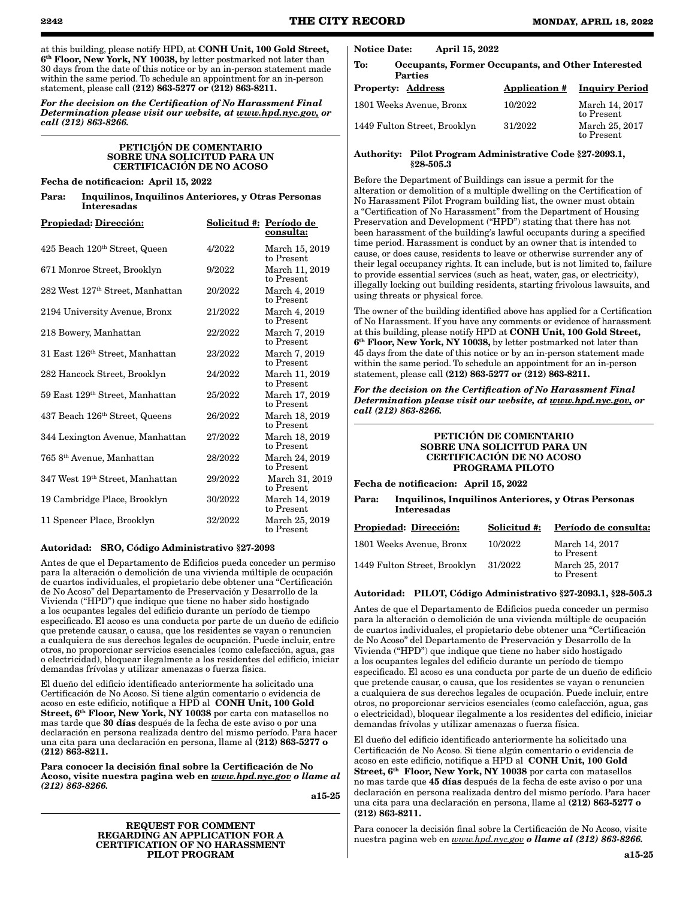at this building, please notify HPD, at CONH Unit, 100 Gold Street, 6th Floor, New York, NY 10038, by letter postmarked not later than 30 days from the date of this notice or by an in-person statement made within the same period. To schedule an appointment for an in-person statement, please call (212) 863-5277 or (212) 863-8211.

*For the decision on the Certification of No Harassment Final Determination please visit our website, at www.hpd.nyc.gov, or call (212) 863-8266.*

#### PETICIÓN DE COMENTARIO SOBRE UNA SOLICITUD PARA UN CERTIFICACIÓN DE NO ACOSO

Fecha de notificacion: April 15, 2022

Para: Inquilinos, Inquilinos Anteriores, y Otras Personas Interesadas

| <b>Propiedad: Dirección:</b>                 | Solicitud #: Período de | consulta:                    |
|----------------------------------------------|-------------------------|------------------------------|
| 425 Beach 120 <sup>th</sup> Street, Queen    | 4/2022                  | March 15, 2019<br>to Present |
| 671 Monroe Street, Brooklyn                  | 9/2022                  | March 11, 2019<br>to Present |
| 282 West 127 <sup>th</sup> Street, Manhattan | 20/2022                 | March 4, 2019<br>to Present  |
| 2194 University Avenue, Bronx                | 21/2022                 | March 4, 2019<br>to Present  |
| 218 Bowery, Manhattan                        | 22/2022                 | March 7, 2019<br>to Present  |
| 31 East 126 <sup>th</sup> Street, Manhattan  | 23/2022                 | March 7, 2019<br>to Present  |
| 282 Hancock Street, Brooklyn                 | 24/2022                 | March 11, 2019<br>to Present |
| 59 East 129th Street, Manhattan              | 25/2022                 | March 17, 2019<br>to Present |
| 437 Beach 126 <sup>th</sup> Street, Queens   | 26/2022                 | March 18, 2019<br>to Present |
| 344 Lexington Avenue, Manhattan              | 27/2022                 | March 18, 2019<br>to Present |
| 765 8 <sup>th</sup> Avenue, Manhattan        | 28/2022                 | March 24, 2019<br>to Present |
| 347 West 19th Street, Manhattan              | 29/2022                 | March 31, 2019<br>to Present |
| 19 Cambridge Place, Brooklyn                 | 30/2022                 | March 14, 2019<br>to Present |
| 11 Spencer Place, Brooklyn                   | 32/2022                 | March 25, 2019<br>to Present |

#### Autoridad: SRO, Código Administrativo §27-2093

Antes de que el Departamento de Edificios pueda conceder un permiso para la alteración o demolición de una vivienda múltiple de ocupación de cuartos individuales, el propietario debe obtener una "Certificación de No Acoso" del Departamento de Preservación y Desarrollo de la Vivienda ("HPD") que indique que tiene no haber sido hostigado a los ocupantes legales del edificio durante un período de tiempo especificado. El acoso es una conducta por parte de un dueño de edificio que pretende causar, o causa, que los residentes se vayan o renuncien a cualquiera de sus derechos legales de ocupación. Puede incluir, entre otros, no proporcionar servicios esenciales (como calefacción, agua, gas o electricidad), bloquear ilegalmente a los residentes del edificio, iniciar demandas frívolas y utilizar amenazas o fuerza física.

El dueño del edificio identificado anteriormente ha solicitado una Certificación de No Acoso. Si tiene algún comentario o evidencia de acoso en este edificio, notifique a HPD al CONH Unit, 100 Gold Street, 6<sup>th</sup> Floor, New York, NY 10038 por carta con matasellos no mas tarde que 30 días después de la fecha de este aviso o por una declaración en persona realizada dentro del mismo período. Para hacer una cita para una declaración en persona, llame al (212) 863-5277 o (212) 863-8211.

Para conocer la decisión final sobre la Certificación de No Acoso, visite nuestra pagina web en *www.hpd.nyc.gov o llame al (212) 863-8266.*

a15-25

REQUEST FOR COMMENT REGARDING AN APPLICATION FOR A CERTIFICATION OF NO HARASSMENT PILOT PROGRAM

|     | <b>Notice Date:</b> | April 15, 2022                                    |  |  |  |  |
|-----|---------------------|---------------------------------------------------|--|--|--|--|
| To: | <b>Parties</b>      | Occupants, Former Occupants, and Other Interested |  |  |  |  |
|     |                     |                                                   |  |  |  |  |

| <b>Property: Address</b>     | Application # | <b>Inquiry Period</b>        |
|------------------------------|---------------|------------------------------|
| 1801 Weeks Avenue, Bronx     | 10/2022       | March 14, 2017<br>to Present |
| 1449 Fulton Street, Brooklyn | 31/2022       | March 25, 2017<br>to Present |

#### Authority: Pilot Program Administrative Code §27-2093.1, §28-505.3

Before the Department of Buildings can issue a permit for the alteration or demolition of a multiple dwelling on the Certification of No Harassment Pilot Program building list, the owner must obtain a "Certification of No Harassment" from the Department of Housing Preservation and Development ("HPD") stating that there has not been harassment of the building's lawful occupants during a specified time period. Harassment is conduct by an owner that is intended to cause, or does cause, residents to leave or otherwise surrender any of their legal occupancy rights. It can include, but is not limited to, failure to provide essential services (such as heat, water, gas, or electricity), illegally locking out building residents, starting frivolous lawsuits, and using threats or physical force.

The owner of the building identified above has applied for a Certification of No Harassment. If you have any comments or evidence of harassment at this building, please notify HPD at CONH Unit, 100 Gold Street,  $6<sup>th</sup>$  Floor, New York, NY 10038, by letter postmarked not later than 45 days from the date of this notice or by an in-person statement made within the same period. To schedule an appointment for an in-person statement, please call (212) 863-5277 or (212) 863-8211.

*For the decision on the Certification of No Harassment Final Determination please visit our website, at www.hpd.nyc.gov, or call (212) 863-8266.*

#### PETICIÓN DE COMENTARIO SOBRE UNA SOLICITUD PARA UN CERTIFICACIÓN DE NO ACOSO PROGRAMA PILOTO

Fecha de notificacion: April 15, 2022

Para: Inquilinos, Inquilinos Anteriores, y Otras Personas Interesadas

| Propiedad: Dirección:        | Solicitud #: | Período de consulta:         |
|------------------------------|--------------|------------------------------|
| 1801 Weeks Avenue, Bronx     | 10/2022      | March 14, 2017<br>to Present |
| 1449 Fulton Street, Brooklyn | 31/2022      | March 25, 2017<br>to Present |

#### Autoridad: PILOT, Código Administrativo §27-2093.1, §28-505.3

Antes de que el Departamento de Edificios pueda conceder un permiso para la alteración o demolición de una vivienda múltiple de ocupación de cuartos individuales, el propietario debe obtener una "Certificación de No Acoso" del Departamento de Preservación y Desarrollo de la Vivienda ("HPD") que indique que tiene no haber sido hostigado a los ocupantes legales del edificio durante un período de tiempo especificado. El acoso es una conducta por parte de un dueño de edificio que pretende causar, o causa, que los residentes se vayan o renuncien a cualquiera de sus derechos legales de ocupación. Puede incluir, entre otros, no proporcionar servicios esenciales (como calefacción, agua, gas o electricidad), bloquear ilegalmente a los residentes del edificio, iniciar demandas frívolas y utilizar amenazas o fuerza física.

El dueño del edificio identificado anteriormente ha solicitado una Certificación de No Acoso. Si tiene algún comentario o evidencia de acoso en este edificio, notifique a HPD al CONH Unit, 100 Gold Street, 6<sup>th</sup> Floor, New York, NY 10038 por carta con matasellos no mas tarde que 45 días después de la fecha de este aviso o por una declaración en persona realizada dentro del mismo período. Para hacer una cita para una declaración en persona, llame al (212) 863-5277 o (212) 863-8211.

Para conocer la decisión final sobre la Certificación de No Acoso, visite nuestra pagina web en *www.hpd.nyc.gov o llame al (212) 863-8266.*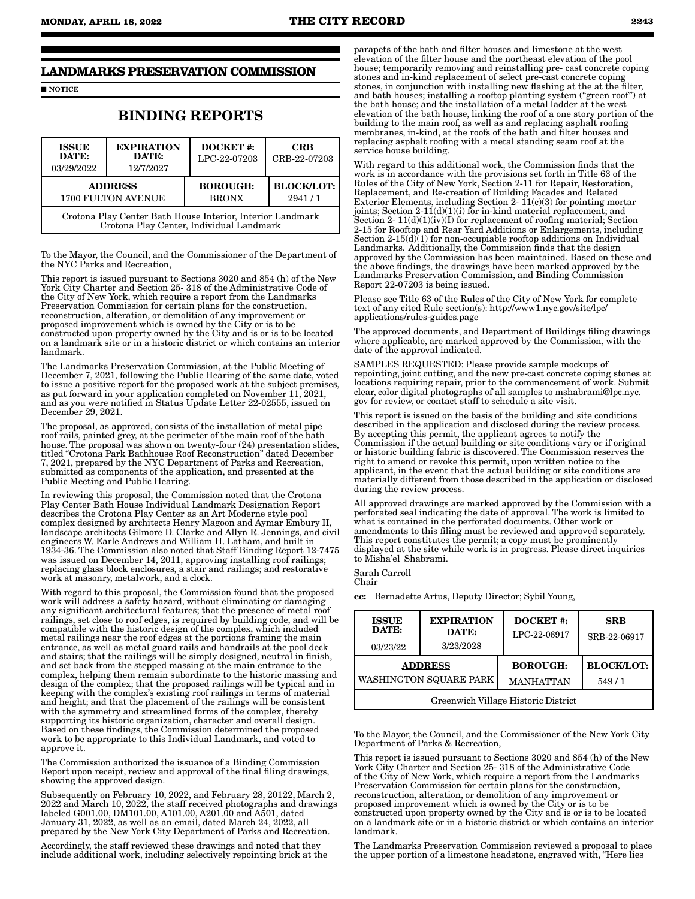#### **LANDMARKS PRESERVATION COMMISSION**

**NOTICE** 

### BINDING REPORTS

| <b>ISSUE</b><br>DATE:<br>03/29/2022 | <b>EXPIRATION</b><br>DATE:<br>12/7/2027                                                                | <b>DOCKET #:</b><br>LPC-22-07203 | <b>CRB</b><br>CRB-22-07203  |  |  |
|-------------------------------------|--------------------------------------------------------------------------------------------------------|----------------------------------|-----------------------------|--|--|
|                                     | <b>ADDRESS</b><br>1700 FULTON AVENUE                                                                   | <b>BOROUGH:</b><br><b>BRONX</b>  | <b>BLOCK/LOT:</b><br>2941/1 |  |  |
|                                     | Crotona Play Center Bath House Interior, Interior Landmark<br>Crotona Play Center, Individual Landmark |                                  |                             |  |  |

To the Mayor, the Council, and the Commissioner of the Department of the NYC Parks and Recreation,

This report is issued pursuant to Sections 3020 and 854 (h) of the New York City Charter and Section 25- 318 of the Administrative Code of the City of New York, which require a report from the Landmarks Preservation Commission for certain plans for the construction, reconstruction, alteration, or demolition of any improvement or proposed improvement which is owned by the City or is to be constructed upon property owned by the City and is or is to be located on a landmark site or in a historic district or which contains an interior landmark.

The Landmarks Preservation Commission, at the Public Meeting of December 7, 2021, following the Public Hearing of the same date, voted to issue a positive report for the proposed work at the subject premises, as put forward in your application completed on November 11, 2021, and as you were notified in Status Update Letter 22-02555, issued on December 29, 2021.

The proposal, as approved, consists of the installation of metal pipe roof rails, painted grey, at the perimeter of the main roof of the bath house. The proposal was shown on twenty-four (24) presentation slides, titled "Crotona Park Bathhouse Roof Reconstruction" dated December 7, 2021, prepared by the NYC Department of Parks and Recreation, submitted as components of the application, and presented at the Public Meeting and Public Hearing.

In reviewing this proposal, the Commission noted that the Crotona Play Center Bath House Individual Landmark Designation Report describes the Crotona Play Center as an Art Moderne style pool complex designed by architects Henry Magoon and Aymar Embury II, landscape architects Gilmore D. Clarke and Allyn R. Jennings, and civil engineers W. Earle Andrews and William H. Latham, and built in 1934-36. The Commission also noted that Staff Binding Report 12-7475 was issued on December 14, 2011, approving installing roof railings; replacing glass block enclosures, a stair and railings; and restorative work at masonry, metalwork, and a clock.

With regard to this proposal, the Commission found that the proposed work will address a safety hazard, without eliminating or damaging any significant architectural features; that the presence of metal roof railings, set close to roof edges, is required by building code, and will be compatible with the historic design of the complex, which included metal railings near the roof edges at the portions framing the main entrance, as well as metal guard rails and handrails at the pool deck and stairs; that the railings will be simply designed, neutral in finish, and set back from the stepped massing at the main entrance to the complex, helping them remain subordinate to the historic massing and design of the complex; that the proposed railings will be typical and in keeping with the complex's existing roof railings in terms of material and height; and that the placement of the railings will be consistent with the symmetry and streamlined forms of the complex, thereby supporting its historic organization, character and overall design. Based on these findings, the Commission determined the proposed work to be appropriate to this Individual Landmark, and voted to approve it.

The Commission authorized the issuance of a Binding Commission Report upon receipt, review and approval of the final filing drawings, showing the approved design.

Subsequently on February 10, 2022, and February 28, 20122, March 2, 2022 and March 10, 2022, the staff received photographs and drawings labeled G001.00, DM101.00, A101.00, A201.00 and A501, dated January 31, 2022, as well as an email, dated March 24, 2022, all prepared by the New York City Department of Parks and Recreation.

Accordingly, the staff reviewed these drawings and noted that they include additional work, including selectively repointing brick at the

parapets of the bath and filter houses and limestone at the west elevation of the filter house and the northeast elevation of the pool house; temporarily removing and reinstalling pre- cast concrete coping stones and in-kind replacement of select pre-cast concrete coping stones, in conjunction with installing new flashing at the at the filter, and bath houses; installing a rooftop planting system ("green roof") at the bath house; and the installation of a metal ladder at the west elevation of the bath house, linking the roof of a one story portion of the building to the main roof, as well as and replacing asphalt roofing membranes, in-kind, at the roofs of the bath and filter houses and replacing asphalt roofing with a metal standing seam roof at the service house building.

With regard to this additional work, the Commission finds that the work is in accordance with the provisions set forth in Title 63 of the Rules of the City of New York, Section 2-11 for Repair, Restoration, Replacement, and Re-creation of Building Facades and Related Exterior Elements, including Section 2- 11(c)(3) for pointing mortar joints; Section 2-11(d)(1)(i) for in-kind material replacement; and Section 2- 11(d)(1)(iv)(I) for replacement of roofing material; Section 2-15 for Rooftop and Rear Yard Additions or Enlargements, including Section  $2-15(d)$  for non-occupiable rooftop additions on Individual Landmarks. Additionally, the Commission finds that the design approved by the Commission has been maintained. Based on these and the above findings, the drawings have been marked approved by the Landmarks Preservation Commission, and Binding Commission Report 22-07203 is being issued.

Please see Title 63 of the Rules of the City of New York for complete text of any cited Rule section(s): http://www1.nyc.gov/site/lpc/ applications/rules-guides.page

The approved documents, and Department of Buildings filing drawings where applicable, are marked approved by the Commission, with the date of the approval indicated.

SAMPLES REQUESTED: Please provide sample mockups of repointing, joint cutting, and the new pre-cast concrete coping stones at locations requiring repair, prior to the commencement of work. Submit clear, color digital photographs of all samples to mshabrami@lpc.nyc. gov for review, or contact staff to schedule a site visit.

This report is issued on the basis of the building and site conditions described in the application and disclosed during the review process. By accepting this permit, the applicant agrees to notify the Commission if the actual building or site conditions vary or if original or historic building fabric is discovered. The Commission reserves the right to amend or revoke this permit, upon written notice to the applicant, in the event that the actual building or site conditions are materially different from those described in the application or disclosed during the review process.

All approved drawings are marked approved by the Commission with a perforated seal indicating the date of approval. The work is limited to what is contained in the perforated documents. Other work or amendments to this filing must be reviewed and approved separately. This report constitutes the permit; a copy must be prominently displayed at the site while work is in progress. Please direct inquiries to Misha'el Shabrami.

Sarah Carroll Chair

cc: Bernadette Artus, Deputy Director; Sybil Young,

| <b>ISSUE</b><br>DATE:<br>03/23/22 | <b>EXPIRATION</b><br>DATE:<br>3/23/2028  | DOCKET#:<br>LPC-22-06917            | <b>SRB</b><br>SRB-22-06917 |
|-----------------------------------|------------------------------------------|-------------------------------------|----------------------------|
|                                   |                                          |                                     |                            |
|                                   | <b>ADDRESS</b><br>WASHINGTON SQUARE PARK | <b>BOROUGH:</b><br><b>MANHATTAN</b> | <b>BLOCK/LOT:</b><br>549/1 |

To the Mayor, the Council, and the Commissioner of the New York City Department of Parks & Recreation,

This report is issued pursuant to Sections 3020 and 854 (h) of the New York City Charter and Section 25- 318 of the Administrative Code of the City of New York, which require a report from the Landmarks Preservation Commission for certain plans for the construction, reconstruction, alteration, or demolition of any improvement or proposed improvement which is owned by the City or is to be constructed upon property owned by the City and is or is to be located on a landmark site or in a historic district or which contains an interior landmark.

The Landmarks Preservation Commission reviewed a proposal to place the upper portion of a limestone headstone, engraved with, "Here lies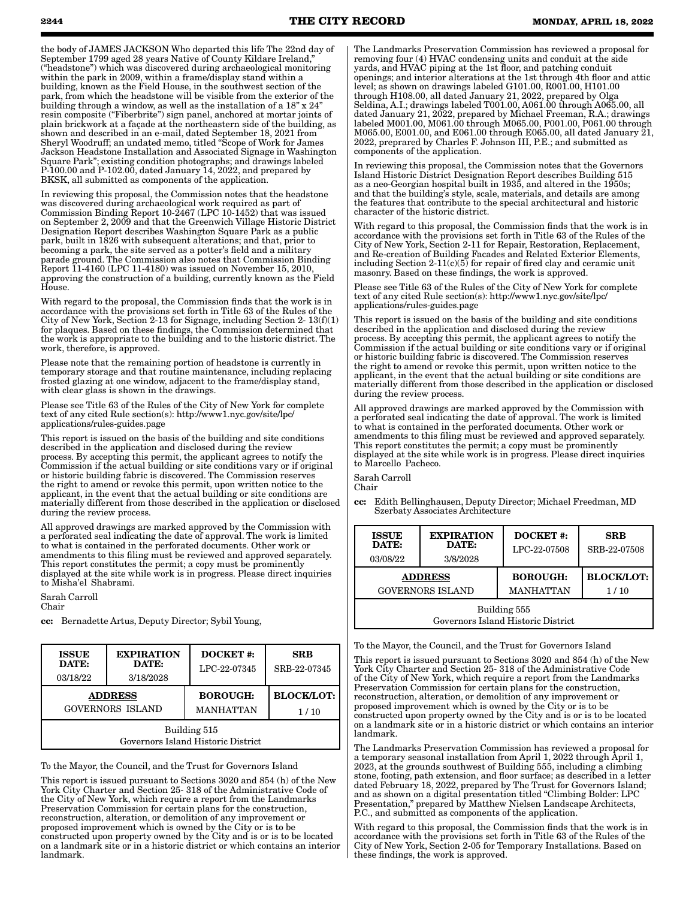the body of JAMES JACKSON Who departed this life The 22nd day of September 1799 aged 28 years Native of County Kildare Ireland," ("headstone") which was discovered during archaeological monitoring within the park in 2009, within a frame/display stand within a building, known as the Field House, in the southwest section of the park, from which the headstone will be visible from the exterior of the building through a window, as well as the installation of a 18" x 24" resin composite ("Fiberbrite") sign panel, anchored at mortar joints of plain brickwork at a façade at the northeastern side of the building, as shown and described in an e-mail, dated September 18, 2021 from Sheryl Woodruff; an undated memo, titled "Scope of Work for James Jackson Headstone Installation and Associated Signage in Washington Square Park"; existing condition photographs; and drawings labeled  $P-100.00$  and  $P-102.00$ , dated January 14, 2022, and prepared by BKSK, all submitted as components of the application.

In reviewing this proposal, the Commission notes that the headstone was discovered during archaeological work required as part of Commission Binding Report 10-2467 (LPC 10-1452) that was issued on September 2, 2009 and that the Greenwich Village Historic District Designation Report describes Washington Square Park as a public park, built in 1826 with subsequent alterations; and that, prior to becoming a park, the site served as a potter's field and a military parade ground. The Commission also notes that Commission Binding Report 11-4160 (LPC 11-4180) was issued on November 15, 2010, approving the construction of a building, currently known as the Field House.

With regard to the proposal, the Commission finds that the work is in accordance with the provisions set forth in Title 63 of the Rules of the City of New York, Section 2-13 for Signage, including Section 2- 13(f)(1) for plaques. Based on these findings, the Commission determined that the work is appropriate to the building and to the historic district. The work, therefore, is approved.

Please note that the remaining portion of headstone is currently in temporary storage and that routine maintenance, including replacing frosted glazing at one window, adjacent to the frame/display stand, with clear glass is shown in the drawings.

Please see Title 63 of the Rules of the City of New York for complete text of any cited Rule section(s): http://www1.nyc.gov/site/lpc/ applications/rules-guides.page

This report is issued on the basis of the building and site conditions described in the application and disclosed during the review process. By accepting this permit, the applicant agrees to notify the Commission if the actual building or site conditions vary or if original or historic building fabric is discovered. The Commission reserves the right to amend or revoke this permit, upon written notice to the applicant, in the event that the actual building or site conditions are materially different from those described in the application or disclosed during the review process.

All approved drawings are marked approved by the Commission with a perforated seal indicating the date of approval. The work is limited to what is contained in the perforated documents. Other work or amendments to this filing must be reviewed and approved separately. This report constitutes the permit; a copy must be prominently displayed at the site while work is in progress. Please direct inquiries to Misha'el Shabrami.

Sarah Carroll

Chair

cc: Bernadette Artus, Deputy Director; Sybil Young,

| <b>ISSUE</b><br>DATE:<br>03/18/22                  | <b>EXPIRATION</b><br>DATE:<br>3/18/2028 | DOCKET#:<br>LPC-22-07345            | <b>SRB</b><br>SRB-22-07345 |  |  |
|----------------------------------------------------|-----------------------------------------|-------------------------------------|----------------------------|--|--|
|                                                    | <b>ADDRESS</b><br>GOVERNORS ISLAND      | <b>BOROUGH:</b><br><b>MANHATTAN</b> | <b>BLOCK/LOT:</b><br>1/10  |  |  |
| Building 515<br>Governors Island Historic District |                                         |                                     |                            |  |  |

To the Mayor, the Council, and the Trust for Governors Island

This report is issued pursuant to Sections 3020 and 854 (h) of the New York City Charter and Section 25- 318 of the Administrative Code of the City of New York, which require a report from the Landmarks Preservation Commission for certain plans for the construction, reconstruction, alteration, or demolition of any improvement or proposed improvement which is owned by the City or is to be constructed upon property owned by the City and is or is to be located on a landmark site or in a historic district or which contains an interior landmark.

The Landmarks Preservation Commission has reviewed a proposal for removing four (4) HVAC condensing units and conduit at the side yards, and HVAC piping at the 1st floor, and patching conduit openings; and interior alterations at the 1st through 4th floor and attic level; as shown on drawings labeled G101.00, R001.00, H101.00 through H108.00, all dated January 21, 2022, prepared by Olga Seldina, A.I.; drawings labeled T001.00, A061.00 through A065.00, all dated January 21, 2022, prepared by Michael Freeman, R.A.; drawings labeled M001.00, M061.00 through M065.00, P001.00, P061.00 through M065.00, E001.00, and E061.00 through E065.00, all dated January 21, 2022, preprared by Charles F. Johnson III, P.E.; and submitted as components of the application.

In reviewing this proposal, the Commission notes that the Governors Island Historic District Designation Report describes Building 515 as a neo-Georgian hospital built in 1935, and altered in the 1950s; and that the building's style, scale, materials, and details are among the features that contribute to the special architectural and historic character of the historic district.

With regard to this proposal, the Commission finds that the work is in accordance with the provisions set forth in Title 63 of the Rules of the City of New York, Section 2-11 for Repair, Restoration, Replacement, and Re-creation of Building Facades and Related Exterior Elements, including Section 2-11(c)(5) for repair of fired clay and ceramic unit masonry. Based on these findings, the work is approved.

Please see Title 63 of the Rules of the City of New York for complete text of any cited Rule section(s): http://www1.nyc.gov/site/lpc/ applications/rules-guides.page

This report is issued on the basis of the building and site conditions described in the application and disclosed during the review process. By accepting this permit, the applicant agrees to notify the Commission if the actual building or site conditions vary or if original or historic building fabric is discovered. The Commission reserves the right to amend or revoke this permit, upon written notice to the applicant, in the event that the actual building or site conditions are materially different from those described in the application or disclosed during the review process.

All approved drawings are marked approved by the Commission with a perforated seal indicating the date of approval. The work is limited to what is contained in the perforated documents. Other work or amendments to this filing must be reviewed and approved separately. This report constitutes the permit; a copy must be prominently displayed at the site while work is in progress. Please direct inquiries to Marcello Pacheco.

Sarah Carroll Chair

cc: Edith Bellinghausen, Deputy Director; Michael Freedman, MD Szerbaty Associates Architecture

| <b>ISSUE</b><br>DATE:<br>03/08/22 | <b>EXPIRATION</b><br>DATE:<br>3/8/2028    | <b>DOCKET #:</b><br>LPC-22-07508    | SRB<br>SRB-22-07508       |
|-----------------------------------|-------------------------------------------|-------------------------------------|---------------------------|
|                                   | <b>ADDRESS</b><br><b>GOVERNORS ISLAND</b> | <b>BOROUGH:</b><br><b>MANHATTAN</b> | <b>BLOCK/LOT:</b><br>1/10 |
|                                   |                                           |                                     |                           |

To the Mayor, the Council, and the Trust for Governors Island

This report is issued pursuant to Sections 3020 and 854 (h) of the New York City Charter and Section 25- 318 of the Administrative Code of the City of New York, which require a report from the Landmarks Preservation Commission for certain plans for the construction, reconstruction, alteration, or demolition of any improvement or proposed improvement which is owned by the City or is to be constructed upon property owned by the City and is or is to be located on a landmark site or in a historic district or which contains an interior landmark.

The Landmarks Preservation Commission has reviewed a proposal for a temporary seasonal installation from April 1, 2022 through April 1, 2023, at the grounds southwest of Building 555, including a climbing stone, footing, path extension, and floor surface; as described in a letter dated February 18, 2022, prepared by The Trust for Governors Island; and as shown on a digital presentation titled "Climbing Bolder: LPC Presentation," prepared by Matthew Nielsen Landscape Architects, P.C., and submitted as components of the application.

With regard to this proposal, the Commission finds that the work is in accordance with the provisions set forth in Title 63 of the Rules of the City of New York, Section 2-05 for Temporary Installations. Based on these findings, the work is approved.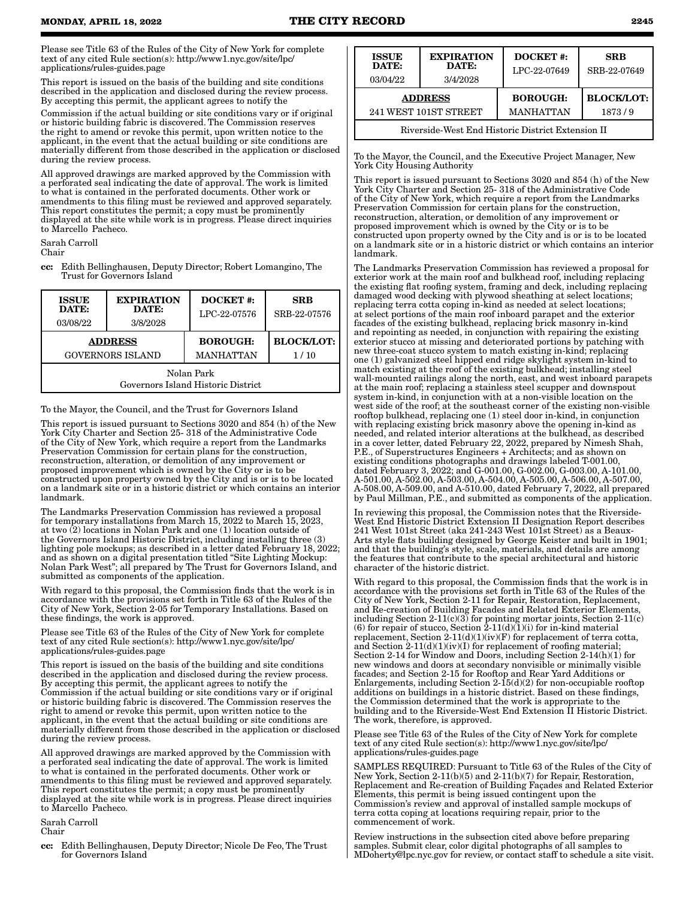Please see Title 63 of the Rules of the City of New York for complete text of any cited Rule section(s): http://www1.nyc.gov/site/lpc/ applications/rules-guides.page

This report is issued on the basis of the building and site conditions described in the application and disclosed during the review process. By accepting this permit, the applicant agrees to notify the

Commission if the actual building or site conditions vary or if original or historic building fabric is discovered. The Commission reserves the right to amend or revoke this permit, upon written notice to the applicant, in the event that the actual building or site conditions are materially different from those described in the application or disclosed during the review process.

All approved drawings are marked approved by the Commission with a perforated seal indicating the date of approval. The work is limited to what is contained in the perforated documents. Other work or amendments to this filing must be reviewed and approved separately. This report constitutes the permit; a copy must be prominently displayed at the site while work is in progress. Please direct inquiries to Marcello Pacheco.

Sarah Carroll

Chair

cc: Edith Bellinghausen, Deputy Director; Robert Lomangino, The Trust for Governors Island

| <b>ISSUE</b><br>DATE:<br>03/08/22 | <b>EXPIRATION</b><br>DATE:<br>3/8/2028           | DOCKET#:<br>LPC-22-07576 | <b>SRB</b><br>SRB-22-07576 |  |  |
|-----------------------------------|--------------------------------------------------|--------------------------|----------------------------|--|--|
|                                   | <b>ADDRESS</b>                                   | <b>BOROUGH:</b>          | <b>BLOCK/LOT:</b>          |  |  |
|                                   | <b>GOVERNORS ISLAND</b>                          | <b>MANHATTAN</b>         | 1/10                       |  |  |
|                                   | Nolan Park<br>Governors Island Historic District |                          |                            |  |  |

To the Mayor, the Council, and the Trust for Governors Island

This report is issued pursuant to Sections 3020 and 854 (h) of the New York City Charter and Section 25- 318 of the Administrative Code of the City of New York, which require a report from the Landmarks Preservation Commission for certain plans for the construction, reconstruction, alteration, or demolition of any improvement or proposed improvement which is owned by the City or is to be constructed upon property owned by the City and is or is to be located on a landmark site or in a historic district or which contains an interior landmark.

The Landmarks Preservation Commission has reviewed a proposal for temporary installations from March 15, 2022 to March 15, 2023, at two (2) locations in Nolan Park and one (1) location outside of the Governors Island Historic District, including installing three (3) lighting pole mockups; as described in a letter dated February 18, 2022; and as shown on a digital presentation titled "Site Lighting Mockup: Nolan Park West"; all prepared by The Trust for Governors Island, and submitted as components of the application.

With regard to this proposal, the Commission finds that the work is in accordance with the provisions set forth in Title 63 of the Rules of the City of New York, Section 2-05 for Temporary Installations. Based on these findings, the work is approved.

Please see Title 63 of the Rules of the City of New York for complete text of any cited Rule section(s): http://www1.nyc.gov/site/lpc/ applications/rules-guides.page

This report is issued on the basis of the building and site conditions described in the application and disclosed during the review process. By accepting this permit, the applicant agrees to notify the Commission if the actual building or site conditions vary or if original or historic building fabric is discovered. The Commission reserves the right to amend or revoke this permit, upon written notice to the applicant, in the event that the actual building or site conditions are materially different from those described in the application or disclosed during the review process.

All approved drawings are marked approved by the Commission with a perforated seal indicating the date of approval. The work is limited to what is contained in the perforated documents. Other work or amendments to this filing must be reviewed and approved separately. This report constitutes the permit; a copy must be prominently displayed at the site while work is in progress. Please direct inquiries to Marcello Pacheco.

Sarah Carroll

Chair

cc: Edith Bellinghausen, Deputy Director; Nicole De Feo, The Trust for Governors Island

| <b>ISSUE</b><br>DATE:<br>03/04/22                 | <b>EXPIRATION</b><br>DATE:<br>3/4/2028 | <b>DOCKET #:</b><br>LPC-22-07649 | <b>SRB</b><br>SRB-22-07649 |  |
|---------------------------------------------------|----------------------------------------|----------------------------------|----------------------------|--|
|                                                   | <b>ADDRESS</b>                         | <b>BOROUGH:</b>                  | <b>BLOCK/LOT:</b>          |  |
|                                                   | 241 WEST 101ST STREET                  | <b>MANHATTAN</b>                 | 1873/9                     |  |
| Riverside-West End Historic District Extension II |                                        |                                  |                            |  |

To the Mayor, the Council, and the Executive Project Manager, New York City Housing Authority

This report is issued pursuant to Sections 3020 and 854 (h) of the New York City Charter and Section 25- 318 of the Administrative Code of the City of New York, which require a report from the Landmarks Preservation Commission for certain plans for the construction, reconstruction, alteration, or demolition of any improvement or proposed improvement which is owned by the City or is to be constructed upon property owned by the City and is or is to be located on a landmark site or in a historic district or which contains an interior landmark.

The Landmarks Preservation Commission has reviewed a proposal for exterior work at the main roof and bulkhead roof, including replacing the existing flat roofing system, framing and deck, including replacing damaged wood decking with plywood sheathing at select locations; replacing terra cotta coping in-kind as needed at select locations; at select portions of the main roof inboard parapet and the exterior facades of the existing bulkhead, replacing brick masonry in-kind and repointing as needed, in conjunction with repairing the existing exterior stucco at missing and deteriorated portions by patching with new three-coat stucco system to match existing in-kind; replacing one (1) galvanized steel hipped end ridge skylight system in-kind to match existing at the roof of the existing bulkhead; installing steel wall-mounted railings along the north, east, and west inboard parapets at the main roof; replacing a stainless steel scupper and downspout system in-kind, in conjunction with at a non-visible location on the west side of the roof; at the southeast corner of the existing non-visible rooftop bulkhead, replacing one (1) steel door in-kind, in conjunction with replacing existing brick masonry above the opening in-kind as needed, and related interior alterations at the bulkhead, as described in a cover letter, dated February 22, 2022, prepared by Nimesh Shah, P.E., of Superstructures Engineers + Architects; and as shown on existing conditions photographs and drawings labeled T-001.00, dated February 3, 2022; and G-001.00, G-002.00, G-003.00, A-101.00, A-501.00, A-502.00, A-503.00, A-504.00, A-505.00, A-506.00, A-507.00, A-508.00, A-509.00, and A-510.00, dated February 7, 2022, all prepared by Paul Millman, P.E., and submitted as components of the application.

In reviewing this proposal, the Commission notes that the Riverside-West End Historic District Extension II Designation Report describes 241 West 101st Street (aka 241-243 West 101st Street) as a Beaux-Arts style flats building designed by George Keister and built in 1901; and that the building's style, scale, materials, and details are among the features that contribute to the special architectural and historic character of the historic district.

With regard to this proposal, the Commission finds that the work is in accordance with the provisions set forth in Title 63 of the Rules of the City of New York, Section 2-11 for Repair, Restoration, Replacement, and Re-creation of Building Facades and Related Exterior Elements, including Section 2-11(c)(3) for pointing mortar joints, Section 2-11(c) (6) for repair of stucco, Section  $\bar{2}\text{-}11(d)(1)(i)$  for in-kind material replacement, Section 2-11(d)(1)(iv)(F) for replacement of terra cotta, and Section  $2-11(d)(1)(iv)(I)$  for replacement of roofing material; Section 2-14 for Window and Doors, including Section 2-14(h)(1) for new windows and doors at secondary nonvisible or minimally visible facades; and Section 2-15 for Rooftop and Rear Yard Additions or Enlargements, including Section  $2-\overline{15}(\frac{d}{2})$  for non-occupiable rooftop additions on buildings in a historic district. Based on these findings, the Commission determined that the work is appropriate to the building and to the Riverside-West End Extension II Historic District. The work, therefore, is approved.

Please see Title 63 of the Rules of the City of New York for complete text of any cited Rule section(s): http://www1.nyc.gov/site/lpc/ applications/rules-guides.page

SAMPLES REQUIRED: Pursuant to Title 63 of the Rules of the City of New York, Section 2-11(b)(5) and 2-11(b)(7) for Repair, Restoration, Replacement and Re-creation of Building Façades and Related Exterior Elements, this permit is being issued contingent upon the Commission's review and approval of installed sample mockups of terra cotta coping at locations requiring repair, prior to the commencement of work.

Review instructions in the subsection cited above before preparing samples. Submit clear, color digital photographs of all samples to MDoherty@lpc.nyc.gov for review, or contact staff to schedule a site visit.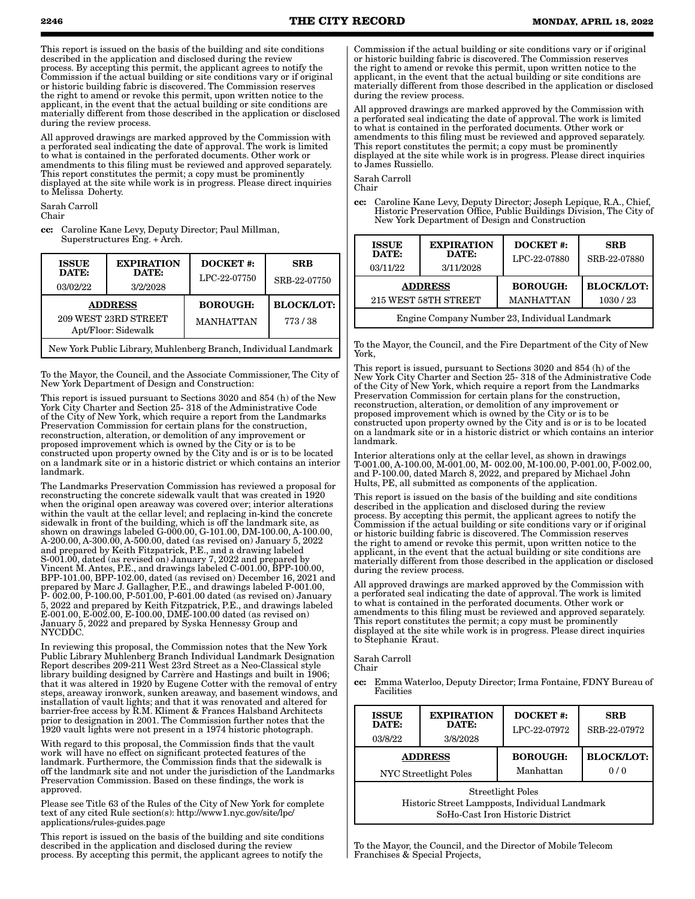This report is issued on the basis of the building and site conditions described in the application and disclosed during the review process. By accepting this permit, the applicant agrees to notify the Commission if the actual building or site conditions vary or if original or historic building fabric is discovered. The Commission reserves the right to amend or revoke this permit, upon written notice to the applicant, in the event that the actual building or site conditions are materially different from those described in the application or disclosed during the review process.

All approved drawings are marked approved by the Commission with a perforated seal indicating the date of approval. The work is limited to what is contained in the perforated documents. Other work or amendments to this filing must be reviewed and approved separately. This report constitutes the permit; a copy must be prominently displayed at the site while work is in progress. Please direct inquiries to Melissa Doherty.

Sarah Carroll Chair

cc: Caroline Kane Levy, Deputy Director; Paul Millman, Superstructures Eng. + Arch.

| <b>ISSUE</b><br>DATE:<br>03/02/22                               | <b>EXPIRATION</b><br>DATE:<br>3/2/2028                        | DOCKET#:<br>LPC-22-07750            | <b>SRB</b><br>SRB-22-07750  |  |  |
|-----------------------------------------------------------------|---------------------------------------------------------------|-------------------------------------|-----------------------------|--|--|
|                                                                 | <b>ADDRESS</b><br>209 WEST 23RD STREET<br>Apt/Floor: Sidewalk | <b>BOROUGH:</b><br><b>MANHATTAN</b> | <b>BLOCK/LOT:</b><br>773/38 |  |  |
| New York Public Library, Muhlenberg Branch, Individual Landmark |                                                               |                                     |                             |  |  |

To the Mayor, the Council, and the Associate Commissioner, The City of New York Department of Design and Construction:

This report is issued pursuant to Sections 3020 and 854 (h) of the New York City Charter and Section 25- 318 of the Administrative Code of the City of New York, which require a report from the Landmarks Preservation Commission for certain plans for the construction, reconstruction, alteration, or demolition of any improvement or proposed improvement which is owned by the City or is to be constructed upon property owned by the City and is or is to be located on a landmark site or in a historic district or which contains an interior landmark.

The Landmarks Preservation Commission has reviewed a proposal for reconstructing the concrete sidewalk vault that was created in 1920 when the original open areaway was covered over; interior alterations within the vault at the cellar level; and replacing in-kind the concrete sidewalk in front of the building, which is off the landmark site, as shown on drawings labeled G-000.00, G-101.00, DM-100.00, A-100.00, A-200.00, A-300.00, A-500.00, dated (as revised on) January 5, 2022 and prepared by Keith Fitzpatrick, P.E., and a drawing labeled S-001.00, dated (as revised on) January 7, 2022 and prepared by Vincent M. Antes, P.E., and drawings labeled C-001.00, BPP-100.00, BPP-101.00, BPP-102.00, dated (as revised on) December 16, 2021 and prepared by Marc J. Gallagher, P.E., and drawings labeled P-001.00, P- 002.00, P-100.00, P-501.00, P-601.00 dated (as revised on) January 5, 2022 and prepared by Keith Fitzpatrick, P.E., and drawings labeled E-001.00, E-002.00, E-100.00, DME-100.00 dated (as revised on) January 5, 2022 and prepared by Syska Hennessy Group and NYCDDC.

In reviewing this proposal, the Commission notes that the New York Public Library Muhlenberg Branch Individual Landmark Designation Report describes 209-211 West 23rd Street as a Neo-Classical style library building designed by Carrère and Hastings and built in 1906; that it was altered in 1920 by Eugene Cotter with the removal of entry steps, areaway ironwork, sunken areaway, and basement windows, and installation of vault lights; and that it was renovated and altered for barrier-free access by R.M. Kliment & Frances Halsband Architects prior to designation in 2001. The Commission further notes that the 1920 vault lights were not present in a 1974 historic photograph.

With regard to this proposal, the Commission finds that the vault work will have no effect on significant protected features of the landmark. Furthermore, the Commission finds that the sidewalk is off the landmark site and not under the jurisdiction of the Landmarks Preservation Commission. Based on these findings, the work is approved.

Please see Title 63 of the Rules of the City of New York for complete text of any cited Rule section(s): http://www1.nyc.gov/site/lpc/ applications/rules-guides.page

This report is issued on the basis of the building and site conditions described in the application and disclosed during the review process. By accepting this permit, the applicant agrees to notify the Commission if the actual building or site conditions vary or if original or historic building fabric is discovered. The Commission reserve the right to amend or revoke this permit, upon written notice to the applicant, in the event that the actual building or site conditions are materially different from those described in the application or disclosed during the review process.

All approved drawings are marked approved by the Commission with a perforated seal indicating the date of approval. The work is limited to what is contained in the perforated documents. Other work or amendments to this filing must be reviewed and approved separately. This report constitutes the permit; a copy must be prominently displayed at the site while work is in progress. Please direct inquiries to James Russiello.

Sarah Carroll Chair

cc: Caroline Kane Levy, Deputy Director; Joseph Lepique, R.A., Chief, Historic Preservation Office, Public Buildings Division, The City of New York Department of Design and Construction

| <b>ISSUE</b><br>DATE:<br>03/11/22             | <b>EXPIRATION</b><br>DATE:<br>3/11/2028 | <b>DOCKET #:</b><br>LPC-22-07880 | <b>SRB</b><br>SRB-22-07880 |  |  |
|-----------------------------------------------|-----------------------------------------|----------------------------------|----------------------------|--|--|
|                                               | <b>ADDRESS</b>                          | <b>BOROUGH:</b>                  | <b>BLOCK/LOT:</b>          |  |  |
|                                               | 215 WEST 58TH STREET                    | <b>MANHATTAN</b>                 | 1030/23                    |  |  |
| Engine Company Number 23, Individual Landmark |                                         |                                  |                            |  |  |

To the Mayor, the Council, and the Fire Department of the City of New York,

This report is issued, pursuant to Sections 3020 and 854 (h) of the New York City Charter and Section 25- 318 of the Administrative Code of the City of New York, which require a report from the Landmarks Preservation Commission for certain plans for the construction, reconstruction, alteration, or demolition of any improvement or proposed improvement which is owned by the City or is to be constructed upon property owned by the City and is or is to be located on a landmark site or in a historic district or which contains an interior landmark.

Interior alterations only at the cellar level, as shown in drawings T-001.00, A-100.00, M-001.00, M- 002.00, M-100.00, P-001.00, P-002.00, and P-100.00, dated March 8, 2022, and prepared by Michael John Hults, PE, all submitted as components of the application.

This report is issued on the basis of the building and site conditions described in the application and disclosed during the review process. By accepting this permit, the applicant agrees to notify the Commission if the actual building or site conditions vary or if original or historic building fabric is discovered. The Commission reserves the right to amend or revoke this permit, upon written notice to the applicant, in the event that the actual building or site conditions are materially different from those described in the application or disclosed during the review process.

All approved drawings are marked approved by the Commission with a perforated seal indicating the date of approval. The work is limited to what is contained in the perforated documents. Other work or amendments to this filing must be reviewed and approved separately. This report constitutes the permit; a copy must be prominently displayed at the site while work is in progress. Please direct inquiries to Stephanie Kraut.

Sarah Carroll Chair

Emma Waterloo, Deputy Director; Irma Fontaine, FDNY Bureau of Facilities

| <b>ISSUE</b><br><b>DATE:</b><br>03/8/22                                                                                                 | <b>EXPIRATION</b><br>DATE:<br>3/8/2028 | DOCKET #:<br>LPC-22-07972    | <b>SRB</b><br>SRB-22-07972 |  |  |
|-----------------------------------------------------------------------------------------------------------------------------------------|----------------------------------------|------------------------------|----------------------------|--|--|
|                                                                                                                                         | <b>ADDRESS</b>                         | <b>BOROUGH:</b><br>Manhattan | <b>BLOCK/LOT:</b><br>0/0   |  |  |
| NYC Streetlight Poles<br><b>Streetlight Poles</b><br>Historic Street Lampposts, Individual Landmark<br>SoHo-Cast Iron Historic District |                                        |                              |                            |  |  |

To the Mayor, the Council, and the Director of Mobile Telecom Franchises & Special Projects,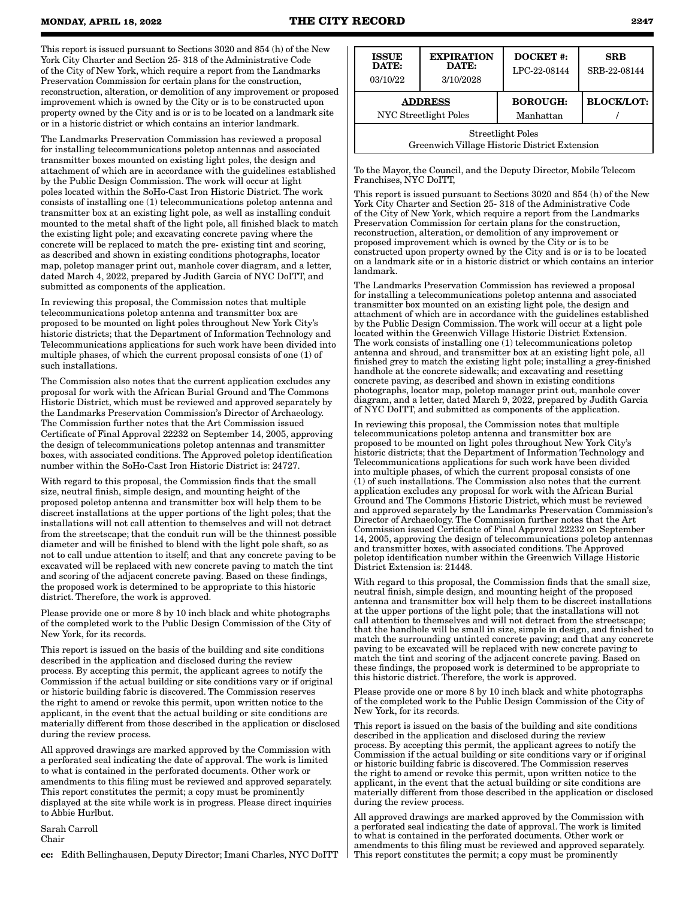This report is issued pursuant to Sections 3020 and 854 (h) of the New York City Charter and Section 25- 318 of the Administrative Code of the City of New York, which require a report from the Landmarks Preservation Commission for certain plans for the construction, reconstruction, alteration, or demolition of any improvement or proposed improvement which is owned by the City or is to be constructed upon property owned by the City and is or is to be located on a landmark site or in a historic district or which contains an interior landmark.

The Landmarks Preservation Commission has reviewed a proposal for installing telecommunications poletop antennas and associated transmitter boxes mounted on existing light poles, the design and attachment of which are in accordance with the guidelines established by the Public Design Commission. The work will occur at light poles located within the SoHo-Cast Iron Historic District. The work consists of installing one (1) telecommunications poletop antenna and transmitter box at an existing light pole, as well as installing conduit mounted to the metal shaft of the light pole, all finished black to match the existing light pole; and excavating concrete paving where the concrete will be replaced to match the pre- existing tint and scoring, as described and shown in existing conditions photographs, locator map, poletop manager print out, manhole cover diagram, and a letter, dated March 4, 2022, prepared by Judith Garcia of NYC DoITT, and submitted as components of the application.

In reviewing this proposal, the Commission notes that multiple telecommunications poletop antenna and transmitter box are proposed to be mounted on light poles throughout New York City's historic districts; that the Department of Information Technology and Telecommunications applications for such work have been divided into multiple phases, of which the current proposal consists of one (1) of such installations.

The Commission also notes that the current application excludes any proposal for work with the African Burial Ground and The Commons Historic District, which must be reviewed and approved separately by the Landmarks Preservation Commission's Director of Archaeology. The Commission further notes that the Art Commission issued Certificate of Final Approval 22232 on September 14, 2005, approving the design of telecommunications poletop antennas and transmitter boxes, with associated conditions. The Approved poletop identification number within the SoHo-Cast Iron Historic District is: 24727.

With regard to this proposal, the Commission finds that the small size, neutral finish, simple design, and mounting height of the proposed poletop antenna and transmitter box will help them to be discreet installations at the upper portions of the light poles; that the installations will not call attention to themselves and will not detract from the streetscape; that the conduit run will be the thinnest possible diameter and will be finished to blend with the light pole shaft, so as not to call undue attention to itself; and that any concrete paving to be excavated will be replaced with new concrete paving to match the tint and scoring of the adjacent concrete paving. Based on these findings, the proposed work is determined to be appropriate to this historic district. Therefore, the work is approved.

Please provide one or more 8 by 10 inch black and white photographs of the completed work to the Public Design Commission of the City of New York, for its records.

This report is issued on the basis of the building and site conditions described in the application and disclosed during the review process. By accepting this permit, the applicant agrees to notify the Commission if the actual building or site conditions vary or if original or historic building fabric is discovered. The Commission reserves the right to amend or revoke this permit, upon written notice to the applicant, in the event that the actual building or site conditions are materially different from those described in the application or disclosed during the review process.

All approved drawings are marked approved by the Commission with a perforated seal indicating the date of approval. The work is limited to what is contained in the perforated documents. Other work or amendments to this filing must be reviewed and approved separately. This report constitutes the permit; a copy must be prominently displayed at the site while work is in progress. Please direct inquiries to Abbie Hurlbut.

Sarah Carroll Chair

cc: Edith Bellinghausen, Deputy Director; Imani Charles, NYC DoITT

| <b>ISSUE</b><br>DATE:<br>03/10/22                                         | <b>EXPIRATION</b><br>DATE:<br>3/10/2028 | <b>DOCKET#:</b><br>LPC-22-08144 | <b>SRB</b><br>SRB-22-08144 |  |  |
|---------------------------------------------------------------------------|-----------------------------------------|---------------------------------|----------------------------|--|--|
|                                                                           | <b>ADDRESS</b><br>NYC Streetlight Poles | <b>BOROUGH:</b><br>Manhattan    | <b>BLOCK/LOT:</b>          |  |  |
| <b>Streetlight Poles</b><br>Greenwich Village Historic District Extension |                                         |                                 |                            |  |  |

To the Mayor, the Council, and the Deputy Director, Mobile Telecom Franchises, NYC DoITT,

This report is issued pursuant to Sections 3020 and 854 (h) of the New York City Charter and Section 25- 318 of the Administrative Code of the City of New York, which require a report from the Landmarks Preservation Commission for certain plans for the construction, reconstruction, alteration, or demolition of any improvement or proposed improvement which is owned by the City or is to be constructed upon property owned by the City and is or is to be located on a landmark site or in a historic district or which contains an interior landmark.

The Landmarks Preservation Commission has reviewed a proposal for installing a telecommunications poletop antenna and associated transmitter box mounted on an existing light pole, the design and attachment of which are in accordance with the guidelines established by the Public Design Commission. The work will occur at a light pole located within the Greenwich Village Historic District Extension. The work consists of installing one (1) telecommunications poletop antenna and shroud, and transmitter box at an existing light pole, all finished grey to match the existing light pole; installing a grey-finished handhole at the concrete sidewalk; and excavating and resetting concrete paving, as described and shown in existing conditions photographs, locator map, poletop manager print out, manhole cover diagram, and a letter, dated March 9, 2022, prepared by Judith Garcia of NYC DoITT, and submitted as components of the application.

In reviewing this proposal, the Commission notes that multiple telecommunications poletop antenna and transmitter box are proposed to be mounted on light poles throughout New York City's historic districts; that the Department of Information Technology and Telecommunications applications for such work have been divided into multiple phases, of which the current proposal consists of one (1) of such installations. The Commission also notes that the current application excludes any proposal for work with the African Burial Ground and The Commons Historic District, which must be reviewed and approved separately by the Landmarks Preservation Commission's Director of Archaeology. The Commission further notes that the Art Commission issued Certificate of Final Approval 22232 on September 14, 2005, approving the design of telecommunications poletop antennas and transmitter boxes, with associated conditions. The Approved poletop identification number within the Greenwich Village Historic District Extension is: 21448.

With regard to this proposal, the Commission finds that the small size, neutral finish, simple design, and mounting height of the proposed antenna and transmitter box will help them to be discreet installations at the upper portions of the light pole; that the installations will not call attention to themselves and will not detract from the streetscape that the handhole will be small in size, simple in design, and finished to match the surrounding untinted concrete paving; and that any concrete paving to be excavated will be replaced with new concrete paving to match the tint and scoring of the adjacent concrete paving. Based on these findings, the proposed work is determined to be appropriate to this historic district. Therefore, the work is approved.

Please provide one or more 8 by 10 inch black and white photographs of the completed work to the Public Design Commission of the City of New York, for its records.

This report is issued on the basis of the building and site conditions described in the application and disclosed during the review process. By accepting this permit, the applicant agrees to notify the Commission if the actual building or site conditions vary or if original or historic building fabric is discovered. The Commission reserves the right to amend or revoke this permit, upon written notice to the applicant, in the event that the actual building or site conditions are materially different from those described in the application or disclosed during the review process.

All approved drawings are marked approved by the Commission with a perforated seal indicating the date of approval. The work is limited to what is contained in the perforated documents. Other work or amendments to this filing must be reviewed and approved separately. This report constitutes the permit; a copy must be prominently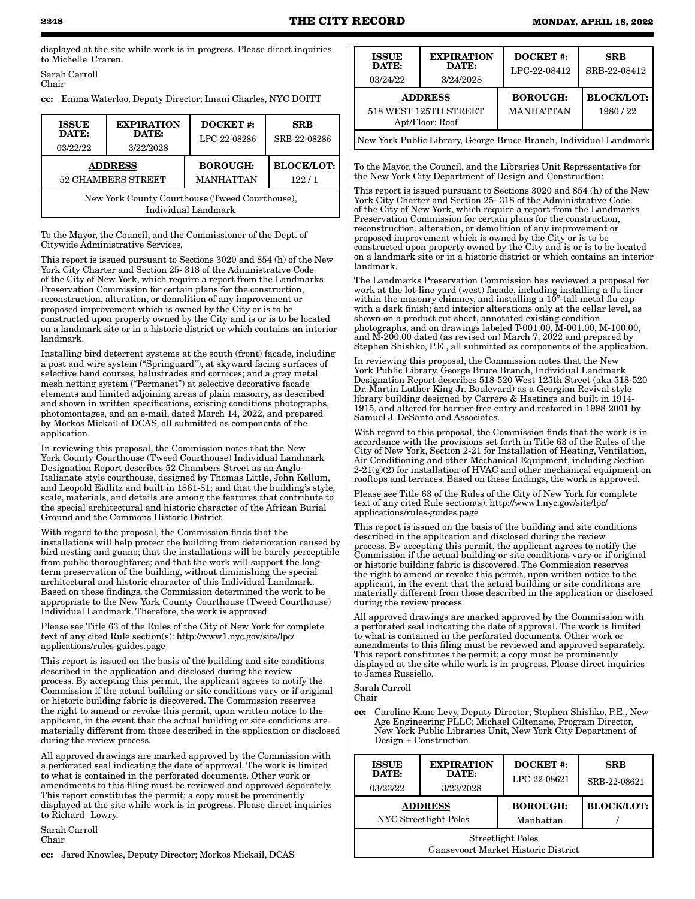displayed at the site while work is in progress. Please direct inquiries to Michelle Craren.

Sarah Carroll Chair

cc: Emma Waterloo, Deputy Director; Imani Charles, NYC DOITT

| <b>ISSUE</b><br>DATE:<br>03/22/22                                     | <b>EXPIRATION</b><br>DATE:<br>3/22/2028 | DOCKET#:<br>LPC-22-08286 | <b>SRB</b><br>SRB-22-08286 |  |  |  |
|-----------------------------------------------------------------------|-----------------------------------------|--------------------------|----------------------------|--|--|--|
|                                                                       | <b>ADDRESS</b>                          | <b>BOROUGH:</b>          | <b>BLOCK/LOT:</b>          |  |  |  |
|                                                                       | <b>52 CHAMBERS STREET</b>               | <b>MANHATTAN</b>         | 122/1                      |  |  |  |
| New York County Courthouse (Tweed Courthouse),<br>Individual Landmark |                                         |                          |                            |  |  |  |

To the Mayor, the Council, and the Commissioner of the Dept. of Citywide Administrative Services,

This report is issued pursuant to Sections 3020 and 854 (h) of the New York City Charter and Section 25- 318 of the Administrative Code of the City of New York, which require a report from the Landmarks Preservation Commission for certain plans for the construction, reconstruction, alteration, or demolition of any improvement or proposed improvement which is owned by the City or is to be constructed upon property owned by the City and is or is to be located on a landmark site or in a historic district or which contains an interior landmark.

Installing bird deterrent systems at the south (front) facade, including a post and wire system ("Springuard"), at skyward facing surfaces of selective band courses, balustrades and cornices; and a gray metal mesh netting system ("Permanet") at selective decorative facade elements and limited adjoining areas of plain masonry, as described and shown in written specifications, existing conditions photographs, photomontages, and an e-mail, dated March 14, 2022, and prepared by Morkos Mickail of DCAS, all submitted as components of the application.

In reviewing this proposal, the Commission notes that the New York County Courthouse (Tweed Courthouse) Individual Landmark Designation Report describes 52 Chambers Street as an Anglo-Italianate style courthouse, designed by Thomas Little, John Kellum, and Leopold Eidlitz and built in 1861-81; and that the building's style, scale, materials, and details are among the features that contribute to the special architectural and historic character of the African Burial Ground and the Commons Historic District.

With regard to the proposal, the Commission finds that the installations will help protect the building from deterioration caused by bird nesting and guano; that the installations will be barely perceptible from public thoroughfares; and that the work will support the longterm preservation of the building, without diminishing the special architectural and historic character of this Individual Landmark. Based on these findings, the Commission determined the work to be appropriate to the New York County Courthouse (Tweed Courthouse) Individual Landmark. Therefore, the work is approved.

Please see Title 63 of the Rules of the City of New York for complete text of any cited Rule section(s): http://www1.nyc.gov/site/lpc/ applications/rules-guides.page

This report is issued on the basis of the building and site conditions described in the application and disclosed during the review process. By accepting this permit, the applicant agrees to notify the Commission if the actual building or site conditions vary or if original or historic building fabric is discovered. The Commission reserves the right to amend or revoke this permit, upon written notice to the applicant, in the event that the actual building or site conditions are materially different from those described in the application or disclosed during the review process.

All approved drawings are marked approved by the Commission with a perforated seal indicating the date of approval. The work is limited to what is contained in the perforated documents. Other work or amendments to this filing must be reviewed and approved separately. This report constitutes the permit; a copy must be prominently displayed at the site while work is in progress. Please direct inquiries to Richard Lowry.

Sarah Carroll Chair

ISSUE DATE: 03/24/22 EXPIRATION DATE: 3/24/2028 DOCKET #: LPC-22-08412 SRB SRB-22-08412 ADDRESS 518 WEST 125TH STREET Apt/Floor: Roof BOROUGH: MANHATTAN BLOCK/LOT: 1980 / 22 New York Public Library, George Bruce Branch, Individual Landmark

To the Mayor, the Council, and the Libraries Unit Representative for the New York City Department of Design and Construction:

This report is issued pursuant to Sections 3020 and 854 (h) of the New York City Charter and Section 25- 318 of the Administrative Code of the City of New York, which require a report from the Landmarks Preservation Commission for certain plans for the construction, reconstruction, alteration, or demolition of any improvement or proposed improvement which is owned by the City or is to be constructed upon property owned by the City and is or is to be located on a landmark site or in a historic district or which contains an interior landmark.

The Landmarks Preservation Commission has reviewed a proposal for work at the lot-line yard (west) facade, including installing a flu liner within the masonry chimney, and installing a 10<sup>"</sup>-tall metal flu cap with a dark finish; and interior alterations only at the cellar level, as shown on a product cut sheet, annotated existing condition photographs, and on drawings labeled T-001.00, M-001.00, M-100.00, and M-200.00 dated (as revised on) March 7, 2022 and prepared by Stephen Shishko, P.E., all submitted as components of the application.

In reviewing this proposal, the Commission notes that the New York Public Library, George Bruce Branch, Individual Landmark Designation Report describes 518-520 West 125th Street (aka 518-520 Dr. Martin Luther King Jr. Boulevard) as a Georgian Revival style library building designed by Carrère & Hastings and built in 1914- 1915, and altered for barrier-free entry and restored in 1998-2001 by Samuel J. DeSanto and Associates.

With regard to this proposal, the Commission finds that the work is in accordance with the provisions set forth in Title 63 of the Rules of the City of New York, Section 2-21 for Installation of Heating, Ventilation, Air Conditioning and other Mechanical Equipment, including Section  $2-21(g)(2)$  for installation of HVAC and other mechanical equipment on rooftops and terraces. Based on these findings, the work is approved.

Please see Title 63 of the Rules of the City of New York for complete text of any cited Rule section(s): http://www1.nyc.gov/site/lpc/ applications/rules-guides.page

This report is issued on the basis of the building and site conditions described in the application and disclosed during the review process. By accepting this permit, the applicant agrees to notify the Commission if the actual building or site conditions vary or if original or historic building fabric is discovered. The Commission reserves the right to amend or revoke this permit, upon written notice to the applicant, in the event that the actual building or site conditions are materially different from those described in the application or disclosed during the review process.

All approved drawings are marked approved by the Commission with a perforated seal indicating the date of approval. The work is limited to what is contained in the perforated documents. Other work or amendments to this filing must be reviewed and approved separately. This report constitutes the permit; a copy must be prominently displayed at the site while work is in progress. Please direct inquiries to James Russiello.

Sarah Carroll

Chair

cc: Caroline Kane Levy, Deputy Director; Stephen Shishko, P.E., New Age Engineering PLLC; Michael Giltenane, Program Director, New York Public Libraries Unit, New York City Department of Design + Construction

| <b>ISSUE</b><br>DATE:<br>03/23/22                                      | <b>EXPIRATION</b><br>DATE:<br>3/23/2028 | DOCKET#:<br>LPC-22-08621     | <b>SRB</b><br>SRB-22-08621 |  |  |
|------------------------------------------------------------------------|-----------------------------------------|------------------------------|----------------------------|--|--|
|                                                                        | <b>ADDRESS</b><br>NYC Streetlight Poles | <b>BOROUGH:</b><br>Manhattan | <b>BLOCK/LOT:</b>          |  |  |
| <b>Streetlight Poles</b><br><b>Gansevoort Market Historic District</b> |                                         |                              |                            |  |  |

cc: Jared Knowles, Deputy Director; Morkos Mickail, DCAS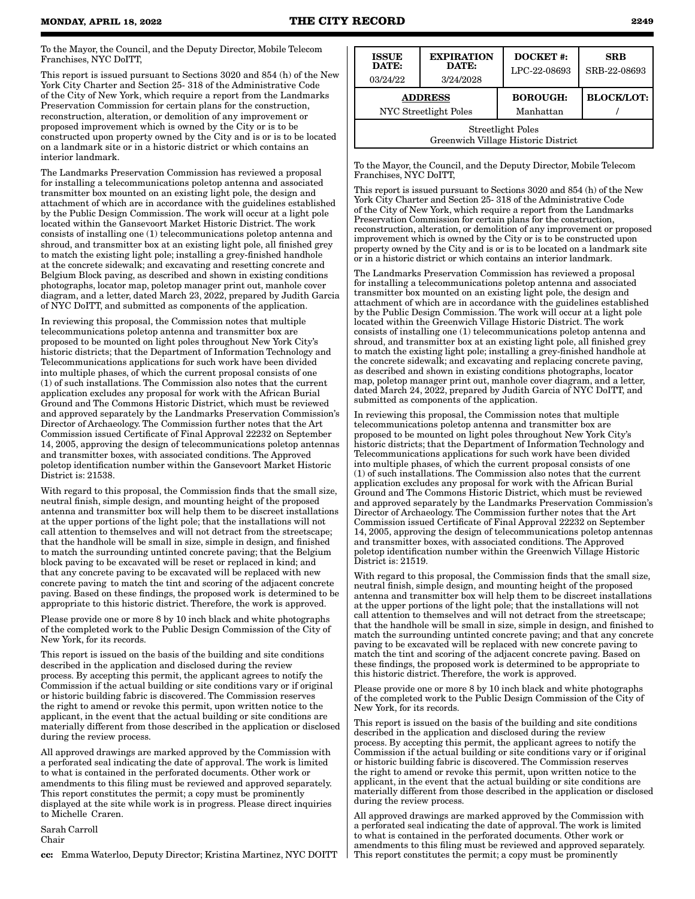To the Mayor, the Council, and the Deputy Director, Mobile Telecom Franchises, NYC DoITT,

This report is issued pursuant to Sections 3020 and 854 (h) of the New York City Charter and Section 25- 318 of the Administrative Code of the City of New York, which require a report from the Landmarks Preservation Commission for certain plans for the construction, reconstruction, alteration, or demolition of any improvement or proposed improvement which is owned by the City or is to be constructed upon property owned by the City and is or is to be located on a landmark site or in a historic district or which contains an interior landmark.

The Landmarks Preservation Commission has reviewed a proposal for installing a telecommunications poletop antenna and associated transmitter box mounted on an existing light pole, the design and attachment of which are in accordance with the guidelines established by the Public Design Commission. The work will occur at a light pole located within the Gansevoort Market Historic District. The work consists of installing one (1) telecommunications poletop antenna and shroud, and transmitter box at an existing light pole, all finished grey to match the existing light pole; installing a grey-finished handhole at the concrete sidewalk; and excavating and resetting concrete and Belgium Block paving, as described and shown in existing conditions photographs, locator map, poletop manager print out, manhole cover diagram, and a letter, dated March 23, 2022, prepared by Judith Garcia of NYC DoITT, and submitted as components of the application.

In reviewing this proposal, the Commission notes that multiple telecommunications poletop antenna and transmitter box are proposed to be mounted on light poles throughout New York City's historic districts; that the Department of Information Technology and Telecommunications applications for such work have been divided into multiple phases, of which the current proposal consists of one (1) of such installations. The Commission also notes that the current application excludes any proposal for work with the African Burial Ground and The Commons Historic District, which must be reviewed and approved separately by the Landmarks Preservation Commission's Director of Archaeology. The Commission further notes that the Art Commission issued Certificate of Final Approval 22232 on September 14, 2005, approving the design of telecommunications poletop antennas and transmitter boxes, with associated conditions. The Approved poletop identification number within the Gansevoort Market Historic District is: 21538.

With regard to this proposal, the Commission finds that the small size, neutral finish, simple design, and mounting height of the proposed antenna and transmitter box will help them to be discreet installations at the upper portions of the light pole; that the installations will not call attention to themselves and will not detract from the streetscape; that the handhole will be small in size, simple in design, and finished to match the surrounding untinted concrete paving; that the Belgium block paving to be excavated will be reset or replaced in kind; and that any concrete paving to be excavated will be replaced with new concrete paving to match the tint and scoring of the adjacent concrete paving. Based on these findings, the proposed work is determined to be appropriate to this historic district. Therefore, the work is approved.

Please provide one or more 8 by 10 inch black and white photographs of the completed work to the Public Design Commission of the City of New York, for its records.

This report is issued on the basis of the building and site conditions described in the application and disclosed during the review process. By accepting this permit, the applicant agrees to notify the Commission if the actual building or site conditions vary or if original or historic building fabric is discovered. The Commission reserves the right to amend or revoke this permit, upon written notice to the applicant, in the event that the actual building or site conditions are materially different from those described in the application or disclosed during the review process.

All approved drawings are marked approved by the Commission with a perforated seal indicating the date of approval. The work is limited to what is contained in the perforated documents. Other work or amendments to this filing must be reviewed and approved separately. This report constitutes the permit; a copy must be prominently displayed at the site while work is in progress. Please direct inquiries to Michelle Craren.

Sarah Carroll Chair

cc: Emma Waterloo, Deputy Director; Kristina Martinez, NYC DOITT

| <b>ISSUE</b><br>DATE:<br>03/24/22                               | <b>EXPIRATION</b><br>DATE:<br>3/24/2028 | DOCKET#:<br>LPC-22-08693     | <b>SRB</b><br>SRB-22-08693 |  |  |  |
|-----------------------------------------------------------------|-----------------------------------------|------------------------------|----------------------------|--|--|--|
|                                                                 | <b>ADDRESS</b><br>NYC Streetlight Poles | <b>BOROUGH:</b><br>Manhattan | <b>BLOCK/LOT:</b>          |  |  |  |
| <b>Streetlight Poles</b><br>Greenwich Village Historic District |                                         |                              |                            |  |  |  |

To the Mayor, the Council, and the Deputy Director, Mobile Telecom Franchises, NYC DoITT,

This report is issued pursuant to Sections 3020 and 854 (h) of the New York City Charter and Section 25- 318 of the Administrative Code of the City of New York, which require a report from the Landmarks Preservation Commission for certain plans for the construction, reconstruction, alteration, or demolition of any improvement or proposed improvement which is owned by the City or is to be constructed upon property owned by the City and is or is to be located on a landmark site or in a historic district or which contains an interior landmark.

The Landmarks Preservation Commission has reviewed a proposal for installing a telecommunications poletop antenna and associated transmitter box mounted on an existing light pole, the design and attachment of which are in accordance with the guidelines established by the Public Design Commission. The work will occur at a light pole located within the Greenwich Village Historic District. The work consists of installing one (1) telecommunications poletop antenna and shroud, and transmitter box at an existing light pole, all finished grey to match the existing light pole; installing a grey-finished handhole at the concrete sidewalk; and excavating and replacing concrete paving, as described and shown in existing conditions photographs, locator map, poletop manager print out, manhole cover diagram, and a letter, dated March 24, 2022, prepared by Judith Garcia of NYC DoITT, and submitted as components of the application.

In reviewing this proposal, the Commission notes that multiple telecommunications poletop antenna and transmitter box are proposed to be mounted on light poles throughout New York City's historic districts; that the Department of Information Technology and Telecommunications applications for such work have been divided into multiple phases, of which the current proposal consists of one (1) of such installations. The Commission also notes that the current application excludes any proposal for work with the African Burial Ground and The Commons Historic District, which must be reviewed and approved separately by the Landmarks Preservation Commission's Director of Archaeology. The Commission further notes that the Art Commission issued Certificate of Final Approval 22232 on September 14, 2005, approving the design of telecommunications poletop antennas and transmitter boxes, with associated conditions. The Approved poletop identification number within the Greenwich Village Historic District is: 21519.

With regard to this proposal, the Commission finds that the small size, neutral finish, simple design, and mounting height of the proposed antenna and transmitter box will help them to be discreet installations at the upper portions of the light pole; that the installations will not call attention to themselves and will not detract from the streetscape; that the handhole will be small in size, simple in design, and finished to match the surrounding untinted concrete paving; and that any concrete paving to be excavated will be replaced with new concrete paving to match the tint and scoring of the adjacent concrete paving. Based on these findings, the proposed work is determined to be appropriate to this historic district. Therefore, the work is approved.

Please provide one or more 8 by 10 inch black and white photographs of the completed work to the Public Design Commission of the City of New York, for its records.

This report is issued on the basis of the building and site conditions described in the application and disclosed during the review process. By accepting this permit, the applicant agrees to notify the Commission if the actual building or site conditions vary or if original or historic building fabric is discovered. The Commission reserves the right to amend or revoke this permit, upon written notice to the applicant, in the event that the actual building or site conditions are materially different from those described in the application or disclosed during the review process.

All approved drawings are marked approved by the Commission with a perforated seal indicating the date of approval. The work is limited to what is contained in the perforated documents. Other work or amendments to this filing must be reviewed and approved separately. This report constitutes the permit; a copy must be prominently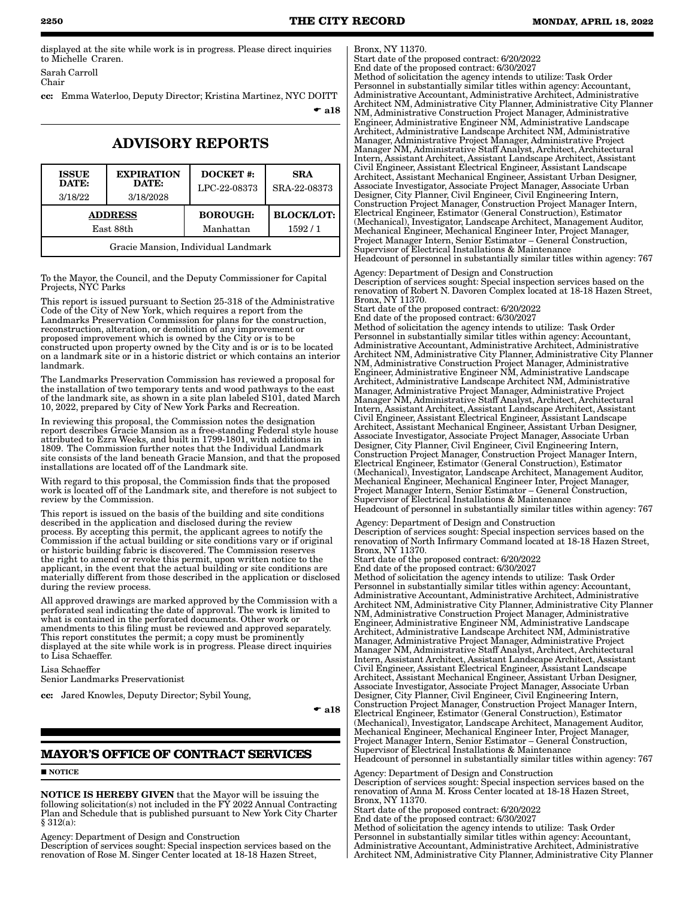Bronx, NY 11370.

displayed at the site while work is in progress. Please direct inquiries to Michelle Craren. Sarah Carroll

Chair

cc: Emma Waterloo, Deputy Director; Kristina Martinez, NYC DOITT

 $\bullet$  a18

### ADVISORY REPORTS

| <b>ISSUE</b><br>DATE:<br>3/18/22    | <b>EXPIRATION</b><br>DATE:<br>3/18/2028 |                              | <b>SRA</b><br>SRA-22-08373  |  |  |
|-------------------------------------|-----------------------------------------|------------------------------|-----------------------------|--|--|
|                                     | <b>ADDRESS</b><br>East 88th             | <b>BOROUGH:</b><br>Manhattan | <b>BLOCK/LOT:</b><br>1592/1 |  |  |
| Gracie Mansion, Individual Landmark |                                         |                              |                             |  |  |

To the Mayor, the Council, and the Deputy Commissioner for Capital Projects, NYC Parks

This report is issued pursuant to Section 25-318 of the Administrative Code of the City of New York, which requires a report from the Landmarks Preservation Commission for plans for the construction, reconstruction, alteration, or demolition of any improvement or proposed improvement which is owned by the City or is to be constructed upon property owned by the City and is or is to be located on a landmark site or in a historic district or which contains an interior landmark.

The Landmarks Preservation Commission has reviewed a proposal for the installation of two temporary tents and wood pathways to the east of the landmark site, as shown in a site plan labeled S101, dated March 10, 2022, prepared by City of New York Parks and Recreation.

In reviewing this proposal, the Commission notes the designation report describes Gracie Mansion as a free-standing Federal style house attributed to Ezra Weeks, and built in 1799-1801, with additions in 1809. The Commission further notes that the Individual Landmark site consists of the land beneath Gracie Mansion, and that the proposed installations are located off of the Landmark site.

With regard to this proposal, the Commission finds that the proposed work is located off of the Landmark site, and therefore is not subject to review by the Commission.

This report is issued on the basis of the building and site conditions described in the application and disclosed during the review process. By accepting this permit, the applicant agrees to notify the Commission if the actual building or site conditions vary or if original or historic building fabric is discovered. The Commission reserves the right to amend or revoke this permit, upon written notice to the applicant, in the event that the actual building or site conditions are materially different from those described in the application or disclosed during the review process.

All approved drawings are marked approved by the Commission with a perforated seal indicating the date of approval. The work is limited to what is contained in the perforated documents. Other work or amendments to this filing must be reviewed and approved separately. This report constitutes the permit; a copy must be prominently displayed at the site while work is in progress. Please direct inquiries to Lisa Schaeffer.

Lisa Schaeffer Senior Landmarks Preservationist

cc: Jared Knowles, Deputy Director; Sybil Young,

 $\bullet$  a18

### **MAYOR'S OFFICE OF CONTRACT SERVICES**

**NOTICE** 

NOTICE IS HEREBY GIVEN that the Mayor will be issuing the following solicitation(s) not included in the FY 2022 Annual Contracting Plan and Schedule that is published pursuant to New York City Charter § 312(a):

Agency: Department of Design and Construction

Description of services sought: Special inspection services based on the renovation of Rose M. Singer Center located at 18-18 Hazen Street,

Start date of the proposed contract: 6/20/2022 End date of the proposed contract: 6/30/2027 Method of solicitation the agency intends to utilize: Task Order Personnel in substantially similar titles within agency: Accountant, Administrative Accountant, Administrative Architect, Administrative Architect NM, Administrative City Planner, Administrative City Planner NM, Administrative Construction Project Manager, Administrative Engineer, Administrative Engineer NM, Administrative Landscape Architect, Administrative Landscape Architect NM, Administrative Manager, Administrative Project Manager, Administrative Project Manager NM, Administrative Staff Analyst, Architect, Architectural Intern, Assistant Architect, Assistant Landscape Architect, Assistant Civil Engineer, Assistant Electrical Engineer, Assistant Landscape Architect, Assistant Mechanical Engineer, Assistant Urban Designer, Associate Investigator, Associate Project Manager, Associate Urban Designer, City Planner, Civil Engineer, Civil Engineering Intern, Construction Project Manager, Construction Project Manager Intern, Electrical Engineer, Estimator (General Construction), Estimator (Mechanical), Investigator, Landscape Architect, Management Auditor, Mechanical Engineer, Mechanical Engineer Inter, Project Manager, Project Manager Intern, Senior Estimator – General Construction, Supervisor of Electrical Installations & Maintenance Headcount of personnel in substantially similar titles within agency: 767

Agency: Department of Design and Construction Description of services sought: Special inspection services based on the renovation of Robert N. Davoren Complex located at 18-18 Hazen Street, Bronx, NY 11370.

Start date of the proposed contract: 6/20/2022 End date of the proposed contract: 6/30/2027 Method of solicitation the agency intends to utilize: Task Order Personnel in substantially similar titles within agency: Accountant, Administrative Accountant, Administrative Architect, Administrative Architect NM, Administrative City Planner, Administrative City Planner NM, Administrative Construction Project Manager, Administrative Engineer, Administrative Engineer NM, Administrative Landscape Architect, Administrative Landscape Architect NM, Administrative Manager, Administrative Project Manager, Administrative Project Manager NM, Administrative Staff Analyst, Architect, Architectural Intern, Assistant Architect, Assistant Landscape Architect, Assistant Civil Engineer, Assistant Electrical Engineer, Assistant Landscape Architect, Assistant Mechanical Engineer, Assistant Urban Designer, Associate Investigator, Associate Project Manager, Associate Urban Designer, City Planner, Civil Engineer, Civil Engineering Intern, Construction Project Manager, Construction Project Manager Intern, Electrical Engineer, Estimator (General Construction), Estimator (Mechanical), Investigator, Landscape Architect, Management Auditor, Mechanical Engineer, Mechanical Engineer Inter, Project Manager, Project Manager Intern, Senior Estimator – General Construction, Supervisor of Electrical Installations & Maintenance Headcount of personnel in substantially similar titles within agency: 767

 Agency: Department of Design and Construction Description of services sought: Special inspection services based on the renovation of North Infirmary Command located at 18-18 Hazen Street, Bronx, NY 11370.

Start date of the proposed contract: 6/20/2022 End date of the proposed contract: 6/30/2027

Method of solicitation the agency intends to utilize: Task Order Personnel in substantially similar titles within agency: Accountant, Administrative Accountant, Administrative Architect, Administrative Architect NM, Administrative City Planner, Administrative City Planner NM, Administrative Construction Project Manager, Administrative Engineer, Administrative Engineer NM, Administrative Landscape Architect, Administrative Landscape Architect NM, Administrative Manager, Administrative Project Manager, Administrative Project Manager NM, Administrative Staff Analyst, Architect, Architectural Intern, Assistant Architect, Assistant Landscape Architect, Assistant Civil Engineer, Assistant Electrical Engineer, Assistant Landscape Architect, Assistant Mechanical Engineer, Assistant Urban Designer, Associate Investigator, Associate Project Manager, Associate Urban Designer, City Planner, Civil Engineer, Civil Engineering Intern, Construction Project Manager, Construction Project Manager Intern, Electrical Engineer, Estimator (General Construction), Estimator (Mechanical), Investigator, Landscape Architect, Management Auditor, Mechanical Engineer, Mechanical Engineer Inter, Project Manager, Project Manager Intern, Senior Estimator – General Construction, Supervisor of Electrical Installations & Maintenance Headcount of personnel in substantially similar titles within agency: 767

Agency: Department of Design and Construction Description of services sought: Special inspection services based on the renovation of Anna M. Kross Center located at 18-18 Hazen Street, Bronx, NY 11370. Start date of the proposed contract: 6/20/2022

End date of the proposed contract: 6/30/2027

Method of solicitation the agency intends to utilize: Task Order Personnel in substantially similar titles within agency: Accountant, Administrative Accountant, Administrative Architect, Administrative Architect NM, Administrative City Planner, Administrative City Planner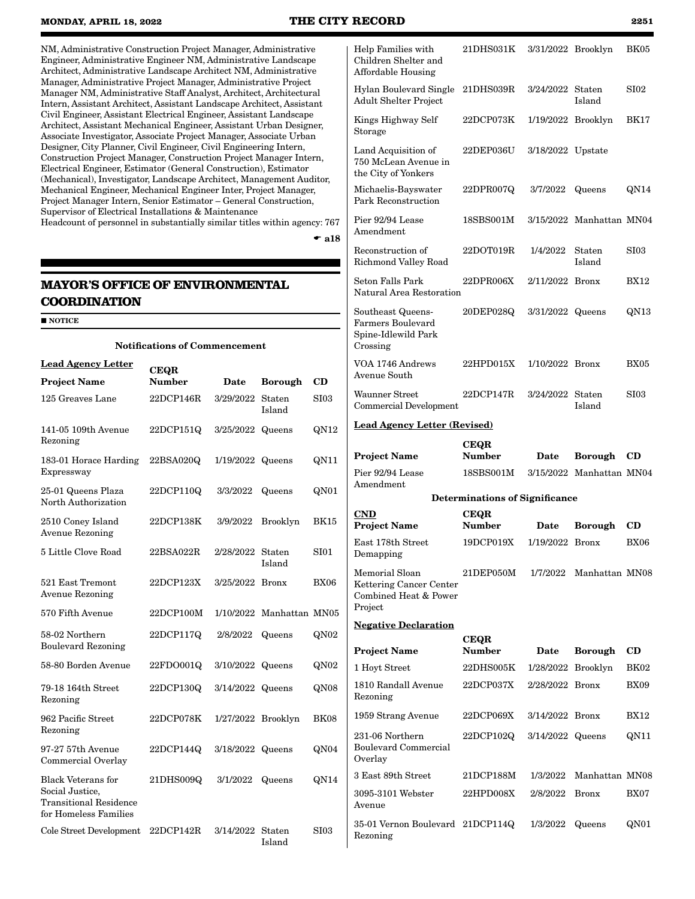#### **MONDAY, APRIL 18, 2022 THE CITY RECORD 2251**

NM, Administrative Construction Project Manager, Administrative Engineer, Administrative Engineer NM, Administrative Landscape Architect, Administrative Landscape Architect NM, Administrative Manager, Administrative Project Manager, Administrative Project Manager NM, Administrative Staff Analyst, Architect, Architectural Intern, Assistant Architect, Assistant Landscape Architect, Assistant Civil Engineer, Assistant Electrical Engineer, Assistant Landscape Architect, Assistant Mechanical Engineer, Assistant Urban Designer, Associate Investigator, Associate Project Manager, Associate Urban Designer, City Planner, Civil Engineer, Civil Engineering Intern, Construction Project Manager, Construction Project Manager Intern, Electrical Engineer, Estimator (General Construction), Estimator (Mechanical), Investigator, Landscape Architect, Management Auditor, Mechanical Engineer, Mechanical Engineer Inter, Project Manager, Project Manager Intern, Senior Estimator – General Construction, Supervisor of Electrical Installations & Maintenance Headcount of personnel in substantially similar titles within agency: 767

 $\bullet$  a18

### **MAYOR'S OFFICE OF ENVIRONMENTAL COORDINATION**

 $N_{\text{L}}$  is  $C_{\text{L}}$  is a commencement of  $C_{\text{L}}$ 

#### **NOTICE**

| Nothications of Commencement                                                                    |               |                  |                  |                  |  |  |  |
|-------------------------------------------------------------------------------------------------|---------------|------------------|------------------|------------------|--|--|--|
| <b>Lead Agency Letter</b>                                                                       | <b>CEQR</b>   |                  |                  |                  |  |  |  |
| <b>Project Name</b>                                                                             | <b>Number</b> | Date             | <b>Borough</b>   | CD               |  |  |  |
| 125 Greaves Lane                                                                                | 22DCP146R     | 3/29/2022        | Staten<br>Island | $\rm SIO3$       |  |  |  |
| 141-05 109th Avenue<br>Rezoning                                                                 | 22DCP151Q     | 3/25/2022        | Queens           | QN12             |  |  |  |
| 183-01 Horace Harding<br>Expressway                                                             | 22BSA020Q     | 1/19/2022        | Queens           | QN11             |  |  |  |
| 25-01 Queens Plaza<br>North Authorization                                                       | 22DCP110Q     | 3/3/2022         | Queens           | QN01             |  |  |  |
| 2510 Coney Island<br><b>Avenue Rezoning</b>                                                     | 22DCP138K     | 3/9/2022         | Brooklyn         | <b>BK15</b>      |  |  |  |
| 5 Little Clove Road                                                                             | 22BSA022R     | 2/28/2022        | Staten<br>Island | $\rm S I 0 1$    |  |  |  |
| 521 East Tremont<br>Avenue Rezoning                                                             | 22DCP123X     | 3/25/2022        | <b>Bronx</b>     | <b>BX06</b>      |  |  |  |
| 570 Fifth Avenue                                                                                | 22DCP100M     | 1/10/2022        | Manhattan MN05   |                  |  |  |  |
| 58-02 Northern<br><b>Boulevard Rezoning</b>                                                     | 22DCP117Q     | 2/8/2022         | Queens           | QN <sub>02</sub> |  |  |  |
| 58-80 Borden Avenue                                                                             | 22FDO001Q     | 3/10/2022 Queens |                  | QN02             |  |  |  |
| 79-18 164th Street<br>Rezoning                                                                  | 22DCP130Q     | 3/14/2022 Queens |                  | QN <sub>08</sub> |  |  |  |
| 962 Pacific Street<br>Rezoning                                                                  | 22DCP078K     | 1/27/2022        | Brooklyn         | <b>BK08</b>      |  |  |  |
| 97-27 57th Avenue<br>Commercial Overlay                                                         | 22DCP144Q     | 3/18/2022        | Queens           | QN04             |  |  |  |
| <b>Black Veterans for</b><br>Social Justice,<br>Transitional Residence<br>for Homeless Families | 21DHS009Q     | 3/1/2022         | Queens           | QN14             |  |  |  |
| Cole Street Development                                                                         | 22DCP142R     | 3/14/2022 Staten | Island           | $\rm SIO3$       |  |  |  |

| Help Families with<br>Children Shelter and<br><b>Affordable Housing</b>       | 21DHS031K                             | 3/31/2022 Brooklyn |                                      | BK05          |
|-------------------------------------------------------------------------------|---------------------------------------|--------------------|--------------------------------------|---------------|
| Hylan Boulevard Single<br><b>Adult Shelter Project</b>                        | 21DHS039R                             | 3/24/2022 Staten   | Island                               | $_{\rm SIO2}$ |
| Kings Highway Self<br>Storage                                                 | 22DCP073K                             | 1/19/2022 Brooklyn |                                      | BK17          |
| Land Acquisition of<br>750 McLean Avenue in<br>the City of Yonkers            | 22DEP036U                             | 3/18/2022 Upstate  |                                      |               |
| Michaelis-Bayswater<br>Park Reconstruction                                    | 22DPR007Q                             | 3/7/2022           | Queens                               | QN14          |
| Pier 92/94 Lease<br>$A$ mendment                                              | 18SBS001M                             |                    | 3/15/2022 Manhattan MN04             |               |
| Reconstruction of<br>Richmond Valley Road                                     | 22DOT019R                             | 1/4/2022           | Staten<br>Island                     | $_{\rm SIO3}$ |
| Seton Falls Park<br>Natural Area Restoration                                  | 22DPR006X                             | 2/11/2022 Bronx    |                                      | <b>BX12</b>   |
| Southeast Queens-<br>Farmers Boulevard<br>Spine-Idlewild Park<br>Crossing     | 20DEP028Q                             | $3/31/2022$ Queens |                                      | QN 13         |
| VOA 1746 Andrews<br>Avenue South                                              | 22HPD015X<br>$1/10/2022$ Bronx        |                    |                                      | BX05          |
| Waunner Street<br>Commercial Development                                      | 22DCP147R                             | 3/24/2022 Staten   | Island                               | $_{\rm SIO3}$ |
| <b>Lead Agency Letter (Revised)</b>                                           |                                       |                    |                                      |               |
|                                                                               | <b>CEQR</b>                           |                    |                                      |               |
| <b>Project Name</b>                                                           | <b>Number</b>                         | Date               | <b>Borough</b>                       | <b>CD</b>     |
| Pier 92/94 Lease<br>$A$ mendment                                              | $18\mathrm{SBS}001\mathrm{M}$         |                    | $3/15/2022$ Manhattan MN04           |               |
|                                                                               | <b>Determinations of Significance</b> |                    |                                      |               |
| <b>CND</b>                                                                    | <b>CEQR</b>                           |                    |                                      |               |
| <b>Project Name</b>                                                           | <b>Number</b>                         | Date               | <b>Borough</b>                       | CD            |
| East 178th Street<br>Demapping                                                | 19DCP019X                             | $1/19/2022$ Bronx  |                                      | BX06          |
| Memorial Sloan<br>Kettering Cancer Center<br>Combined Heat & Power<br>Project | 21DEP050M                             |                    | 1/7/2022 Manhattan MN08              |               |
| <b>Negative Declaration</b>                                                   |                                       |                    |                                      |               |
|                                                                               | <b>CEQR</b>                           | Date               |                                      | CD            |
| <b>Project Name</b><br>1 Hoyt Street                                          | <b>Number</b><br>22DHS005K            |                    | <b>Borough</b><br>1/28/2022 Brooklyn | BK02          |
| 1810 Randall Avenue<br>Rezoning                                               | 22DCP037X                             | 2/28/2022 Bronx    |                                      | BX09          |
| 1959 Strang Avenue                                                            | 22DCP069X                             | 3/14/2022 Bronx    |                                      | BX12          |
| 231-06 Northern<br><b>Boulevard Commercial</b><br>Overlay                     | 22DCP102Q                             | $3/14/2022$ Queens |                                      | QN11          |
| 3 East 89th Street                                                            | 21DCP188M                             | 1/3/2022           | Manhattan MN08                       |               |
| 3095-3101 Webster<br>Avenue                                                   | 22HPD008X                             | 2/8/2022           | Bronx                                | BX07          |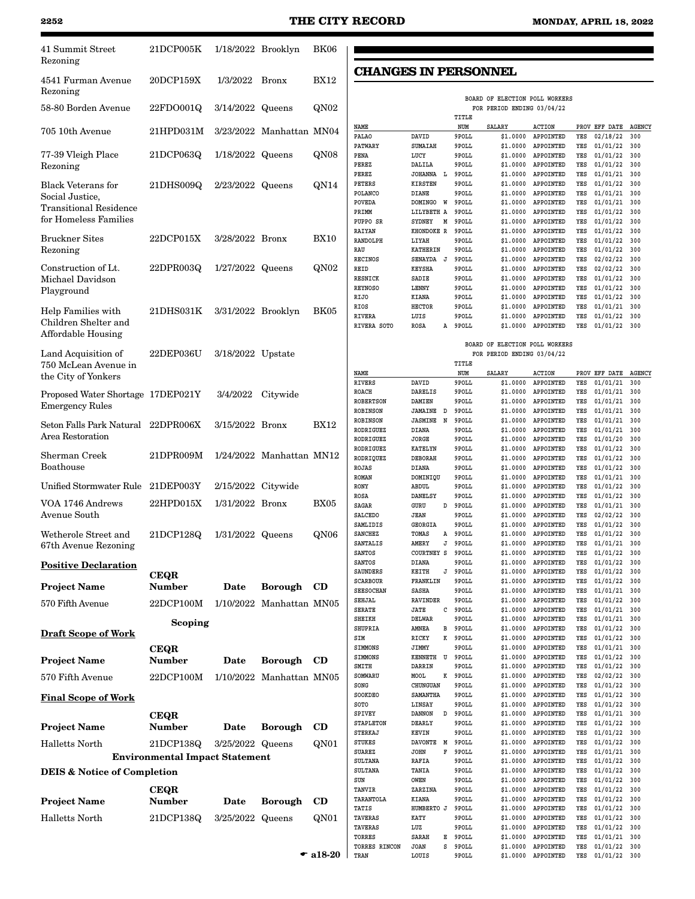| 2252                                                                          |                                       |                      |                            |               | THE CITY RECORD                                  |                                                                 |                                           |                                                              | MONDAY, APRIL 18, 2022                                        |                                 |                                                                |                          |
|-------------------------------------------------------------------------------|---------------------------------------|----------------------|----------------------------|---------------|--------------------------------------------------|-----------------------------------------------------------------|-------------------------------------------|--------------------------------------------------------------|---------------------------------------------------------------|---------------------------------|----------------------------------------------------------------|--------------------------|
| 41 Summit Street<br>Rezoning                                                  | 21DCP005K                             | 1/18/2022 Brooklyn   |                            | <b>BK06</b>   |                                                  |                                                                 |                                           |                                                              |                                                               |                                 |                                                                |                          |
| 4541 Furman Avenue<br>Rezoning                                                | 20DCP159X                             | $1/3/2022$ Bronx     |                            | <b>BX12</b>   | <b>CHANGES IN PERSONNEL</b>                      |                                                                 |                                           |                                                              |                                                               |                                 |                                                                |                          |
| 58-80 Borden Avenue                                                           | 22FDO001Q                             | 3/14/2022            | Queens                     | QN02          |                                                  |                                                                 | TITLE                                     | BOARD OF ELECTION POLL WORKERS<br>FOR PERIOD ENDING 03/04/22 |                                                               |                                 |                                                                |                          |
| 705 10th Avenue                                                               | 21HPD031M                             |                      | 3/23/2022 Manhattan MN04   |               | NAME<br><b>PALAO</b>                             | DAVID                                                           | NUM<br>9POLL                              | SALARY                                                       | <b>ACTION</b><br>\$1.0000 APPOINTED                           | YES                             | PROV EFF DATE<br>02/18/22                                      | <b>AGENCY</b><br>300     |
| 77-39 Vleigh Place<br>Rezoning                                                | 21DCP063Q                             | 1/18/2022            | Queens                     | QN08          | <b>PATWARY</b><br>PENA<br>PEREZ                  | SUMAIAH<br>LUCY<br>DALILA                                       | 9POLL<br>9POLL<br>9POLL                   | \$1,0000<br>\$1.0000<br>\$1.0000                             | APPOINTED<br>APPOINTED<br>APPOINTED                           | YES<br>YES<br>YES               | 01/01/22<br>01/01/22<br>01/01/22                               | 300<br>300<br>300        |
| <b>Black Veterans for</b><br>Social Justice,<br><b>Transitional Residence</b> | 21DHS009Q                             | 2/23/2022            | Queens                     | QN14          | PEREZ<br>PETERS<br>POLANCO<br>POVEDA<br>PRIMM    | JOHANNA L<br><b>KIRSTEN</b><br>DIANE<br>DOMINGO W<br>LILYBETH A | 9POLL<br>9POLL<br>9POLL<br>9POLL<br>9POLL | \$1.0000<br>\$1.0000<br>\$1.0000<br>\$1.0000<br>\$1.0000     | APPOINTED<br>APPOINTED<br>APPOINTED<br>APPOINTED<br>APPOINTED | YES<br>YES<br>YES<br>YES<br>YES | 01/01/21<br>01/01/22<br>01/01/21<br>$01/01/21$ 300<br>01/01/22 | 300<br>300<br>300<br>300 |
| for Homeless Families<br><b>Bruckner Sites</b>                                | 22DCP015X                             | 3/28/2022 Bronx      |                            | <b>BX10</b>   | PUPPO SR<br>RAIYAN<br>RANDOLPH                   | SYDNEY<br>М<br>KHONDOKE R 9POLL<br>LIYAH                        | 9POLL<br>9POLL                            | \$1.0000<br>\$1.0000<br>\$1.0000                             | APPOINTED<br>APPOINTED<br>APPOINTED                           | YES<br>YES<br>YES               | 01/01/22<br>01/01/22<br>$01/01/22$ 300                         | 300<br>300               |
| Rezoning                                                                      |                                       |                      |                            |               | RAU<br><b>RECINOS</b>                            | <b>KATHERIN</b><br>SENAYDA J                                    | 9POLL<br>9POLL                            | \$1.0000<br>\$1.0000                                         | APPOINTED<br>APPOINTED                                        | YES<br>YES                      | 01/01/22<br>02/02/22                                           | 300<br>300               |
| Construction of Lt.<br>Michael Davidson<br>Playground                         | 22DPR003Q                             | 1/27/2022            | Queens                     | QN02          | <b>REID</b><br>RESNICK<br><b>REYNOSO</b><br>RIJO | <b>KEYSHA</b><br>SADIE<br>LENNY<br>KIANA                        | 9POLL<br>9POLL<br>9POLL<br>9POLL          | \$1.0000<br>\$1.0000<br>\$1.0000<br>\$1.0000                 | APPOINTED<br>APPOINTED<br>APPOINTED<br>APPOINTED              | YES<br>YES<br>YES<br>YES        | 02/02/22<br>01/01/22<br>01/01/22<br>01/01/22                   | 300<br>300<br>300<br>300 |
| Help Families with<br>Children Shelter and<br><b>Affordable Housing</b>       | 21DHS031K                             | 3/31/2022 Brooklyn   |                            | BK05          | RIOS<br><b>RIVERA</b><br>RIVERA SOTO             | <b>HECTOR</b><br>LUIS<br>ROSA<br>A                              | 9POLL<br>9POLL<br>9POLL                   | \$1.0000<br>\$1.0000<br>\$1.0000                             | APPOINTED<br>APPOINTED<br>APPOINTED                           | YES<br>YES<br>YES               | $01/01/21$ 300<br>$01/01/22$ 300<br>$01/01/22$ 300             |                          |
| Land Acquisition of<br>750 McLean Avenue in                                   | 22DEP036U                             | 3/18/2022 Upstate    |                            |               |                                                  |                                                                 | TITLE                                     | BOARD OF ELECTION POLL WORKERS<br>FOR PERIOD ENDING 03/04/22 |                                                               |                                 |                                                                |                          |
| the City of Yonkers                                                           |                                       |                      |                            |               | NAME<br><b>RIVERS</b>                            | DAVID                                                           | NUM<br>9POLL                              | SALARY<br>\$1.0000                                           | <b>ACTION</b><br>APPOINTED                                    | YES                             | PROV EFF DATE<br>01/01/21                                      | <b>AGENCY</b><br>300     |
| Proposed Water Shortage 17DEP021Y<br><b>Emergency Rules</b>                   |                                       | 3/4/2022             | Citywide                   |               | ROACH<br><b>ROBERTSON</b><br><b>ROBINSON</b>     | DARELIS<br>DAMIEN<br>JAMAINE D                                  | 9POLL<br>9POLL<br>9POLL                   | \$1.0000<br>\$1.0000<br>\$1.0000                             | APPOINTED<br>APPOINTED<br>APPOINTED                           | YES<br>YES<br>YES               | $01/01/21$ 300<br>$01/01/21$ 300<br>01/01/21                   | 300                      |
| Seton Falls Park Natural<br>Area Restoration                                  | 22DPR006X                             | 3/15/2022 Bronx      |                            | <b>BX12</b>   | <b>ROBINSON</b><br>RODRIGUEZ<br>RODRIGUEZ        | <b>JASMINE N</b><br>DIANA<br><b>JORGE</b>                       | 9POLL<br>9POLL<br>9POLL                   | \$1.0000<br>\$1.0000<br>\$1.0000                             | APPOINTED<br>APPOINTED<br>APPOINTED                           | YES<br>YES<br>YES               | $01/01/21$ 300<br>01/01/21<br>01/01/20                         | 300<br>300               |
| Sherman Creek<br>Boathouse                                                    | 21DPR009M                             |                      | $1/24/2022$ Manhattan MN12 |               | RODRIGUEZ<br>RODRIQUEZ<br>ROJAS                  | <b>KATELYN</b><br><b>DEBORAH</b><br>DIANA                       | 9POLL<br>9POLL<br>9POLL                   | \$1.0000<br>\$1.0000<br>\$1.0000                             | APPOINTED<br>APPOINTED<br>APPOINTED                           | YES<br>YES<br>YES               | 01/01/22<br>01/01/22<br>01/01/22                               | 300<br>300<br>300        |
| Unified Stormwater Rule                                                       | 21DEP003Y                             | $2/15/2022$ Citywide |                            |               | <b>ROMAN</b><br>RONY                             | DOMINIQU<br>ABDUL                                               | 9POLL<br>9POLL                            | \$1.0000<br>\$1.0000                                         | APPOINTED<br>APPOINTED                                        | YES<br>YES                      | $01/01/21$ 300<br>01/01/22                                     | 300                      |
| VOA 1746 Andrews<br>Avenue South                                              | 22HPD015X                             | $1/31/2022$ Bronx    |                            | BX05          | ROSA<br>SAGAR<br><b>SALCEDO</b>                  | <b>DANELSY</b><br>GURU<br>JEAN                                  | 9POLL<br>D 9POLL<br>9POLL                 | \$1.0000<br>\$1,0000<br>\$1,0000                             | APPOINTED<br>APPOINTED<br>APPOINTED                           | YES<br>YES<br>YES               | 01/01/22<br>$01/01/21$ 300<br>02/02/22                         | 300<br>300               |
| Wetherole Street and<br>67th Avenue Rezoning                                  | 21DCP128Q                             | $1/31/2022$ Queens   |                            | QN06          | SAMLIDIS<br><b>SANCHEZ</b><br>SANTALIS<br>SANTOS | GEORGIA<br>TOMAS<br>Α<br>AMERY<br>J<br><b>COURTNEY S</b>        | 9POLL<br>9POLL<br>9POLL<br>9POLL          | \$1,0000<br>\$1.0000<br>\$1.0000<br>\$1.0000                 | APPOINTED<br>APPOINTED<br>APPOINTED<br>APPOINTED              | YES<br>YES<br>YES<br>YES        | 01/01/22<br>01/01/22 300<br>$01/01/21$ 300<br>01/01/22         | 300<br>300               |
| <b>Positive Declaration</b>                                                   | <b>CEQR</b>                           |                      |                            |               | SANTOS<br>SAUNDERS                               | DIANA<br>KEITH<br>J                                             | 9POLL<br>9POLL                            | \$1.0000<br>\$1.0000                                         | APPOINTED<br>APPOINTED                                        | YES<br>YES                      | 01/01/22<br>01/01/22                                           | 300<br>300               |
| <b>Project Name</b>                                                           | <b>Number</b>                         | Date                 | Borough                    | <b>CD</b>     | <b>SCARBOUR</b><br><b>SEESOCHAN</b>              | FRANKLIN<br>SASHA                                               | 9POLL<br>9POLL                            | \$1.0000<br>\$1.0000                                         | APPOINTED<br>APPOINTED                                        | YES<br>YES                      | 01/01/22<br>$01/01/21$ 300                                     | 300                      |
| 570 Fifth Avenue                                                              | 22DCP100M                             |                      | 1/10/2022 Manhattan MN05   |               | SEHJAL<br><b>SERATE</b>                          | RAVINDER<br>JATE<br>с                                           | 9POLL<br>9POLL                            | \$1.0000<br>\$1.0000                                         | APPOINTED<br>APPOINTED                                        | YES<br>YES                      | $01/01/22$ 300<br>01/01/21                                     | 300                      |
| <b>Draft Scope of Work</b>                                                    | Scoping                               |                      |                            |               | SHEIKH<br>SHUPRIA<br>SIM                         | DELWAR<br>AMNEA<br>RICKY<br>к                                   | 9POLL<br>B 9POLL<br>9POLL                 | \$1.0000<br>\$1.0000<br>\$1.0000                             | APPOINTED<br>APPOINTED<br>APPOINTED                           | YES<br>YES<br>YES               | $01/01/21$ 300<br>01/01/22 300<br>01/01/22                     | 300                      |
| <b>Project Name</b>                                                           | <b>CEQR</b><br><b>Number</b>          | Date                 | Borough                    | $\mathbf{CD}$ | SIMMONS<br>SIMMONS<br>SMITH                      | JIMMY<br><b>KENNETH</b><br>U<br>DARRIN                          | 9POLL<br>9POLL<br>9POLL                   | \$1.0000<br>\$1.0000<br>\$1.0000                             | APPOINTED<br>APPOINTED<br>APPOINTED                           | YES<br>YES<br>YES               | 01/01/21<br>01/01/22<br>01/01/22                               | 300<br>300<br>300        |
| 570 Fifth Avenue                                                              | 22DCP100M                             |                      | 1/10/2022 Manhattan MN05   |               | SOMWARU<br>SONG                                  | MOOL<br>CHUNGUAN                                                | K 9POLL<br>9POLL                          | \$1.0000<br>\$1.0000                                         | APPOINTED<br>APPOINTED                                        | YES<br>YES                      | 02/02/22<br>01/01/22                                           | 300<br>300               |
| <b>Final Scope of Work</b>                                                    |                                       |                      |                            |               | SOOKDEO<br>SOTO                                  | SAMANTHA<br>LINSAY                                              | 9POLL<br>9POLL                            | \$1.0000<br>\$1.0000                                         | APPOINTED<br>APPOINTED                                        | YES<br>YES                      | 01/01/22<br>01/01/22                                           | 300<br>300               |
| <b>Project Name</b>                                                           | <b>CEQR</b><br><b>Number</b>          | Date                 | Borough                    | CD            | SPIVEY<br><b>STAPLETON</b><br><b>STERKAJ</b>     | <b>DANNON</b><br>D<br>DEARLY<br>KEVIN                           | 9POLL<br>9POLL<br>9POLL                   | \$1.0000<br>\$1.0000<br>\$1.0000                             | APPOINTED<br>APPOINTED<br>APPOINTED                           | YES<br>YES<br>YES               | $01/01/21$ 300<br>$01/01/22$ 300<br>01/01/22                   | 300                      |
| <b>Halletts North</b>                                                         | 21DCP138Q                             | $3/25/2022$ Queens   |                            | QN01          | STUKES<br>SUAREZ                                 | DAVONTE M<br><b>JOHN</b><br>F                                   | 9POLL<br>9POLL                            | \$1.0000<br>\$1.0000                                         | APPOINTED<br>APPOINTED                                        | YES<br>YES                      | 01/01/22<br>01/01/21 300                                       | 300                      |
| <b>DEIS &amp; Notice of Completion</b>                                        | <b>Environmental Impact Statement</b> |                      |                            |               | SULTANA<br>SULTANA                               | RAFIA<br>TANIA                                                  | 9POLL<br>9POLL                            | \$1.0000<br>\$1.0000                                         | APPOINTED<br>APPOINTED                                        | YES<br>YES                      | 01/01/22<br>01/01/22                                           | 300<br>300               |
|                                                                               | <b>CEQR</b>                           |                      |                            |               | SUN<br>TANVIR                                    | OWEN<br>ZARZINA                                                 | 9POLL<br>9POLL                            | \$1.0000<br>\$1.0000                                         | APPOINTED<br>APPOINTED                                        | YES<br>YES                      | 01/01/22<br>01/01/22                                           | 300<br>300               |
| <b>Project Name</b>                                                           | <b>Number</b>                         | Date                 | Borough                    | <b>CD</b>     | TARANTOLA                                        | KIANA                                                           | 9POLL                                     | \$1.0000                                                     | APPOINTED                                                     | YES                             | 01/01/22                                                       | 300                      |
| <b>Halletts North</b>                                                         | 21DCP138Q                             | 3/25/2022            | Queens                     | QN01          | TATIS<br>TAVERAS<br>TAVERAS                      | HUMBERTO J<br>KATY<br>LUZ                                       | 9POLL<br>9POLL<br>9POLL                   | \$1.0000<br>\$1.0000<br>\$1.0000                             | APPOINTED<br>APPOINTED<br>APPOINTED                           | YES<br>YES<br>YES               | 01/01/22<br>01/01/22<br>01/01/22 300                           | 300<br>300               |

 $\bullet$  a18-20

### **CHANGES IN PERSONNEL**

|                           |                        |                | BOARD OF ELECTION POLL WORKERS<br>FOR PERIOD ENDING 03/04/22 |                        |            |                      |               |
|---------------------------|------------------------|----------------|--------------------------------------------------------------|------------------------|------------|----------------------|---------------|
|                           |                        | TITLE          |                                                              |                        |            |                      |               |
| NAME                      |                        | NUM            | <b>SALARY</b>                                                | <b>ACTION</b>          |            | PROV EFF DATE        | <b>AGENCY</b> |
| <b>PALAO</b>              | DAVID                  | 9POLL          | \$1.0000                                                     | APPOINTED              | YES        | 02/18/22             | 300           |
| PATWARY                   | SUMAIAH                | 9POLL          | \$1.0000                                                     | APPOINTED              | YES        | 01/01/22             | 300           |
| PENA                      | LUCY                   | 9POLL          | \$1.0000                                                     | APPOINTED              | YES        | 01/01/22             | 300           |
| PEREZ                     | DALILA                 | 9POLL          | \$1.0000                                                     | APPOINTED              | YES        | 01/01/22             | 300           |
| PEREZ                     | <b>JOHANNA</b><br>L    | 9POLL          | \$1.0000                                                     | APPOINTED              | YES        | 01/01/21             | 300           |
| PETERS                    | <b>KIRSTEN</b>         | 9POLL          | \$1.0000                                                     | APPOINTED              | YES        | 01/01/22             | 300           |
| POLANCO                   | DIANE                  | 9POLL          | \$1.0000                                                     | APPOINTED              | YES        | 01/01/21             | 300           |
| POVEDA                    | <b>DOMINGO</b><br>W    | 9POLL          | \$1.0000                                                     | APPOINTED              | YES        | 01/01/21             | 300           |
| PRIMM                     | LILYBETH A             | 9POLL          | \$1.0000                                                     | APPOINTED              | YES        | 01/01/22             | 300           |
| PUPPO SR                  | SYDNEY<br>М            | 9POLL          | \$1.0000                                                     | APPOINTED              | YES        | 01/01/22             | 300           |
| <b>RAIYAN</b>             | KHONDOKE R             | 9POLL          | \$1.0000                                                     | APPOINTED              | YES        | 01/01/22             | 300           |
| RANDOLPH                  | LIYAH                  | 9POLL          | \$1.0000                                                     | APPOINTED              | YES        | 01/01/22             | 300           |
| RAU                       | KATHERIN               | 9POLL          | \$1.0000                                                     | APPOINTED              | YES        | 01/01/22             | 300           |
| <b>RECINOS</b>            | <b>SENAYDA</b><br>J    | 9POLL          | \$1.0000                                                     | APPOINTED              | YES        | 02/02/22             | 300           |
| REID                      | <b>KEYSHA</b>          | 9POLL          | \$1.0000                                                     | APPOINTED              | YES        | 02/02/22             | 300           |
| RESNICK                   | SADIE                  | 9POLL          | \$1.0000                                                     | APPOINTED              | YES        | 01/01/22             | 300           |
| <b>REYNOSO</b>            | LENNY                  | 9POLL          | \$1.0000                                                     | APPOINTED              | YES        | 01/01/22             | 300           |
| RIJO                      | KIANA                  | 9POLL          | \$1.0000                                                     | APPOINTED              | YES        | 01/01/22             | 300           |
| RIOS                      | <b>HECTOR</b>          | 9POLL          | \$1.0000                                                     | APPOINTED              | YES        | 01/01/21             | 300           |
| RIVERA                    | LUIS                   | 9POLL          | \$1.0000                                                     | APPOINTED              | YES        | 01/01/22             | 300           |
| RIVERA SOTO               | ROSA<br>A              | 9POLL          | \$1.0000                                                     | APPOINTED              | YES        | 01/01/22             | 300           |
|                           |                        |                | BOARD OF ELECTION POLL WORKERS                               |                        |            |                      |               |
|                           |                        |                | FOR PERIOD ENDING 03/04/22                                   |                        |            |                      |               |
|                           |                        | TITLE          |                                                              |                        |            |                      |               |
| NAME                      |                        | NUM            | <b>SALARY</b>                                                | <b>ACTION</b>          |            | PROV EFF DATE        | <b>AGENCY</b> |
| <b>RIVERS</b>             | DAVID                  | 9POLL          | \$1.0000                                                     | APPOINTED              | YES        | 01/01/21             | 300           |
| ROACH                     | DARELIS                | 9POLL          | \$1.0000                                                     | APPOINTED              | YES        | 01/01/21             | 300           |
| <b>ROBERTSON</b>          | DAMIEN                 | 9POLL          | \$1,0000                                                     | APPOINTED              | YES        | 01/01/21             | 300           |
| <b>ROBINSON</b>           | <b>JAMAINE</b><br>D    | 9POLL          | \$1,0000                                                     | APPOINTED              | YES        | 01/01/21             | 300           |
| ROBINSON                  | <b>JASMINE</b><br>N    | 9POLL          | \$1,0000                                                     | APPOINTED              | YES        | 01/01/21             | 300           |
| RODRIGUEZ                 | DIANA                  | 9POLL          | \$1.0000                                                     | APPOINTED              | YES        | 01/01/21             | 300           |
| RODRIGUEZ                 | JORGE                  | 9POLL          | \$1.0000                                                     | APPOINTED              | YES        | 01/01/20             | 300           |
| RODRIGUEZ                 | <b>KATELYN</b>         | 9POLL          | \$1.0000                                                     | APPOINTED              | YES        | 01/01/22             | 300           |
| RODRIQUEZ                 | <b>DEBORAH</b>         | 9POLL          | \$1.0000                                                     | APPOINTED              | YES        | 01/01/22             | 300           |
| ROJAS                     | <b>DIANA</b>           | 9POLL          | \$1.0000                                                     | APPOINTED              | YES        | 01/01/22             | 300           |
| ROMAN                     | DOMINIQU               | 9POLL          | \$1.0000                                                     | APPOINTED              | YES        | 01/01/21             | 300           |
| RONY                      | ABDUL                  | 9POLL          | \$1.0000                                                     | APPOINTED              | YES        | 01/01/22             | 300           |
| ROSA                      | <b>DANELSY</b>         | 9POLL          | \$1.0000                                                     | APPOINTED              | YES        | 01/01/22             | 300           |
| SAGAR                     | $\overline{D}$<br>GURU | 9POLL          | \$1.0000                                                     | APPOINTED              | YES        | 01/01/21             | 300           |
| <b>SALCEDO</b>            | JEAN                   | 9POLL          | \$1.0000                                                     | APPOINTED              | YES        | 02/02/22             | 300           |
| SAMLIDIS                  | <b>GEORGIA</b>         | 9POLL          | \$1.0000                                                     | APPOINTED              | YES        | 01/01/22             | 300           |
| <b>SANCHEZ</b>            | TOMAS<br>A             | 9POLL          | \$1.0000                                                     | APPOINTED              | YES        | 01/01/22             | 300           |
| SANTALIS                  | AMERY<br>J             | 9POLL          | \$1.0000                                                     | APPOINTED              | YES        | 01/01/21             | 300           |
| <b>SANTOS</b>             | COURTNEY S             | 9POLL          | \$1.0000                                                     | APPOINTED              | YES        | 01/01/22             | 300           |
| SANTOS<br><b>SAUNDERS</b> | DIANA<br>KEITH<br>J    | 9POLL          | \$1.0000                                                     | APPOINTED              | YES        | 01/01/22             | 300           |
| <b>SCARBOUR</b>           | FRANKLIN               | 9POLL<br>9POLL | \$1.0000<br>\$1,0000                                         | APPOINTED<br>APPOINTED | YES<br>YES | 01/01/22<br>01/01/22 | 300<br>300    |
| <b>SEESOCHAN</b>          | SASHA                  | 9POLL          | \$1.0000                                                     | APPOINTED              | YES        | 01/01/21             | 300           |
| <b>SEHJAL</b>             | RAVINDER               | 9POLL          | \$1.0000                                                     | APPOINTED              | YES        | 01/01/22             | 300           |
| <b>SERATE</b>             | JATE<br>с              | 9POLL          | \$1.0000                                                     | APPOINTED              | YES        | 01/01/21             | 300           |
| SHEIKH                    | DELWAR                 | 9POLL          | \$1.0000                                                     | APPOINTED              | YES        | 01/01/21             | 300           |
| SHUPRIA                   | AMNEA<br>в             | 9POLL          | \$1.0000                                                     | APPOINTED              | YES        | 01/01/22             | 300           |
| SIM                       | RICKY<br>к             | 9POLL          | \$1.0000                                                     | APPOINTED              | YES        | 01/01/22             | 300           |
| SIMMONS                   | JIMMY                  | 9POLL          | \$1.0000                                                     | APPOINTED              | YES        | 01/01/21             | 300           |
| SIMMONS                   | <b>KENNETH</b><br>U    | 9POLL          | \$1.0000                                                     | APPOINTED              | YES        | 01/01/22             | 300           |
| SMITH                     | DARRIN                 | 9POLL          | \$1.0000                                                     | APPOINTED              | YES        | 01/01/22             | 300           |
| SOMWARU                   | к<br>MOOL              | 9POLL          | \$1.0000                                                     | APPOINTED              | YES        | 02/02/22             | 300           |
| SONG                      | CHUNGUAN               | 9POLL          | \$1.0000                                                     | APPOINTED              | YES        | 01/01/22             | 300           |
| SOOKDEO                   | SAMANTHA               | 9POLL          | \$1.0000                                                     | APPOINTED              | YES        | 01/01/22             | 300           |
| SOTO                      | LINSAY                 | 9POLL          | \$1.0000                                                     | APPOINTED              | YES        | 01/01/22             | 300           |
| SPIVEY                    | <b>DANNON</b><br>D     | 9POLL          | \$1.0000                                                     | APPOINTED              | YES        | 01/01/21             | 300           |
| <b>STAPLETON</b>          | DEARLY                 | 9POLL          | \$1.0000                                                     | APPOINTED              | YES        | 01/01/22             | 300           |
| <b>STERKAJ</b>            | <b>KEVIN</b>           | 9POLL          | \$1.0000                                                     | APPOINTED              | YES        | 01/01/22             | 300           |
| STUKES                    | <b>DAVONTE</b><br>Μ    | 9POLL          | \$1.0000                                                     | APPOINTED              | YES        | 01/01/22             | 300           |
| <b>SUAREZ</b>             | <b>JOHN</b><br>F       | 9POLL          | \$1.0000                                                     | APPOINTED              | YES        | 01/01/21             | 300           |
| SULTANA                   | RAFIA                  | 9POLL          | \$1.0000                                                     | APPOINTED              | YES        | 01/01/22             | 300           |
| <b>SULTANA</b>            | TANIA                  | 9POLL          | \$1.0000                                                     | APPOINTED              | YES        | 01/01/22             | 300           |
| SUN                       | OWEN                   | 9POLL          | \$1.0000                                                     | APPOINTED              | YES        | 01/01/22             | 300           |
| TANVIR                    | ZARZINA                | 9POLL          | \$1.0000                                                     | APPOINTED              | YES        | 01/01/22             | 300           |
| TARANTOLA                 | KIANA                  | 9POLL          | \$1.0000                                                     | APPOINTED              | YES        | 01/01/22             | 300           |
| TATIS                     | HUMBERTO J             | 9POLL          | \$1.0000                                                     | APPOINTED              | YES        | 01/01/22             | 300           |
| <b>TAVERAS</b>            | KATY                   | 9POLL          | \$1.0000                                                     | APPOINTED              | YES        | 01/01/22             | 300           |
| <b>TAVERAS</b>            | LUZ                    | 9POLL          | \$1.0000                                                     | APPOINTED              | YES        | 01/01/22             | 300           |
| <b>TORRES</b>             | SARAH<br>Е             | 9POLL          | \$1.0000                                                     | APPOINTED              | YES        | 01/01/21             | 300           |
| TORRES RINCON             | JOAN<br>s              | 9POLL          | \$1.0000                                                     | APPOINTED              | YES        | 01/01/22             | 300           |
| TRAN                      | LOUIS                  | 9POLL          | \$1.0000                                                     | APPOINTED              | YES        | 01/01/22             | 300           |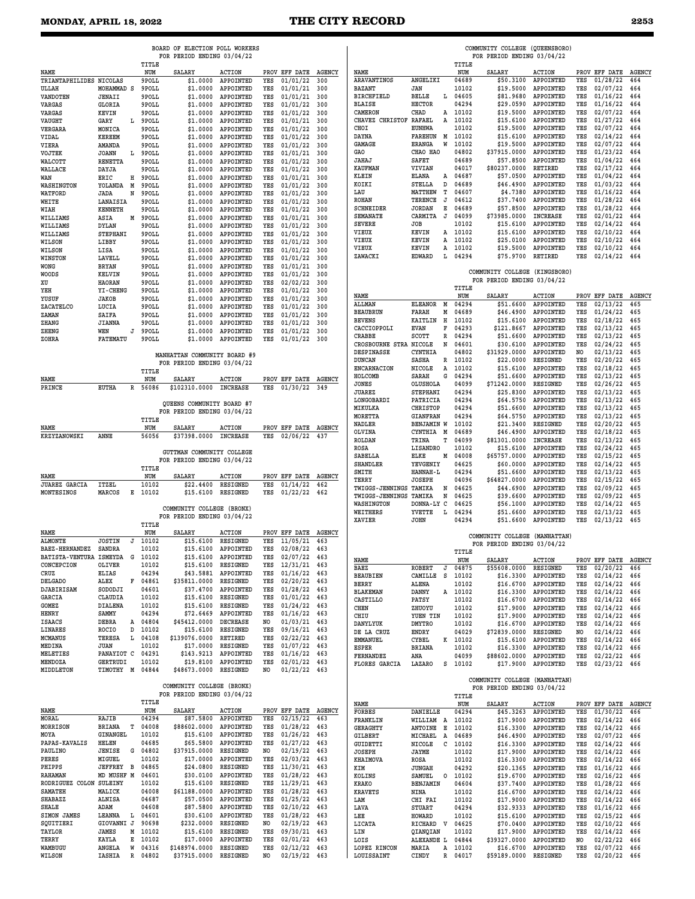|                                           |                                  |              |                  | BOARD OF ELECTION POLL WORKERS |                                  |            |                                 |               |                                    |                                           |                  | COMMUNITY COLLEGE (QUEENSBORO)                  |                        |            |                            |            |
|-------------------------------------------|----------------------------------|--------------|------------------|--------------------------------|----------------------------------|------------|---------------------------------|---------------|------------------------------------|-------------------------------------------|------------------|-------------------------------------------------|------------------------|------------|----------------------------|------------|
|                                           |                                  |              | TITLE            | FOR PERIOD ENDING 03/04/22     |                                  |            |                                 |               |                                    |                                           | TITLE            | FOR PERIOD ENDING 03/04/22                      |                        |            |                            |            |
| NAME                                      |                                  |              | NUM              | SALARY                         | <b>ACTION</b>                    |            | PROV EFF DATE AGENCY            |               | NAME                               |                                           | NUM              | SALARY                                          | <b>ACTION</b>          |            | PROV EFF DATE AGENCY       |            |
| TRIANTAPHILIDES NICOLAS                   |                                  |              | 9POLL            | \$1.0000                       | APPOINTED                        | YES        | 01/01/22                        | 300           | ARAVANTINOS                        | ANGELIKI                                  | 04689            | \$50.3100                                       | APPOINTED              | YES        | 01/28/22                   | 464        |
| ULLAH                                     | MOHAMMAD S                       |              | 9POLL            | \$1.0000                       | APPOINTED                        | YES        | 01/01/21                        | 300           | BAZANT                             | JAN                                       | 10102            | \$19.5000                                       | APPOINTED              | YES        | 02/07/22                   | 464        |
| VANDOTEN<br>VARGAS                        | JENAII<br>GLORIA                 |              | 9POLL<br>9POLL   | \$1.0000<br>\$1,0000           | APPOINTED<br>APPOINTED           | YES<br>YES | 01/01/21<br>01/01/22            | 300<br>300    | <b>BIRCHFIELD</b><br><b>BLAISE</b> | <b>BELLE</b><br>L<br><b>HECTOR</b>        | 04605<br>04294   | \$81.9680<br>\$29,0590                          | APPOINTED<br>APPOINTED | YES<br>YES | 01/16/22<br>01/16/22       | 464<br>464 |
| VARGAS                                    | KEVIN                            |              | 9POLL            | \$1,0000                       | APPOINTED                        | YES        | 01/01/22                        | 300           | CAMERON                            | CHAD<br>Α                                 | 10102            | \$19.5000                                       | APPOINTED              | YES        | 02/07/22                   | 464        |
| <b>VAUGHT</b>                             | GARY                             | L            | 9POLL            | \$1.0000                       | APPOINTED                        | YES        | 01/01/21                        | 300           | CHAVEZ CHRISTOF                    | <b>RAFAEL</b><br>Α                        | 10102            | \$15,6100                                       | APPOINTED              | YES        | 01/27/22                   | 464        |
| VERGARA                                   | MONICA                           |              | 9POLL            | \$1.0000                       | APPOINTED                        | YES        | 01/01/22                        | 300           | CHOI                               | <b>EUNHWA</b>                             | 10102            | \$19.5000                                       | APPOINTED              | YES        | 02/07/22                   | 464        |
| VIDAL                                     | <b>KEREEM</b>                    |              | 9POLL            | \$1.0000                       | APPOINTED                        | YES        | 01/01/22                        | 300           | DAYNA<br>GAMAGE                    | <b>FAREHUN</b><br>M<br><b>ERANGA</b><br>W | 10102<br>10102   | \$15.6100<br>\$19.5000                          | APPOINTED<br>APPOINTED | YES<br>YES | 02/14/22<br>02/07/22       | 464<br>464 |
| <b>VIERA</b><br>VOJTEK                    | AMANDA<br><b>JOANN</b>           | L            | 9POLL<br>9POLL   | \$1.0000<br>\$1.0000           | APPOINTED<br>APPOINTED           | YES<br>YES | 01/01/22<br>01/01/21            | 300<br>300    | GAO                                | CHAO HAO                                  | 04802            | \$37915.0000                                    | APPOINTED              | YES        | 01/23/22                   | 464        |
| <b>WALCOTT</b>                            | RENETTA                          |              | 9POLL            | \$1,0000                       | APPOINTED                        | YES        | 01/01/22                        | 300           | JAHAJ                              | SAFET                                     | 04689            | \$57.8500                                       | APPOINTED              | YES        | 01/04/22                   | 464        |
| WALLACE                                   | DAYJA                            |              | 9POLL            | \$1.0000                       | APPOINTED                        | YES        | 01/01/22                        | 300           | <b>KAUFMAN</b>                     | VIVIAN                                    | 04017            | \$80237.0000                                    | RETIRED                | YES        | 02/17/22                   | 464        |
| WAN                                       | ERIC                             | н            | 9POLL            | \$1.0000                       | APPOINTED                        | YES        | 01/01/21                        | 300           | KLEIN<br>KOIKI                     | ELANA<br>Α<br><b>STELLA</b><br>D          | 04687<br>04689   | \$57.0500<br>\$46.4900                          | APPOINTED<br>APPOINTED | YES<br>YES | 01/04/22<br>01/03/22       | 464<br>464 |
| <b>WASHINGTON</b><br><b>WATFORD</b>       | YOLANDA M<br>JADA                | N            | 9POLL<br>9POLL   | \$1.0000<br>\$1.0000           | APPOINTED<br>APPOINTED           | YES<br>YES | 01/01/22<br>01/01/22            | 300<br>300    | LAU                                | <b>MATTHEW</b><br>т                       | 04607            | \$4.7380                                        | APPOINTED              | YES        | 01/16/22                   | 464        |
| WHITE                                     | LANAISIA                         |              | 9POLL            | \$1,0000                       | APPOINTED                        | YES        | 01/01/22                        | 300           | ROHAN                              | <b>TERENCE</b><br>J                       | 04612            | \$37.7400                                       | APPOINTED              | YES        | 01/28/22                   | 464        |
| WIAH                                      | <b>KENNETH</b>                   |              | 9POLL            | \$1.0000                       | APPOINTED                        | YES        | 01/01/22                        | 300           | SCHNEIDER                          | <b>JORDAN</b><br>Е                        | 04689            | \$57.8500                                       | APPOINTED              | YES        | 01/28/22                   | 464        |
| WILLIAMS                                  | ASIA                             | М            | 9POLL            | \$1.0000                       | APPOINTED                        | YES        | 01/01/21                        | 300           | <b>SEMANATE</b>                    | CARMITA<br>J                              | 04099            | \$73985.0000                                    | <b>INCREASE</b>        | YES        | 02/01/22                   | 464        |
| WILLIAMS                                  | DYLAN                            |              | 9POLL            | \$1.0000                       | APPOINTED                        | YES        | 01/01/22                        | 300           | <b>SEVERE</b><br>VIEUX             | JOB<br>KEVIN<br>Α                         | 10102<br>10102   | \$15.6100<br>\$15.6100                          | APPOINTED<br>APPOINTED | YES<br>YES | 02/14/22<br>02/10/22       | 464<br>464 |
| WILLIAMS<br><b>WILSON</b>                 | STEPHANI<br>LIBBY                |              | 9POLL<br>9POLL   | \$1.0000<br>\$1.0000           | APPOINTED<br>APPOINTED           | YES<br>YES | 01/01/22<br>01/01/22            | 300<br>300    | VIEUX                              | KEVIN<br>Α                                | 10102            | \$25,0100                                       | APPOINTED              | YES        | 02/10/22                   | 464        |
| WILSON                                    | LISA                             |              | 9POLL            | \$1.0000                       | APPOINTED                        | YES        | 01/01/22                        | 300           | VIEUX                              | <b>KEVIN</b><br>Α                         | 10102            | \$19.5000                                       | APPOINTED              | YES        | 02/10/22                   | 464        |
| <b>WINSTON</b>                            | LAVELL                           |              | 9POLL            | \$1.0000                       | APPOINTED                        | YES        | 01/01/22                        | 300           | ZAWACKI                            | EDWARD                                    | L 04294          | \$75.9700                                       | RETIRED                | YES        | 02/14/22                   | 464        |
| WONG                                      | <b>BRYAN</b>                     |              | 9POLL            | \$1,0000                       | APPOINTED                        | YES        | 01/01/21                        | 300           |                                    |                                           |                  |                                                 | (KINGSBORO)            |            |                            |            |
| WOODS                                     | <b>KELVIN</b>                    |              | 9POLL            | \$1.0000                       | APPOINTED                        | YES        | 01/01/22                        | 300           |                                    |                                           |                  | COMMUNITY COLLEGE<br>FOR PERIOD ENDING 03/04/22 |                        |            |                            |            |
| XU<br>YEH                                 | <b>HAORAN</b><br><b>YI-CHENG</b> |              | 9POLL<br>9POLL   | \$1.0000<br>\$1.0000           | APPOINTED<br>APPOINTED           | YES<br>YES | 02/02/22<br>01/01/22            | 300<br>300    |                                    |                                           | TITLE            |                                                 |                        |            |                            |            |
| YUSUF                                     | JAKOB                            |              | 9POLL            | \$1.0000                       | APPOINTED                        | YES        | 01/01/22                        | 300           | NAME                               |                                           | NUM              | <b>SALARY</b>                                   | <b>ACTION</b>          |            | PROV EFF DATE AGENCY       |            |
| ZACATELCO                                 | LUCIA                            |              | 9POLL            | \$1.0000                       | APPOINTED                        | YES        | 01/01/22                        | 300           | ALLMAN                             | <b>ELEANOR</b><br>Μ                       | 04294            | \$51.6600                                       | APPOINTED              | YES        | 02/13/22                   | 465        |
| ZAMAN                                     | SAIFA                            |              | 9POLL            | \$1.0000                       | APPOINTED                        | YES        | 01/01/22                        | 300           | <b>BEAUBRUN</b>                    | M<br>FARAH<br>KAITLIN                     | 04689<br>10102   | \$46.4900                                       | APPOINTED<br>APPOINTED | YES<br>YES | 01/24/22<br>02/18/22       | 465        |
| ZHANG                                     | <b>JIANNA</b>                    |              | 9POLL            | \$1,0000                       | APPOINTED                        | YES        | 01/01/22                        | 300           | <b>BEVENS</b><br>CACCIOPPOLI       | Н<br><b>EVAN</b><br>F                     | 04293            | \$15.6100<br>\$121.8667                         | APPOINTED              | YES        | 02/13/22                   | 465<br>465 |
| ZHENG<br>ZOHRA                            | WEN<br>FATEMATU                  | $\mathtt{J}$ | 9POLL<br>9POLL   | \$1,0000<br>\$1,0000           | APPOINTED<br>APPOINTED           | YES<br>YES | 01/01/22<br>01/01/22            | 300<br>300    | CRABBE                             | SCOTT<br>R                                | 04294            | \$51.6600                                       | APPOINTED              | YES        | 02/13/22                   | 465        |
|                                           |                                  |              |                  |                                |                                  |            |                                 |               | CROSBOURNE STRA NICOLE             | N                                         | 04601            | \$30.6100                                       | APPOINTED              | YES        | 02/24/22                   | 465        |
|                                           |                                  |              |                  | MANHATTAN COMMUNITY BOARD #9   |                                  |            |                                 |               | DESPINASSE                         | CYNTHIA                                   | 04802            | \$31929.0000                                    | APPOINTED              | NO         | 02/13/22                   | 465        |
|                                           |                                  |              |                  | FOR PERIOD ENDING 03/04/22     |                                  |            |                                 |               | DUNCAN<br>ENCARNACION              | SASHA<br>R<br>NICOLE<br>Α                 | 10102<br>10102   | \$22,0000<br>\$15.6100                          | RESIGNED<br>APPOINTED  | YES<br>YES | 02/20/22<br>02/18/22       | 465<br>465 |
|                                           |                                  |              | TITLE            |                                |                                  |            |                                 |               | HOLCOMB                            | SARAH<br>G                                | 04294            | \$51.6600                                       | APPOINTED              | YES        | 02/13/22                   | 465        |
| NAME                                      |                                  |              | NUM              | SALARY<br>\$102310.0000        | <b>ACTION</b>                    |            | PROV EFF DATE                   | <b>AGENCY</b> | <b>JONES</b>                       | OLUSHOLA                                  | 04099            | \$71242.0000                                    | RESIGNED               | YES        | 02/26/22                   | 465        |
| PRINCE                                    | <b>EUTHA</b>                     | R            | 56086            |                                | INCREASE                         | YES        | 01/30/22                        | 349           | JUAREZ                             | STEPHANI                                  | 04294            | \$25.8300                                       | APPOINTED              | YES        | 02/13/22                   | 465        |
|                                           |                                  |              |                  | QUEENS COMMUNITY BOARD #7      |                                  |            |                                 |               | LONGOBARDI                         | PATRICIA                                  | 04294            | \$64.5750                                       | APPOINTED              | YES        | 02/13/22                   | 465        |
|                                           |                                  |              |                  | FOR PERIOD ENDING 03/04/22     |                                  |            |                                 |               | MIKULKA<br>MORETTA                 | CHRISTOP<br><b>GIANFRAN</b>               | 04294<br>04294   | \$51.6600<br>\$64.5750                          | APPOINTED<br>APPOINTED | YES<br>YES | 02/13/22<br>02/13/22       | 465<br>465 |
|                                           |                                  |              | TITLE            |                                |                                  |            |                                 |               | NADLER                             | <b>BENJAMIN W</b>                         | 10102            | \$21.3400                                       | RESIGNED               | YES        | 02/20/22                   | 465        |
| NAME<br>KRZYZANOWSKI                      | ANNE                             |              | NUM<br>56056     | SALARY<br>\$37398.0000         | <b>ACTION</b><br><b>INCREASE</b> | YES        | PROV EFF DATE<br>$02/06/22$ 437 | <b>AGENCY</b> | OLVINA                             | CYNTHIA M                                 | 04689            | \$46.4900                                       | APPOINTED              | YES        | 02/18/22                   | 465        |
|                                           |                                  |              |                  |                                |                                  |            |                                 |               | ROLDAN                             | TRINA<br>т                                | 04099            | \$81301.0000                                    | <b>INCREASE</b>        | YES        | 02/13/22                   | 465        |
|                                           |                                  |              |                  | GUTTMAN COMMUNITY COLLEGE      |                                  |            |                                 |               | ROSA                               | LISANDRO                                  | 10102            | \$15.6100                                       | APPOINTED              | YES        | 02/24/22                   | 465        |
|                                           |                                  |              |                  | FOR PERIOD ENDING 03/04/22     |                                  |            |                                 |               | <b>SABELLA</b><br><b>SHANDLER</b>  | ELKE<br>М<br>YEVGENIY                     | 04008<br>04625   | \$65757.0000<br>\$60,0000                       | APPOINTED<br>APPOINTED | YES<br>YES | 02/15/22<br>02/14/22       | 465<br>465 |
|                                           |                                  |              | TITLE            |                                |                                  |            |                                 |               | SMITH                              | HANNAH-L                                  | 04294            | \$51.6600                                       | APPOINTED              | YES        | 02/13/22                   | 465        |
| NAME                                      |                                  |              | NUM              | SALARY                         | <b>ACTION</b>                    |            | PROV EFF DATE AGENCY            |               | TERRY                              | <b>JOSEPH</b>                             | 04096            | \$64827.0000                                    | APPOINTED              | YES        | 02/15/22                   | 465        |
| <b>JUAREZ GARCIA</b><br>MONTESINOS        | <b>ITZEL</b><br>MARCOS           | Е            | 10102<br>10102   | \$22.4400<br>\$15.6100         | RESIGNED<br>RESIGNED             | YES<br>YES | 01/14/22<br>01/22/22            | 462<br>462    | <b>TWIGGS-JENNINGS</b>             | TAMIKA<br>N                               | 04625            | \$44.6900                                       | APPOINTED              | YES        | 02/09/22                   | 465        |
|                                           |                                  |              |                  |                                |                                  |            |                                 |               | <b>TWIGGS-JENNINGS</b>             | N<br>TAMIKA                               | 04625            | \$39.6600                                       | APPOINTED              | YES        | 02/09/22                   | 465        |
|                                           |                                  |              |                  | COMMUNITY COLLEGE              | (BRONX)                          |            |                                 |               | WASHINGTON<br>WEITHERS             | DONNA-LY C<br>YVETTE<br>L                 | 04625<br>04294   | \$56.1000<br>\$51.6600                          | APPOINTED<br>APPOINTED | YES<br>YES | 02/14/22<br>02/13/22       | 465<br>465 |
|                                           |                                  |              |                  | FOR PERIOD ENDING 03/04/22     |                                  |            |                                 |               | XAVIER                             | <b>JOHN</b>                               | 04294            | \$51.6600                                       | APPOINTED              | YES        | 02/13/22                   | 465        |
|                                           |                                  |              | TITLE<br>NUM     | <b>SALARY</b>                  | <b>ACTION</b>                    |            | PROV EFF DATE                   | <b>AGENCY</b> |                                    |                                           |                  |                                                 |                        |            |                            |            |
| NAME<br><b>ALMONTE</b>                    | <b>JOSTIN</b>                    | J            | 10102            | \$15,6100                      | RESIGNED                         | YES        | 11/05/21                        | 463           |                                    |                                           |                  | COMMUNITY COLLEGE (MANHATTAN)                   |                        |            |                            |            |
| BAEZ-HERNANDEZ                            | SANDRA                           |              | 10102            | \$15.6100                      | APPOINTED                        | YES        | 02/08/22                        | 463           |                                    |                                           | <b>TTTLE</b>     | FOR PERIOD ENDING 03/04/22                      |                        |            |                            |            |
| BATISTA-VENTURA ISMEYDA G                 |                                  |              | 10102            | \$15.6100                      | APPOINTED                        | YES        | 02/07/22                        | 463           | NAME                               |                                           | NUM              | SALARY                                          | <b>ACTION</b>          |            | PROV EFF DATE AGENCY       |            |
| CONCEPCION                                | OLIVER                           |              | 10102            | \$15.6100                      | RESIGNED                         | YES        | 12/31/21 463                    |               | <b>BAEZ</b>                        | ROBERT<br>J                               | 04875            | \$55608.0000                                    | RESIGNED               | YES        | 02/20/22                   | 466        |
| CRUZ                                      | ELIAS                            |              | 04294            | \$43.5881                      | APPOINTED                        | YES        | 01/16/22                        | 463           | <b>BEAUBIEN</b>                    | s<br>CAMILLE                              | 10102            | \$16.3300                                       | APPOINTED              | YES        | 02/14/22                   | 466        |
| <b>DELGADO</b><br>DJABIRISAM              | ALEX<br>SODODJI                  |              | F 04861<br>04601 | \$35811.0000<br>\$37.4700      | RESIGNED<br>APPOINTED            | YES<br>YES | 02/20/22<br>01/28/22            | 463<br>463    | BERRY                              | ALENA                                     | 10102            | \$16.6700                                       | APPOINTED              | YES        | 02/14/22                   | 466        |
| GARCIA                                    | <b>CLAUDIA</b>                   |              | 10102            | \$15.6100                      | RESIGNED                         | YES        | 01/01/22                        | 463           | <b>BLAKEMAN</b><br>CASTILLO        | DANNY                                     | A 10102          | \$16.3300                                       | APPOINTED              | YES        | 02/14/22<br>02/14/22       | 466        |
| GOMEZ                                     | <b>DIALENA</b>                   |              | 10102            | \$15.6100                      | RESIGNED                         | YES        | 01/24/22                        | 463           | CHEN                               | PATSY<br>ZHUOYU                           | 10102<br>10102   | \$16.6700<br>\$17,9000                          | APPOINTED<br>APPOINTED | YES<br>YES | 02/14/22                   | 466<br>466 |
| <b>HENRY</b>                              | SAMMY                            |              | 04294            | \$72.6469                      | APPOINTED                        | YES        | 01/16/22                        | 463           | CHIU                               | YUEN TIN                                  | 10102            | \$17.9000                                       | APPOINTED              | YES        | 02/14/22                   | 466        |
| ISAACS                                    | DEBRA                            | A            | 04804            | \$45412.0000                   | DECREASE                         | N0         | 01/03/21                        | 463           | DANYLYUK                           | <b>DMYTRO</b>                             | 10102            | \$16.6700                                       | APPOINTED              | YES        | 02/14/22                   | 466        |
| LINARES<br>MCMANUS                        | <b>ROCIO</b><br>TERESA           | D            | 10102<br>L 04108 | \$15.6100<br>\$139076.0000     | RESIGNED<br>RETIRED              | YES<br>YES | 09/16/21<br>02/22/22            | 463<br>463    | DE LA CRUZ                         | ENDRY                                     | 04029            | \$72839.0000                                    | RESIGNED               | NO         | 02/14/22                   | 466        |
| MEDINA                                    | <b>JUAN</b>                      |              | 10102            | \$17,0000                      | RESIGNED                         | YES        | 01/07/22                        | 463           | <b>EMMANUEL</b><br>ESPER           | CYBEL<br><b>BRIANA</b>                    | K 10102<br>10102 | \$15.6100<br>\$16.3300                          | APPOINTED<br>APPOINTED | YES<br>YES | 02/14/22<br>02/14/22       | 466<br>466 |
| MELETIES                                  | PANAYIOT C                       |              | 04291            | \$143.9213                     | APPOINTED                        | YES        | 01/16/22                        | 463           | <b>FERNANDEZ</b>                   | ANA                                       | 04099            | \$88602.0000                                    | APPOINTED              | YES        | 02/22/22 466               |            |
| MENDOZA                                   | GERTRUDI                         |              | 10102            | \$19.8100                      | APPOINTED                        | YES        | 02/01/22                        | 463           | <b>FLORES GARCIA</b>               | LAZARO                                    | S 10102          | \$17.9000                                       | APPOINTED              | YES        | 02/23/22 466               |            |
| MIDDLETON                                 | TIMOTHY M 04844                  |              |                  | \$48673.0000                   | RESIGNED                         | NO.        | $01/22/22$ 463                  |               |                                    |                                           |                  |                                                 |                        |            |                            |            |
|                                           |                                  |              |                  | COMMUNITY COLLEGE (BRONX)      |                                  |            |                                 |               |                                    |                                           |                  | COMMUNITY COLLEGE (MANHATTAN)                   |                        |            |                            |            |
|                                           |                                  |              |                  | FOR PERIOD ENDING 03/04/22     |                                  |            |                                 |               |                                    |                                           | TITLE            | FOR PERIOD ENDING 03/04/22                      |                        |            |                            |            |
|                                           |                                  |              | TITLE            |                                |                                  |            |                                 |               | NAME                               |                                           | NUM              | SALARY                                          | <b>ACTION</b>          |            | PROV EFF DATE AGENCY       |            |
| NAME                                      |                                  |              | NUM              | SALARY                         | <b>ACTION</b>                    |            | PROV EFF DATE AGENCY            |               | FORBES                             | DANIELLE                                  | 04294            | \$45.3263                                       | APPOINTED              | YES        | 01/30/22                   | 466        |
| <b>MORAL</b>                              | RAJIB                            |              | 04294            | \$87.5800                      | APPOINTED                        | YES        | 02/15/22                        | 463           | FRANKLIN                           | WILLIAM A                                 | 10102            | \$17,9000                                       | APPOINTED              | YES        | 02/14/22                   | 466        |
| MORRISON<br><b>MOYA</b>                   | BRIANA<br>GINANGEL               | т            | 04008<br>10102   | \$88602.0000<br>\$15.6100      | APPOINTED<br>APPOINTED           | YES<br>YES | 01/28/22<br>01/26/22            | 463<br>463    | <b>GERAGHTY</b>                    | ANTOINE<br>Е                              | 10102            | \$16.3300                                       | APPOINTED              | YES        | 02/14/22                   | 466        |
| PAPAS-KAVALIS                             | HELEN                            |              | 04685            | \$65.5800                      | APPOINTED                        | YES        | 01/27/22                        | 463           | GILBERT<br><b>GUIDETTI</b>         | MICHAEL<br>$\mathbf{A}$<br>NICOLE<br>с    | 04689<br>10102   | \$46.4900<br>\$16.3300                          | APPOINTED<br>APPOINTED | YES<br>YES | 02/07/22 466<br>02/14/22   | 466        |
| PAULINO                                   | JENISE                           | G            | 04802            | \$37915.0000                   | RESIGNED                         | N0         | 02/19/22                        | 463           | JOSEPH                             | JAYME                                     | 10102            | \$17.9000                                       | APPOINTED              | YES        | $02/14/22$ 466             |            |
| PERES                                     | MIGUEL                           |              | 10102            | \$17.0000                      | APPOINTED                        | YES        | 02/03/22                        | 463           | KHAIMOVA                           | ROSA                                      | 10102            | \$16.3300                                       | APPOINTED              | YES        | 02/14/22                   | 466        |
| PHIPPS                                    | <b>JEFFREY B</b>                 |              | 04865            | \$24.0800                      | RESIGNED                         | YES        | 11/30/21                        | 463           | KIM                                | <b>JUNGAH</b>                             | 04292            | \$20.1365                                       | APPOINTED              | YES        | 01/16/22                   | 466        |
| <b>RAHAMAN</b><br>RODRIGUEZ COLON SULEINY | MD MUSHF M                       |              | 04601<br>10102   | \$30.0100<br>\$15.6100         | APPOINTED<br>RESIGNED            | YES<br>YES | 01/28/22<br>11/29/21            | 463<br>463    | KOLINS                             | SAMUEL<br>$\circ$                         | 10102            | \$19.6700                                       | APPOINTED              | YES        | 02/16/22                   | 466        |
| <b>SAMATEH</b>                            | MALICK                           |              | 04008            | \$61188.0000                   | APPOINTED                        | YES        | 01/28/22                        | 463           | KRAKO<br><b>KRAVETS</b>            | BENJAMIN<br>NINA                          | 04604<br>10102   | \$37.7400<br>\$16.6700                          | APPOINTED<br>APPOINTED | YES<br>YES | 01/28/22<br>$02/14/22$ 466 | 466        |
| SHABAZZ                                   | ALNISA                           |              | 04687            | \$57.0500                      | APPOINTED                        | YES        | 01/25/22                        | 463           | LAM                                | CHI FAI                                   | 10102            | \$17,9000                                       | APPOINTED              | YES        | $02/14/22$ 466             |            |
| SHALE                                     | ADAM                             |              | 04608            | \$87.5800                      | APPOINTED                        | YES        | 02/10/22                        | 463           | LAVA                               | <b>STUART</b>                             | 04294            | \$32.9333                                       | APPOINTED              | YES        | 01/16/22                   | 466        |
| SIMON JAMES                               | LEANNA                           | L.           | 04601            | \$30.6100                      | APPOINTED                        | YES        | 01/28/22                        | 463           | LEE                                | HOWARD                                    | 10102            | \$15.6100                                       | APPOINTED              | YES        | 02/15/22                   | 466        |
| SQUITIERI                                 | GIOVANNI J                       |              | 90698            | \$232.0000                     | RESIGNED                         | NO.        | 02/19/22                        | 463           | LICATA                             | RICHARD<br>V                              | 04625            | \$70.0400                                       | APPOINTED              | YES        | 02/10/22                   | 466        |
| TAYLOR<br>TERRY                           | JAMES<br>KAYLA                   | Е            | M 10102<br>10102 | \$15.6100<br>\$17.0000         | RESIGNED<br>APPOINTED            | YES<br>YES | 09/30/21<br>02/01/22            | 463<br>463    | LIN<br>LOIS                        | QIANQIAN<br>ALEXANDE L                    | 10102<br>04844   | \$17.9000<br>\$39327.0000                       | APPOINTED<br>APPOINTED | YES<br>NO  | 02/14/22<br>$02/22/22$ 466 | 466        |
| WAMBUGU                                   | ANGELA                           | W            | 04316            | \$148974.0000                  | RESIGNED                         | YES        | 02/12/22                        | 463           | LOPEZ RINCON                       | MARIA<br>Α                                | 10102            | \$16.6700                                       | APPOINTED              | YES        | $02/07/22$ 466             |            |
| WILSON                                    | IASHIA                           |              | R 04802          | \$37915.0000                   | RESIGNED                         | NO.        | $02/19/22$ 463                  |               | LOUISSAINT                         | CINDY                                     | R 04017          | \$59189.0000                                    | RESIGNED               | YES        | 02/20/22 466               |            |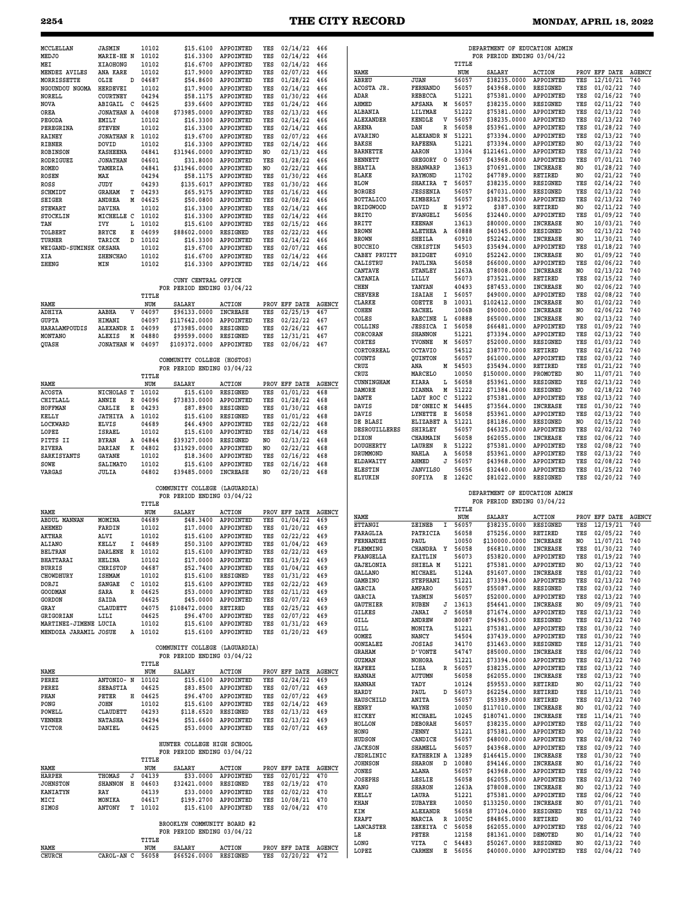**2254 THE CITY RECORD MONDAY, APRIL 18, 2022** 

| MCCLELLAN                          | <b>JASMIN</b>                     | 10102            | \$15,6100                     | APPOINTED                     | YES        | $02/14/22$ 466                   |                      |                                    |                                      |                      | DEPARTMENT OF EDUCATION ADMIN                               |                                    |                      |                          |               |
|------------------------------------|-----------------------------------|------------------|-------------------------------|-------------------------------|------------|----------------------------------|----------------------|------------------------------------|--------------------------------------|----------------------|-------------------------------------------------------------|------------------------------------|----------------------|--------------------------|---------------|
| <b>MEDJO</b><br>MEI                | MARIE-HE N<br>XIAOHONG            | 10102<br>10102   | \$16.3300<br>\$16.6700        | APPOINTED<br>APPOINTED        | YES<br>YES | 02/14/22<br>02/14/22             | 466<br>466           |                                    |                                      | TITLE                | FOR PERIOD ENDING 03/04/22                                  |                                    |                      |                          |               |
| MENDEZ AVILES                      | ANA KARE                          | 10102            | \$17.9000                     | APPOINTED                     | YES        | 02/07/22                         | 466                  | NAME                               |                                      | NUM                  | <b>SALARY</b>                                               | <b>ACTION</b>                      |                      | PROV EFF DATE AGENCY     |               |
| MORRISSETTE<br>NGOUNDOU NGOMA      | OLIE<br>D<br>HERDEVEI             | 04687<br>10102   | \$54.8600<br>\$17.9000        | APPOINTED<br>APPOINTED        | YES<br>YES | 01/28/22<br>02/14/22             | 466<br>466           | ABREU<br>ACOSTA JR.                | JUAN<br><b>FERNANDO</b>              | 56057<br>56057       | \$38235.0000<br>\$43968.0000                                | APPOINTED<br>RESIGNED              | YES<br>YES           | 12/10/21<br>01/02/22     | 740<br>740    |
| <b>NORELL</b>                      | COURTNEY                          | 04294            | \$58.1175<br>\$39,6600        | APPOINTED                     | YES        | 01/30/22                         | 466                  | ADAR                               | REBECCA<br>M                         | 51221<br>56057       | \$75381.0000                                                | APPOINTED                          | YES<br>YES           | 02/16/22<br>02/11/22     | 740           |
| NOVA<br>OREA                       | ABIGAIL C<br>JONATHAN A           | 04625<br>04008   | \$73985.0000                  | APPOINTED<br>APPOINTED        | YES<br>YES | 01/24/22<br>02/13/22             | 466<br>466           | AHMED<br>ALBANIA                   | <b>AFSANA</b><br>LILYMAE             | 51222                | \$38235.0000<br>\$75381.0000                                | RESIGNED<br>APPOINTED              | YES                  | 02/13/22                 | 740<br>740    |
| PEGODA                             | <b>EMILY</b>                      | 10102<br>10102   | \$16.3300                     | APPOINTED<br>APPOINTED        | YES<br>YES | 02/14/22                         | 466                  | <b>ALEXANDER</b><br>ARENA          | V<br><b>KENDLE</b><br>DAN<br>R       | 56057<br>56058       | \$38235.0000<br>\$53961.0000                                | APPOINTED<br>APPOINTED             | YES<br>YES           | 02/13/22<br>01/28/22     | 740<br>740    |
| PEREGRINA<br>RAINEY                | <b>STEVEN</b><br>JONATHAN R 10102 |                  | \$16,3300<br>\$19.6700        | APPOINTED                     | YES        | 02/14/22<br>02/07/22             | 466<br>466           | <b>AVARINO</b>                     | ALEXANDR N                           | 51221                | \$73394.0000                                                | APPOINTED                          | YES                  | 02/13/22                 | 740           |
| <b>RIBNER</b><br><b>ROBINSON</b>   | DOVID<br><b>KASHEENA</b>          | 10102<br>04841   | \$16.3300<br>\$31946.0000     | APPOINTED<br>APPOINTED        | YES<br>NO. | 02/14/22<br>02/13/22             | 466<br>466           | <b>BAKSH</b><br><b>BARNETTE</b>    | <b>RAFEENA</b><br>AARON              | 51221<br>13304       | \$73394.0000<br>\$121461.0000                               | APPOINTED<br>APPOINTED             | NO.<br>YES           | 02/13/22<br>02/13/22     | 740<br>740    |
| RODRIGUEZ                          | <b>JONATHAN</b>                   | 04601            | \$31.8000                     | APPOINTED                     | YES        | 01/28/22                         | 466                  | <b>BENNETT</b>                     | GREGORY O                            | 56057                | \$43968.0000                                                | APPOINTED                          | YES                  | 07/01/21                 | 740           |
| ROMEO<br><b>ROSEN</b>              | TAMERIA<br>MAX                    | 04841<br>04294   | \$31946.0000<br>\$58.1175     | APPOINTED<br>APPOINTED        | NO<br>YES  | 02/22/22<br>01/30/22             | 466<br>466           | <b>BHATIA</b><br><b>BLAKE</b>      | <b>BHANWARP</b><br>RAYMOND           | 13613<br>11702       | \$70691.0000<br>\$47789.0000                                | <b>INCREASE</b><br>RETIRED         | NO.<br>NO            | 01/28/22<br>02/21/22     | 740<br>740    |
| ROSS                               | JUDY                              | 04293            | \$135.6017                    | APPOINTED                     | YES        | 01/30/22                         | 466                  | <b>BLOW</b>                        | SHAKIRA T                            | 56057                | \$38235.0000                                                | <b>RESIGNED</b>                    | YES                  | 02/14/22                 | 740           |
| SCHMIDT<br><b>SEIGER</b>           | <b>GRAHAM</b><br>т<br>M<br>ANDREA | 04293<br>04625   | \$65.9175<br>\$50.0800        | APPOINTED<br>APPOINTED        | YES<br>YES | 01/16/22<br>02/08/22             | 466<br>466           | <b>BORGES</b><br><b>BOTTALICO</b>  | <b>JESSENIA</b><br>KIMBERLY          | 56057<br>56057       | \$47031.0000<br>\$38235.0000                                | RESIGNED<br>APPOINTED              | YES<br>YES           | 02/13/22<br>02/13/22     | 740<br>740    |
| <b>STEWART</b>                     | DAVINA                            | 10102            | \$16.3300                     | APPOINTED                     | YES        | 02/14/22                         | 466                  | <b>BRIDGWOOD</b>                   | DAVID<br>Е                           | 91972                | \$387.0300                                                  | RETIRED                            | NO                   | 02/11/22                 | 740           |
| STOCKLIN<br>TAN                    | MICHELLE C<br>IVY<br>L            | 10102<br>10102   | \$16.3300<br>\$15.6100        | APPOINTED<br>APPOINTED        | YES<br>YES | 02/14/22<br>02/15/22             | 466<br>466           | <b>BRITO</b><br>BRITT              | <b>EVANGELI</b><br><b>KEENAN</b>     | 56056<br>13613       | \$32440.0000<br>\$80000.0000                                | APPOINTED<br><b>INCREASE</b>       | YES<br>NO            | 01/09/22<br>10/03/21     | 740<br>740    |
| TOLBERT                            | Е<br><b>BRYCE</b>                 | 04099            | \$88602.0000                  | RESIGNED                      | YES        | 02/22/22                         | 466                  | <b>BROWN</b>                       | ALETHEA A                            | 60888                | \$40345.0000                                                | RESIGNED                           | NO.                  | 02/13/22                 | 740           |
| TURNER<br>WEIGAND-SUMINSK OKSANA   | TARICK<br>D                       | 10102<br>10102   | \$16.3300<br>\$19.6700        | APPOINTED<br>APPOINTED        | YES<br>YES | 02/14/22<br>02/07/22             | 466<br>466           | <b>BROWN</b><br><b>BUCCHIO</b>     | SHEILA<br>CHRISTIN                   | 60910<br>54503       | \$52242.0000<br>\$35494.0000                                | <b>INCREASE</b><br>APPOINTED       | NO.<br>YES           | 11/30/21<br>01/18/22     | 740<br>740    |
| XIA                                | ZHENCHAO                          | 10102            | \$16.6700                     | APPOINTED                     | YES        | 02/14/22                         | 466                  | CABEY PRUITT                       | <b>BRIDGET</b>                       | 60910                | \$52242.0000                                                | <b>INCREASE</b>                    | NO                   | 01/09/22                 | 740           |
| ZHENG                              | MIN                               | 10102            | \$16.3300                     | APPOINTED                     | YES        | 02/14/22                         | 466                  | CALISTRU<br>CANTAVE                | PAULINA<br><b>STANLEY</b>            | 56058<br>1263A       | \$66000.0000<br>\$78008.0000                                | APPOINTED<br><b>INCREASE</b>       | YES<br>NO            | 02/06/22<br>02/13/22     | 740<br>740    |
|                                    |                                   |                  | CUNY CENTRAL OFFICE           |                               |            |                                  |                      | CATANIA                            | LILLY                                | 56073                | \$73521.0000                                                | RETIRED                            | YES                  | 02/15/22                 | 740           |
|                                    |                                   | TITLE            | FOR PERIOD ENDING 03/04/22    |                               |            |                                  |                      | <b>CHEN</b><br><b>CHEVERE</b>      | YANYAN<br><b>ISAIAH</b><br>Ι.        | 40493<br>56057       | \$87453.0000<br>\$49000.0000                                | <b>INCREASE</b><br>APPOINTED       | NO.<br>YES           | 02/06/22<br>02/08/22     | 740<br>740    |
| NAME                               |                                   | NUM              | SALARY                        | <b>ACTION</b>                 |            | PROV EFF DATE                    | <b>AGENCY</b>        | <b>CLARKE</b>                      | B<br>ODETTE                          | 10031                | \$102412.0000                                               | <b>INCREASE</b>                    | NO                   | 01/02/22                 | 740           |
| <b>ADHIYA</b><br><b>GUPTA</b>      | AABHA<br>V<br>HIMANI              | 04097<br>04097   | \$96133.0000<br>\$117642.0000 | <b>INCREASE</b><br>APPOINTED  | YES<br>YES | 02/25/19<br>02/22/22             | 467<br>467           | COHEN<br>COLES                     | <b>RACHEL</b><br><b>RAECINE</b><br>L | 1006B<br>60888       | \$90000.0000<br>\$65000.0000                                | <b>INCREASE</b><br><b>INCREASE</b> | N <sub>O</sub><br>NO | 02/06/22<br>02/13/22     | 740<br>740    |
| HARALAMPOUDIS                      | ALEXANDR Z                        | 04099            | \$73985.0000                  | RESIGNED                      | YES        | 02/26/22                         | 467                  | COLLINS                            | <b>JESSICA</b><br>I                  | 56058                | \$66481.0000                                                | APPOINTED                          | YES                  | 01/09/22                 | 740           |
| MONTANO                            | ALEXIS<br>M                       | 04880            | \$99599.0000                  | RESIGNED                      | YES        | 12/31/21                         | 467                  | CORCORAN<br>CORTES                 | <b>SHANNON</b><br>YVONNE<br>M        | 51221<br>56057       | \$73394.0000<br>\$52000.0000                                | APPOINTED<br>RESIGNED              | YES<br>YES           | 02/13/22<br>01/03/22     | 740<br>740    |
| QUASH                              | JONATHAN W                        | 04097            | \$109372.0000                 | APPOINTED                     | YES        | 02/06/22                         | 467                  | CORTORREAL                         | <b>OCTAVIO</b>                       | 54512                | \$38770.0000                                                | RETIRED                            | YES                  | 02/16/22                 | 740           |
|                                    |                                   |                  | COMMUNITY COLLEGE (HOSTOS)    |                               |            |                                  |                      | <b>COUNTS</b><br>CRUZ              | QUINTON<br>ANA<br>М                  | 56057<br>54503       | \$61000.0000<br>\$35494.0000                                | APPOINTED<br>RETIRED               | YES<br>YES           | 02/03/22<br>01/21/22     | 740<br>740    |
|                                    |                                   | TITLE            | FOR PERIOD ENDING 03/04/22    |                               |            |                                  |                      | CRUZ                               | MARCELO                              | 10050                | \$150000.0000                                               | PROMOTED                           | NO                   | 11/07/21                 | 740           |
| NAME                               |                                   | NUM              | SALARY                        | <b>ACTION</b>                 |            | PROV EFF DATE                    | <b>AGENCY</b>        | CUNNINGHAM<br><b>DAMORE</b>        | KIARA<br>ь<br>DIANNA<br>M            | 56058<br>51222       | \$53961.0000<br>\$71384.0000                                | RESIGNED<br>RESIGNED               | YES<br>NO            | 02/13/22<br>02/18/22     | 740<br>740    |
| <b>ACOSTA</b><br>CHITLALL          | NICHOLAS T<br>ANNIE<br>R          | 10102<br>04096   | \$15.6100<br>\$73833.0000     | RESIGNED<br>APPOINTED         | YES<br>YES | 01/01/22<br>01/28/22             | 468<br>468           | DANTE                              | LADY ROC C                           | 51222                | \$75381.0000                                                | APPOINTED                          | YES                  | 02/13/22                 | 740           |
| HOFFMAN                            | Е<br>CARLIE                       | 04293            | \$87.8900                     | RESIGNED                      | YES        | 01/30/22                         | 468                  | DAVIS                              | DE'ONEIC M                           | 54485                | \$73564.0000                                                | <b>INCREASE</b>                    | YES<br>YES           | 01/30/22                 | 740           |
| KELLY<br>LOCKWARD                  | JATHIYA A 10102<br>ELVIS          | 04689            | \$15.6100<br>\$46.4900        | RESIGNED<br>APPOINTED         | YES<br>YES | 01/01/22<br>02/22/22             | 468<br>468           | <b>DAVIS</b><br>DE BLASI           | LYNETTE<br>Е<br>ELIZABET A           | 56058<br>51221       | \$53961.0000<br>\$81186.0000                                | APPOINTED<br>RESIGNED              | NO                   | 02/13/22<br>02/15/22     | 740<br>740    |
| LOPEZ                              | <b>ISRAEL</b>                     | 10102            | \$15.6100                     | APPOINTED                     | YES        | 02/14/22                         | 468                  | DESROUILLERES                      | <b>SHIRLEY</b>                       | 56057<br>56058       | \$46325.0000                                                | APPOINTED                          | YES<br>YES           | 02/02/22                 | 740           |
| PITTS II<br>RIVERA                 | <b>BYRAN</b><br>DARIAN<br>к       | A 04844<br>04802 | \$39327.0000<br>\$31929.0000  | RESIGNED<br>APPOINTED         | NO<br>NO   | 02/13/22<br>02/22/22             | 468<br>468           | <b>DIXON</b><br><b>DOUGHERTY</b>   | CHARMAIN<br>LAUREN<br>R              | 51222                | \$62055.0000<br>\$75381.0000                                | <b>INCREASE</b><br>APPOINTED       | YES                  | 02/06/22<br>02/08/22     | 740<br>740    |
| SARKISYANTS                        | GAYANE                            | 10102            | \$18.3600                     | APPOINTED                     | YES        | 02/16/22                         | 468                  | DRUMMOND                           | NAHLA<br>Α                           | 56058                | \$53961.0000                                                | APPOINTED                          | YES                  | 02/13/22                 | 740           |
| SOWE<br>VARGAS                     | SALIMATO<br>JULIA                 | 10102<br>04802   | \$15.6100<br>\$39485.0000     | APPOINTED<br><b>INCREASE</b>  | YES<br>NO  | 02/16/22<br>02/20/22             | 468<br>468           | <b>ELDAWAITY</b><br><b>ELESTIN</b> | AHMED<br>J<br><b>JANVILSO</b>        | 56057<br>56056       | \$43968.0000<br>\$32440.0000                                | APPOINTED<br>APPOINTED             | YES<br>YES           | 02/08/22<br>01/25/22     | 740<br>740    |
|                                    |                                   |                  | COMMUNITY COLLEGE             | (LAGUARDIA)                   |            |                                  |                      | <b>ELYUKIN</b>                     | SOFIYA<br>Е                          | 1262C                | \$81022.0000                                                | RESIGNED                           | YES                  | 02/20/22 740             |               |
|                                    |                                   | TITLE            | FOR PERIOD ENDING 03/04/22    |                               |            |                                  |                      |                                    |                                      |                      | DEPARTMENT OF EDUCATION ADMIN<br>FOR PERIOD ENDING 03/04/22 |                                    |                      |                          |               |
| NAME<br>ABDUL MANNAN               | MOMINA                            | NUM<br>04689     | SALARY<br>\$48,3400           | <b>ACTION</b><br>APPOINTED    | YES        | PROV EFF DATE<br>01/04/22        | <b>AGENCY</b><br>469 | NAME                               |                                      | TITLE<br>NUM         | SALARY                                                      | <b>ACTION</b>                      |                      | PROV EFF DATE            | <b>AGENCY</b> |
| <b>AHEMED</b>                      | FARDIN                            | 10102            | \$17,0000                     | APPOINTED                     | YES        | 01/20/22                         | 469                  | <b>ETTANGI</b>                     | ZEINEB<br>I                          | 56057                | \$38235.0000                                                | <b>RESIGNED</b>                    | YES                  | 12/19/21                 | 740           |
| <b>AKTHAR</b><br><b>ALIANO</b>     | ALVI<br>KELLY                     | 10102<br>I 04689 | \$15.6100<br>\$50.3100        | APPOINTED<br><b>APPOINTED</b> | YES<br>YES | 02/22/22<br>01/04/22 469         | 469                  | FARAGLIA<br>FERNANDEZ              | PATRICIA<br>PAUL                     | 56058<br>10050       | \$75256.0000<br>\$130000.0000                               | RETIRED<br>INCREASE                | YES<br>NO            | 02/05/22<br>11/07/21     | 740<br>740    |
| <b>BELTRAN</b>                     | DARLENE R 10102                   |                  | \$15.6100                     | APPOINTED                     | YES        | $02/22/22$ 469                   |                      | FLEMMING                           | CHANDRA Y                            | 56058                | \$66810.0000                                                | INCREASE                           | YES                  | 01/30/22 740             |               |
| <b>BHATTARAI</b><br><b>BURRIS</b>  | HELINA<br>CHRISTOP                | 10102<br>04687   | \$17.0000<br>\$52.7400        | APPOINTED<br>APPOINTED        | YES<br>YES | 01/19/22 469<br>01/04/22 469     |                      | FRANGELLA<br>GAJELONIA             | KAITLIN<br>SHIELA M                  | 56073<br>51221       | \$53820.0000<br>\$75381.0000                                | APPOINTED<br>APPOINTED             | YES<br>NO            | 01/19/22<br>02/13/22 740 | 740           |
| <b>CHOWDHURY</b>                   | <b>ISHMAM</b>                     | 10102            | \$15.6100                     | RESIGNED                      | YES        | 01/31/22 469                     |                      | <b>GALLANO</b>                     | MICHAEL                              | 5124A                | \$91607.0000                                                | INCREASE                           | YES                  | 01/02/22 740             |               |
| DORJI                              | SANGAE<br>C                       | 10102<br>R 04625 | \$15.6100                     | APPOINTED<br>APPOINTED        | YES        | $02/22/22$ 469<br>$02/11/22$ 469 |                      | <b>GAMBINO</b><br>GARCIA           | STEPHANI<br>AMPARO                   | 51221<br>56057       | \$73394.0000<br>\$55087.0000                                | APPOINTED<br>RESIGNED              | YES<br>YES           | 02/13/22<br>02/03/22     | 740<br>740    |
| <b>GOODMAN</b><br>GORDON           | SARA<br>SAIDA                     | 04625            | \$53.0000<br>\$45.0000        | APPOINTED                     | YES<br>YES | 02/07/22 469                     |                      | GARCIA                             | YASMIN                               | 56057                | \$52000.0000                                                | APPOINTED                          | YES                  | 02/13/22 740             |               |
| GRAY                               | <b>CLAUDETT</b>                   | 04075            | \$108472.0000                 | RETIRED                       | YES        | 02/25/22                         | 469                  | <b>GAUTHIER</b><br><b>GILKES</b>   | RUBEN<br>JANAI                       | $J$ 13613<br>J 56058 | \$54641.0000<br>\$71674.0000                                | <b>INCREASE</b><br>APPOINTED       | NO<br>YES            | 09/09/21<br>02/13/22 740 | 740           |
| GRIGORIAN<br>MARTINEZ-JIMENE LUCIA | LILI                              | 04625<br>10102   | \$96.4700<br>\$15.6100        | APPOINTED<br>APPOINTED        | YES<br>YES | 02/07/22 469<br>01/31/22 469     |                      | GILL                               | ANDREW                               | B0087                | \$94963.0000                                                | RESIGNED                           | YES                  | 02/13/22 740             |               |
| MENDOZA JARAMIL JOSUE              |                                   | A 10102          | \$15.6100                     | APPOINTED                     | YES        | $01/20/22$ 469                   |                      | GILL<br>GOMEZ                      | MONITA<br>NANCY                      | 51221<br>54504       | \$75381.0000<br>\$37439.0000                                | APPOINTED<br>APPOINTED             | YES<br>YES           | 01/30/22<br>01/30/22 740 | 740           |
|                                    |                                   |                  | COMMUNITY COLLEGE (LAGUARDIA) |                               |            |                                  |                      | GONZALEZ                           | JOSIAS                               | 34170                | \$31463.0000                                                | RESIGNED                           | YES                  | 12/31/21 740             |               |
|                                    |                                   |                  | FOR PERIOD ENDING 03/04/22    |                               |            |                                  |                      | <b>GRAHAM</b><br>GUZMAN            | <b>D'VONTE</b><br>NOHORA             | 54747<br>51221       | \$85000.0000<br>\$73394.0000                                | INCREASE<br>APPOINTED              | YES<br>YES           | 02/06/22<br>02/13/22 740 | 740           |
| NAME                               |                                   | TITLE<br>NUM     | <b>SALARY</b>                 | <b>ACTION</b>                 |            | PROV EFF DATE AGENCY             |                      | <b>HAFEEZ</b>                      | LISA                                 | R 56057              | \$38235.0000                                                | APPOINTED                          | YES                  | $02/13/22$ 740           |               |
| PEREZ                              | ANTONIO- N                        | 10102            | \$15.6100                     | APPOINTED                     | YES        | $02/24/22$ 469                   |                      | <b>HANNAH</b><br><b>HANNAH</b>     | <b>AUTUMN</b><br>YADY                | 56058<br>10124       | \$62055.0000<br>\$59553.0000                                | <b>INCREASE</b><br>RETIRED         | YES<br>NO            | 02/13/22<br>02/11/22 740 | 740           |
| PEREZ<br>PHAN                      | <b>SEBASTIA</b><br>PETER<br>н     | 04625<br>04625   | \$83.8500<br>\$96.4700        | APPOINTED<br>APPOINTED        | YES<br>YES | 02/07/22 469<br>02/07/22 469     |                      | HARDY                              | PAUL<br>D                            | 56073                | \$62254.0000                                                | RETIRED                            | YES                  | 11/10/21 740             |               |
| PONG                               | JOHN                              | 10102            | \$15.6100                     | APPOINTED                     | YES        | 02/14/22 469                     |                      | HAUSCHILD<br>HENRY                 | ANITA<br>WAYNE                       | 56057<br>10050       | \$53389.0000<br>\$117010.0000                               | RETIRED<br>INCREASE                | YES<br>NO            | 02/13/22<br>01/02/22 740 | 740           |
| <b>POWELL</b><br>VENNER            | CLAUDETT<br><b>NATASHA</b>        | 04293<br>04294   | \$118.6520<br>\$51.6600       | RESIGNED<br>APPOINTED         | YES<br>YES | 02/13/22 469<br>$02/13/22$ 469   |                      | HICKEY                             | MICHAEL                              | 10245                | \$180741.0000                                               | INCREASE                           | YES                  | 11/14/21 740             |               |
| VICTOR                             | DANIEL                            | 04625            | \$53.0000                     | APPOINTED                     | YES        | 02/07/22 469                     |                      | HOLLON<br>HONG                     | <b>DEBORAH</b><br><b>JENNY</b>       | 56057<br>51221       | \$38235.0000<br>\$75381.0000                                | APPOINTED<br>APPOINTED             | YES<br>NO            | 02/11/22<br>02/13/22     | 740<br>740    |
|                                    |                                   |                  | HUNTER COLLEGE HIGH SCHOOL    |                               |            |                                  |                      | HUDSON                             | CANDICE                              | 56057                | \$48000.0000                                                | APPOINTED                          | YES                  | 02/08/22 740             |               |
|                                    |                                   |                  | FOR PERIOD ENDING 03/04/22    |                               |            |                                  |                      | <b>JACKSON</b><br>JEDRLINIC        | SHAMELL<br>KATHERIN A                | 56057<br>13289       | \$43968.0000<br>\$146415.0000                               | APPOINTED<br>INCREASE              | YES<br>YES           | 02/09/22<br>01/30/22 740 | 740           |
| NAME                               |                                   | TITLE<br>NUM     | <b>SALARY</b>                 | <b>ACTION</b>                 |            | PROV EFF DATE AGENCY             |                      | <b>JOHNSON</b>                     | <b>SHARON</b><br>D                   | 10080                | \$94146.0000                                                | INCREASE                           | NO                   | 01/16/22 740             |               |
| HARPER                             | THOMAS<br>J                       | 04139            | \$33.0000                     | APPOINTED                     | YES        | 02/01/22 470                     |                      | JONES<br><b>JOSEPHS</b>            | ALANA<br>LESLIE                      | 56057<br>56058       | \$43968.0000<br>\$62055.0000                                | APPOINTED<br>APPOINTED             | YES<br>YES           | 02/09/22<br>02/13/22     | 740<br>740    |
| <b>JOHNSTON</b><br><b>KANIATYN</b> | SHANNON H<br>RAY                  | 04603<br>04139   | \$32421.0000<br>\$33.0000     | RESIGNED<br>APPOINTED         | YES<br>YES | 02/19/22 470<br>02/02/22 470     |                      | KANG                               | SHARON                               | 1263A                | \$78008.0000                                                | INCREASE                           | NO                   | 02/13/22 740             |               |
| MICI                               | MONIKA                            | 04617            | \$199.2700                    | APPOINTED                     | YES        | 10/08/21 470                     |                      | KELLY<br>KHAN                      | LAURA<br>ZUBAYER                     | 51221<br>10050       | \$75381.0000<br>\$133250.0000                               | APPOINTED<br>INCREASE              | YES<br>NO            | 02/06/22<br>07/01/21 740 | 740           |
| SIMOS                              | ANTONY                            | T 10102          | \$15.6100                     | APPOINTED                     | YES        | 02/04/22 470                     |                      | KIM                                | ALEXANDR                             | 56058                | \$77104.0000                                                | RESIGNED                           | YES                  | $02/13/22$ 740           |               |
|                                    |                                   |                  | BROOKLYN COMMUNITY BOARD #2   |                               |            |                                  |                      | KRAFT<br>LANCASTER                 | MARCIA<br>R<br>c<br>ZEKEIYA          | 1005C<br>56058       | \$84865.0000<br>\$62055.0000                                | RETIRED<br>APPOINTED               | NO<br>YES            | 01/01/22<br>02/06/22     | 740<br>740    |
|                                    |                                   | TITLE            | FOR PERIOD ENDING 03/04/22    |                               |            |                                  |                      | LE                                 | PETER                                | 12158                | \$81361.0000                                                | DEMOTED                            | NO                   | 01/14/22 740             |               |
| NAME                               |                                   | NUM              | SALARY                        | ACTION                        |            | PROV EFF DATE AGENCY             |                      | LONG<br>LOPEZ                      | VITA<br>с<br>CARMEN                  | 54483<br>E 56056     | \$50267.0000<br>\$40000.0000                                | RESIGNED<br>APPOINTED              | NO<br>YES            | 02/13/22<br>02/04/22 740 | 740           |
| CHURCH                             | CAROL-AN C                        | 56058            | \$66526.0000                  | RESIGNED                      |            | YES 02/20/22 472                 |                      |                                    |                                      |                      |                                                             |                                    |                      |                          |               |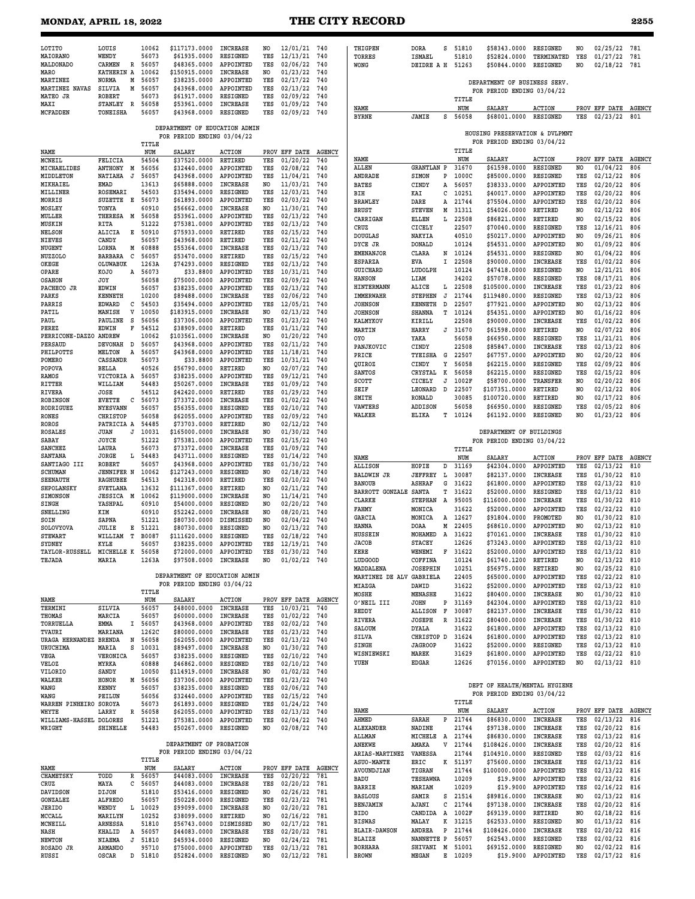### **MONDAY, APRIL 18, 2022 THE CITY RECORD 2255**

| LOTITO                           | LOUIS                            |        | 10062            | \$117173.0000                                               | <b>INCREASE</b>              | NO         | 12/01/21                         | 740           | <b>THIGPEN</b>                                   | DORA                          | s                 | 51810            | \$58343.0000                                                | <b>RESIGNED</b>                    | NO             | 02/25/22                         | 781           |
|----------------------------------|----------------------------------|--------|------------------|-------------------------------------------------------------|------------------------------|------------|----------------------------------|---------------|--------------------------------------------------|-------------------------------|-------------------|------------------|-------------------------------------------------------------|------------------------------------|----------------|----------------------------------|---------------|
| <b>MAIORANO</b>                  | WENDY                            |        | 56073            | \$61935.0000                                                | RESIGNED                     | YES        | 12/13/21                         | 740           | TORRES                                           | <b>ISMAEL</b>                 |                   | 51810            | \$52824.0000                                                | TERMINATED                         | YES            | 01/27/22                         | 781           |
| MALDONADO<br>MARO                | CARMEN<br><b>KATHERIN A</b>      | R      | 56057<br>10062   | \$48365.0000<br>\$150915.0000                               | APPOINTED<br><b>INCREASE</b> | YES<br>NO  | 02/06/22<br>01/23/22             | 740<br>740    | <b>WONG</b>                                      | DEIDRE A H                    |                   | 51263            | \$50844.0000                                                | <b>RESIGNED</b>                    | N <sub>O</sub> | 02/18/22                         | 781           |
| MARTINEZ                         | NORMA                            | Μ      | 56057            | \$38235.0000                                                | APPOINTED                    | YES        | 02/17/22                         | 740           |                                                  |                               |                   |                  | DEPARTMENT OF BUSINESS SERV.                                |                                    |                |                                  |               |
| MARTINEZ NAVAS                   | SILVIA                           | м      | 56057            | \$43968.0000                                                | APPOINTED                    | YES        | 02/13/22                         | 740           |                                                  |                               |                   |                  | FOR PERIOD ENDING 03/04/22                                  |                                    |                |                                  |               |
| <b>MATEO JR</b><br>MAXI          | <b>ROBERT</b><br><b>STANLEY</b>  | R      | 56073<br>56058   | \$61917.0000<br>\$53961.0000                                | RESIGNED<br><b>INCREASE</b>  | YES<br>YES | 02/09/22<br>01/09/22             | 740<br>740    |                                                  |                               |                   | TITLE            |                                                             |                                    |                |                                  |               |
| MCFADDEN                         | TONEISHA                         |        | 56057            | \$43968.0000                                                | RESIGNED                     | YES        | 02/09/22                         | 740           | NAME                                             |                               |                   | NUM              | SALARY                                                      | <b>ACTION</b>                      |                | PROV EFF DATE                    | <b>AGENCY</b> |
|                                  |                                  |        |                  |                                                             |                              |            |                                  |               | <b>BYRNE</b>                                     | JAMIE                         | s                 | 56058            | \$68001.0000                                                | <b>RESIGNED</b>                    | YES            | 02/23/22                         | 801           |
|                                  |                                  |        |                  | DEPARTMENT OF EDUCATION ADMIN<br>FOR PERIOD ENDING 03/04/22 |                              |            |                                  |               |                                                  |                               |                   |                  | HOUSING PRESERVATION & DVLPMNT                              |                                    |                |                                  |               |
|                                  |                                  |        | TITLE            |                                                             |                              |            |                                  |               |                                                  |                               |                   |                  | FOR PERIOD ENDING 03/04/22                                  |                                    |                |                                  |               |
| NAME                             |                                  |        | NUM              | <b>SALARY</b>                                               | <b>ACTION</b>                |            | PROV EFF DATE                    | <b>AGENCY</b> |                                                  |                               |                   | TITLE            |                                                             |                                    |                |                                  |               |
| MCNEIL<br>MICHAELIDES            | <b>FELICIA</b><br><b>ANTHONY</b> |        | 54504<br>56056   | \$37520.0000                                                | RETIRED<br>APPOINTED         | YES<br>YES | 01/20/22                         | 740<br>740    | NAME<br>ALLEN                                    | <b>GRANTLAN P</b>             |                   | NUM<br>31670     | <b>SALARY</b><br>\$61598.0000                               | <b>ACTION</b><br>RESIGNED          | PROV<br>NO.    | EFF DATE AGENCY<br>01/04/22      | 806           |
| MIDDLETON                        | NATIAHA                          | M<br>J | 56057            | \$32440.0000<br>\$43968.0000                                | APPOINTED                    | YES        | 02/08/22<br>11/04/21             | 740           | ANDRADE                                          | SIMON                         | P                 | 1000C            | \$85000.0000                                                | RESIGNED                           | YES            | 02/12/22                         | 806           |
| <b>MIKHAIEL</b>                  | EMAD                             |        | 13613            | \$65888.0000                                                | <b>INCREASE</b>              | NO         | 11/03/21                         | 740           | <b>BATES</b>                                     | CINDY                         | Α                 | 56057            | \$38333.0000                                                | APPOINTED                          | YES            | 02/20/22                         | 806           |
| MILLINER                         | <b>ROSEMARI</b>                  |        | 54503            | \$35494.0000                                                | RESIGNED                     | YES        | 12/03/21                         | 740           | BIH                                              | KAI                           | с                 | 10251            | \$40017.0000                                                | APPOINTED                          | YES            | 02/20/22                         | 806           |
| MORRIS<br><b>MOSLEY</b>          | SUZETTE<br>TONYA                 | E      | 56073<br>60910   | \$61893.0000<br>\$56662.0000                                | APPOINTED<br><b>INCREASE</b> | YES<br>NO  | 02/03/22<br>11/30/21             | 740<br>740    | <b>BRAWLEY</b>                                   | DARE                          | Α                 | 21744            | \$75504.0000                                                | APPOINTED                          | YES            | 02/20/22                         | 806           |
| MULLER                           | THERESA                          | M      | 56058            | \$53961.0000                                                | APPOINTED                    | YES        | 02/13/22                         | 740           | <b>BRUST</b><br>CARRIGAN                         | <b>STEVEN</b><br><b>ELLEN</b> | М<br>L            | 31311<br>22508   | \$54026.0000<br>\$86821.0000                                | <b>RETIRED</b><br><b>RETIRED</b>   | NO.<br>NO.     | 02/12/22<br>02/15/22             | 806<br>806    |
| <b>MUSKIN</b>                    | RITA                             |        | 51222            | \$75381.0000                                                | APPOINTED                    | YES        | 02/13/22                         | 740           | CRUZ                                             | CICELY                        |                   | 22507            | \$70040.0000                                                | <b>RESIGNED</b>                    | YES            | 12/16/21                         | 806           |
| <b>NELSON</b><br><b>NIEVES</b>   | ALICIA<br>CANDY                  | Е      | 50910<br>56057   | \$75933.0000<br>\$43968.0000                                | RETIRED<br>RETIRED           | YES<br>YES | 02/15/22<br>02/11/22             | 740<br>740    | <b>DOUGLAS</b>                                   | NAKYIA                        |                   | 40510            | \$50217.0000                                                | APPOINTED                          | NO.            | 09/26/21                         | 806           |
| NUGENT                           | LORNA                            | М      | 60888            | \$55364.0000                                                | <b>INCREASE</b>              | YES        | 02/13/22                         | 740           | DYCE JR                                          | <b>DONALD</b>                 |                   | 10124            | \$54531.0000                                                | APPOINTED                          | NO.            | 01/09/22                         | 806           |
| NUZZOLO                          | BARBARA                          | C      | 56057            | \$53470.0000                                                | RETIRED                      | YES        | 02/15/22                         | 740           | <b>EMENANJOR</b>                                 | CLARA                         | N                 | 10124            | \$54531.0000                                                | <b>RESIGNED</b>                    | NO.            | 01/04/22                         | 806           |
| OKEGE                            | OLUWABUK                         |        | 1263A            | \$74293.0000                                                | RESIGNED                     | YES        | 02/13/22                         | 740           | <b>ESPARZA</b><br><b>GUICHARD</b>                | <b>EVA</b><br>LUDOLPH         | I                 | 22508<br>10124   | \$90000.0000<br>\$47418.0000                                | <b>INCREASE</b><br>RESIGNED        | YES<br>NO.     | 01/02/22<br>12/21/21             | 806<br>806    |
| OPARE<br><b>OSAHON</b>           | KOJO<br>JOY                      | Α      | 56073<br>56058   | \$33.8800<br>\$75000.0000                                   | APPOINTED<br>APPOINTED       | YES<br>YES | 10/31/21<br>02/09/22             | 740<br>740    | <b>HANSON</b>                                    | LIAM                          |                   | 34202            | \$57078.0000                                                | RESIGNED                           | YES            | 08/17/21                         | 806           |
| PACHECO JR                       | EDWIN                            |        | 56057            | \$38235.0000                                                | APPOINTED                    | YES        | 02/13/22                         | 740           | <b>HINTERMANN</b>                                | ALICE                         | L                 | 22508            | \$105000.0000                                               | <b>INCREASE</b>                    | YES            | 01/23/22                         | 806           |
| PARKS                            | <b>KENNETH</b>                   |        | 10200            | \$89488.0000                                                | <b>INCREASE</b>              | YES        | 02/06/22                         | 740           | IMMERWAHR                                        | <b>STEPHEN</b>                | J                 | 21744            | \$119480.0000                                               | RESIGNED                           | YES            | 02/13/22                         | 806           |
| PARRIS                           | <b>EDWARD</b>                    | с      | 54503            | \$35494.0000                                                | APPOINTED                    | YES        | 12/05/21                         | 740           | <b>JOHNSON</b>                                   | <b>KENNETH</b>                | D                 | 22507            | \$77921.0000                                                | APPOINTED                          | NO.            | 02/13/22                         | 806           |
| PATIL<br>PAUL                    | MANISH<br>PAULINE                | V<br>S | 10050<br>56056   | \$183915.0000<br>\$37306.0000                               | <b>INCREASE</b><br>APPOINTED | NO<br>YES  | 02/13/22<br>01/23/22             | 740<br>740    | <b>JOHNSON</b><br>KALMYKOV                       | <b>SHANNA</b><br>KIRILL       | т                 | 10124<br>22508   | \$54351.0000<br>\$90000.0000                                | APPOINTED<br><b>INCREASE</b>       | NO.<br>YES     | 01/16/22<br>01/02/22             | 806<br>806    |
| PEREZ                            | EDWIN                            | F      | 54512            | \$38909.0000                                                | RETIRED                      | YES        | 01/11/22                         | 740           | MARTIN                                           | HARRY                         | J                 | 31670            | \$61598.0000                                                | RETIRED                            | NO.            | 02/07/22                         | 806           |
| PERRICONE-DAZZO                  | ANDREW                           |        | 10062            | \$103561.0000                                               | <b>INCREASE</b>              | NO         | 01/20/22                         | 740           | <b>OYO</b>                                       | YAKA                          |                   | 56058            | \$66950.0000                                                | RESIGNED                           | YES            | 11/21/21                         | 806           |
| PERSAUD                          | DEVONAH                          | D      | 56057            | \$43968.0000                                                | APPOINTED                    | YES        | 02/11/22                         | 740           | PANJKOVIC                                        | CINDY                         |                   | 22508            | \$85847.0000                                                | <b>INCREASE</b>                    | YES            | 02/13/22                         | 806           |
| PHILPOTTS<br>POMERO              | MELTON<br>CASSANDR               | Α      | 56057<br>56073   | \$43968.0000<br>\$33.8800                                   | APPOINTED<br>APPOINTED       | YES<br>YES | 11/18/21<br>10/31/21             | 740<br>740    | PRICE                                            | TYEISHA                       | G                 | 22507            | \$67757.0000                                                | APPOINTED                          | NO.            | 02/20/22                         | 806           |
| POPOVA                           | BELLA                            |        | 40526            | \$56790.0000                                                | RETIRED                      | NO         | 02/07/22                         | 740           | QUIROZ                                           | CINDY                         | Υ                 | 56058            | \$62215.0000                                                | <b>RESIGNED</b>                    | YES            | 02/09/22                         | 806           |
| RAMOS                            | VICTORIA A                       |        | 56057            | \$38235.0000                                                | APPOINTED                    | YES        | 09/12/21                         | 740           | SANTOS<br>SCOTT                                  | CRYSTAL<br>CICELY             | к<br>J            | 56058<br>1002F   | \$62215.0000<br>\$58700.0000                                | RESIGNED<br>TRANSFER               | YES<br>NO.     | 02/15/22<br>02/20/22             | 806<br>806    |
| RITTER                           | WILLIAM                          |        | 54483            | \$50267.0000                                                | <b>INCREASE</b>              | YES        | 01/09/22                         | 740           | SEIF                                             | LEONARD                       | D                 | 22507            | \$107351.0000                                               | <b>RETIRED</b>                     | NO.            | 02/12/22                         | 806           |
| <b>RIVERA</b><br><b>ROBINSON</b> | JOSE<br><b>EVETTE</b>            | с      | 54512<br>56073   | \$42420.0000<br>\$73372.0000                                | RETIRED<br><b>INCREASE</b>   | YES<br>YES | 01/29/22<br>01/02/22             | 740<br>740    | SMITH                                            | RONALD                        |                   | 30085            | \$100720.0000                                               | <b>RETIRED</b>                     | NO.            | 02/17/22                         | 806           |
| RODRIGUEZ                        | <b>NYESVANN</b>                  |        | 56057            | \$56355.0000                                                | RESIGNED                     | YES        | 02/10/22                         | 740           | VAWTERS                                          | ADDISON                       |                   | 56058            | \$66950.0000                                                | RESIGNED                           | YES            | 02/05/22                         | 806           |
| <b>RONES</b>                     | <b>CHRISTOP</b>                  |        | 56058            | \$62055.0000                                                | APPOINTED                    | YES        | 02/09/22                         | 740           | WALKER                                           | ELIKA                         | т                 | 10124            | \$61192.0000                                                | RESIGNED                           | NO.            | 01/23/22                         | 806           |
| ROROS<br><b>ROSALES</b>          | PATRICIA A<br><b>JUAN</b>        | J      | 54485<br>10031   | \$73703.0000<br>\$165000.0000                               | RETIRED<br><b>INCREASE</b>   | NO<br>NO.  | 02/12/22<br>01/30/22             | 740<br>740    |                                                  |                               |                   |                  | DEPARTMENT OF BUILDINGS                                     |                                    |                |                                  |               |
| SABAY                            | JOYCE                            |        | 51222            | \$75381.0000                                                | APPOINTED                    | YES        | 02/15/22                         | 740           |                                                  |                               |                   |                  | FOR PERIOD ENDING 03/04/22                                  |                                    |                |                                  |               |
| <b>SANCHEZ</b>                   | LAURA                            |        | 56073            | \$73372.0000                                                | <b>INCREASE</b>              | YES        |                                  | 740           |                                                  |                               |                   | TITLE            |                                                             |                                    |                |                                  |               |
|                                  |                                  |        |                  |                                                             |                              |            | 01/09/22                         |               |                                                  |                               |                   |                  |                                                             |                                    |                |                                  |               |
| <b>SANTANA</b>                   | JORGE                            | L      | 54483            | \$43711.0000                                                | RESIGNED                     | YES        | 01/14/22                         | 740           | NAME                                             |                               |                   | NUM              | SALARY                                                      | ACTION                             |                | PROV EFF DATE AGENCY             |               |
| SANTIAGO III                     | <b>ROBERT</b>                    |        | 56057            | \$43968.0000                                                | APPOINTED                    | YES        | 01/30/22                         | 740           | <b>ALLISON</b>                                   | HOPIE                         | D                 | 31169            | \$42304.0000                                                | APPOINTED                          | YES            | 02/13/22                         | 810           |
| SCHUMAN                          | JENNIFER N<br><b>RAGHUBEE</b>    |        | 10062<br>54513   | \$127243.0000                                               | RESIGNED<br>RETIRED          | NO<br>YES  | 02/18/22<br>02/10/22             | 740<br>740    | <b>BALDWIN JR</b>                                | <b>JEFFREY</b>                | L                 | 30087            | \$82137.0000                                                | <b>INCREASE</b>                    | YES            | 01/30/22                         | 810           |
| <b>SEENAUTH</b><br>SHPOLANSKY    | <b>SVETLANA</b>                  |        | 13632            | \$42318.0000<br>\$111367.0000                               | RETIRED                      | NO.        | 02/11/22                         | 740           | <b>BANOUB</b>                                    | ASHRAF                        | G                 | 31622            | \$61800.0000                                                | APPOINTED                          | YES            | 02/13/22                         | 810           |
| SIMONSON                         | <b>JESSICA</b>                   | M      | 10062            | \$119000.0000                                               | <b>INCREASE</b>              | NO         | 11/14/21                         | 740           | <b>GONZALE SANTA</b><br><b>BARROTT</b><br>CLARKE | <b>STEPHAN</b>                | т<br>$\mathbf{A}$ | 31622<br>95005   | \$52000.0000<br>\$116000.0000                               | RESIGNED<br><b>INCREASE</b>        | YES<br>YES     | 02/13/22<br>01/30/22             | 810<br>810    |
| SINGH                            | YASHPAL                          |        | 60910            | \$54000.0000                                                | RESIGNED                     | NO         | 02/20/22                         | 740           | FAHMY                                            | MONICA                        |                   | 31622            | \$52000.0000                                                | APPOINTED                          | YES            | 02/22/22                         | 810           |
| SNELLING<br>SOIN                 | KIM<br>SAPNA                     |        | 60910<br>51221   | \$52242.0000<br>\$80730.0000                                | <b>INCREASE</b><br>DISMISSED | NO<br>NO   | 08/20/21<br>02/04/22             | 740<br>740    | GARCIA                                           | MONICA                        | A                 | 12627            | \$91804.0000                                                | PROMOTED                           | NO.            | 01/30/22                         | 810           |
| SOLOVYOVA                        | JULIE                            | Е      | 51221            | \$80730.0000                                                | RESIGNED                     | NO         | 02/13/22                         | 740           | HANNA                                            | <b>DOAA</b>                   | М                 | 22405            | \$68610.0000                                                | APPOINTED                          | NO.            | 02/13/22                         | 810           |
| <b>STEWART</b>                   | WILLIAM                          | T      | B0087            | \$111620.0000                                               | RESIGNED                     | YES        | 02/18/22                         | 740           | HUSSEIN                                          | MOHAMED                       | A                 | 31622            | \$70161.0000                                                | <b>INCREASE</b>                    | YES            | 01/30/22                         | 810           |
| SYDNEY                           | KYLE                             |        | 56057            | \$38235.0000                                                | APPOINTED                    | YES        | 12/19/21                         | 740           | JACOB<br>KERE                                    | <b>STACEY</b><br>WENEMI       |                   | 12626<br>31622   | \$73243.0000<br>\$52000.0000                                | APPOINTED<br>APPOINTED             | YES            | 02/13/22<br>02/13/22             | 810<br>810    |
| <b>TAYLOR-RUSSELL</b><br>TEJADA  | MICHELLE K<br>MARIA              |        | 56058<br>1263A   | \$72000.0000<br>\$97508.0000 INCREASE                       | <b>APPOINTED</b>             | YES<br>NO  | 01/30/22<br>01/02/22 740         | 740           | LUDGOOD                                          | COFFINA                       |                   | 10124            | \$61740.1200                                                | RETIRED                            | NO             | 02/13/22                         | 810           |
|                                  |                                  |        |                  |                                                             |                              |            |                                  |               | MADDALENA                                        | <b>JOSEPHIN</b>               |                   | 10251            | \$56975.0000                                                | RETIRED                            | NO             | $02/25/22$ 810                   |               |
|                                  |                                  |        |                  | DEPARTMENT OF EDUCATION ADMIN                               |                              |            |                                  |               | MARTINEZ DE ALV GABRIELA                         |                               |                   | 22405            | \$65000.0000                                                | APPOINTED                          | YES            | 02/22/22                         | 810           |
|                                  |                                  |        | TITLE            | FOR PERIOD ENDING 03/04/22                                  |                              |            |                                  |               | MIAZGA                                           | DAWID                         |                   | 31622            | \$52000.0000                                                | APPOINTED                          | YES            | $02/13/22$ 810                   |               |
| NAME                             |                                  |        | NUM              | SALARY                                                      | <b>ACTION</b>                |            | PROV EFF DATE AGENCY             |               | MOSHE                                            | MENASHE                       |                   | 31622            | \$80400.0000<br>\$42304.0000                                | INCREASE                           | NO<br>YES      | 01/30/22                         | 810<br>810    |
| TERMINI                          | SILVIA                           |        | 56057            | \$48000.0000                                                | <b>INCREASE</b>              | YES        | 10/03/21                         | 740           | O'NEIL III<br>REDDY                              | <b>JOHN</b><br>ALLISON        | F                 | P 31169<br>30087 | \$82137.0000                                                | APPOINTED<br><b>INCREASE</b>       | YES            | 02/13/22<br>01/30/22             | 810           |
| THOMAS                           | MARCIA                           |        | 56057            | \$60000.0000                                                | INCREASE                     | YES        | 01/02/22                         | 740           | RIVERA                                           | JOSEPH                        | R                 | 31622            | \$80400.0000                                                | <b>INCREASE</b>                    | YES            | 01/30/22                         | 810           |
| TORRUELLA<br>TVAURI              | EMMA<br>MARIANA                  | Ι.     | 56057<br>1262C   | \$43968.0000<br>\$80000.0000                                | APPOINTED<br>INCREASE        | YES<br>YES | 02/02/22<br>01/23/22             | 740<br>740    | SALOUM                                           | <b>DYALA</b>                  |                   | 31622            | \$61800.0000                                                | APPOINTED                          | YES            | 02/13/22                         | 810           |
| URAGA HERNANDEZ BRENDA           |                                  | N      | 56058            | \$62055.0000                                                | APPOINTED                    | YES        | 02/13/22                         | 740           | SILVA                                            | CHRISTOP D                    |                   | 31624            | \$61800.0000                                                | APPOINTED                          | YES            | 02/13/22                         | 810           |
| URUCHIMA                         | MARIA                            | s      | 10031            | \$89497.0000                                                | <b>INCREASE</b>              | NO         | 01/30/22                         | 740           | SINGH<br>WISNIEWSKI                              | <b>JAGROOP</b>                |                   | 31622<br>31629   | \$52000.0000                                                | RESIGNED<br>APPOINTED              | YES<br>YES     | 02/13/22                         | 810           |
| VEGA<br>VELOZ                    | VERONICA<br>MYRKA                |        | 56057<br>60888   | \$38235.0000<br>\$46862.0000                                | RESIGNED<br>RESIGNED         | YES<br>YES | 02/10/22<br>02/10/22             | 740<br>740    | YUEN                                             | MAREK<br>EDGAR                |                   | 12626            | \$61800.0000<br>\$70156.0000                                | APPOINTED                          | NO.            | $02/22/22$ 810<br>$02/13/22$ 810 |               |
| VILORIO                          | SANDY                            |        | 10050            | \$114919.0000                                               | INCREASE                     | NO         | 01/02/22                         | 740           |                                                  |                               |                   |                  |                                                             |                                    |                |                                  |               |
| WALKER                           | HONOR                            |        | M 56056          | \$37306.0000                                                | APPOINTED                    | YES        | 01/23/22                         | 740           |                                                  |                               |                   |                  |                                                             |                                    |                |                                  |               |
| WANG                             | KENNY                            |        | 56057            | \$38235.0000                                                | RESIGNED                     | YES        | 02/06/22                         | 740           |                                                  |                               |                   |                  | DEPT OF HEALTH/MENTAL HYGIENE<br>FOR PERIOD ENDING 03/04/22 |                                    |                |                                  |               |
| WANG<br>WARREN PINHEIRO SOROYA   | PEILUN                           |        | 56056<br>56073   | \$32440.0000<br>\$61893.0000                                | APPOINTED<br>RESIGNED        | YES<br>YES | 02/15/22<br>01/24/22             | 740<br>740    |                                                  |                               |                   | TITLE            |                                                             |                                    |                |                                  |               |
| WHYTE                            | LARRY                            |        | R 56058          | \$62055.0000                                                | APPOINTED                    | YES        | 02/13/22                         | 740           | NAME                                             |                               |                   | NUM              | SALARY                                                      | <b>ACTION</b>                      |                | PROV EFF DATE AGENCY             |               |
| WILLIAMS-HASSEL DOLORES          |                                  |        | 51221            | \$75381.0000                                                | APPOINTED                    | YES        | 02/04/22                         | 740           | AHMED                                            | SARAH                         | P                 | 21744            | \$86830.0000                                                | <b>INCREASE</b>                    | YES            | 02/13/22                         | 816           |
| WRIGHT                           | SHINELLE                         |        | 54483            | \$50267.0000                                                | RESIGNED                     | NO         | 02/08/22                         | 740           | ALEXANDER<br><b>ALLMAN</b>                       | NADINE<br>MICHELE             | A                 | 21744<br>21744   | \$97138.0000<br>\$86830.0000                                | <b>INCREASE</b><br><b>INCREASE</b> | YES<br>YES     | 02/20/22                         | 816<br>816    |
|                                  |                                  |        |                  | DEPARTMENT OF PROBATION                                     |                              |            |                                  |               | <b>ANEKWE</b>                                    | AMAKA                         | V                 | 21744            | \$108426.0000                                               | <b>INCREASE</b>                    | YES            | 02/13/22<br>02/20/22             | 816           |
|                                  |                                  |        |                  | FOR PERIOD ENDING 03/04/22                                  |                              |            |                                  |               | ARIAS-MARTINEZ                                   | VANESSA                       |                   | 21744            | \$104910.0000                                               | RESIGNED                           | YES            | 02/03/22                         | 816           |
|                                  |                                  |        | TITLE            |                                                             |                              |            |                                  |               | <b>ASUO-MANTE</b>                                | ERIC                          |                   | K 51197          | \$75600.0000                                                | <b>INCREASE</b>                    | YES            | $02/13/22$ 816                   |               |
| NAME<br>CHAMETSKY                | TODD                             | R      | NUM<br>56057     | SALARY<br>\$44083.0000                                      | <b>ACTION</b><br>INCREASE    | YES        | PROV EFF DATE AGENCY<br>02/20/22 | 781           | AVOUNDJIAN                                       | TIGRAN                        |                   | 21744            | \$100000.0000                                               | APPOINTED                          | YES            | 02/13/22                         | 816           |
| CRUZ                             | MAYA                             | с      | 56057            | \$44083.0000                                                | <b>INCREASE</b>              | YES        | 02/20/22                         | 781           | BADU                                             | TESHAWNA                      |                   | 10209            |                                                             | \$19.9000 APPOINTED                | YES            | 02/22/22                         | 816           |
| DAVIDSON                         | DIJON                            |        | 51810            | \$53416.0000                                                | RESIGNED                     | NO         | 02/26/22                         | 781           | BARRIE<br><b>BASLOUS</b>                         | MARIAM<br>SAMIR               | s                 | 10209<br>21514   | \$19.9000<br>\$89816.0000                                   | APPOINTED<br>INCREASE              | YES<br>NO.     | 02/16/22<br>$02/13/22$ 816       | 816           |
| GONZALEZ                         | <b>ALFREDO</b>                   |        | 56057            | \$50228.0000                                                | RESIGNED                     | YES        | 02/23/22                         | 781           | BENJAMIN                                         | AJANI                         | С                 | 21744            | \$97138.0000                                                | <b>INCREASE</b>                    | YES            | 02/20/22                         | 816           |
| <b>JERIDO</b><br>MCCALL          | WENDY<br>MARILYN                 |        | L 10029<br>10252 | \$99099.0000<br>\$38099.0000                                | INCREASE<br>RETIRED          | NO<br>NO   | 02/20/22<br>02/16/22             | 781<br>781    | <b>BIDO</b>                                      | CANDIDA A                     |                   | 1002F            | \$69139.0000                                                | RETIRED                            | NO.            | 02/18/22                         | 816           |
| MCNEILL                          | ARNESSA                          |        | 51810            | \$56743.0000                                                | DISMISSED                    | NO         | 02/17/22                         | 781           | <b>BISWAS</b>                                    | MALAY                         | K                 | 31215            | \$62533.0000                                                | RESIGNED                           | NO.            | 01/13/22                         | 816           |
| NASH                             | KHALID                           |        | A 56057          | \$44083.0000                                                | INCREASE                     | YES        | 02/20/22                         | 781           | <b>BLAIR-DAWSON</b>                              | ANDREA                        | P                 | 21744            | \$108426.0000                                               | <b>INCREASE</b>                    | YES            | $02/20/22$ 816                   |               |
| <b>NEWTON</b><br>ROSADO JR       | <b>NIAEMA</b><br><b>ARMANDO</b>  | J      | 51810<br>95710   | \$45934.0000<br>\$75000.0000                                | RESIGNED<br>APPOINTED        | NO<br>YES  | 02/24/22<br>02/13/22             | 781<br>781    | BLAIZE<br><b>BORHARA</b>                         | NANNETTE P<br>SHIVANI M 51001 |                   | 56057            | \$62543.0000<br>\$69152.0000                                | RESIGNED<br>RESIGNED               | YES<br>NO.     | 02/02/22<br>$02/02/22$ 816       | 816           |